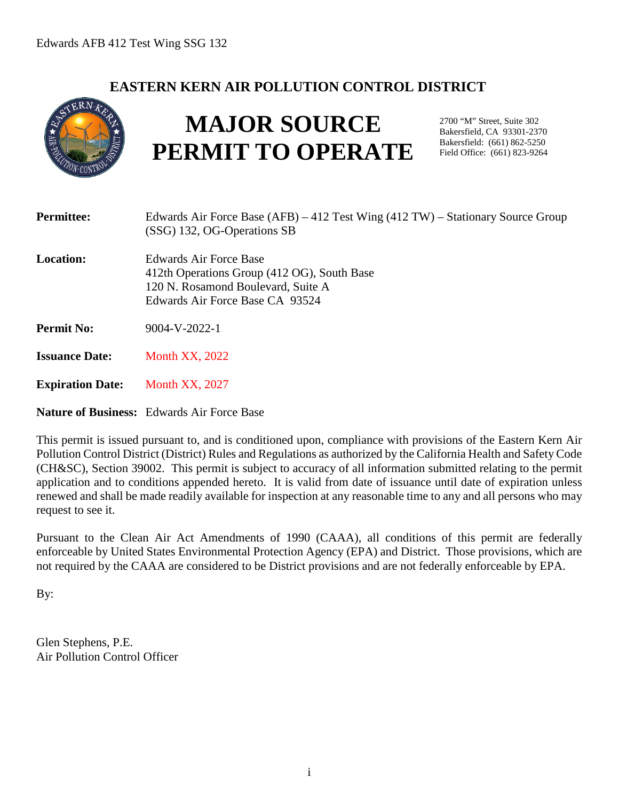## **EASTERN KERN AIR POLLUTION CONTROL DISTRICT**



# **MAJOR SOURCE PERMIT TO OPERATE**

2700 "M" Street, Suite 302 Bakersfield, CA 93301-2370 Bakersfield: (661) 862-5250 Field Office: (661) 823-9264

| <b>Permittee:</b>       | Edwards Air Force Base (AFB) – 412 Test Wing (412 TW) – Stationary Source Group<br>(SSG) 132, OG-Operations SB                                 |
|-------------------------|------------------------------------------------------------------------------------------------------------------------------------------------|
| <b>Location:</b>        | Edwards Air Force Base<br>412th Operations Group (412 OG), South Base<br>120 N. Rosamond Boulevard, Suite A<br>Edwards Air Force Base CA 93524 |
| <b>Permit No:</b>       | 9004-V-2022-1                                                                                                                                  |
| <b>Issuance Date:</b>   | <b>Month XX, 2022</b>                                                                                                                          |
| <b>Expiration Date:</b> | <b>Month XX, 2027</b>                                                                                                                          |

**Nature of Business:** Edwards Air Force Base

This permit is issued pursuant to, and is conditioned upon, compliance with provisions of the Eastern Kern Air Pollution Control District (District) Rules and Regulations as authorized by the California Health and Safety Code (CH&SC), Section 39002. This permit is subject to accuracy of all information submitted relating to the permit application and to conditions appended hereto. It is valid from date of issuance until date of expiration unless renewed and shall be made readily available for inspection at any reasonable time to any and all persons who may request to see it.

Pursuant to the Clean Air Act Amendments of 1990 (CAAA), all conditions of this permit are federally enforceable by United States Environmental Protection Agency (EPA) and District. Those provisions, which are not required by the CAAA are considered to be District provisions and are not federally enforceable by EPA.

By:

Glen Stephens, P.E. Air Pollution Control Officer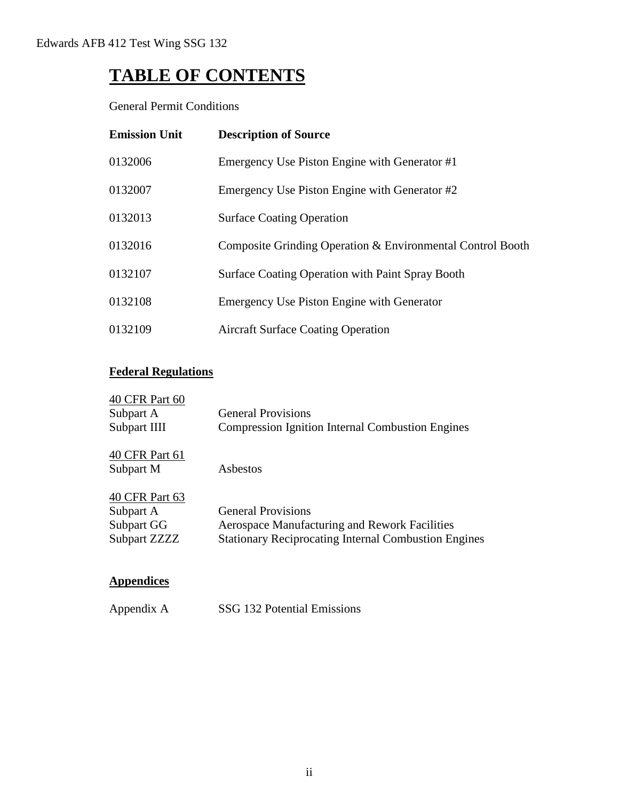## **TABLE OF CONTENTS**

General Permit Conditions

| <b>Emission Unit</b> | <b>Description of Source</b>                               |
|----------------------|------------------------------------------------------------|
| 0132006              | Emergency Use Piston Engine with Generator #1              |
| 0132007              | Emergency Use Piston Engine with Generator #2              |
| 0132013              | <b>Surface Coating Operation</b>                           |
| 0132016              | Composite Grinding Operation & Environmental Control Booth |
| 0132107              | <b>Surface Coating Operation with Paint Spray Booth</b>    |
| 0132108              | <b>Emergency Use Piston Engine with Generator</b>          |
| 0132109              | <b>Aircraft Surface Coating Operation</b>                  |

## **Federal Regulations**

| 40 CFR Part 60       |                                                             |
|----------------------|-------------------------------------------------------------|
| Subpart A            | <b>General Provisions</b>                                   |
| Subpart IIII         | <b>Compression Ignition Internal Combustion Engines</b>     |
| 40 CFR Part 61       |                                                             |
| Subpart M            | Asbestos                                                    |
| 40 CFR Part 63       |                                                             |
| Subpart A            | <b>General Provisions</b>                                   |
| Subpart GG           | <b>Aerospace Manufacturing and Rework Facilities</b>        |
| <b>Subpart ZZZZZ</b> | <b>Stationary Reciprocating Internal Combustion Engines</b> |
|                      |                                                             |

## **Appendices**

| Appendix A | SSG 132 Potential Emissions |
|------------|-----------------------------|
|------------|-----------------------------|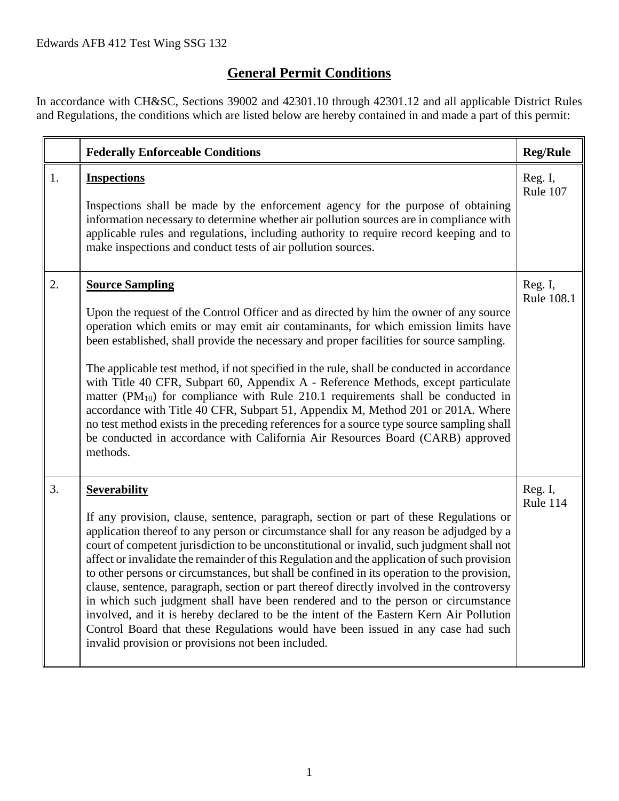## **General Permit Conditions**

In accordance with CH&SC, Sections 39002 and 42301.10 through 42301.12 and all applicable District Rules and Regulations, the conditions which are listed below are hereby contained in and made a part of this permit:

|    | <b>Federally Enforceable Conditions</b>                                                                                                                                                                                                                                                                                                                                                                                                                                                                                                                                                                                                                                                                                                                                                                                                                                                                                    | <b>Reg/Rule</b>       |
|----|----------------------------------------------------------------------------------------------------------------------------------------------------------------------------------------------------------------------------------------------------------------------------------------------------------------------------------------------------------------------------------------------------------------------------------------------------------------------------------------------------------------------------------------------------------------------------------------------------------------------------------------------------------------------------------------------------------------------------------------------------------------------------------------------------------------------------------------------------------------------------------------------------------------------------|-----------------------|
| 1. | <b>Inspections</b><br>Inspections shall be made by the enforcement agency for the purpose of obtaining<br>information necessary to determine whether air pollution sources are in compliance with<br>applicable rules and regulations, including authority to require record keeping and to<br>make inspections and conduct tests of air pollution sources.                                                                                                                                                                                                                                                                                                                                                                                                                                                                                                                                                                | Reg. I,<br>Rule 107   |
| 2. | <b>Source Sampling</b><br>Upon the request of the Control Officer and as directed by him the owner of any source<br>operation which emits or may emit air contaminants, for which emission limits have<br>been established, shall provide the necessary and proper facilities for source sampling.<br>The applicable test method, if not specified in the rule, shall be conducted in accordance<br>with Title 40 CFR, Subpart 60, Appendix A - Reference Methods, except particulate<br>matter $(PM_{10})$ for compliance with Rule 210.1 requirements shall be conducted in<br>accordance with Title 40 CFR, Subpart 51, Appendix M, Method 201 or 201A. Where<br>no test method exists in the preceding references for a source type source sampling shall<br>be conducted in accordance with California Air Resources Board (CARB) approved<br>methods.                                                                | Reg. I,<br>Rule 108.1 |
| 3. | <b>Severability</b><br>If any provision, clause, sentence, paragraph, section or part of these Regulations or<br>application thereof to any person or circumstance shall for any reason be adjudged by a<br>court of competent jurisdiction to be unconstitutional or invalid, such judgment shall not<br>affect or invalidate the remainder of this Regulation and the application of such provision<br>to other persons or circumstances, but shall be confined in its operation to the provision,<br>clause, sentence, paragraph, section or part thereof directly involved in the controversy<br>in which such judgment shall have been rendered and to the person or circumstance<br>involved, and it is hereby declared to be the intent of the Eastern Kern Air Pollution<br>Control Board that these Regulations would have been issued in any case had such<br>invalid provision or provisions not been included. | Reg. I,<br>Rule 114   |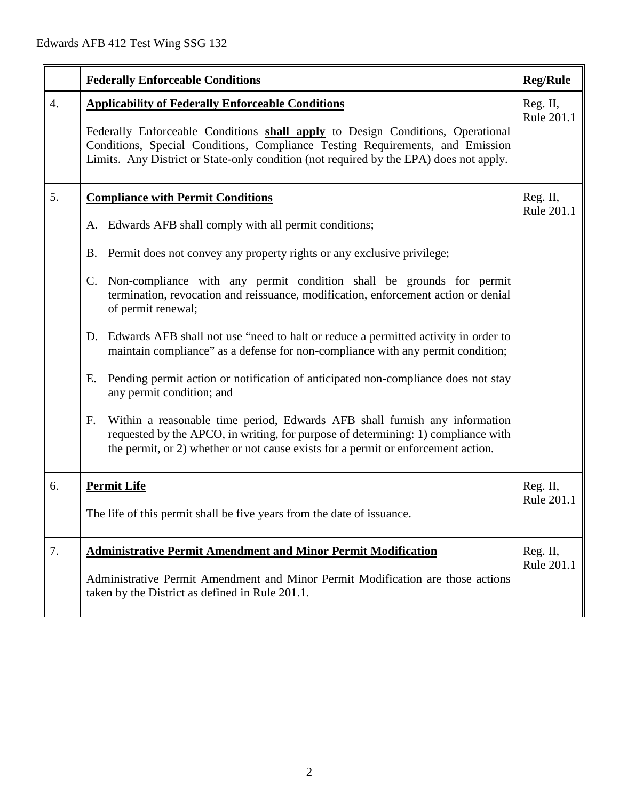|                  | <b>Federally Enforceable Conditions</b>                                                                                                                                                                                                                                                                                                                                                                                                                                                                                                                                                                                                                                                                                                                                                                                                                                                                                                      | <b>Reg/Rule</b>        |
|------------------|----------------------------------------------------------------------------------------------------------------------------------------------------------------------------------------------------------------------------------------------------------------------------------------------------------------------------------------------------------------------------------------------------------------------------------------------------------------------------------------------------------------------------------------------------------------------------------------------------------------------------------------------------------------------------------------------------------------------------------------------------------------------------------------------------------------------------------------------------------------------------------------------------------------------------------------------|------------------------|
| $\overline{4}$ . | <b>Applicability of Federally Enforceable Conditions</b><br>Federally Enforceable Conditions shall apply to Design Conditions, Operational<br>Conditions, Special Conditions, Compliance Testing Requirements, and Emission<br>Limits. Any District or State-only condition (not required by the EPA) does not apply.                                                                                                                                                                                                                                                                                                                                                                                                                                                                                                                                                                                                                        | Reg. II,<br>Rule 201.1 |
| 5.               | <b>Compliance with Permit Conditions</b><br>A. Edwards AFB shall comply with all permit conditions;<br>B. Permit does not convey any property rights or any exclusive privilege;<br>C. Non-compliance with any permit condition shall be grounds for permit<br>termination, revocation and reissuance, modification, enforcement action or denial<br>of permit renewal;<br>Edwards AFB shall not use "need to halt or reduce a permitted activity in order to<br>D.<br>maintain compliance" as a defense for non-compliance with any permit condition;<br>Pending permit action or notification of anticipated non-compliance does not stay<br>Е.<br>any permit condition; and<br>Within a reasonable time period, Edwards AFB shall furnish any information<br>F.<br>requested by the APCO, in writing, for purpose of determining: 1) compliance with<br>the permit, or 2) whether or not cause exists for a permit or enforcement action. | Reg. II,<br>Rule 201.1 |
| 6.               | <b>Permit Life</b><br>The life of this permit shall be five years from the date of issuance.                                                                                                                                                                                                                                                                                                                                                                                                                                                                                                                                                                                                                                                                                                                                                                                                                                                 | Reg. II,<br>Rule 201.1 |
| 7.               | <b>Administrative Permit Amendment and Minor Permit Modification</b><br>Administrative Permit Amendment and Minor Permit Modification are those actions<br>taken by the District as defined in Rule 201.1.                                                                                                                                                                                                                                                                                                                                                                                                                                                                                                                                                                                                                                                                                                                                   | Reg. II,<br>Rule 201.1 |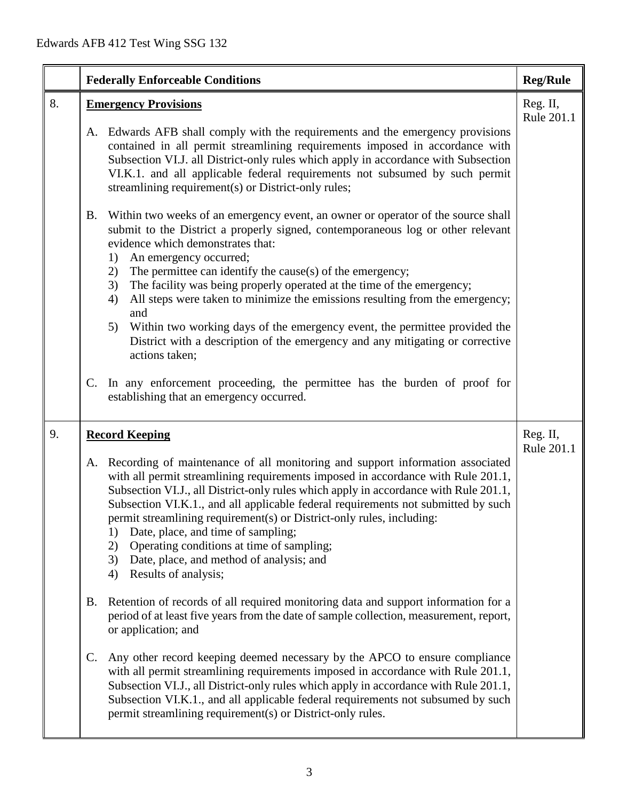|    | <b>Federally Enforceable Conditions</b>                                                                                                                                                                                                                                                                                                                                                                                                                                                                                                                                                                      | <b>Reg/Rule</b>        |
|----|--------------------------------------------------------------------------------------------------------------------------------------------------------------------------------------------------------------------------------------------------------------------------------------------------------------------------------------------------------------------------------------------------------------------------------------------------------------------------------------------------------------------------------------------------------------------------------------------------------------|------------------------|
| 8. | <b>Emergency Provisions</b>                                                                                                                                                                                                                                                                                                                                                                                                                                                                                                                                                                                  | Reg. II,<br>Rule 201.1 |
|    | Edwards AFB shall comply with the requirements and the emergency provisions<br>A.<br>contained in all permit streamlining requirements imposed in accordance with<br>Subsection VI.J. all District-only rules which apply in accordance with Subsection<br>VI.K.1. and all applicable federal requirements not subsumed by such permit<br>streamlining requirement(s) or District-only rules;                                                                                                                                                                                                                |                        |
|    | Within two weeks of an emergency event, an owner or operator of the source shall<br><b>B.</b><br>submit to the District a properly signed, contemporaneous log or other relevant<br>evidence which demonstrates that:<br>An emergency occurred;<br>1)                                                                                                                                                                                                                                                                                                                                                        |                        |
|    | The permittee can identify the cause(s) of the emergency;<br>2)<br>The facility was being properly operated at the time of the emergency;<br>3)<br>All steps were taken to minimize the emissions resulting from the emergency;<br>4)<br>and                                                                                                                                                                                                                                                                                                                                                                 |                        |
|    | Within two working days of the emergency event, the permittee provided the<br>5)<br>District with a description of the emergency and any mitigating or corrective<br>actions taken;                                                                                                                                                                                                                                                                                                                                                                                                                          |                        |
|    | In any enforcement proceeding, the permittee has the burden of proof for<br>C.<br>establishing that an emergency occurred.                                                                                                                                                                                                                                                                                                                                                                                                                                                                                   |                        |
| 9. | <b>Record Keeping</b>                                                                                                                                                                                                                                                                                                                                                                                                                                                                                                                                                                                        | Reg. II,<br>Rule 201.1 |
|    | Recording of maintenance of all monitoring and support information associated<br>A.<br>with all permit streamlining requirements imposed in accordance with Rule 201.1,<br>Subsection VI.J., all District-only rules which apply in accordance with Rule 201.1,<br>Subsection VI.K.1., and all applicable federal requirements not submitted by such<br>permit streamlining requirement(s) or District-only rules, including:<br>Date, place, and time of sampling;<br>1)<br>Operating conditions at time of sampling;<br>2)<br>Date, place, and method of analysis; and<br>3)<br>Results of analysis;<br>4) |                        |
|    | Retention of records of all required monitoring data and support information for a<br><b>B.</b><br>period of at least five years from the date of sample collection, measurement, report,<br>or application; and                                                                                                                                                                                                                                                                                                                                                                                             |                        |
|    | Any other record keeping deemed necessary by the APCO to ensure compliance<br>C.<br>with all permit streamlining requirements imposed in accordance with Rule 201.1,<br>Subsection VI.J., all District-only rules which apply in accordance with Rule 201.1,<br>Subsection VI.K.1., and all applicable federal requirements not subsumed by such<br>permit streamlining requirement(s) or District-only rules.                                                                                                                                                                                               |                        |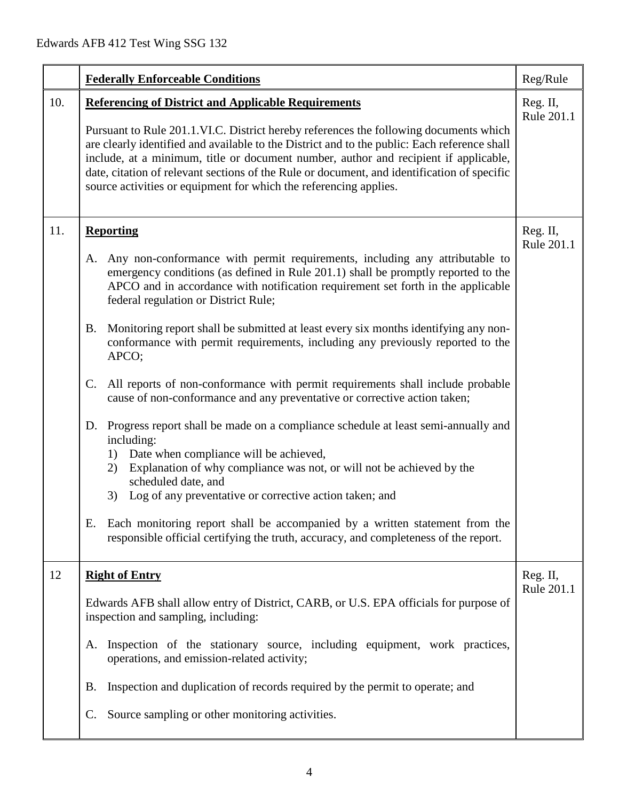|     | <b>Federally Enforceable Conditions</b>                                                                                                                                                                                                                                                                                                                                                                                                                                                                                                                                                                                                                                                                                                                                                                                                                                                                                                                                                                                                                                                                                                                                                                          | Reg/Rule               |
|-----|------------------------------------------------------------------------------------------------------------------------------------------------------------------------------------------------------------------------------------------------------------------------------------------------------------------------------------------------------------------------------------------------------------------------------------------------------------------------------------------------------------------------------------------------------------------------------------------------------------------------------------------------------------------------------------------------------------------------------------------------------------------------------------------------------------------------------------------------------------------------------------------------------------------------------------------------------------------------------------------------------------------------------------------------------------------------------------------------------------------------------------------------------------------------------------------------------------------|------------------------|
| 10. | <b>Referencing of District and Applicable Requirements</b><br>Pursuant to Rule 201.1.VI.C. District hereby references the following documents which<br>are clearly identified and available to the District and to the public: Each reference shall<br>include, at a minimum, title or document number, author and recipient if applicable,<br>date, citation of relevant sections of the Rule or document, and identification of specific<br>source activities or equipment for which the referencing applies.                                                                                                                                                                                                                                                                                                                                                                                                                                                                                                                                                                                                                                                                                                  | Reg. II,<br>Rule 201.1 |
| 11. | <b>Reporting</b><br>Any non-conformance with permit requirements, including any attributable to<br>A.<br>emergency conditions (as defined in Rule 201.1) shall be promptly reported to the<br>APCO and in accordance with notification requirement set forth in the applicable<br>federal regulation or District Rule;<br>Monitoring report shall be submitted at least every six months identifying any non-<br><b>B.</b><br>conformance with permit requirements, including any previously reported to the<br>APCO;<br>All reports of non-conformance with permit requirements shall include probable<br>$\mathsf{C}$ .<br>cause of non-conformance and any preventative or corrective action taken;<br>D. Progress report shall be made on a compliance schedule at least semi-annually and<br>including:<br>Date when compliance will be achieved,<br>1)<br>Explanation of why compliance was not, or will not be achieved by the<br>2)<br>scheduled date, and<br>Log of any preventative or corrective action taken; and<br>3)<br>Each monitoring report shall be accompanied by a written statement from the<br>Е.<br>responsible official certifying the truth, accuracy, and completeness of the report. | Reg. II,<br>Rule 201.1 |
| 12  | <b>Right of Entry</b><br>Edwards AFB shall allow entry of District, CARB, or U.S. EPA officials for purpose of<br>inspection and sampling, including:<br>Inspection of the stationary source, including equipment, work practices,<br>A.<br>operations, and emission-related activity;<br>Inspection and duplication of records required by the permit to operate; and<br>В.<br>Source sampling or other monitoring activities.<br>$\mathbf{C}$ .                                                                                                                                                                                                                                                                                                                                                                                                                                                                                                                                                                                                                                                                                                                                                                | Reg. II,<br>Rule 201.1 |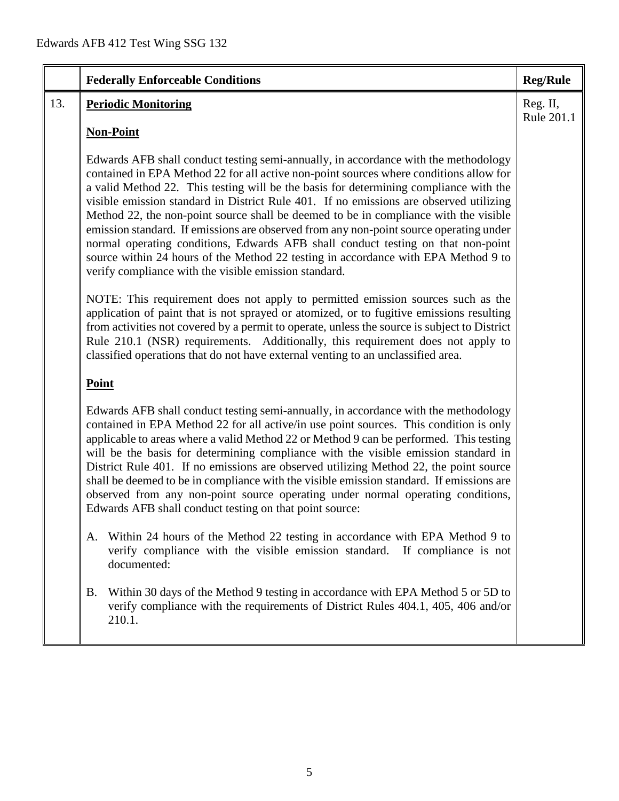|     | <b>Federally Enforceable Conditions</b>                                                                                                                                                                                                                                                                                                                                                                                                                                                                                                                                                                                                                                                                                                                                               | <b>Reg/Rule</b>        |
|-----|---------------------------------------------------------------------------------------------------------------------------------------------------------------------------------------------------------------------------------------------------------------------------------------------------------------------------------------------------------------------------------------------------------------------------------------------------------------------------------------------------------------------------------------------------------------------------------------------------------------------------------------------------------------------------------------------------------------------------------------------------------------------------------------|------------------------|
| 13. | <b>Periodic Monitoring</b>                                                                                                                                                                                                                                                                                                                                                                                                                                                                                                                                                                                                                                                                                                                                                            | Reg. II,<br>Rule 201.1 |
|     | <b>Non-Point</b>                                                                                                                                                                                                                                                                                                                                                                                                                                                                                                                                                                                                                                                                                                                                                                      |                        |
|     | Edwards AFB shall conduct testing semi-annually, in accordance with the methodology<br>contained in EPA Method 22 for all active non-point sources where conditions allow for<br>a valid Method 22. This testing will be the basis for determining compliance with the<br>visible emission standard in District Rule 401. If no emissions are observed utilizing<br>Method 22, the non-point source shall be deemed to be in compliance with the visible<br>emission standard. If emissions are observed from any non-point source operating under<br>normal operating conditions, Edwards AFB shall conduct testing on that non-point<br>source within 24 hours of the Method 22 testing in accordance with EPA Method 9 to<br>verify compliance with the visible emission standard. |                        |
|     | NOTE: This requirement does not apply to permitted emission sources such as the<br>application of paint that is not sprayed or atomized, or to fugitive emissions resulting<br>from activities not covered by a permit to operate, unless the source is subject to District<br>Rule 210.1 (NSR) requirements. Additionally, this requirement does not apply to<br>classified operations that do not have external venting to an unclassified area.                                                                                                                                                                                                                                                                                                                                    |                        |
|     | Point                                                                                                                                                                                                                                                                                                                                                                                                                                                                                                                                                                                                                                                                                                                                                                                 |                        |
|     | Edwards AFB shall conduct testing semi-annually, in accordance with the methodology<br>contained in EPA Method 22 for all active/in use point sources. This condition is only<br>applicable to areas where a valid Method 22 or Method 9 can be performed. This testing<br>will be the basis for determining compliance with the visible emission standard in<br>District Rule 401. If no emissions are observed utilizing Method 22, the point source<br>shall be deemed to be in compliance with the visible emission standard. If emissions are<br>observed from any non-point source operating under normal operating conditions,<br>Edwards AFB shall conduct testing on that point source:                                                                                      |                        |
|     | Within 24 hours of the Method 22 testing in accordance with EPA Method 9 to<br>A.<br>verify compliance with the visible emission standard. If compliance is not<br>documented:                                                                                                                                                                                                                                                                                                                                                                                                                                                                                                                                                                                                        |                        |
|     | Within 30 days of the Method 9 testing in accordance with EPA Method 5 or 5D to<br>B.<br>verify compliance with the requirements of District Rules 404.1, 405, 406 and/or<br>210.1.                                                                                                                                                                                                                                                                                                                                                                                                                                                                                                                                                                                                   |                        |
|     |                                                                                                                                                                                                                                                                                                                                                                                                                                                                                                                                                                                                                                                                                                                                                                                       |                        |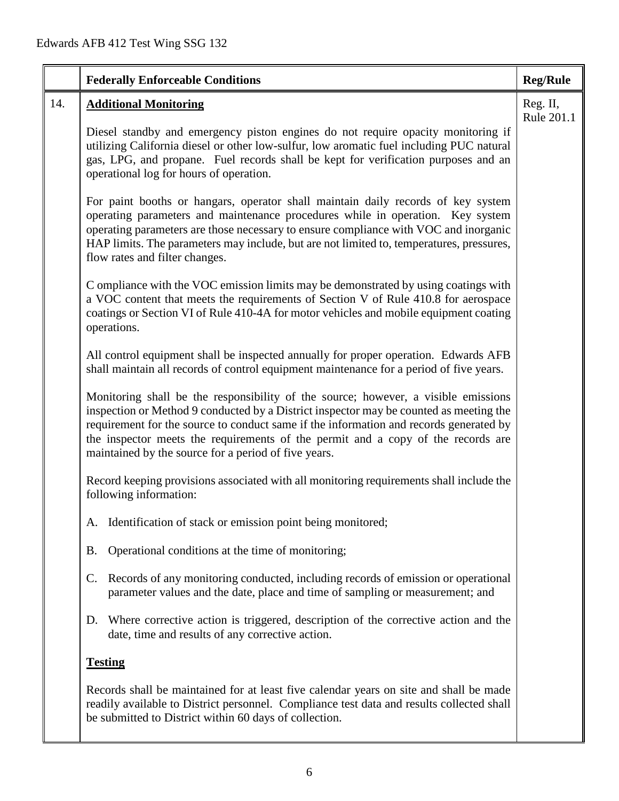|     | <b>Federally Enforceable Conditions</b>                                                                                                                                                                                                                                                                                                                                                                            | <b>Reg/Rule</b>        |
|-----|--------------------------------------------------------------------------------------------------------------------------------------------------------------------------------------------------------------------------------------------------------------------------------------------------------------------------------------------------------------------------------------------------------------------|------------------------|
| 14. | <b>Additional Monitoring</b>                                                                                                                                                                                                                                                                                                                                                                                       | Reg. II,<br>Rule 201.1 |
|     | Diesel standby and emergency piston engines do not require opacity monitoring if<br>utilizing California diesel or other low-sulfur, low aromatic fuel including PUC natural<br>gas, LPG, and propane. Fuel records shall be kept for verification purposes and an<br>operational log for hours of operation.                                                                                                      |                        |
|     | For paint booths or hangars, operator shall maintain daily records of key system<br>operating parameters and maintenance procedures while in operation. Key system<br>operating parameters are those necessary to ensure compliance with VOC and inorganic<br>HAP limits. The parameters may include, but are not limited to, temperatures, pressures,<br>flow rates and filter changes.                           |                        |
|     | C ompliance with the VOC emission limits may be demonstrated by using coatings with<br>a VOC content that meets the requirements of Section V of Rule 410.8 for aerospace<br>coatings or Section VI of Rule 410-4A for motor vehicles and mobile equipment coating<br>operations.                                                                                                                                  |                        |
|     | All control equipment shall be inspected annually for proper operation. Edwards AFB<br>shall maintain all records of control equipment maintenance for a period of five years.                                                                                                                                                                                                                                     |                        |
|     | Monitoring shall be the responsibility of the source; however, a visible emissions<br>inspection or Method 9 conducted by a District inspector may be counted as meeting the<br>requirement for the source to conduct same if the information and records generated by<br>the inspector meets the requirements of the permit and a copy of the records are<br>maintained by the source for a period of five years. |                        |
|     | Record keeping provisions associated with all monitoring requirements shall include the<br>following information:                                                                                                                                                                                                                                                                                                  |                        |
|     | A. Identification of stack or emission point being monitored;                                                                                                                                                                                                                                                                                                                                                      |                        |
|     | Operational conditions at the time of monitoring;<br><b>B.</b>                                                                                                                                                                                                                                                                                                                                                     |                        |
|     | Records of any monitoring conducted, including records of emission or operational<br>$\mathsf{C}$ .<br>parameter values and the date, place and time of sampling or measurement; and                                                                                                                                                                                                                               |                        |
|     | Where corrective action is triggered, description of the corrective action and the<br>D.<br>date, time and results of any corrective action.                                                                                                                                                                                                                                                                       |                        |
|     | <b>Testing</b>                                                                                                                                                                                                                                                                                                                                                                                                     |                        |
|     | Records shall be maintained for at least five calendar years on site and shall be made<br>readily available to District personnel. Compliance test data and results collected shall<br>be submitted to District within 60 days of collection.                                                                                                                                                                      |                        |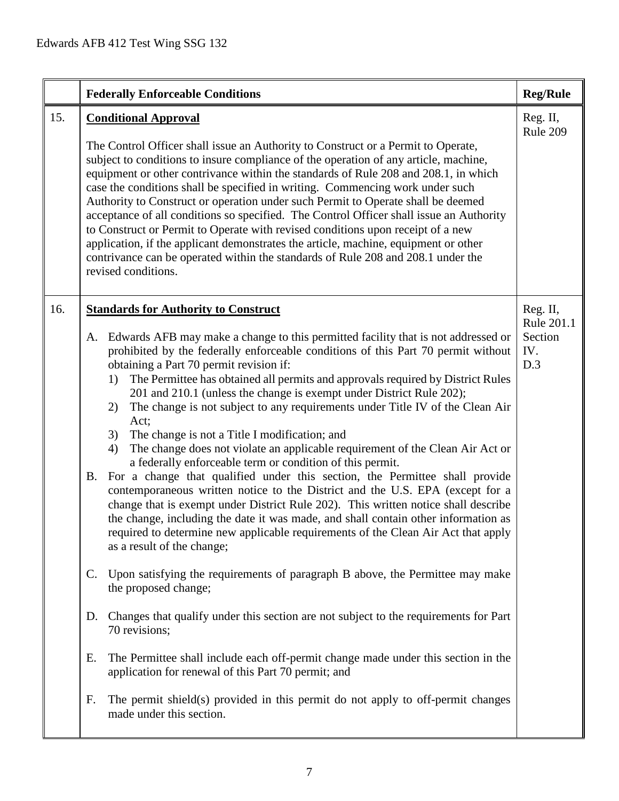|     | <b>Federally Enforceable Conditions</b>                                                                                                                                                                                                                                                                                                                                                                                                                                                                                                                                                                                                                                                                                                                                                                                                                                                                                                                                                                                                                                                                                                                                                                             | <b>Reg/Rule</b>                                 |
|-----|---------------------------------------------------------------------------------------------------------------------------------------------------------------------------------------------------------------------------------------------------------------------------------------------------------------------------------------------------------------------------------------------------------------------------------------------------------------------------------------------------------------------------------------------------------------------------------------------------------------------------------------------------------------------------------------------------------------------------------------------------------------------------------------------------------------------------------------------------------------------------------------------------------------------------------------------------------------------------------------------------------------------------------------------------------------------------------------------------------------------------------------------------------------------------------------------------------------------|-------------------------------------------------|
| 15. | <b>Conditional Approval</b><br>The Control Officer shall issue an Authority to Construct or a Permit to Operate,<br>subject to conditions to insure compliance of the operation of any article, machine,<br>equipment or other contrivance within the standards of Rule 208 and 208.1, in which<br>case the conditions shall be specified in writing. Commencing work under such<br>Authority to Construct or operation under such Permit to Operate shall be deemed<br>acceptance of all conditions so specified. The Control Officer shall issue an Authority<br>to Construct or Permit to Operate with revised conditions upon receipt of a new<br>application, if the applicant demonstrates the article, machine, equipment or other<br>contrivance can be operated within the standards of Rule 208 and 208.1 under the<br>revised conditions.                                                                                                                                                                                                                                                                                                                                                                | Reg. II,<br>Rule 209                            |
| 16. | <b>Standards for Authority to Construct</b><br>Edwards AFB may make a change to this permitted facility that is not addressed or<br>A.<br>prohibited by the federally enforceable conditions of this Part 70 permit without<br>obtaining a Part 70 permit revision if:<br>The Permittee has obtained all permits and approvals required by District Rules<br>1)<br>201 and 210.1 (unless the change is exempt under District Rule 202);<br>The change is not subject to any requirements under Title IV of the Clean Air<br>2)<br>Act;<br>The change is not a Title I modification; and<br>3)<br>The change does not violate an applicable requirement of the Clean Air Act or<br>4)<br>a federally enforceable term or condition of this permit.<br>B. For a change that qualified under this section, the Permittee shall provide<br>contemporaneous written notice to the District and the U.S. EPA (except for a<br>change that is exempt under District Rule 202). This written notice shall describe<br>the change, including the date it was made, and shall contain other information as<br>required to determine new applicable requirements of the Clean Air Act that apply<br>as a result of the change; | Reg. II,<br>Rule 201.1<br>Section<br>IV.<br>D.3 |
|     | Upon satisfying the requirements of paragraph B above, the Permittee may make<br>C.<br>the proposed change;                                                                                                                                                                                                                                                                                                                                                                                                                                                                                                                                                                                                                                                                                                                                                                                                                                                                                                                                                                                                                                                                                                         |                                                 |
|     | Changes that qualify under this section are not subject to the requirements for Part<br>D.<br>70 revisions;                                                                                                                                                                                                                                                                                                                                                                                                                                                                                                                                                                                                                                                                                                                                                                                                                                                                                                                                                                                                                                                                                                         |                                                 |
|     | The Permittee shall include each off-permit change made under this section in the<br>Е.<br>application for renewal of this Part 70 permit; and                                                                                                                                                                                                                                                                                                                                                                                                                                                                                                                                                                                                                                                                                                                                                                                                                                                                                                                                                                                                                                                                      |                                                 |
|     | The permit shield(s) provided in this permit do not apply to off-permit changes<br>F.<br>made under this section.                                                                                                                                                                                                                                                                                                                                                                                                                                                                                                                                                                                                                                                                                                                                                                                                                                                                                                                                                                                                                                                                                                   |                                                 |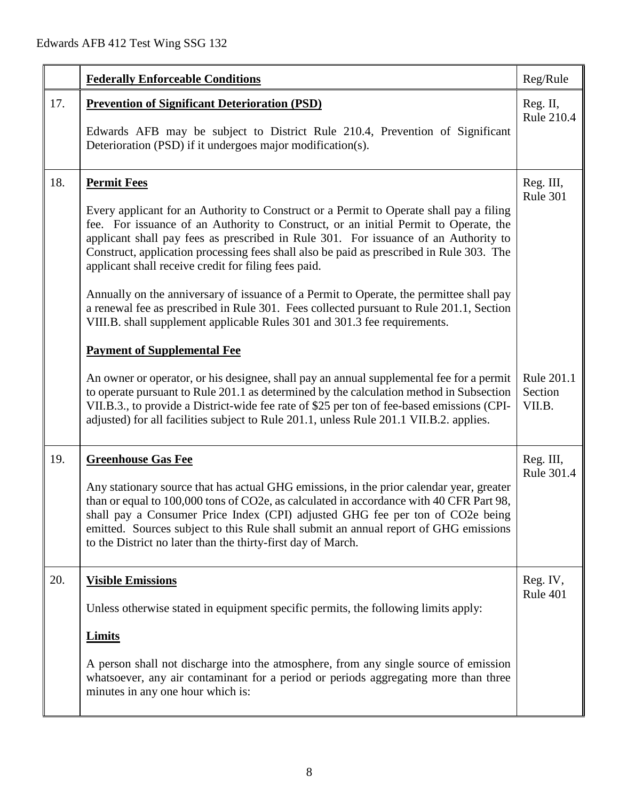|     | <b>Federally Enforceable Conditions</b>                                                                                                                                                                                                                                                                                                                                                                                                                                                                                                                                                                                                                                                                                                                   | Reg/Rule                        |
|-----|-----------------------------------------------------------------------------------------------------------------------------------------------------------------------------------------------------------------------------------------------------------------------------------------------------------------------------------------------------------------------------------------------------------------------------------------------------------------------------------------------------------------------------------------------------------------------------------------------------------------------------------------------------------------------------------------------------------------------------------------------------------|---------------------------------|
| 17. | <b>Prevention of Significant Deterioration (PSD)</b><br>Edwards AFB may be subject to District Rule 210.4, Prevention of Significant<br>Deterioration (PSD) if it undergoes major modification(s).                                                                                                                                                                                                                                                                                                                                                                                                                                                                                                                                                        | Reg. II,<br>Rule 210.4          |
| 18. | <b>Permit Fees</b><br>Every applicant for an Authority to Construct or a Permit to Operate shall pay a filing<br>fee. For issuance of an Authority to Construct, or an initial Permit to Operate, the<br>applicant shall pay fees as prescribed in Rule 301. For issuance of an Authority to<br>Construct, application processing fees shall also be paid as prescribed in Rule 303. The<br>applicant shall receive credit for filing fees paid.<br>Annually on the anniversary of issuance of a Permit to Operate, the permittee shall pay<br>a renewal fee as prescribed in Rule 301. Fees collected pursuant to Rule 201.1, Section<br>VIII.B. shall supplement applicable Rules 301 and 301.3 fee requirements.<br><b>Payment of Supplemental Fee</b> | Reg. III,<br><b>Rule 301</b>    |
|     | An owner or operator, or his designee, shall pay an annual supplemental fee for a permit<br>to operate pursuant to Rule 201.1 as determined by the calculation method in Subsection<br>VII.B.3., to provide a District-wide fee rate of \$25 per ton of fee-based emissions (CPI-<br>adjusted) for all facilities subject to Rule 201.1, unless Rule 201.1 VII.B.2. applies.                                                                                                                                                                                                                                                                                                                                                                              | Rule 201.1<br>Section<br>VII.B. |
| 19. | <b>Greenhouse Gas Fee</b><br>Any stationary source that has actual GHG emissions, in the prior calendar year, greater<br>than or equal to 100,000 tons of CO2e, as calculated in accordance with 40 CFR Part 98,<br>shall pay a Consumer Price Index (CPI) adjusted GHG fee per ton of CO2e being<br>emitted. Sources subject to this Rule shall submit an annual report of GHG emissions<br>to the District no later than the thirty-first day of March.                                                                                                                                                                                                                                                                                                 | Reg. III,<br>Rule 301.4         |
| 20. | <b>Visible Emissions</b><br>Unless otherwise stated in equipment specific permits, the following limits apply:<br><b>Limits</b><br>A person shall not discharge into the atmosphere, from any single source of emission<br>whatsoever, any air contaminant for a period or periods aggregating more than three<br>minutes in any one hour which is:                                                                                                                                                                                                                                                                                                                                                                                                       | Reg. IV,<br>Rule 401            |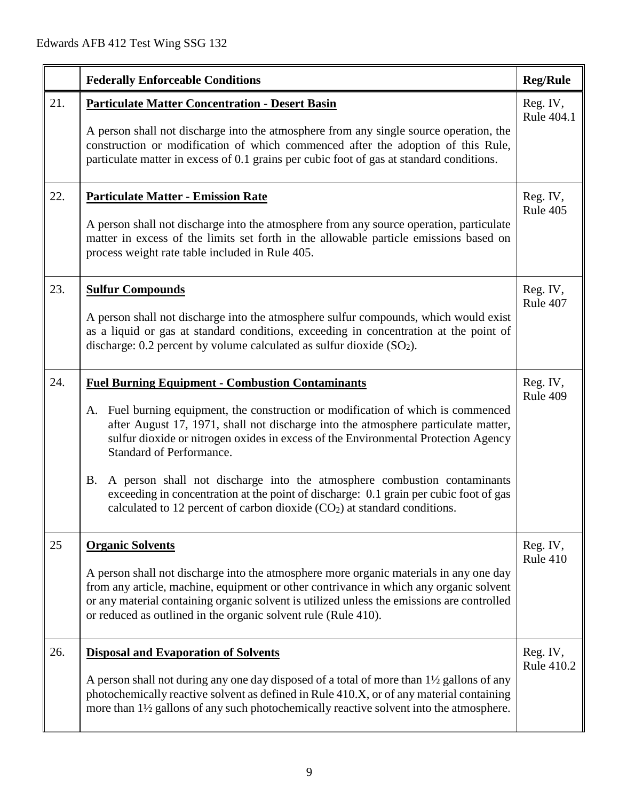|     | <b>Federally Enforceable Conditions</b>                                                                                                                                                                                                                                                                                                                                                                                                                                                                                                                                                                              | <b>Reg/Rule</b>        |
|-----|----------------------------------------------------------------------------------------------------------------------------------------------------------------------------------------------------------------------------------------------------------------------------------------------------------------------------------------------------------------------------------------------------------------------------------------------------------------------------------------------------------------------------------------------------------------------------------------------------------------------|------------------------|
| 21. | <b>Particulate Matter Concentration - Desert Basin</b><br>A person shall not discharge into the atmosphere from any single source operation, the<br>construction or modification of which commenced after the adoption of this Rule,<br>particulate matter in excess of 0.1 grains per cubic foot of gas at standard conditions.                                                                                                                                                                                                                                                                                     | Reg. IV,<br>Rule 404.1 |
| 22. | <b>Particulate Matter - Emission Rate</b><br>A person shall not discharge into the atmosphere from any source operation, particulate<br>matter in excess of the limits set forth in the allowable particle emissions based on<br>process weight rate table included in Rule 405.                                                                                                                                                                                                                                                                                                                                     | Reg. IV,<br>Rule 405   |
| 23. | <b>Sulfur Compounds</b><br>A person shall not discharge into the atmosphere sulfur compounds, which would exist<br>as a liquid or gas at standard conditions, exceeding in concentration at the point of<br>discharge: $0.2$ percent by volume calculated as sulfur dioxide $(SO2)$ .                                                                                                                                                                                                                                                                                                                                | Reg. IV,<br>Rule 407   |
| 24. | <b>Fuel Burning Equipment - Combustion Contaminants</b><br>A. Fuel burning equipment, the construction or modification of which is commenced<br>after August 17, 1971, shall not discharge into the atmosphere particulate matter,<br>sulfur dioxide or nitrogen oxides in excess of the Environmental Protection Agency<br><b>Standard of Performance.</b><br>A person shall not discharge into the atmosphere combustion contaminants<br>B.<br>exceeding in concentration at the point of discharge: 0.1 grain per cubic foot of gas<br>calculated to 12 percent of carbon dioxide $(CO2)$ at standard conditions. | Reg. IV,<br>Rule 409   |
| 25  | <b>Organic Solvents</b><br>A person shall not discharge into the atmosphere more organic materials in any one day<br>from any article, machine, equipment or other contrivance in which any organic solvent<br>or any material containing organic solvent is utilized unless the emissions are controlled<br>or reduced as outlined in the organic solvent rule (Rule 410).                                                                                                                                                                                                                                          | Reg. IV,<br>Rule 410   |
| 26. | <b>Disposal and Evaporation of Solvents</b><br>A person shall not during any one day disposed of a total of more than 1 <sup>1/2</sup> gallons of any<br>photochemically reactive solvent as defined in Rule 410.X, or of any material containing<br>more than 1½ gallons of any such photochemically reactive solvent into the atmosphere.                                                                                                                                                                                                                                                                          | Reg. IV,<br>Rule 410.2 |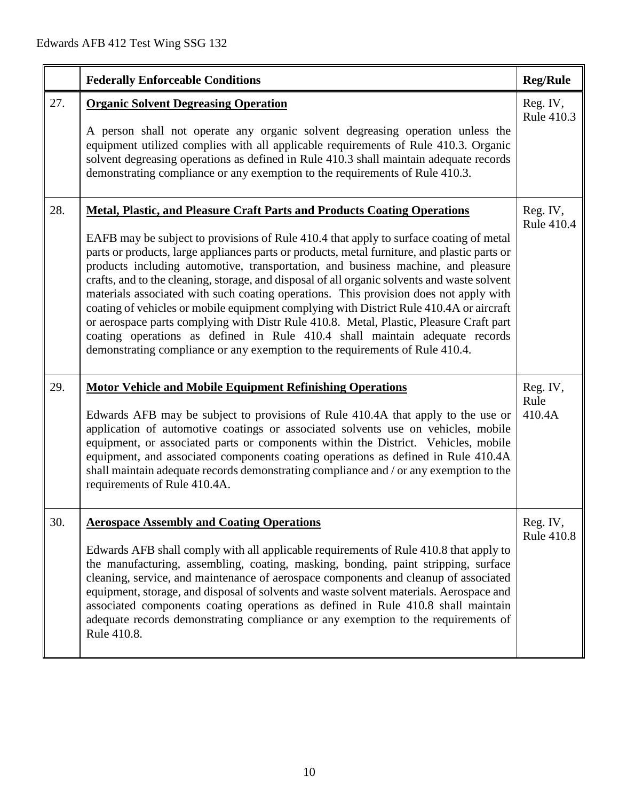|     | <b>Federally Enforceable Conditions</b>                                                                                                                                                                                                                                                                                                                                                                                                                                                                                                                                                                                                                                                                                                                                                                                                                                                                      | <b>Reg/Rule</b>               |
|-----|--------------------------------------------------------------------------------------------------------------------------------------------------------------------------------------------------------------------------------------------------------------------------------------------------------------------------------------------------------------------------------------------------------------------------------------------------------------------------------------------------------------------------------------------------------------------------------------------------------------------------------------------------------------------------------------------------------------------------------------------------------------------------------------------------------------------------------------------------------------------------------------------------------------|-------------------------------|
| 27. | <b>Organic Solvent Degreasing Operation</b><br>A person shall not operate any organic solvent degreasing operation unless the<br>equipment utilized complies with all applicable requirements of Rule 410.3. Organic<br>solvent degreasing operations as defined in Rule 410.3 shall maintain adequate records<br>demonstrating compliance or any exemption to the requirements of Rule 410.3.                                                                                                                                                                                                                                                                                                                                                                                                                                                                                                               | Reg. IV,<br>Rule 410.3        |
| 28. | <b>Metal, Plastic, and Pleasure Craft Parts and Products Coating Operations</b><br>EAFB may be subject to provisions of Rule 410.4 that apply to surface coating of metal<br>parts or products, large appliances parts or products, metal furniture, and plastic parts or<br>products including automotive, transportation, and business machine, and pleasure<br>crafts, and to the cleaning, storage, and disposal of all organic solvents and waste solvent<br>materials associated with such coating operations. This provision does not apply with<br>coating of vehicles or mobile equipment complying with District Rule 410.4A or aircraft<br>or aerospace parts complying with Distr Rule 410.8. Metal, Plastic, Pleasure Craft part<br>coating operations as defined in Rule 410.4 shall maintain adequate records<br>demonstrating compliance or any exemption to the requirements of Rule 410.4. | Reg. IV,<br>Rule 410.4        |
| 29. | <b>Motor Vehicle and Mobile Equipment Refinishing Operations</b><br>Edwards AFB may be subject to provisions of Rule 410.4A that apply to the use or<br>application of automotive coatings or associated solvents use on vehicles, mobile<br>equipment, or associated parts or components within the District. Vehicles, mobile<br>equipment, and associated components coating operations as defined in Rule 410.4A<br>shall maintain adequate records demonstrating compliance and / or any exemption to the<br>requirements of Rule 410.4A.                                                                                                                                                                                                                                                                                                                                                               | Reg. IV,<br>Rule<br>410.4A    |
| 30. | <b>Aerospace Assembly and Coating Operations</b><br>Edwards AFB shall comply with all applicable requirements of Rule 410.8 that apply to<br>the manufacturing, assembling, coating, masking, bonding, paint stripping, surface<br>cleaning, service, and maintenance of aerospace components and cleanup of associated<br>equipment, storage, and disposal of solvents and waste solvent materials. Aerospace and<br>associated components coating operations as defined in Rule 410.8 shall maintain<br>adequate records demonstrating compliance or any exemption to the requirements of<br>Rule 410.8.                                                                                                                                                                                                                                                                                                   | Reg. IV,<br><b>Rule 410.8</b> |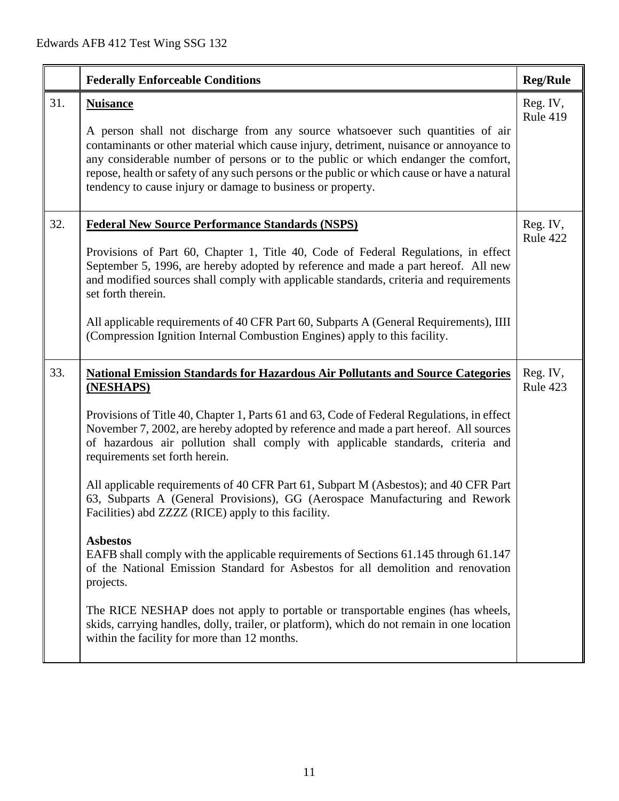|     | <b>Federally Enforceable Conditions</b>                                                                                                                                                                                                                                                                                                                                                                                                                                                                                                                                                                                                                                                                                                                                                                                                                                                                                                                                                                                                                                                    | <b>Reg/Rule</b>             |
|-----|--------------------------------------------------------------------------------------------------------------------------------------------------------------------------------------------------------------------------------------------------------------------------------------------------------------------------------------------------------------------------------------------------------------------------------------------------------------------------------------------------------------------------------------------------------------------------------------------------------------------------------------------------------------------------------------------------------------------------------------------------------------------------------------------------------------------------------------------------------------------------------------------------------------------------------------------------------------------------------------------------------------------------------------------------------------------------------------------|-----------------------------|
| 31. | <b>Nuisance</b><br>A person shall not discharge from any source whatsoever such quantities of air<br>contaminants or other material which cause injury, detriment, nuisance or annoyance to<br>any considerable number of persons or to the public or which endanger the comfort,<br>repose, health or safety of any such persons or the public or which cause or have a natural<br>tendency to cause injury or damage to business or property.                                                                                                                                                                                                                                                                                                                                                                                                                                                                                                                                                                                                                                            | Reg. IV,<br><b>Rule 419</b> |
| 32. | <b>Federal New Source Performance Standards (NSPS)</b><br>Provisions of Part 60, Chapter 1, Title 40, Code of Federal Regulations, in effect<br>September 5, 1996, are hereby adopted by reference and made a part hereof. All new<br>and modified sources shall comply with applicable standards, criteria and requirements<br>set forth therein.<br>All applicable requirements of 40 CFR Part 60, Subparts A (General Requirements), IIII<br>(Compression Ignition Internal Combustion Engines) apply to this facility.                                                                                                                                                                                                                                                                                                                                                                                                                                                                                                                                                                 | Reg. IV,<br>Rule 422        |
| 33. | <b>National Emission Standards for Hazardous Air Pollutants and Source Categories</b><br>(NESHAPS)<br>Provisions of Title 40, Chapter 1, Parts 61 and 63, Code of Federal Regulations, in effect<br>November 7, 2002, are hereby adopted by reference and made a part hereof. All sources<br>of hazardous air pollution shall comply with applicable standards, criteria and<br>requirements set forth herein.<br>All applicable requirements of 40 CFR Part 61, Subpart M (Asbestos); and 40 CFR Part<br>63, Subparts A (General Provisions), GG (Aerospace Manufacturing and Rework<br>Facilities) abd ZZZZ (RICE) apply to this facility.<br><b>Asbestos</b><br>EAFB shall comply with the applicable requirements of Sections 61.145 through 61.147<br>of the National Emission Standard for Asbestos for all demolition and renovation<br>projects.<br>The RICE NESHAP does not apply to portable or transportable engines (has wheels,<br>skids, carrying handles, dolly, trailer, or platform), which do not remain in one location<br>within the facility for more than 12 months. | Reg. IV,<br>Rule 423        |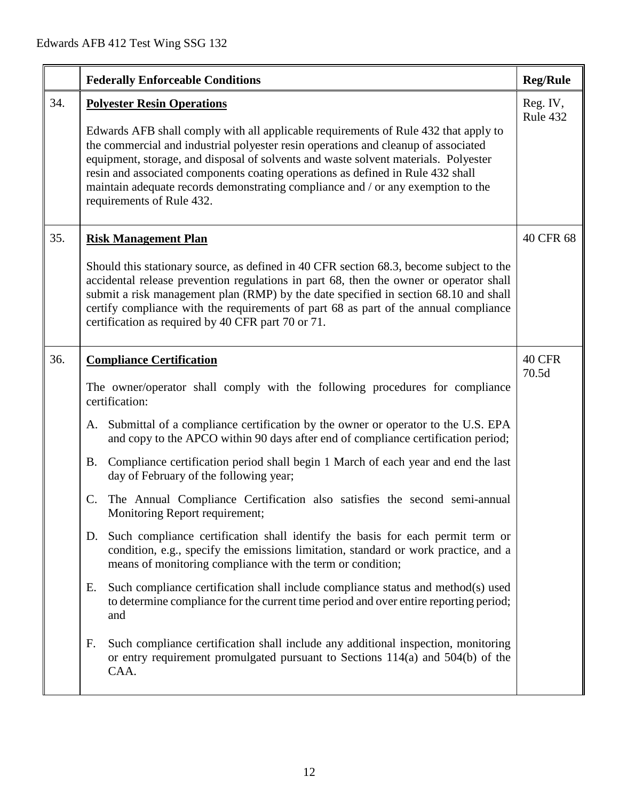|     | <b>Federally Enforceable Conditions</b>                                                                                                                                                                                                                                                                                                                                                                                                                                                                                                                                                                                                                                                                                                                                                                                                                                                                                                                                                                                                                                                                                                                                                             | <b>Reg/Rule</b>        |
|-----|-----------------------------------------------------------------------------------------------------------------------------------------------------------------------------------------------------------------------------------------------------------------------------------------------------------------------------------------------------------------------------------------------------------------------------------------------------------------------------------------------------------------------------------------------------------------------------------------------------------------------------------------------------------------------------------------------------------------------------------------------------------------------------------------------------------------------------------------------------------------------------------------------------------------------------------------------------------------------------------------------------------------------------------------------------------------------------------------------------------------------------------------------------------------------------------------------------|------------------------|
| 34. | <b>Polyester Resin Operations</b><br>Edwards AFB shall comply with all applicable requirements of Rule 432 that apply to<br>the commercial and industrial polyester resin operations and cleanup of associated<br>equipment, storage, and disposal of solvents and waste solvent materials. Polyester<br>resin and associated components coating operations as defined in Rule 432 shall<br>maintain adequate records demonstrating compliance and / or any exemption to the<br>requirements of Rule 432.                                                                                                                                                                                                                                                                                                                                                                                                                                                                                                                                                                                                                                                                                           |                        |
| 35. | <b>Risk Management Plan</b><br>Should this stationary source, as defined in 40 CFR section 68.3, become subject to the<br>accidental release prevention regulations in part 68, then the owner or operator shall<br>submit a risk management plan (RMP) by the date specified in section 68.10 and shall<br>certify compliance with the requirements of part 68 as part of the annual compliance<br>certification as required by 40 CFR part 70 or 71.                                                                                                                                                                                                                                                                                                                                                                                                                                                                                                                                                                                                                                                                                                                                              |                        |
| 36. | <b>Compliance Certification</b><br>The owner/operator shall comply with the following procedures for compliance<br>certification:<br>A. Submittal of a compliance certification by the owner or operator to the U.S. EPA<br>and copy to the APCO within 90 days after end of compliance certification period;<br>Compliance certification period shall begin 1 March of each year and end the last<br>B.<br>day of February of the following year;<br>The Annual Compliance Certification also satisfies the second semi-annual<br>C.<br>Monitoring Report requirement;<br>Such compliance certification shall identify the basis for each permit term or<br>D.<br>condition, e.g., specify the emissions limitation, standard or work practice, and a<br>means of monitoring compliance with the term or condition;<br>Such compliance certification shall include compliance status and method(s) used<br>Е.<br>to determine compliance for the current time period and over entire reporting period;<br>and<br>Such compliance certification shall include any additional inspection, monitoring<br>F.<br>or entry requirement promulgated pursuant to Sections 114(a) and 504(b) of the<br>CAA. | <b>40 CFR</b><br>70.5d |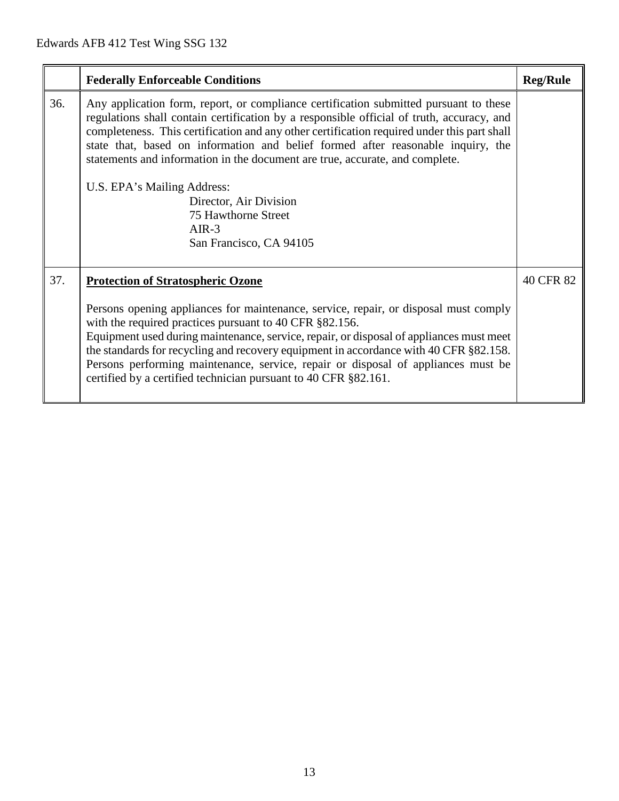|     | <b>Federally Enforceable Conditions</b>                                                                                                                                                                                                                                                                                                                                                                                                                                                                                                                                     | <b>Reg/Rule</b> |
|-----|-----------------------------------------------------------------------------------------------------------------------------------------------------------------------------------------------------------------------------------------------------------------------------------------------------------------------------------------------------------------------------------------------------------------------------------------------------------------------------------------------------------------------------------------------------------------------------|-----------------|
| 36. | Any application form, report, or compliance certification submitted pursuant to these<br>regulations shall contain certification by a responsible official of truth, accuracy, and<br>completeness. This certification and any other certification required under this part shall<br>state that, based on information and belief formed after reasonable inquiry, the<br>statements and information in the document are true, accurate, and complete.<br>U.S. EPA's Mailing Address:<br>Director, Air Division<br>75 Hawthorne Street<br>$AIR-3$<br>San Francisco, CA 94105 |                 |
| 37. | <b>Protection of Stratospheric Ozone</b><br>Persons opening appliances for maintenance, service, repair, or disposal must comply<br>with the required practices pursuant to 40 CFR §82.156.<br>Equipment used during maintenance, service, repair, or disposal of appliances must meet<br>the standards for recycling and recovery equipment in accordance with 40 CFR §82.158.<br>Persons performing maintenance, service, repair or disposal of appliances must be<br>certified by a certified technician pursuant to 40 CFR §82.161.                                     | 40 CFR 82       |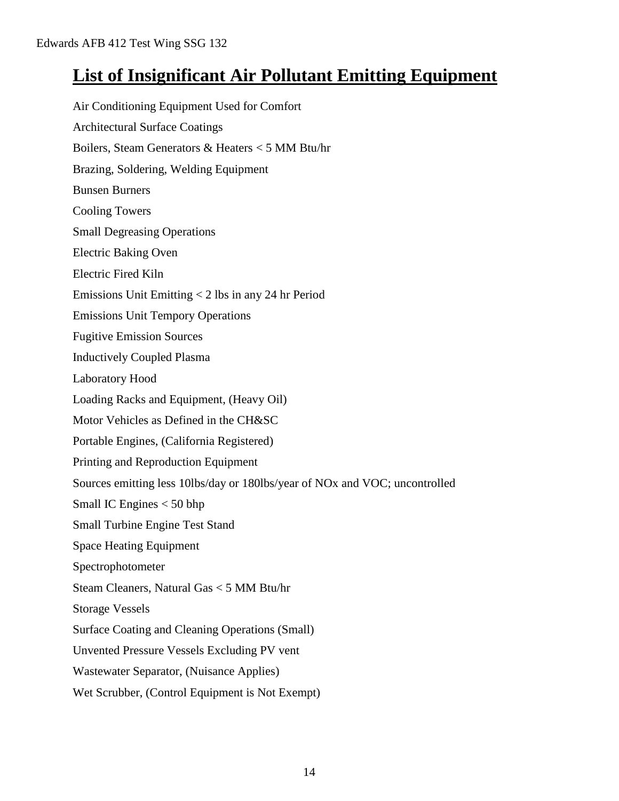## **List of Insignificant Air Pollutant Emitting Equipment**

Air Conditioning Equipment Used for Comfort Architectural Surface Coatings Boilers, Steam Generators & Heaters < 5 MM Btu/hr Brazing, Soldering, Welding Equipment Bunsen Burners Cooling Towers Small Degreasing Operations Electric Baking Oven Electric Fired Kiln Emissions Unit Emitting < 2 lbs in any 24 hr Period Emissions Unit Tempory Operations Fugitive Emission Sources Inductively Coupled Plasma Laboratory Hood Loading Racks and Equipment, (Heavy Oil) Motor Vehicles as Defined in the CH&SC Portable Engines, (California Registered) Printing and Reproduction Equipment Sources emitting less 10lbs/day or 180lbs/year of NOx and VOC; uncontrolled Small IC Engines < 50 bhp Small Turbine Engine Test Stand Space Heating Equipment Spectrophotometer Steam Cleaners, Natural Gas < 5 MM Btu/hr Storage Vessels Surface Coating and Cleaning Operations (Small) Unvented Pressure Vessels Excluding PV vent Wastewater Separator, (Nuisance Applies) Wet Scrubber, (Control Equipment is Not Exempt)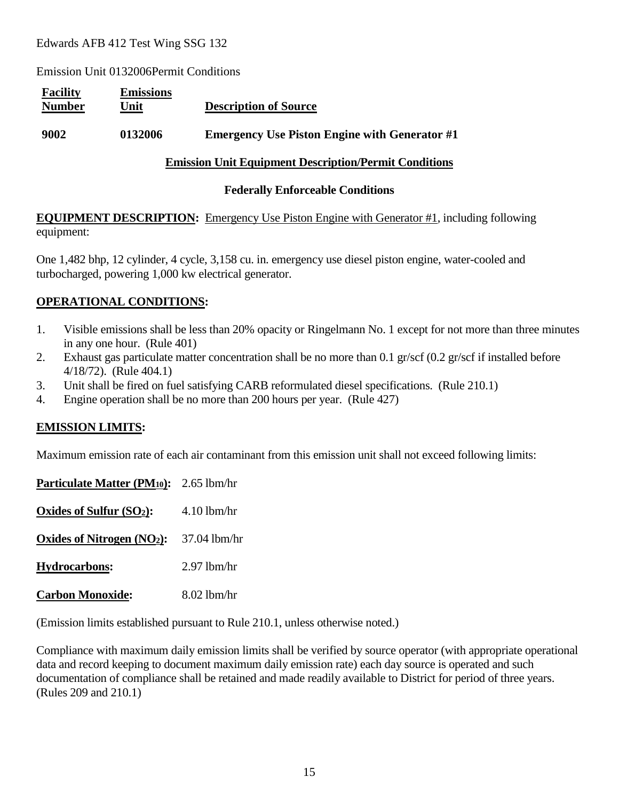Emission Unit 0132006Permit Conditions

| <b>Facility</b><br><b>Number</b> | <b>Emissions</b><br>Unit | <b>Description of Source</b>                         |
|----------------------------------|--------------------------|------------------------------------------------------|
| 9002                             | 0132006                  | <b>Emergency Use Piston Engine with Generator #1</b> |

#### **Emission Unit Equipment Description/Permit Conditions**

#### **Federally Enforceable Conditions**

**EQUIPMENT DESCRIPTION:** Emergency Use Piston Engine with Generator #1, including following equipment:

One 1,482 bhp, 12 cylinder, 4 cycle, 3,158 cu. in. emergency use diesel piston engine, water-cooled and turbocharged, powering 1,000 kw electrical generator.

#### **OPERATIONAL CONDITIONS:**

- 1. Visible emissions shall be less than 20% opacity or Ringelmann No. 1 except for not more than three minutes in any one hour. (Rule 401)
- 2. Exhaust gas particulate matter concentration shall be no more than 0.1 gr/scf (0.2 gr/scf if installed before 4/18/72). (Rule 404.1)
- 3. Unit shall be fired on fuel satisfying CARB reformulated diesel specifications. (Rule 210.1)
- 4. Engine operation shall be no more than 200 hours per year. (Rule 427)

#### **EMISSION LIMITS:**

Maximum emission rate of each air contaminant from this emission unit shall not exceed following limits:

| <b>Particulate Matter (PM10):</b> $2.65$ lbm/hr |                |
|-------------------------------------------------|----------------|
| Oxides of Sulfur $(SO2)$ :                      | $4.10$ lbm/hr  |
| Oxides of Nitrogen $(NO2)$ :                    | $37.04$ lbm/hr |
| <b>Hydrocarbons:</b>                            | $2.97$ lbm/hr  |
| <b>Carbon Monoxide:</b>                         | 8.02 lbm/hr    |

(Emission limits established pursuant to Rule 210.1, unless otherwise noted.)

Compliance with maximum daily emission limits shall be verified by source operator (with appropriate operational data and record keeping to document maximum daily emission rate) each day source is operated and such documentation of compliance shall be retained and made readily available to District for period of three years. (Rules 209 and 210.1)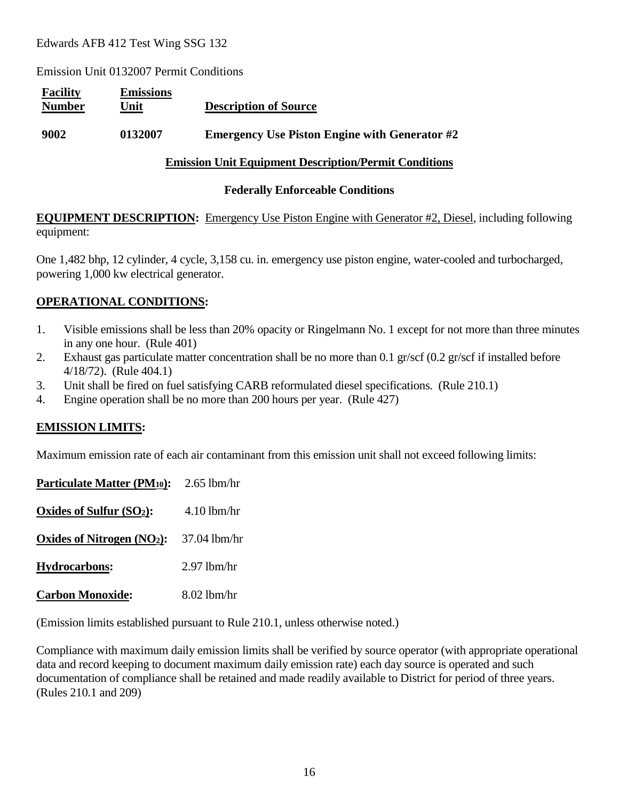Emission Unit 0132007 Permit Conditions

| <b>Facility</b><br><b>Number</b> | <b>Emissions</b><br>Unit | <b>Description of Source</b>                         |
|----------------------------------|--------------------------|------------------------------------------------------|
| 9002                             | 0132007                  | <b>Emergency Use Piston Engine with Generator #2</b> |

#### **Emission Unit Equipment Description/Permit Conditions**

#### **Federally Enforceable Conditions**

**EQUIPMENT DESCRIPTION:** Emergency Use Piston Engine with Generator #2, Diesel, including following equipment:

One 1,482 bhp, 12 cylinder, 4 cycle, 3,158 cu. in. emergency use piston engine, water-cooled and turbocharged, powering 1,000 kw electrical generator.

#### **OPERATIONAL CONDITIONS:**

- 1. Visible emissions shall be less than 20% opacity or Ringelmann No. 1 except for not more than three minutes in any one hour. (Rule 401)
- 2. Exhaust gas particulate matter concentration shall be no more than 0.1 gr/scf (0.2 gr/scf if installed before 4/18/72). (Rule 404.1)
- 3. Unit shall be fired on fuel satisfying CARB reformulated diesel specifications. (Rule 210.1)
- 4. Engine operation shall be no more than 200 hours per year. (Rule 427)

#### **EMISSION LIMITS:**

Maximum emission rate of each air contaminant from this emission unit shall not exceed following limits:

| <b>Particulate Matter (PM10):</b> | $2.65$ lbm/hr |
|-----------------------------------|---------------|
| Oxides of Sulfur $(SO2)$ :        | $4.10$ lbm/hr |
| Oxides of Nitrogen $(NO2)$ :      | 37.04 lbm/hr  |
| <b>Hydrocarbons:</b>              | $2.97$ lbm/hr |
| <b>Carbon Monoxide:</b>           | 8.02 lbm/hr   |

(Emission limits established pursuant to Rule 210.1, unless otherwise noted.)

Compliance with maximum daily emission limits shall be verified by source operator (with appropriate operational data and record keeping to document maximum daily emission rate) each day source is operated and such documentation of compliance shall be retained and made readily available to District for period of three years. (Rules 210.1 and 209)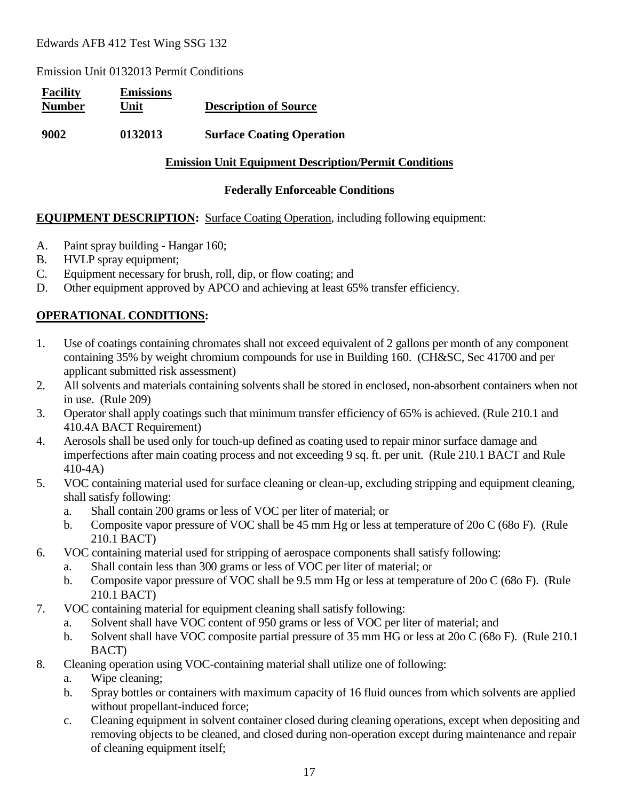Emission Unit 0132013 Permit Conditions

| <b>Facility</b><br><b>Number</b> | <b>Emissions</b><br>Unit | <b>Description of Source</b>     |
|----------------------------------|--------------------------|----------------------------------|
| 9002                             | 0132013                  | <b>Surface Coating Operation</b> |

#### **Emission Unit Equipment Description/Permit Conditions**

#### **Federally Enforceable Conditions**

#### **EQUIPMENT DESCRIPTION:** Surface Coating Operation, including following equipment:

- A. Paint spray building Hangar 160;
- B. HVLP spray equipment;
- C. Equipment necessary for brush, roll, dip, or flow coating; and
- D. Other equipment approved by APCO and achieving at least 65% transfer efficiency.

#### **OPERATIONAL CONDITIONS:**

- 1. Use of coatings containing chromates shall not exceed equivalent of 2 gallons per month of any component containing 35% by weight chromium compounds for use in Building 160. (CH&SC, Sec 41700 and per applicant submitted risk assessment)
- 2. All solvents and materials containing solvents shall be stored in enclosed, non-absorbent containers when not in use. (Rule 209)
- 3. Operator shall apply coatings such that minimum transfer efficiency of 65% is achieved. (Rule 210.1 and 410.4A BACT Requirement)
- 4. Aerosols shall be used only for touch-up defined as coating used to repair minor surface damage and imperfections after main coating process and not exceeding 9 sq. ft. per unit. (Rule 210.1 BACT and Rule 410-4A)
- 5. VOC containing material used for surface cleaning or clean-up, excluding stripping and equipment cleaning, shall satisfy following:
	- a. Shall contain 200 grams or less of VOC per liter of material; or
	- b. Composite vapor pressure of VOC shall be 45 mm Hg or less at temperature of 20o C (68o F). (Rule 210.1 BACT)
- 6. VOC containing material used for stripping of aerospace components shall satisfy following:
	- a. Shall contain less than 300 grams or less of VOC per liter of material; or
	- b. Composite vapor pressure of VOC shall be 9.5 mm Hg or less at temperature of 20o C (68o F). (Rule 210.1 BACT)
- 7. VOC containing material for equipment cleaning shall satisfy following:
	- a. Solvent shall have VOC content of 950 grams or less of VOC per liter of material; and
	- b. Solvent shall have VOC composite partial pressure of 35 mm HG or less at 20o C (68o F). (Rule 210.1 BACT)
- 8. Cleaning operation using VOC-containing material shall utilize one of following:
	- a. Wipe cleaning;
	- b. Spray bottles or containers with maximum capacity of 16 fluid ounces from which solvents are applied without propellant-induced force;
	- c. Cleaning equipment in solvent container closed during cleaning operations, except when depositing and removing objects to be cleaned, and closed during non-operation except during maintenance and repair of cleaning equipment itself;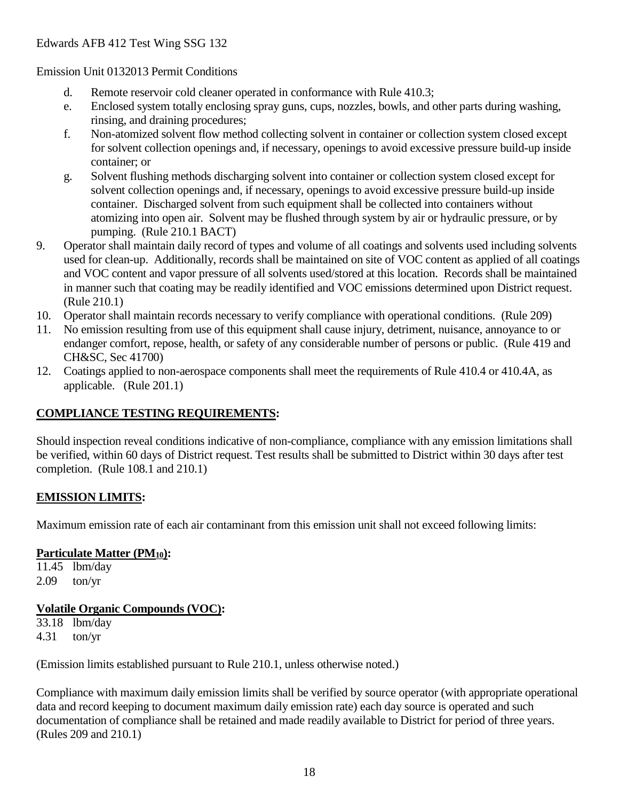Emission Unit 0132013 Permit Conditions

- d. Remote reservoir cold cleaner operated in conformance with Rule 410.3;
- e. Enclosed system totally enclosing spray guns, cups, nozzles, bowls, and other parts during washing, rinsing, and draining procedures;
- f. Non-atomized solvent flow method collecting solvent in container or collection system closed except for solvent collection openings and, if necessary, openings to avoid excessive pressure build-up inside container; or
- g. Solvent flushing methods discharging solvent into container or collection system closed except for solvent collection openings and, if necessary, openings to avoid excessive pressure build-up inside container. Discharged solvent from such equipment shall be collected into containers without atomizing into open air. Solvent may be flushed through system by air or hydraulic pressure, or by pumping. (Rule 210.1 BACT)
- 9. Operator shall maintain daily record of types and volume of all coatings and solvents used including solvents used for clean-up. Additionally, records shall be maintained on site of VOC content as applied of all coatings and VOC content and vapor pressure of all solvents used/stored at this location. Records shall be maintained in manner such that coating may be readily identified and VOC emissions determined upon District request. (Rule 210.1)
- 10. Operator shall maintain records necessary to verify compliance with operational conditions. (Rule 209)
- 11. No emission resulting from use of this equipment shall cause injury, detriment, nuisance, annoyance to or endanger comfort, repose, health, or safety of any considerable number of persons or public. (Rule 419 and CH&SC, Sec 41700)
- 12. Coatings applied to non-aerospace components shall meet the requirements of Rule 410.4 or 410.4A, as applicable. (Rule 201.1)

## **COMPLIANCE TESTING REQUIREMENTS:**

Should inspection reveal conditions indicative of non-compliance, compliance with any emission limitations shall be verified, within 60 days of District request. Test results shall be submitted to District within 30 days after test completion. (Rule 108.1 and 210.1)

## **EMISSION LIMITS:**

Maximum emission rate of each air contaminant from this emission unit shall not exceed following limits:

## **Particulate Matter (PM10):**

11.45 lbm/day 2.09 ton/yr

## **Volatile Organic Compounds (VOC):**

33.18 lbm/day 4.31 ton/yr

(Emission limits established pursuant to Rule 210.1, unless otherwise noted.)

Compliance with maximum daily emission limits shall be verified by source operator (with appropriate operational data and record keeping to document maximum daily emission rate) each day source is operated and such documentation of compliance shall be retained and made readily available to District for period of three years. (Rules 209 and 210.1)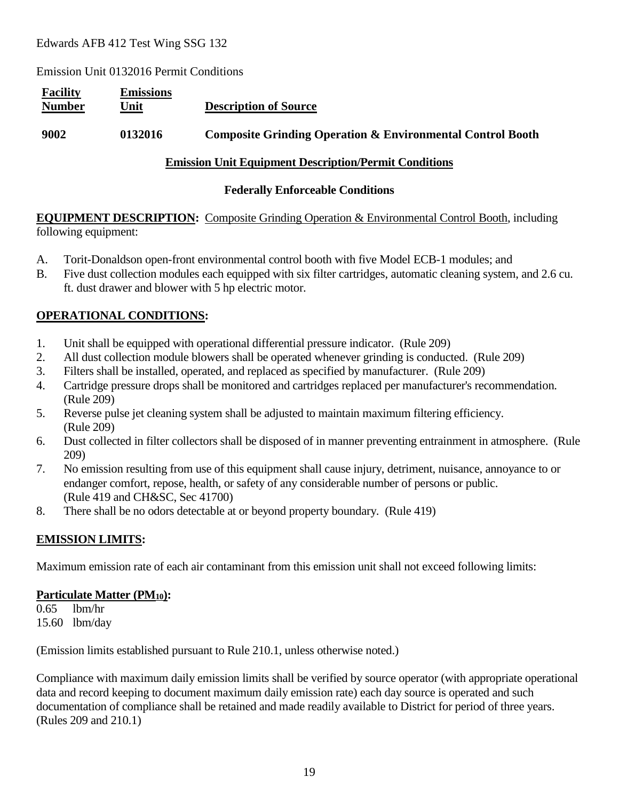Emission Unit 0132016 Permit Conditions

| <b>Facility</b><br><b>Number</b> | <b>Emissions</b><br>Unit | <b>Description of Source</b>                                          |
|----------------------------------|--------------------------|-----------------------------------------------------------------------|
| 9002                             | 0132016                  | <b>Composite Grinding Operation &amp; Environmental Control Booth</b> |

#### **Emission Unit Equipment Description/Permit Conditions**

#### **Federally Enforceable Conditions**

**EQUIPMENT DESCRIPTION:** Composite Grinding Operation & Environmental Control Booth, including following equipment:

- A. Torit-Donaldson open-front environmental control booth with five Model ECB-1 modules; and
- B. Five dust collection modules each equipped with six filter cartridges, automatic cleaning system, and 2.6 cu. ft. dust drawer and blower with 5 hp electric motor.

#### **OPERATIONAL CONDITIONS:**

- 1. Unit shall be equipped with operational differential pressure indicator. (Rule 209)
- 2. All dust collection module blowers shall be operated whenever grinding is conducted. (Rule 209)
- 3. Filters shall be installed, operated, and replaced as specified by manufacturer. (Rule 209)
- 4. Cartridge pressure drops shall be monitored and cartridges replaced per manufacturer's recommendation. (Rule 209)
- 5. Reverse pulse jet cleaning system shall be adjusted to maintain maximum filtering efficiency. (Rule 209)
- 6. Dust collected in filter collectors shall be disposed of in manner preventing entrainment in atmosphere. (Rule 209)
- 7. No emission resulting from use of this equipment shall cause injury, detriment, nuisance, annoyance to or endanger comfort, repose, health, or safety of any considerable number of persons or public. (Rule 419 and CH&SC, Sec 41700)
- 8. There shall be no odors detectable at or beyond property boundary. (Rule 419)

## **EMISSION LIMITS:**

Maximum emission rate of each air contaminant from this emission unit shall not exceed following limits:

#### **Particulate Matter (PM10):**

0.65 lbm/hr 15.60 lbm/day

(Emission limits established pursuant to Rule 210.1, unless otherwise noted.)

Compliance with maximum daily emission limits shall be verified by source operator (with appropriate operational data and record keeping to document maximum daily emission rate) each day source is operated and such documentation of compliance shall be retained and made readily available to District for period of three years. (Rules 209 and 210.1)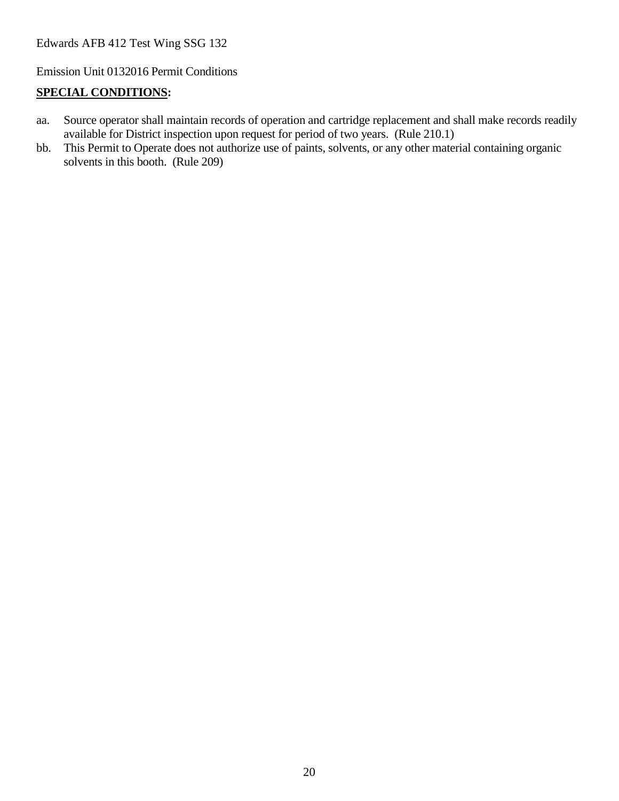Emission Unit 0132016 Permit Conditions

#### **SPECIAL CONDITIONS:**

- aa. Source operator shall maintain records of operation and cartridge replacement and shall make records readily available for District inspection upon request for period of two years. (Rule 210.1)
- bb. This Permit to Operate does not authorize use of paints, solvents, or any other material containing organic solvents in this booth. (Rule 209)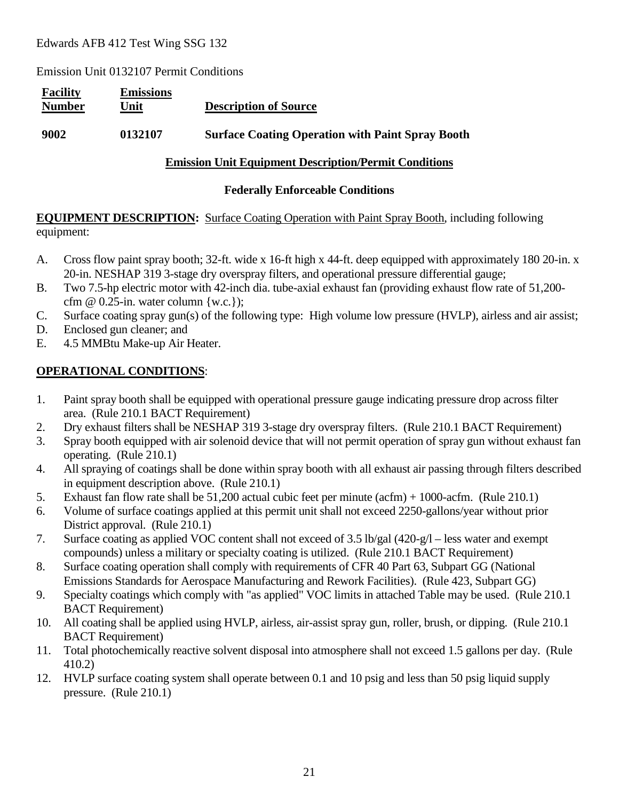Emission Unit 0132107 Permit Conditions

| <b>Facility</b><br><b>Number</b> | <b>Emissions</b><br>Unit | <b>Description of Source</b>                            |
|----------------------------------|--------------------------|---------------------------------------------------------|
| 9002                             | 0132107                  | <b>Surface Coating Operation with Paint Spray Booth</b> |

#### **Emission Unit Equipment Description/Permit Conditions**

#### **Federally Enforceable Conditions**

## **EQUIPMENT DESCRIPTION:** Surface Coating Operation with Paint Spray Booth, including following equipment:

- A. Cross flow paint spray booth; 32-ft. wide x 16-ft high x 44-ft. deep equipped with approximately 180 20-in. x 20-in. NESHAP 319 3-stage dry overspray filters, and operational pressure differential gauge;
- B. Two 7.5-hp electric motor with 42-inch dia. tube-axial exhaust fan (providing exhaust flow rate of 51,200 cfm  $@ 0.25$ -in. water column  $\{w.c.\}$ :
- C. Surface coating spray gun(s) of the following type: High volume low pressure (HVLP), airless and air assist;
- D. Enclosed gun cleaner; and
- E. 4.5 MMBtu Make-up Air Heater.

## **OPERATIONAL CONDITIONS**:

- 1. Paint spray booth shall be equipped with operational pressure gauge indicating pressure drop across filter area. (Rule 210.1 BACT Requirement)
- 2. Dry exhaust filters shall be NESHAP 319 3-stage dry overspray filters. (Rule 210.1 BACT Requirement)
- 3. Spray booth equipped with air solenoid device that will not permit operation of spray gun without exhaust fan operating. (Rule 210.1)
- 4. All spraying of coatings shall be done within spray booth with all exhaust air passing through filters described in equipment description above. (Rule 210.1)
- 5. Exhaust fan flow rate shall be 51,200 actual cubic feet per minute (acfm) + 1000-acfm. (Rule 210.1)
- 6. Volume of surface coatings applied at this permit unit shall not exceed 2250-gallons/year without prior District approval. (Rule 210.1)
- 7. Surface coating as applied VOC content shall not exceed of 3.5 lb/gal (420-g/l less water and exempt compounds) unless a military or specialty coating is utilized. (Rule 210.1 BACT Requirement)
- 8. Surface coating operation shall comply with requirements of CFR 40 Part 63, Subpart GG (National Emissions Standards for Aerospace Manufacturing and Rework Facilities). (Rule 423, Subpart GG)
- 9. Specialty coatings which comply with "as applied" VOC limits in attached Table may be used. (Rule 210.1 BACT Requirement)
- 10. All coating shall be applied using HVLP, airless, air-assist spray gun, roller, brush, or dipping. (Rule 210.1 BACT Requirement)
- 11. Total photochemically reactive solvent disposal into atmosphere shall not exceed 1.5 gallons per day. (Rule 410.2)
- 12. HVLP surface coating system shall operate between 0.1 and 10 psig and less than 50 psig liquid supply pressure. (Rule 210.1)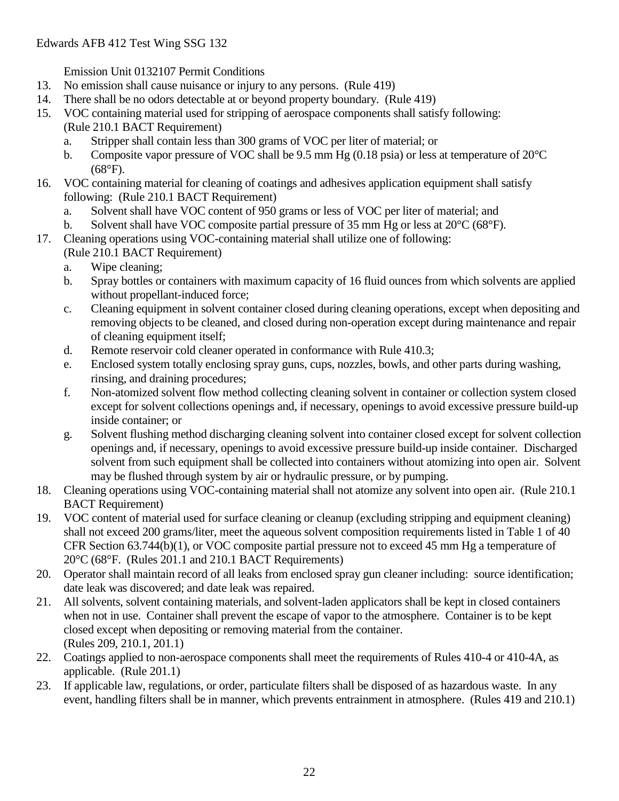Emission Unit 0132107 Permit Conditions

- 13. No emission shall cause nuisance or injury to any persons. (Rule 419)
- 14. There shall be no odors detectable at or beyond property boundary. (Rule 419)
- 15. VOC containing material used for stripping of aerospace components shall satisfy following: (Rule 210.1 BACT Requirement)
	- a. Stripper shall contain less than 300 grams of VOC per liter of material; or
	- b. Composite vapor pressure of VOC shall be 9.5 mm Hg (0.18 psia) or less at temperature of 20°C  $(68°F)$ .
- 16. VOC containing material for cleaning of coatings and adhesives application equipment shall satisfy following: (Rule 210.1 BACT Requirement)
	- a. Solvent shall have VOC content of 950 grams or less of VOC per liter of material; and
	- b. Solvent shall have VOC composite partial pressure of 35 mm Hg or less at 20°C (68°F).
- 17. Cleaning operations using VOC-containing material shall utilize one of following:
	- (Rule 210.1 BACT Requirement)
	- a. Wipe cleaning;
	- b. Spray bottles or containers with maximum capacity of 16 fluid ounces from which solvents are applied without propellant-induced force;
	- c. Cleaning equipment in solvent container closed during cleaning operations, except when depositing and removing objects to be cleaned, and closed during non-operation except during maintenance and repair of cleaning equipment itself;
	- d. Remote reservoir cold cleaner operated in conformance with Rule 410.3;
	- e. Enclosed system totally enclosing spray guns, cups, nozzles, bowls, and other parts during washing, rinsing, and draining procedures;
	- f. Non-atomized solvent flow method collecting cleaning solvent in container or collection system closed except for solvent collections openings and, if necessary, openings to avoid excessive pressure build-up inside container; or
	- g. Solvent flushing method discharging cleaning solvent into container closed except for solvent collection openings and, if necessary, openings to avoid excessive pressure build-up inside container. Discharged solvent from such equipment shall be collected into containers without atomizing into open air. Solvent may be flushed through system by air or hydraulic pressure, or by pumping.
- 18. Cleaning operations using VOC-containing material shall not atomize any solvent into open air. (Rule 210.1 BACT Requirement)
- 19. VOC content of material used for surface cleaning or cleanup (excluding stripping and equipment cleaning) shall not exceed 200 grams/liter, meet the aqueous solvent composition requirements listed in Table 1 of 40 CFR Section 63.744(b)(1), or VOC composite partial pressure not to exceed 45 mm Hg a temperature of 20°C (68°F. (Rules 201.1 and 210.1 BACT Requirements)
- 20. Operator shall maintain record of all leaks from enclosed spray gun cleaner including: source identification; date leak was discovered; and date leak was repaired.
- 21. All solvents, solvent containing materials, and solvent-laden applicators shall be kept in closed containers when not in use. Container shall prevent the escape of vapor to the atmosphere. Container is to be kept closed except when depositing or removing material from the container. (Rules 209, 210.1, 201.1)
- 22. Coatings applied to non-aerospace components shall meet the requirements of Rules 410-4 or 410-4A, as applicable. (Rule 201.1)
- 23. If applicable law, regulations, or order, particulate filters shall be disposed of as hazardous waste. In any event, handling filters shall be in manner, which prevents entrainment in atmosphere. (Rules 419 and 210.1)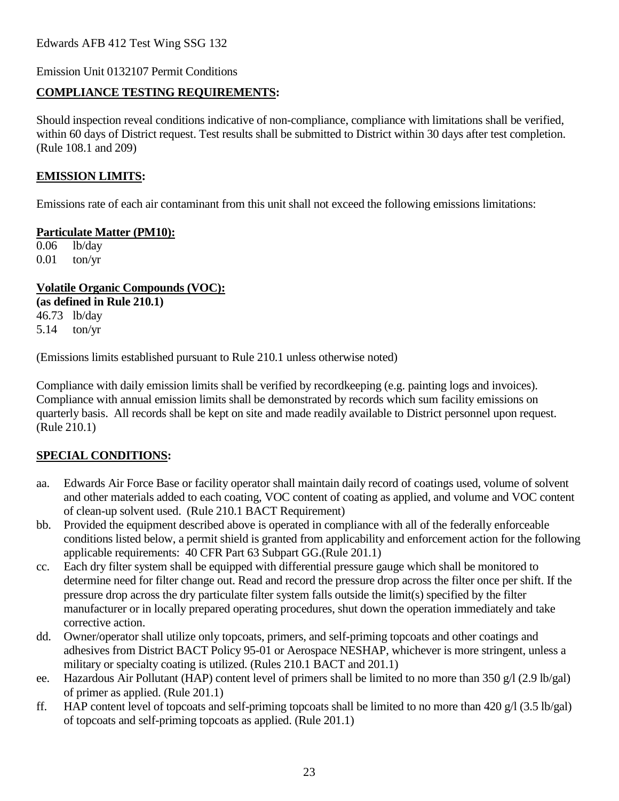Emission Unit 0132107 Permit Conditions

#### **COMPLIANCE TESTING REQUIREMENTS:**

Should inspection reveal conditions indicative of non-compliance, compliance with limitations shall be verified, within 60 days of District request. Test results shall be submitted to District within 30 days after test completion. (Rule 108.1 and 209)

#### **EMISSION LIMITS:**

Emissions rate of each air contaminant from this unit shall not exceed the following emissions limitations:

#### **Particulate Matter (PM10):**

0.06 lb/day 0.01 ton/yr

**Volatile Organic Compounds (VOC): (as defined in Rule 210.1)** 46.73 lb/day 5.14 ton/yr

(Emissions limits established pursuant to Rule 210.1 unless otherwise noted)

Compliance with daily emission limits shall be verified by recordkeeping (e.g. painting logs and invoices). Compliance with annual emission limits shall be demonstrated by records which sum facility emissions on quarterly basis. All records shall be kept on site and made readily available to District personnel upon request. (Rule 210.1)

## **SPECIAL CONDITIONS:**

- aa. Edwards Air Force Base or facility operator shall maintain daily record of coatings used, volume of solvent and other materials added to each coating, VOC content of coating as applied, and volume and VOC content of clean-up solvent used. (Rule 210.1 BACT Requirement)
- bb. Provided the equipment described above is operated in compliance with all of the federally enforceable conditions listed below, a permit shield is granted from applicability and enforcement action for the following applicable requirements: 40 CFR Part 63 Subpart GG.(Rule 201.1)
- cc. Each dry filter system shall be equipped with differential pressure gauge which shall be monitored to determine need for filter change out. Read and record the pressure drop across the filter once per shift. If the pressure drop across the dry particulate filter system falls outside the limit(s) specified by the filter manufacturer or in locally prepared operating procedures, shut down the operation immediately and take corrective action.
- dd. Owner/operator shall utilize only topcoats, primers, and self-priming topcoats and other coatings and adhesives from District BACT Policy 95-01 or Aerospace NESHAP, whichever is more stringent, unless a military or specialty coating is utilized. (Rules 210.1 BACT and 201.1)
- ee. Hazardous Air Pollutant (HAP) content level of primers shall be limited to no more than 350 g/l (2.9 lb/gal) of primer as applied. (Rule 201.1)
- ff. HAP content level of topcoats and self-priming topcoats shall be limited to no more than 420 g/l (3.5 lb/gal) of topcoats and self-priming topcoats as applied. (Rule 201.1)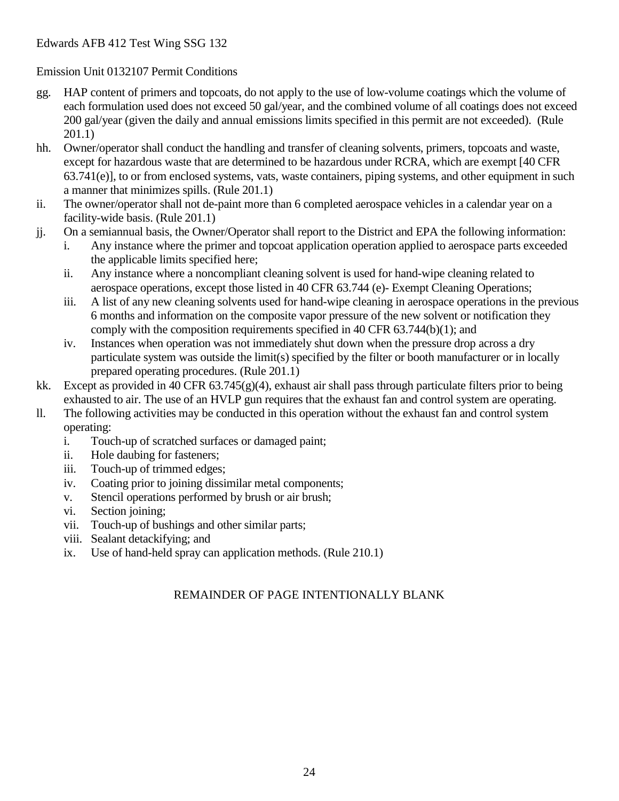#### Emission Unit 0132107 Permit Conditions

- gg. HAP content of primers and topcoats, do not apply to the use of low-volume coatings which the volume of each formulation used does not exceed 50 gal/year, and the combined volume of all coatings does not exceed 200 gal/year (given the daily and annual emissions limits specified in this permit are not exceeded). (Rule 201.1)
- hh. Owner/operator shall conduct the handling and transfer of cleaning solvents, primers, topcoats and waste, except for hazardous waste that are determined to be hazardous under RCRA, which are exempt [40 CFR 63.741(e)], to or from enclosed systems, vats, waste containers, piping systems, and other equipment in such a manner that minimizes spills. (Rule 201.1)
- ii. The owner/operator shall not de-paint more than 6 completed aerospace vehicles in a calendar year on a facility-wide basis. (Rule 201.1)
- jj. On a semiannual basis, the Owner/Operator shall report to the District and EPA the following information:
	- i. Any instance where the primer and topcoat application operation applied to aerospace parts exceeded the applicable limits specified here;
	- ii. Any instance where a noncompliant cleaning solvent is used for hand-wipe cleaning related to aerospace operations, except those listed in 40 CFR 63.744 (e)- Exempt Cleaning Operations;
	- iii. A list of any new cleaning solvents used for hand-wipe cleaning in aerospace operations in the previous 6 months and information on the composite vapor pressure of the new solvent or notification they comply with the composition requirements specified in 40 CFR 63.744(b)(1); and
	- iv. Instances when operation was not immediately shut down when the pressure drop across a dry particulate system was outside the limit(s) specified by the filter or booth manufacturer or in locally prepared operating procedures. (Rule 201.1)
- kk. Except as provided in 40 CFR 63.745(g)(4), exhaust air shall pass through particulate filters prior to being exhausted to air. The use of an HVLP gun requires that the exhaust fan and control system are operating.
- ll. The following activities may be conducted in this operation without the exhaust fan and control system operating:
	- i. Touch-up of scratched surfaces or damaged paint;
	- ii. Hole daubing for fasteners;
	- iii. Touch-up of trimmed edges;
	- iv. Coating prior to joining dissimilar metal components;
	- v. Stencil operations performed by brush or air brush;
	- vi. Section joining;
	- vii. Touch-up of bushings and other similar parts;
	- viii. Sealant detackifying; and
	- ix. Use of hand-held spray can application methods. (Rule 210.1)

## REMAINDER OF PAGE INTENTIONALLY BLANK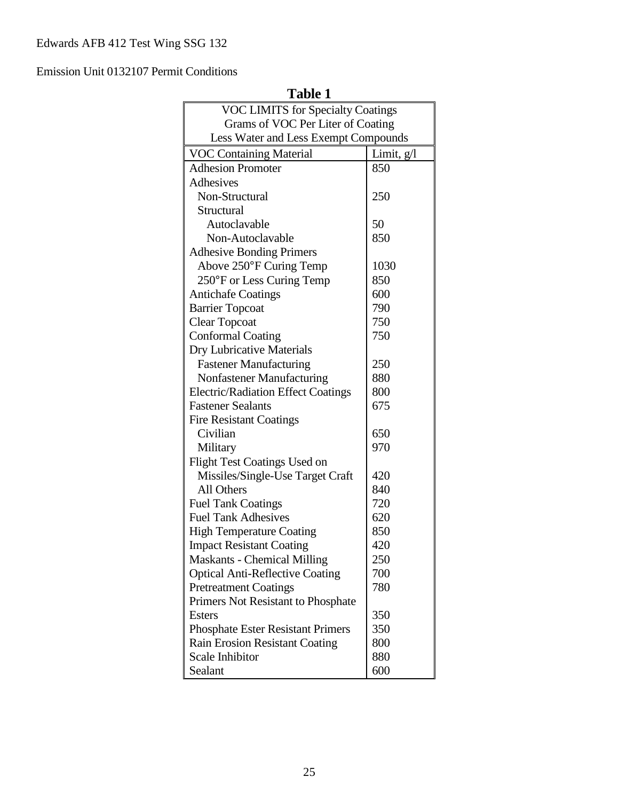## Emission Unit 0132107 Permit Conditions

| 1 avit 1                                  |            |
|-------------------------------------------|------------|
| VOC LIMITS for Specialty Coatings         |            |
| Grams of VOC Per Liter of Coating         |            |
| Less Water and Less Exempt Compounds      |            |
| <b>VOC Containing Material</b>            | Limit, g/l |
| <b>Adhesion Promoter</b>                  | 850        |
| Adhesives                                 |            |
| Non-Structural                            | 250        |
| Structural                                |            |
| Autoclavable                              | 50         |
| Non-Autoclavable                          | 850        |
| <b>Adhesive Bonding Primers</b>           |            |
| Above 250°F Curing Temp                   | 1030       |
| 250°F or Less Curing Temp                 | 850        |
| <b>Antichafe Coatings</b>                 | 600        |
| <b>Barrier Topcoat</b>                    | 790        |
| <b>Clear Topcoat</b>                      | 750        |
| <b>Conformal Coating</b>                  | 750        |
| Dry Lubricative Materials                 |            |
| <b>Fastener Manufacturing</b>             | 250        |
| Nonfastener Manufacturing                 | 880        |
| <b>Electric/Radiation Effect Coatings</b> | 800        |
| <b>Fastener Sealants</b>                  | 675        |
| <b>Fire Resistant Coatings</b>            |            |
| Civilian                                  | 650        |
| Military                                  | 970        |
| <b>Flight Test Coatings Used on</b>       |            |
| Missiles/Single-Use Target Craft          | 420        |
| All Others                                | 840        |
| <b>Fuel Tank Coatings</b>                 | 720        |
| <b>Fuel Tank Adhesives</b>                | 620        |
| <b>High Temperature Coating</b>           | 850        |
| <b>Impact Resistant Coating</b>           | 420        |
| <b>Maskants - Chemical Milling</b>        | 250        |
| <b>Optical Anti-Reflective Coating</b>    | 700        |
| <b>Pretreatment Coatings</b>              | 780        |
| Primers Not Resistant to Phosphate        |            |
| <b>Esters</b>                             | 350        |
| <b>Phosphate Ester Resistant Primers</b>  | 350        |
| Rain Erosion Resistant Coating            | 800        |
| Scale Inhibitor                           | 880        |
| Sealant                                   | 600        |

**Table 1**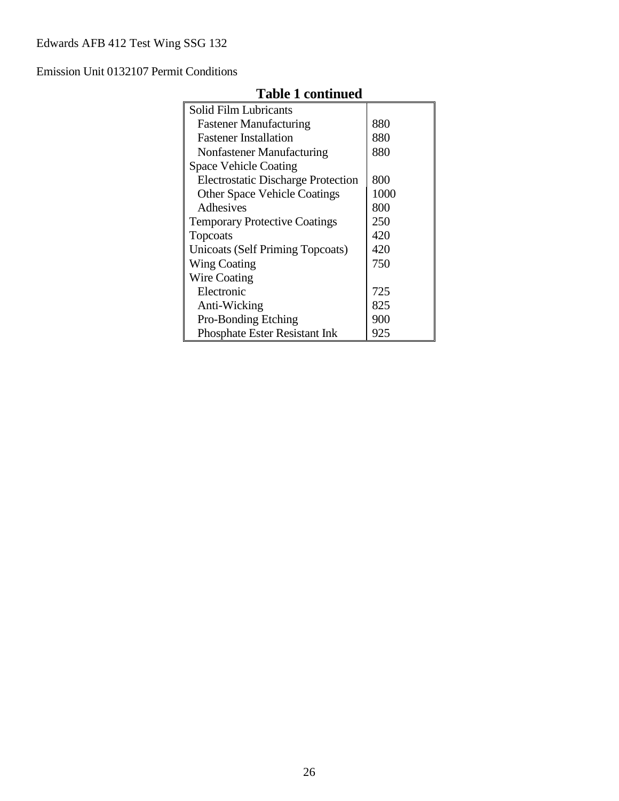#### Emission Unit 0132107 Permit Conditions

| гарис т сопиниса                          |      |
|-------------------------------------------|------|
| Solid Film Lubricants                     |      |
| <b>Fastener Manufacturing</b>             | 880  |
| <b>Fastener Installation</b>              | 880  |
| Nonfastener Manufacturing                 | 880  |
| <b>Space Vehicle Coating</b>              |      |
| <b>Electrostatic Discharge Protection</b> | 800  |
| <b>Other Space Vehicle Coatings</b>       | 1000 |
| Adhesives                                 | 800  |
| <b>Temporary Protective Coatings</b>      | 250  |
| Topcoats                                  | 420  |
| <b>Unicoats (Self Priming Topcoats)</b>   | 420  |
| Wing Coating                              | 750  |
| Wire Coating                              |      |
| Electronic                                | 725  |
| Anti-Wicking                              | 825  |
| <b>Pro-Bonding Etching</b>                | 900  |
| <b>Phosphate Ester Resistant Ink</b>      | 925  |

## **Table 1 continued**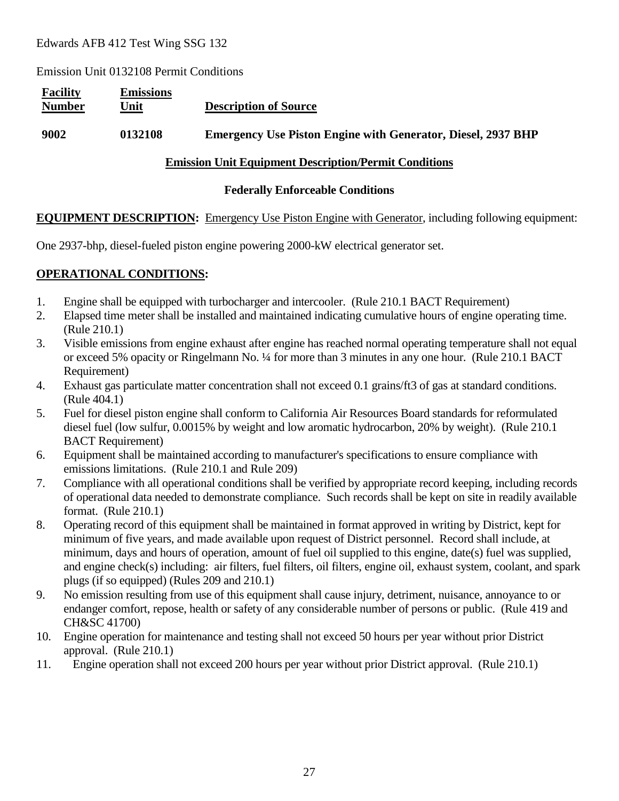Emission Unit 0132108 Permit Conditions

| <b>Facility</b><br><b>Number</b> | <b>Emissions</b><br>∪nit | <b>Description of Source</b>                                        |
|----------------------------------|--------------------------|---------------------------------------------------------------------|
| 9002                             | 0132108                  | <b>Emergency Use Piston Engine with Generator, Diesel, 2937 BHP</b> |

#### **Emission Unit Equipment Description/Permit Conditions**

#### **Federally Enforceable Conditions**

#### **EQUIPMENT DESCRIPTION:** Emergency Use Piston Engine with Generator, including following equipment:

One 2937-bhp, diesel-fueled piston engine powering 2000-kW electrical generator set.

## **OPERATIONAL CONDITIONS:**

- 1. Engine shall be equipped with turbocharger and intercooler. (Rule 210.1 BACT Requirement)
- 2. Elapsed time meter shall be installed and maintained indicating cumulative hours of engine operating time. (Rule 210.1)
- 3. Visible emissions from engine exhaust after engine has reached normal operating temperature shall not equal or exceed 5% opacity or Ringelmann No. ¼ for more than 3 minutes in any one hour. (Rule 210.1 BACT Requirement)
- 4. Exhaust gas particulate matter concentration shall not exceed 0.1 grains/ft3 of gas at standard conditions. (Rule 404.1)
- 5. Fuel for diesel piston engine shall conform to California Air Resources Board standards for reformulated diesel fuel (low sulfur, 0.0015% by weight and low aromatic hydrocarbon, 20% by weight). (Rule 210.1 BACT Requirement)
- 6. Equipment shall be maintained according to manufacturer's specifications to ensure compliance with emissions limitations. (Rule 210.1 and Rule 209)
- 7. Compliance with all operational conditions shall be verified by appropriate record keeping, including records of operational data needed to demonstrate compliance. Such records shall be kept on site in readily available format. (Rule 210.1)
- 8. Operating record of this equipment shall be maintained in format approved in writing by District, kept for minimum of five years, and made available upon request of District personnel. Record shall include, at minimum, days and hours of operation, amount of fuel oil supplied to this engine, date(s) fuel was supplied, and engine check(s) including: air filters, fuel filters, oil filters, engine oil, exhaust system, coolant, and spark plugs (if so equipped) (Rules 209 and 210.1)
- 9. No emission resulting from use of this equipment shall cause injury, detriment, nuisance, annoyance to or endanger comfort, repose, health or safety of any considerable number of persons or public. (Rule 419 and CH&SC 41700)
- 10. Engine operation for maintenance and testing shall not exceed 50 hours per year without prior District approval. (Rule 210.1)
- 11. Engine operation shall not exceed 200 hours per year without prior District approval. (Rule 210.1)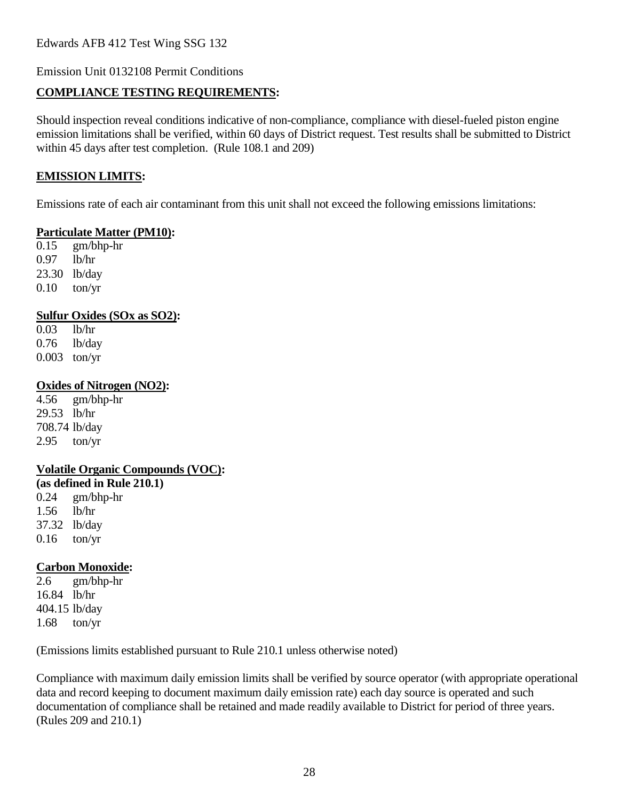Emission Unit 0132108 Permit Conditions

#### **COMPLIANCE TESTING REQUIREMENTS:**

Should inspection reveal conditions indicative of non-compliance, compliance with diesel-fueled piston engine emission limitations shall be verified, within 60 days of District request. Test results shall be submitted to District within 45 days after test completion. (Rule 108.1 and 209)

#### **EMISSION LIMITS:**

Emissions rate of each air contaminant from this unit shall not exceed the following emissions limitations:

#### **Particulate Matter (PM10):**

0.15 gm/bhp-hr 0.97 lb/hr 23.30 lb/day  $0.10$  ton/yr

#### **Sulfur Oxides (SOx as SO2):**

0.03 lb/hr 0.76 lb/day 0.003 ton/yr

#### **Oxides of Nitrogen (NO2):**

4.56 gm/bhp-hr 29.53 lb/hr 708.74 lb/day 2.95 ton/yr

#### **Volatile Organic Compounds (VOC):**

**(as defined in Rule 210.1)** 0.24 gm/bhp-hr 1.56 lb/hr 37.32 lb/day  $0.16$  ton/yr

#### **Carbon Monoxide:**

2.6 gm/bhp-hr 16.84 lb/hr 404.15 lb/day 1.68 ton/yr

(Emissions limits established pursuant to Rule 210.1 unless otherwise noted)

Compliance with maximum daily emission limits shall be verified by source operator (with appropriate operational data and record keeping to document maximum daily emission rate) each day source is operated and such documentation of compliance shall be retained and made readily available to District for period of three years. (Rules 209 and 210.1)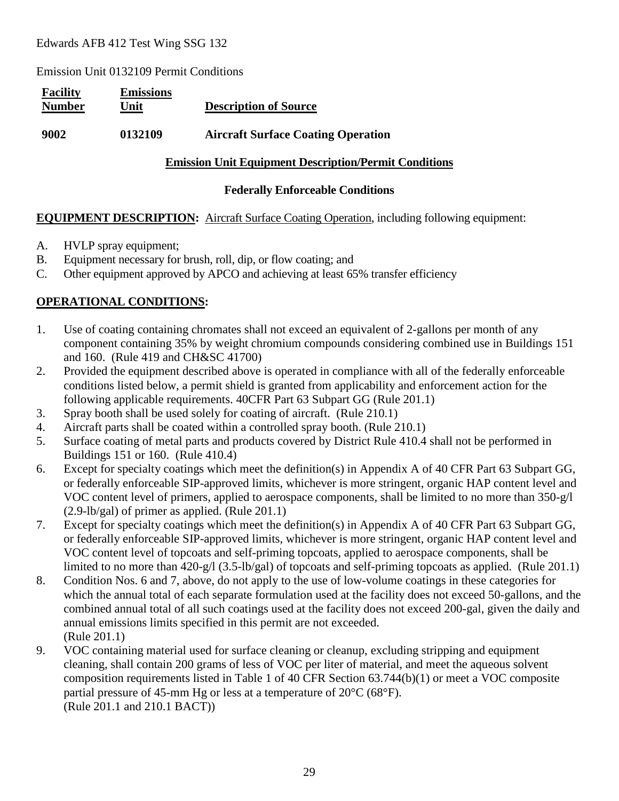Emission Unit 0132109 Permit Conditions

| <b>Facility</b><br><b>Number</b> | <b>Emissions</b><br>Unit | <b>Description of Source</b>              |
|----------------------------------|--------------------------|-------------------------------------------|
| 9002                             | 0132109                  | <b>Aircraft Surface Coating Operation</b> |

#### **Emission Unit Equipment Description/Permit Conditions**

#### **Federally Enforceable Conditions**

#### **EQUIPMENT DESCRIPTION:** Aircraft Surface Coating Operation, including following equipment:

- A. HVLP spray equipment;
- B. Equipment necessary for brush, roll, dip, or flow coating; and
- C. Other equipment approved by APCO and achieving at least 65% transfer efficiency

#### **OPERATIONAL CONDITIONS:**

- 1. Use of coating containing chromates shall not exceed an equivalent of 2-gallons per month of any component containing 35% by weight chromium compounds considering combined use in Buildings 151 and 160. (Rule 419 and CH&SC 41700)
- 2. Provided the equipment described above is operated in compliance with all of the federally enforceable conditions listed below, a permit shield is granted from applicability and enforcement action for the following applicable requirements. 40CFR Part 63 Subpart GG (Rule 201.1)
- 3. Spray booth shall be used solely for coating of aircraft. (Rule 210.1)
- 4. Aircraft parts shall be coated within a controlled spray booth. (Rule 210.1)
- 5. Surface coating of metal parts and products covered by District Rule 410.4 shall not be performed in Buildings 151 or 160. (Rule 410.4)
- 6. Except for specialty coatings which meet the definition(s) in Appendix A of 40 CFR Part 63 Subpart GG, or federally enforceable SIP-approved limits, whichever is more stringent, organic HAP content level and VOC content level of primers, applied to aerospace components, shall be limited to no more than 350-g/l (2.9-lb/gal) of primer as applied. (Rule 201.1)
- 7. Except for specialty coatings which meet the definition(s) in Appendix A of 40 CFR Part 63 Subpart GG, or federally enforceable SIP-approved limits, whichever is more stringent, organic HAP content level and VOC content level of topcoats and self-priming topcoats, applied to aerospace components, shall be limited to no more than 420-g/l (3.5-lb/gal) of topcoats and self-priming topcoats as applied. (Rule 201.1)
- 8. Condition Nos. 6 and 7, above, do not apply to the use of low-volume coatings in these categories for which the annual total of each separate formulation used at the facility does not exceed 50-gallons, and the combined annual total of all such coatings used at the facility does not exceed 200-gal, given the daily and annual emissions limits specified in this permit are not exceeded. (Rule 201.1)
- 9. VOC containing material used for surface cleaning or cleanup, excluding stripping and equipment cleaning, shall contain 200 grams of less of VOC per liter of material, and meet the aqueous solvent composition requirements listed in Table 1 of 40 CFR Section 63.744(b)(1) or meet a VOC composite partial pressure of 45-mm Hg or less at a temperature of 20°C (68°F). (Rule 201.1 and 210.1 BACT))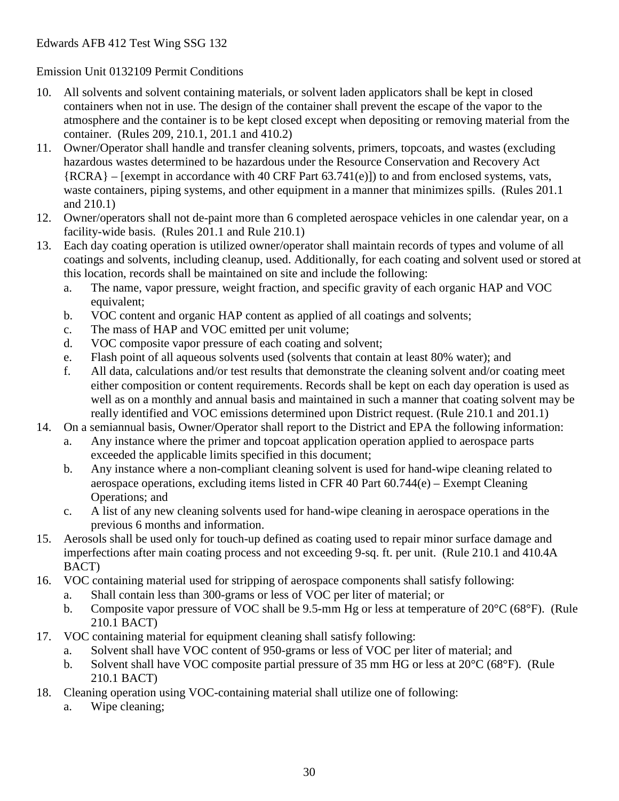Emission Unit 0132109 Permit Conditions

- 10. All solvents and solvent containing materials, or solvent laden applicators shall be kept in closed containers when not in use. The design of the container shall prevent the escape of the vapor to the atmosphere and the container is to be kept closed except when depositing or removing material from the container. (Rules 209, 210.1, 201.1 and 410.2)
- 11. Owner/Operator shall handle and transfer cleaning solvents, primers, topcoats, and wastes (excluding hazardous wastes determined to be hazardous under the Resource Conservation and Recovery Act {RCRA} – [exempt in accordance with 40 CRF Part 63.741(e)]) to and from enclosed systems, vats, waste containers, piping systems, and other equipment in a manner that minimizes spills. (Rules 201.1) and 210.1)
- 12. Owner/operators shall not de-paint more than 6 completed aerospace vehicles in one calendar year, on a facility-wide basis. (Rules 201.1 and Rule 210.1)
- 13. Each day coating operation is utilized owner/operator shall maintain records of types and volume of all coatings and solvents, including cleanup, used. Additionally, for each coating and solvent used or stored at this location, records shall be maintained on site and include the following:
	- a. The name, vapor pressure, weight fraction, and specific gravity of each organic HAP and VOC equivalent;
	- b. VOC content and organic HAP content as applied of all coatings and solvents;
	- c. The mass of HAP and VOC emitted per unit volume;
	- d. VOC composite vapor pressure of each coating and solvent;
	- e. Flash point of all aqueous solvents used (solvents that contain at least 80% water); and
	- f. All data, calculations and/or test results that demonstrate the cleaning solvent and/or coating meet either composition or content requirements. Records shall be kept on each day operation is used as well as on a monthly and annual basis and maintained in such a manner that coating solvent may be really identified and VOC emissions determined upon District request. (Rule 210.1 and 201.1)
- 14. On a semiannual basis, Owner/Operator shall report to the District and EPA the following information:
	- a. Any instance where the primer and topcoat application operation applied to aerospace parts exceeded the applicable limits specified in this document;
	- b. Any instance where a non-compliant cleaning solvent is used for hand-wipe cleaning related to aerospace operations, excluding items listed in CFR 40 Part 60.744(e) – Exempt Cleaning Operations; and
	- c. A list of any new cleaning solvents used for hand-wipe cleaning in aerospace operations in the previous 6 months and information.
- 15. Aerosols shall be used only for touch-up defined as coating used to repair minor surface damage and imperfections after main coating process and not exceeding 9-sq. ft. per unit. (Rule 210.1 and 410.4A BACT)
- 16. VOC containing material used for stripping of aerospace components shall satisfy following:
	- a. Shall contain less than 300-grams or less of VOC per liter of material; or
	- b. Composite vapor pressure of VOC shall be 9.5-mm Hg or less at temperature of 20°C (68°F). (Rule 210.1 BACT)
- 17. VOC containing material for equipment cleaning shall satisfy following:
	- a. Solvent shall have VOC content of 950-grams or less of VOC per liter of material; and
	- b. Solvent shall have VOC composite partial pressure of 35 mm HG or less at 20°C (68°F). (Rule 210.1 BACT)
- 18. Cleaning operation using VOC-containing material shall utilize one of following:
	- a. Wipe cleaning;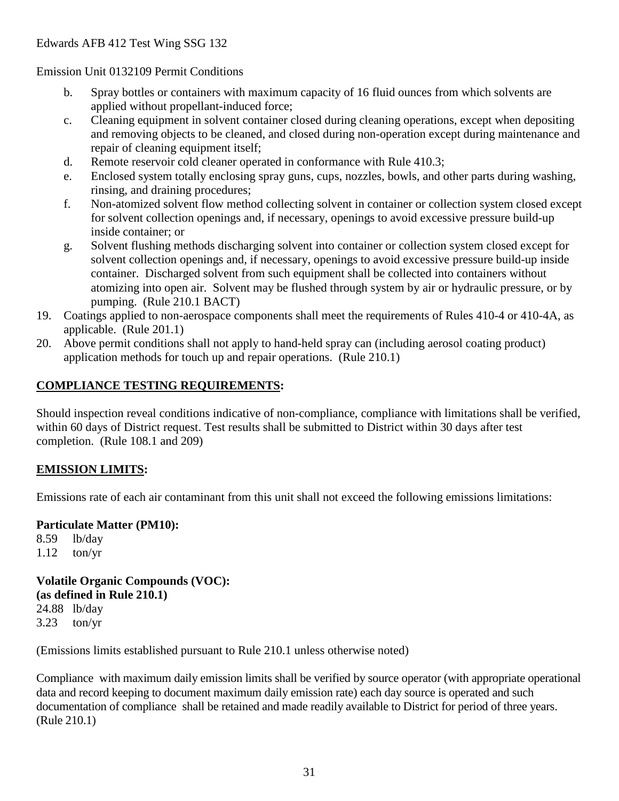#### Emission Unit 0132109 Permit Conditions

- b. Spray bottles or containers with maximum capacity of 16 fluid ounces from which solvents are applied without propellant-induced force;
- c. Cleaning equipment in solvent container closed during cleaning operations, except when depositing and removing objects to be cleaned, and closed during non-operation except during maintenance and repair of cleaning equipment itself;
- d. Remote reservoir cold cleaner operated in conformance with Rule 410.3;
- e. Enclosed system totally enclosing spray guns, cups, nozzles, bowls, and other parts during washing, rinsing, and draining procedures;
- f. Non-atomized solvent flow method collecting solvent in container or collection system closed except for solvent collection openings and, if necessary, openings to avoid excessive pressure build-up inside container; or
- g. Solvent flushing methods discharging solvent into container or collection system closed except for solvent collection openings and, if necessary, openings to avoid excessive pressure build-up inside container. Discharged solvent from such equipment shall be collected into containers without atomizing into open air. Solvent may be flushed through system by air or hydraulic pressure, or by pumping. (Rule 210.1 BACT)
- 19. Coatings applied to non-aerospace components shall meet the requirements of Rules 410-4 or 410-4A, as applicable. (Rule 201.1)
- 20. Above permit conditions shall not apply to hand-held spray can (including aerosol coating product) application methods for touch up and repair operations. (Rule 210.1)

## **COMPLIANCE TESTING REQUIREMENTS:**

Should inspection reveal conditions indicative of non-compliance, compliance with limitations shall be verified, within 60 days of District request. Test results shall be submitted to District within 30 days after test completion. (Rule 108.1 and 209)

## **EMISSION LIMITS:**

Emissions rate of each air contaminant from this unit shall not exceed the following emissions limitations:

## **Particulate Matter (PM10):**

8.59 lb/day 1.12 ton/yr

**Volatile Organic Compounds (VOC): (as defined in Rule 210.1)** 24.88 lb/day 3.23 ton/yr

(Emissions limits established pursuant to Rule 210.1 unless otherwise noted)

Compliance with maximum daily emission limits shall be verified by source operator (with appropriate operational data and record keeping to document maximum daily emission rate) each day source is operated and such documentation of compliance shall be retained and made readily available to District for period of three years. (Rule 210.1)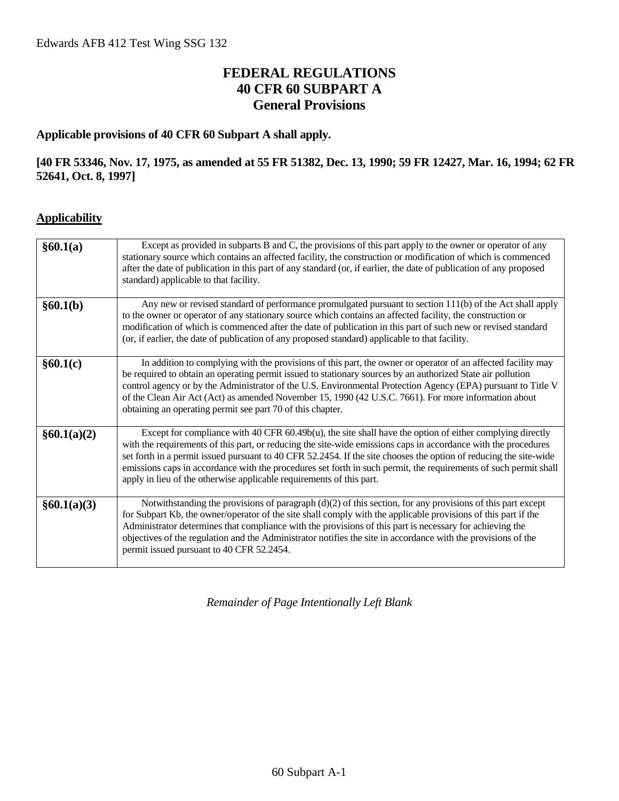## **FEDERAL REGULATIONS 40 CFR 60 SUBPART A General Provisions**

## **Applicable provisions of 40 CFR 60 Subpart A shall apply.**

#### **[40 FR 53346, Nov. 17, 1975, as amended at 55 FR 51382, Dec. 13, 1990; 59 FR 12427, Mar. 16, 1994; 62 FR 52641, Oct. 8, 1997]**

#### **Applicability**

| §60.1(a)    | Except as provided in subparts B and C, the provisions of this part apply to the owner or operator of any<br>stationary source which contains an affected facility, the construction or modification of which is commenced<br>after the date of publication in this part of any standard (or, if earlier, the date of publication of any proposed<br>standard) applicable to that facility.                                                                                                                                                    |
|-------------|------------------------------------------------------------------------------------------------------------------------------------------------------------------------------------------------------------------------------------------------------------------------------------------------------------------------------------------------------------------------------------------------------------------------------------------------------------------------------------------------------------------------------------------------|
| §60.1(b)    | Any new or revised standard of performance promulgated pursuant to section 111(b) of the Act shall apply<br>to the owner or operator of any stationary source which contains an affected facility, the construction or<br>modification of which is commenced after the date of publication in this part of such new or revised standard<br>(or, if earlier, the date of publication of any proposed standard) applicable to that facility.                                                                                                     |
| §60.1(c)    | In addition to complying with the provisions of this part, the owner or operator of an affected facility may<br>be required to obtain an operating permit issued to stationary sources by an authorized State air pollution<br>control agency or by the Administrator of the U.S. Environmental Protection Agency (EPA) pursuant to Title V<br>of the Clean Air Act (Act) as amended November 15, 1990 (42 U.S.C. 7661). For more information about<br>obtaining an operating permit see part 70 of this chapter.                              |
| §60.1(a)(2) | Except for compliance with 40 CFR $60.49b(u)$ , the site shall have the option of either complying directly<br>with the requirements of this part, or reducing the site-wide emissions caps in accordance with the procedures<br>set forth in a permit issued pursuant to 40 CFR 52.2454. If the site chooses the option of reducing the site-wide<br>emissions caps in accordance with the procedures set forth in such permit, the requirements of such permit shall<br>apply in lieu of the otherwise applicable requirements of this part. |
| §60.1(a)(3) | Notwithstanding the provisions of paragraph $(d)(2)$ of this section, for any provisions of this part except<br>for Subpart Kb, the owner/operator of the site shall comply with the applicable provisions of this part if the<br>Administrator determines that compliance with the provisions of this part is necessary for achieving the<br>objectives of the regulation and the Administrator notifies the site in accordance with the provisions of the<br>permit issued pursuant to 40 CFR 52.2454.                                       |

*Remainder of Page Intentionally Left Blank*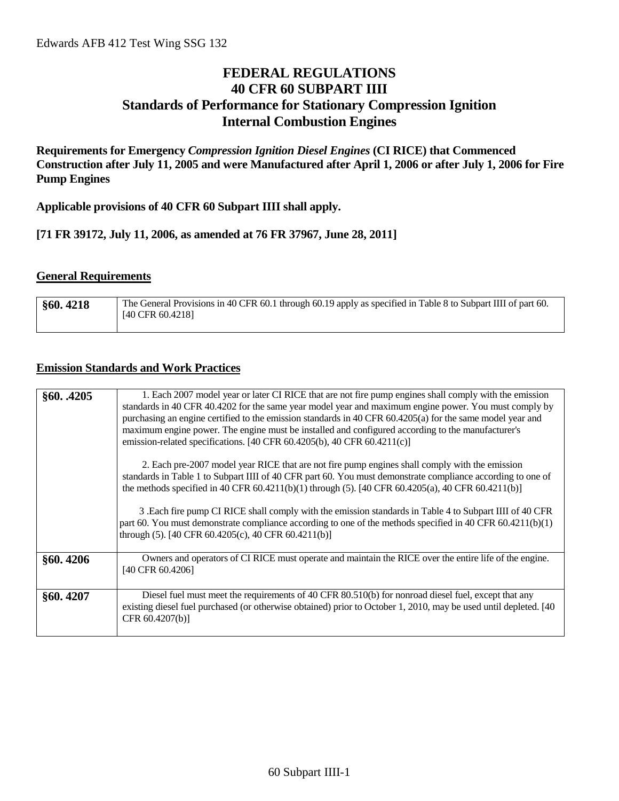## **FEDERAL REGULATIONS 40 CFR 60 SUBPART IIII Standards of Performance for Stationary Compression Ignition Internal Combustion Engines**

**Requirements for Emergency** *Compression Ignition Diesel Engines* **(CI RICE) that Commenced Construction after July 11, 2005 and were Manufactured after April 1, 2006 or after July 1, 2006 for Fire Pump Engines**

**Applicable provisions of 40 CFR 60 Subpart IIII shall apply.**

**[71 FR 39172, July 11, 2006, as amended at 76 FR 37967, June 28, 2011]**

#### **General Requirements**

| §60.4218 | The General Provisions in 40 CFR 60.1 through 60.19 apply as specified in Table 8 to Subpart IIII of part 60. |
|----------|---------------------------------------------------------------------------------------------------------------|
|          | $[40 \text{ CFR } 60.4218]$                                                                                   |
|          |                                                                                                               |

#### **Emission Standards and Work Practices**

| §60. .4205 | 1. Each 2007 model year or later CI RICE that are not fire pump engines shall comply with the emission<br>standards in 40 CFR 40.4202 for the same year model year and maximum engine power. You must comply by<br>purchasing an engine certified to the emission standards in 40 CFR 60.4205(a) for the same model year and<br>maximum engine power. The engine must be installed and configured according to the manufacturer's<br>emission-related specifications. [40 CFR 60.4205(b), 40 CFR 60.4211(c)] |
|------------|--------------------------------------------------------------------------------------------------------------------------------------------------------------------------------------------------------------------------------------------------------------------------------------------------------------------------------------------------------------------------------------------------------------------------------------------------------------------------------------------------------------|
|            | 2. Each pre-2007 model year RICE that are not fire pump engines shall comply with the emission<br>standards in Table 1 to Subpart IIII of 40 CFR part 60. You must demonstrate compliance according to one of<br>the methods specified in 40 CFR 60.4211(b)(1) through (5). [40 CFR 60.4205(a), 40 CFR 60.4211(b)]                                                                                                                                                                                           |
|            | 3. Each fire pump CI RICE shall comply with the emission standards in Table 4 to Subpart IIII of 40 CFR<br>part 60. You must demonstrate compliance according to one of the methods specified in 40 CFR 60.4211(b)(1)<br>through $(5)$ . [40 CFR 60.4205(c), 40 CFR 60.4211(b)]                                                                                                                                                                                                                              |
| §60.4206   | Owners and operators of CI RICE must operate and maintain the RICE over the entire life of the engine.<br>[40 CFR 60.4206]                                                                                                                                                                                                                                                                                                                                                                                   |
| §60.4207   | Diesel fuel must meet the requirements of 40 CFR 80.510(b) for nonroad diesel fuel, except that any<br>existing diesel fuel purchased (or otherwise obtained) prior to October 1, 2010, may be used until depleted. [40<br>CFR 60.4207(b)]                                                                                                                                                                                                                                                                   |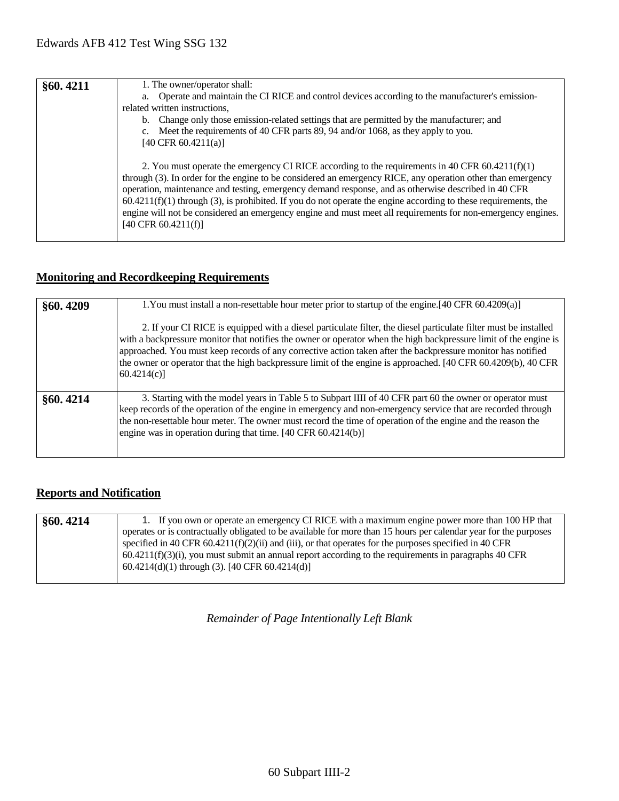| §60.4211 | 1. The owner/operator shall:                                                                                      |
|----------|-------------------------------------------------------------------------------------------------------------------|
|          | a. Operate and maintain the CI RICE and control devices according to the manufacturer's emission-                 |
|          | related written instructions,                                                                                     |
|          | b. Change only those emission-related settings that are permitted by the manufacturer; and                        |
|          | c. Meet the requirements of 40 CFR parts 89, 94 and/or 1068, as they apply to you.                                |
|          | [40 CFR $60.4211(a)$ ]                                                                                            |
|          |                                                                                                                   |
|          | 2. You must operate the emergency CI RICE according to the requirements in 40 CFR 60.4211(f)(1)                   |
|          | through (3). In order for the engine to be considered an emergency RICE, any operation other than emergency       |
|          | operation, maintenance and testing, emergency demand response, and as otherwise described in 40 CFR               |
|          | $60.4211(f)(1)$ through (3), is prohibited. If you do not operate the engine according to these requirements, the |
|          | engine will not be considered an emergency engine and must meet all requirements for non-emergency engines.       |
|          | $[40 \text{ CFR } 60.4211(f)]$                                                                                    |
|          |                                                                                                                   |
|          |                                                                                                                   |

## **Monitoring and Recordkeeping Requirements**

| §60.4209 | 1. You must install a non-resettable hour meter prior to startup of the engine. $[40 \text{ CFR } 60.4209(a)]$                                                                                                                                                                                                                                                                                                                                                                        |
|----------|---------------------------------------------------------------------------------------------------------------------------------------------------------------------------------------------------------------------------------------------------------------------------------------------------------------------------------------------------------------------------------------------------------------------------------------------------------------------------------------|
|          | 2. If your CI RICE is equipped with a diesel particulate filter, the diesel particulate filter must be installed<br>with a backpressure monitor that notifies the owner or operator when the high backpressure limit of the engine is<br>approached. You must keep records of any corrective action taken after the backpressure monitor has notified<br>the owner or operator that the high backpressure limit of the engine is approached. [40 CFR 60.4209(b), 40 CFR<br>60.4214(c) |
| §60.4214 | 3. Starting with the model years in Table 5 to Subpart IIII of 40 CFR part 60 the owner or operator must<br>keep records of the operation of the engine in emergency and non-emergency service that are recorded through<br>the non-resettable hour meter. The owner must record the time of operation of the engine and the reason the<br>engine was in operation during that time. [40 CFR 60.4214(b)]                                                                              |

## **Reports and Notification**

| §60,4214 | 1. If you own or operate an emergency CI RICE with a maximum engine power more than 100 HP that                  |
|----------|------------------------------------------------------------------------------------------------------------------|
|          | operates or is contractually obligated to be available for more than 15 hours per calendar year for the purposes |
|          | specified in 40 CFR $60.4211(f)(2)(ii)$ and (iii), or that operates for the purposes specified in 40 CFR         |
|          | $60.4211(f)(3)(i)$ , you must submit an annual report according to the requirements in paragraphs 40 CFR         |
|          | $60.4214(d)(1)$ through (3). [40 CFR 60.4214(d)]                                                                 |
|          |                                                                                                                  |

*Remainder of Page Intentionally Left Blank*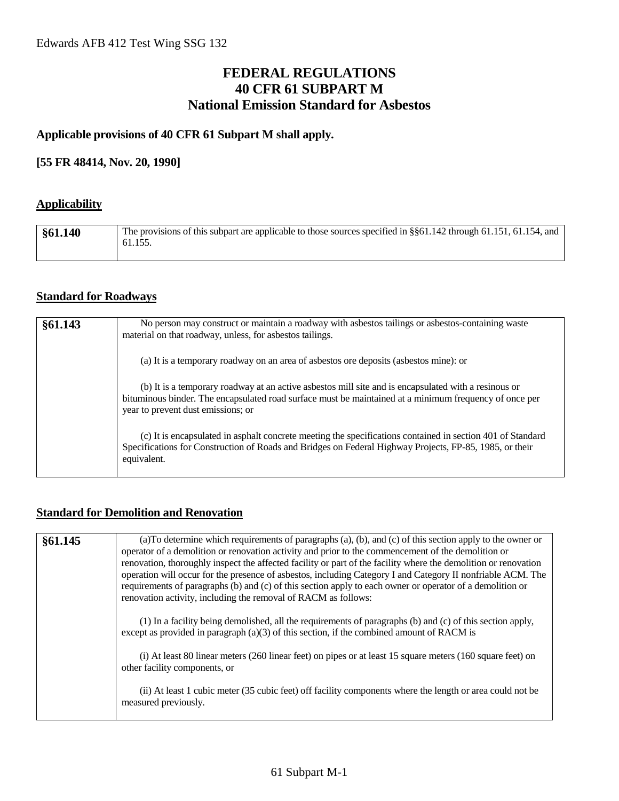### **FEDERAL REGULATIONS 40 CFR 61 SUBPART M National Emission Standard for Asbestos**

### **Applicable provisions of 40 CFR 61 Subpart M shall apply.**

### **[55 FR 48414, Nov. 20, 1990]**

### **Applicability**

| §61.140 | The provisions of this subpart are applicable to those sources specified in §§61.142 through 61.151, 61.154, and<br>61.155. |
|---------|-----------------------------------------------------------------------------------------------------------------------------|
|         |                                                                                                                             |

### **Standard for Roadways**

| §61.143 | No person may construct or maintain a roadway with asbestos tailings or asbestos-containing waste<br>material on that roadway, unless, for asbestos tailings.                                                                                        |
|---------|------------------------------------------------------------------------------------------------------------------------------------------------------------------------------------------------------------------------------------------------------|
|         | (a) It is a temporary roadway on an area of asbestos ore deposits (asbestos mine): or                                                                                                                                                                |
|         | (b) It is a temporary roadway at an active asbestos mill site and is encapsulated with a resinous or<br>bituminous binder. The encapsulated road surface must be maintained at a minimum frequency of once per<br>year to prevent dust emissions; or |
|         | (c) It is encapsulated in asphalt concrete meeting the specifications contained in section 401 of Standard<br>Specifications for Construction of Roads and Bridges on Federal Highway Projects, FP-85, 1985, or their<br>equivalent.                 |

### **Standard for Demolition and Renovation**

| §61.145 | (a) To determine which requirements of paragraphs (a), (b), and (c) of this section apply to the owner or<br>operator of a demolition or renovation activity and prior to the commencement of the demolition or<br>renovation, thoroughly inspect the affected facility or part of the facility where the demolition or renovation<br>operation will occur for the presence of asbestos, including Category I and Category II nonfriable ACM. The<br>requirements of paragraphs (b) and (c) of this section apply to each owner or operator of a demolition or<br>renovation activity, including the removal of RACM as follows: |
|---------|----------------------------------------------------------------------------------------------------------------------------------------------------------------------------------------------------------------------------------------------------------------------------------------------------------------------------------------------------------------------------------------------------------------------------------------------------------------------------------------------------------------------------------------------------------------------------------------------------------------------------------|
|         | (1) In a facility being demolished, all the requirements of paragraphs (b) and (c) of this section apply,<br>except as provided in paragraph $(a)(3)$ of this section, if the combined amount of RACM is                                                                                                                                                                                                                                                                                                                                                                                                                         |
|         | (i) At least 80 linear meters (260 linear feet) on pipes or at least 15 square meters (160 square feet) on<br>other facility components, or                                                                                                                                                                                                                                                                                                                                                                                                                                                                                      |
|         | (ii) At least 1 cubic meter (35 cubic feet) off facility components where the length or area could not be<br>measured previously.                                                                                                                                                                                                                                                                                                                                                                                                                                                                                                |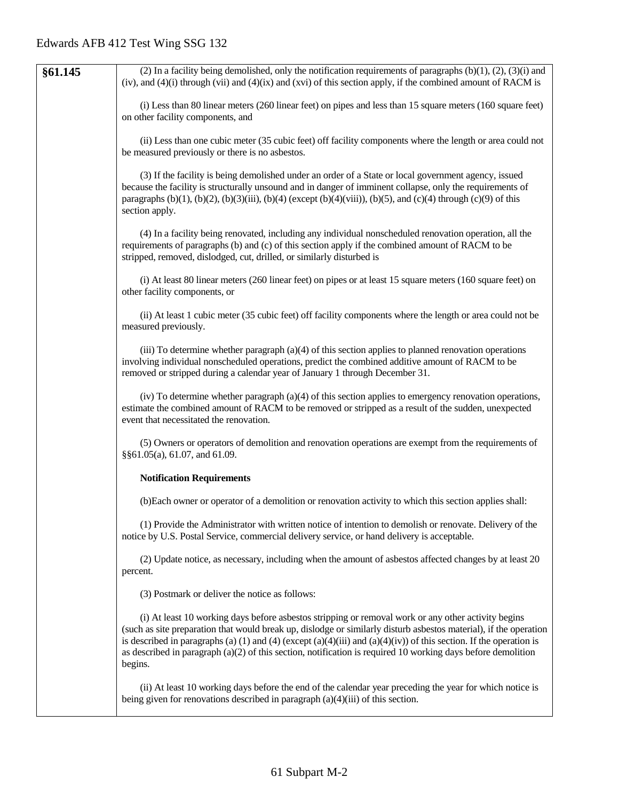| §61.145 | (2) In a facility being demolished, only the notification requirements of paragraphs $(b)(1)$ , $(2)$ , $(3)(i)$ and<br>(iv), and $(4)(i)$ through (vii) and $(4)(ix)$ and (xvi) of this section apply, if the combined amount of RACM is                                                                                                                                                                                                                                    |
|---------|------------------------------------------------------------------------------------------------------------------------------------------------------------------------------------------------------------------------------------------------------------------------------------------------------------------------------------------------------------------------------------------------------------------------------------------------------------------------------|
|         | (i) Less than 80 linear meters (260 linear feet) on pipes and less than 15 square meters (160 square feet)<br>on other facility components, and                                                                                                                                                                                                                                                                                                                              |
|         | (ii) Less than one cubic meter (35 cubic feet) off facility components where the length or area could not<br>be measured previously or there is no asbestos.                                                                                                                                                                                                                                                                                                                 |
|         | (3) If the facility is being demolished under an order of a State or local government agency, issued<br>because the facility is structurally unsound and in danger of imminent collapse, only the requirements of<br>paragraphs (b)(1), (b)(2), (b)(3)(iii), (b)(4) (except (b)(4)(viii)), (b)(5), and (c)(4) through (c)(9) of this<br>section apply.                                                                                                                       |
|         | (4) In a facility being renovated, including any individual nonscheduled renovation operation, all the<br>requirements of paragraphs (b) and (c) of this section apply if the combined amount of RACM to be<br>stripped, removed, dislodged, cut, drilled, or similarly disturbed is                                                                                                                                                                                         |
|         | (i) At least 80 linear meters (260 linear feet) on pipes or at least 15 square meters (160 square feet) on<br>other facility components, or                                                                                                                                                                                                                                                                                                                                  |
|         | (ii) At least 1 cubic meter (35 cubic feet) off facility components where the length or area could not be<br>measured previously.                                                                                                                                                                                                                                                                                                                                            |
|         | (iii) To determine whether paragraph $(a)(4)$ of this section applies to planned renovation operations<br>involving individual nonscheduled operations, predict the combined additive amount of RACM to be<br>removed or stripped during a calendar year of January 1 through December 31.                                                                                                                                                                                   |
|         | (iv) To determine whether paragraph (a)(4) of this section applies to emergency renovation operations,<br>estimate the combined amount of RACM to be removed or stripped as a result of the sudden, unexpected<br>event that necessitated the renovation.                                                                                                                                                                                                                    |
|         | (5) Owners or operators of demolition and renovation operations are exempt from the requirements of<br>§§61.05(a), 61.07, and 61.09.                                                                                                                                                                                                                                                                                                                                         |
|         | <b>Notification Requirements</b>                                                                                                                                                                                                                                                                                                                                                                                                                                             |
|         | (b) Each owner or operator of a demolition or renovation activity to which this section applies shall:                                                                                                                                                                                                                                                                                                                                                                       |
|         | (1) Provide the Administrator with written notice of intention to demolish or renovate. Delivery of the<br>notice by U.S. Postal Service, commercial delivery service, or hand delivery is acceptable.                                                                                                                                                                                                                                                                       |
|         | (2) Update notice, as necessary, including when the amount of asbestos affected changes by at least 20<br>percent.                                                                                                                                                                                                                                                                                                                                                           |
|         | (3) Postmark or deliver the notice as follows:                                                                                                                                                                                                                                                                                                                                                                                                                               |
|         | (i) At least 10 working days before asbestos stripping or removal work or any other activity begins<br>(such as site preparation that would break up, dislodge or similarly disturb asbestos material), if the operation<br>is described in paragraphs (a) (1) and (4) (except (a)(4)(iii) and (a)(4)(iv)) of this section. If the operation is<br>as described in paragraph $(a)(2)$ of this section, notification is required 10 working days before demolition<br>begins. |
|         | (ii) At least 10 working days before the end of the calendar year preceding the year for which notice is<br>being given for renovations described in paragraph $(a)(4)(iii)$ of this section.                                                                                                                                                                                                                                                                                |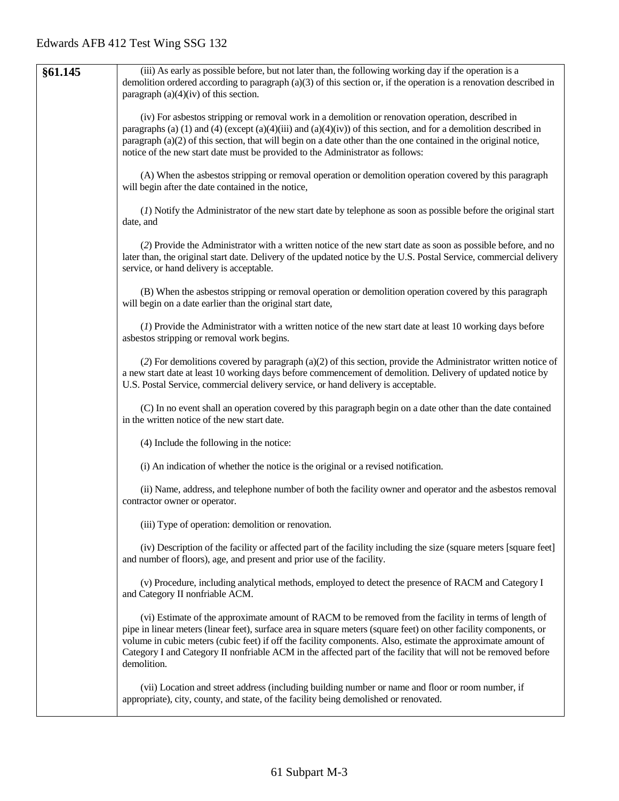| §61.145 | (iii) As early as possible before, but not later than, the following working day if the operation is a<br>demolition ordered according to paragraph $(a)(3)$ of this section or, if the operation is a renovation described in<br>paragraph $(a)(4)(iv)$ of this section.                                                                                                                                                                                                   |
|---------|-----------------------------------------------------------------------------------------------------------------------------------------------------------------------------------------------------------------------------------------------------------------------------------------------------------------------------------------------------------------------------------------------------------------------------------------------------------------------------|
|         | (iv) For asbestos stripping or removal work in a demolition or renovation operation, described in<br>paragraphs (a) (1) and (4) (except (a)(4)(iii) and (a)(4)(iv)) of this section, and for a demolition described in<br>paragraph (a)(2) of this section, that will begin on a date other than the one contained in the original notice,<br>notice of the new start date must be provided to the Administrator as follows:                                                |
|         | (A) When the asbestos stripping or removal operation or demolition operation covered by this paragraph<br>will begin after the date contained in the notice,                                                                                                                                                                                                                                                                                                                |
|         | (1) Notify the Administrator of the new start date by telephone as soon as possible before the original start<br>date, and                                                                                                                                                                                                                                                                                                                                                  |
|         | (2) Provide the Administrator with a written notice of the new start date as soon as possible before, and no<br>later than, the original start date. Delivery of the updated notice by the U.S. Postal Service, commercial delivery<br>service, or hand delivery is acceptable.                                                                                                                                                                                             |
|         | (B) When the asbestos stripping or removal operation or demolition operation covered by this paragraph<br>will begin on a date earlier than the original start date,                                                                                                                                                                                                                                                                                                        |
|         | (1) Provide the Administrator with a written notice of the new start date at least 10 working days before<br>asbestos stripping or removal work begins.                                                                                                                                                                                                                                                                                                                     |
|         | (2) For demolitions covered by paragraph (a)(2) of this section, provide the Administrator written notice of<br>a new start date at least 10 working days before commencement of demolition. Delivery of updated notice by<br>U.S. Postal Service, commercial delivery service, or hand delivery is acceptable.                                                                                                                                                             |
|         | (C) In no event shall an operation covered by this paragraph begin on a date other than the date contained<br>in the written notice of the new start date.                                                                                                                                                                                                                                                                                                                  |
|         | (4) Include the following in the notice:                                                                                                                                                                                                                                                                                                                                                                                                                                    |
|         | (i) An indication of whether the notice is the original or a revised notification.                                                                                                                                                                                                                                                                                                                                                                                          |
|         | (ii) Name, address, and telephone number of both the facility owner and operator and the asbestos removal<br>contractor owner or operator.                                                                                                                                                                                                                                                                                                                                  |
|         | (iii) Type of operation: demolition or renovation.                                                                                                                                                                                                                                                                                                                                                                                                                          |
|         | (iv) Description of the facility or affected part of the facility including the size (square meters [square feet]<br>and number of floors), age, and present and prior use of the facility.                                                                                                                                                                                                                                                                                 |
|         | (v) Procedure, including analytical methods, employed to detect the presence of RACM and Category I<br>and Category II nonfriable ACM.                                                                                                                                                                                                                                                                                                                                      |
|         | (vi) Estimate of the approximate amount of RACM to be removed from the facility in terms of length of<br>pipe in linear meters (linear feet), surface area in square meters (square feet) on other facility components, or<br>volume in cubic meters (cubic feet) if off the facility components. Also, estimate the approximate amount of<br>Category I and Category II nonfriable ACM in the affected part of the facility that will not be removed before<br>demolition. |
|         | (vii) Location and street address (including building number or name and floor or room number, if<br>appropriate), city, county, and state, of the facility being demolished or renovated.                                                                                                                                                                                                                                                                                  |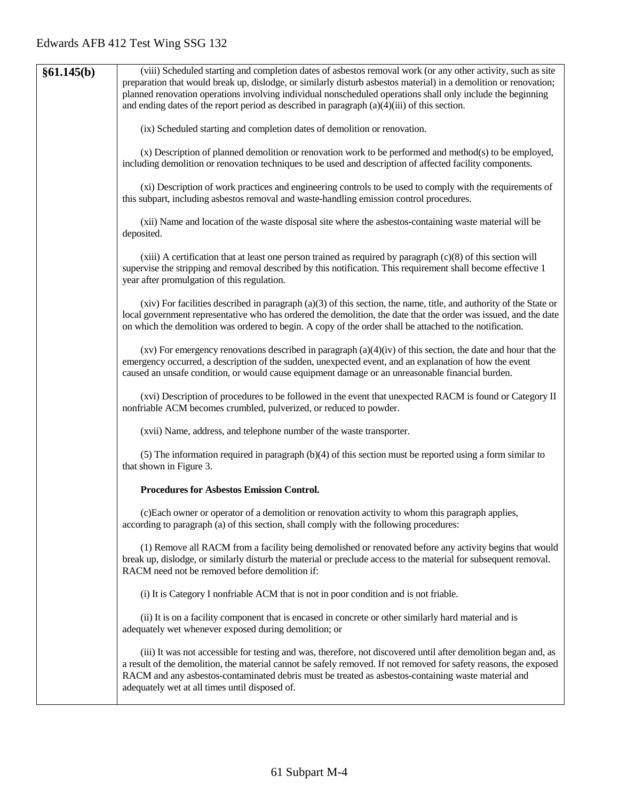| §61.145(b) | (viii) Scheduled starting and completion dates of asbestos removal work (or any other activity, such as site<br>preparation that would break up, dislodge, or similarly disturb asbestos material) in a demolition or renovation;<br>planned renovation operations involving individual nonscheduled operations shall only include the beginning<br>and ending dates of the report period as described in paragraph $(a)(4)(iii)$ of this section. |
|------------|----------------------------------------------------------------------------------------------------------------------------------------------------------------------------------------------------------------------------------------------------------------------------------------------------------------------------------------------------------------------------------------------------------------------------------------------------|
|            | (ix) Scheduled starting and completion dates of demolition or renovation.                                                                                                                                                                                                                                                                                                                                                                          |
|            | (x) Description of planned demolition or renovation work to be performed and method(s) to be employed,<br>including demolition or renovation techniques to be used and description of affected facility components.                                                                                                                                                                                                                                |
|            | (xi) Description of work practices and engineering controls to be used to comply with the requirements of<br>this subpart, including asbestos removal and waste-handling emission control procedures.                                                                                                                                                                                                                                              |
|            | (xii) Name and location of the waste disposal site where the asbestos-containing waste material will be<br>deposited.                                                                                                                                                                                                                                                                                                                              |
|            | $(xiii)$ A certification that at least one person trained as required by paragraph $(c)(8)$ of this section will<br>supervise the stripping and removal described by this notification. This requirement shall become effective 1<br>year after promulgation of this regulation.                                                                                                                                                                   |
|            | $(xiv)$ For facilities described in paragraph $(a)(3)$ of this section, the name, title, and authority of the State or<br>local government representative who has ordered the demolition, the date that the order was issued, and the date<br>on which the demolition was ordered to begin. A copy of the order shall be attached to the notification.                                                                                             |
|            | $(xv)$ For emergency renovations described in paragraph $(a)(4)(iv)$ of this section, the date and hour that the<br>emergency occurred, a description of the sudden, unexpected event, and an explanation of how the event<br>caused an unsafe condition, or would cause equipment damage or an unreasonable financial burden.                                                                                                                     |
|            | (xvi) Description of procedures to be followed in the event that unexpected RACM is found or Category II<br>nonfriable ACM becomes crumbled, pulverized, or reduced to powder.                                                                                                                                                                                                                                                                     |
|            | (xvii) Name, address, and telephone number of the waste transporter.                                                                                                                                                                                                                                                                                                                                                                               |
|            | (5) The information required in paragraph $(b)(4)$ of this section must be reported using a form similar to<br>that shown in Figure 3.                                                                                                                                                                                                                                                                                                             |
|            | <b>Procedures for Asbestos Emission Control.</b>                                                                                                                                                                                                                                                                                                                                                                                                   |
|            | (c)Each owner or operator of a demolition or renovation activity to whom this paragraph applies,<br>according to paragraph (a) of this section, shall comply with the following procedures:                                                                                                                                                                                                                                                        |
|            | (1) Remove all RACM from a facility being demolished or renovated before any activity begins that would<br>break up, dislodge, or similarly disturb the material or preclude access to the material for subsequent removal.<br>RACM need not be removed before demolition if:                                                                                                                                                                      |
|            | (i) It is Category I nonfriable ACM that is not in poor condition and is not friable.                                                                                                                                                                                                                                                                                                                                                              |
|            | (ii) It is on a facility component that is encased in concrete or other similarly hard material and is<br>adequately wet whenever exposed during demolition; or                                                                                                                                                                                                                                                                                    |
|            | (iii) It was not accessible for testing and was, therefore, not discovered until after demolition began and, as<br>a result of the demolition, the material cannot be safely removed. If not removed for safety reasons, the exposed<br>RACM and any asbestos-contaminated debris must be treated as asbestos-containing waste material and<br>adequately wet at all times until disposed of.                                                      |
|            |                                                                                                                                                                                                                                                                                                                                                                                                                                                    |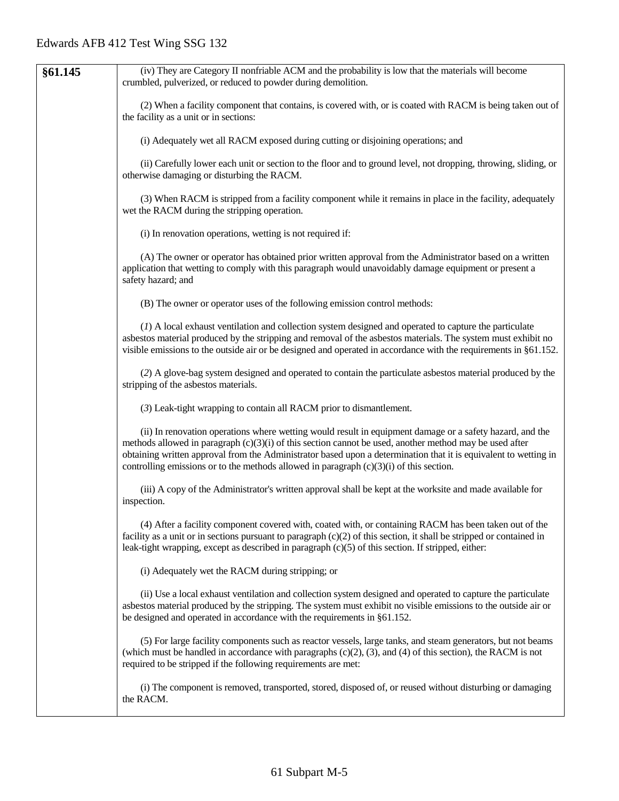| §61.145 | (iv) They are Category II nonfriable ACM and the probability is low that the materials will become<br>crumbled, pulverized, or reduced to powder during demolition.                                                                                                                                                                                                                                                                    |
|---------|----------------------------------------------------------------------------------------------------------------------------------------------------------------------------------------------------------------------------------------------------------------------------------------------------------------------------------------------------------------------------------------------------------------------------------------|
|         |                                                                                                                                                                                                                                                                                                                                                                                                                                        |
|         | (2) When a facility component that contains, is covered with, or is coated with RACM is being taken out of<br>the facility as a unit or in sections:                                                                                                                                                                                                                                                                                   |
|         | (i) Adequately wet all RACM exposed during cutting or disjoining operations; and                                                                                                                                                                                                                                                                                                                                                       |
|         | (ii) Carefully lower each unit or section to the floor and to ground level, not dropping, throwing, sliding, or<br>otherwise damaging or disturbing the RACM.                                                                                                                                                                                                                                                                          |
|         | (3) When RACM is stripped from a facility component while it remains in place in the facility, adequately<br>wet the RACM during the stripping operation.                                                                                                                                                                                                                                                                              |
|         | (i) In renovation operations, wetting is not required if:                                                                                                                                                                                                                                                                                                                                                                              |
|         | (A) The owner or operator has obtained prior written approval from the Administrator based on a written<br>application that wetting to comply with this paragraph would unavoidably damage equipment or present a<br>safety hazard; and                                                                                                                                                                                                |
|         | (B) The owner or operator uses of the following emission control methods:                                                                                                                                                                                                                                                                                                                                                              |
|         | (1) A local exhaust ventilation and collection system designed and operated to capture the particulate<br>asbestos material produced by the stripping and removal of the asbestos materials. The system must exhibit no<br>visible emissions to the outside air or be designed and operated in accordance with the requirements in §61.152.                                                                                            |
|         | (2) A glove-bag system designed and operated to contain the particulate asbestos material produced by the<br>stripping of the asbestos materials.                                                                                                                                                                                                                                                                                      |
|         | (3) Leak-tight wrapping to contain all RACM prior to dismantlement.                                                                                                                                                                                                                                                                                                                                                                    |
|         | (ii) In renovation operations where wetting would result in equipment damage or a safety hazard, and the<br>methods allowed in paragraph $(c)(3)(i)$ of this section cannot be used, another method may be used after<br>obtaining written approval from the Administrator based upon a determination that it is equivalent to wetting in<br>controlling emissions or to the methods allowed in paragraph $(c)(3)(i)$ of this section. |
|         | (iii) A copy of the Administrator's written approval shall be kept at the worksite and made available for<br>inspection.                                                                                                                                                                                                                                                                                                               |
|         | (4) After a facility component covered with, coated with, or containing RACM has been taken out of the<br>facility as a unit or in sections pursuant to paragraph $(c)(2)$ of this section, it shall be stripped or contained in<br>leak-tight wrapping, except as described in paragraph $(c)(5)$ of this section. If stripped, either:                                                                                               |
|         | (i) Adequately wet the RACM during stripping; or                                                                                                                                                                                                                                                                                                                                                                                       |
|         | (ii) Use a local exhaust ventilation and collection system designed and operated to capture the particulate<br>asbestos material produced by the stripping. The system must exhibit no visible emissions to the outside air or<br>be designed and operated in accordance with the requirements in §61.152.                                                                                                                             |
|         | (5) For large facility components such as reactor vessels, large tanks, and steam generators, but not beams<br>(which must be handled in accordance with paragraphs $(c)(2)$ , $(3)$ , and $(4)$ of this section), the RACM is not<br>required to be stripped if the following requirements are met:                                                                                                                                   |
|         | (i) The component is removed, transported, stored, disposed of, or reused without disturbing or damaging<br>the RACM.                                                                                                                                                                                                                                                                                                                  |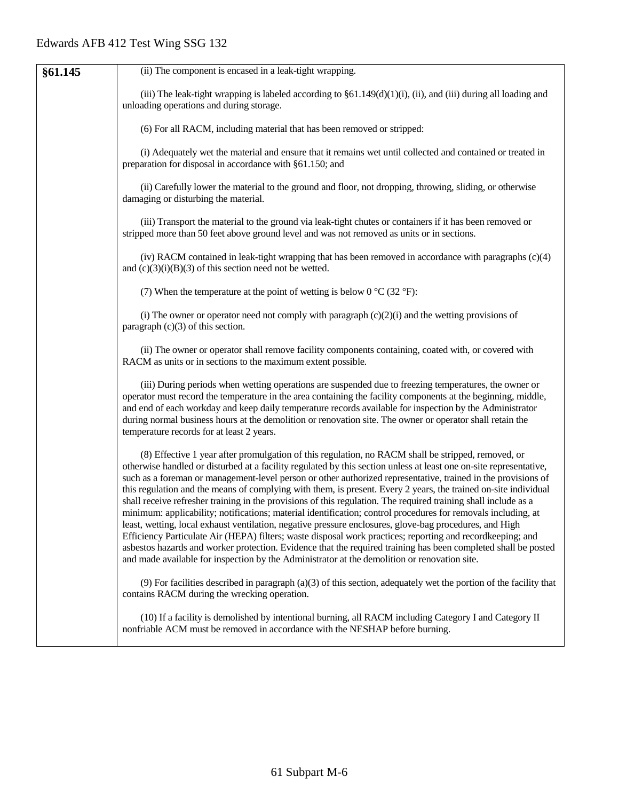| §61.145 | (ii) The component is encased in a leak-tight wrapping.                                                                                                                                                                                                                                                                                                                                                                                                                                                                                                                                                                                                                                                                                                                                                                                                                                                                                                                                                                                                                                                                                     |
|---------|---------------------------------------------------------------------------------------------------------------------------------------------------------------------------------------------------------------------------------------------------------------------------------------------------------------------------------------------------------------------------------------------------------------------------------------------------------------------------------------------------------------------------------------------------------------------------------------------------------------------------------------------------------------------------------------------------------------------------------------------------------------------------------------------------------------------------------------------------------------------------------------------------------------------------------------------------------------------------------------------------------------------------------------------------------------------------------------------------------------------------------------------|
|         | (iii) The leak-tight wrapping is labeled according to $\S61.149(d)(1)(i)$ , (ii), and (iii) during all loading and<br>unloading operations and during storage.                                                                                                                                                                                                                                                                                                                                                                                                                                                                                                                                                                                                                                                                                                                                                                                                                                                                                                                                                                              |
|         | (6) For all RACM, including material that has been removed or stripped:                                                                                                                                                                                                                                                                                                                                                                                                                                                                                                                                                                                                                                                                                                                                                                                                                                                                                                                                                                                                                                                                     |
|         | (i) Adequately wet the material and ensure that it remains wet until collected and contained or treated in<br>preparation for disposal in accordance with §61.150; and                                                                                                                                                                                                                                                                                                                                                                                                                                                                                                                                                                                                                                                                                                                                                                                                                                                                                                                                                                      |
|         | (ii) Carefully lower the material to the ground and floor, not dropping, throwing, sliding, or otherwise<br>damaging or disturbing the material.                                                                                                                                                                                                                                                                                                                                                                                                                                                                                                                                                                                                                                                                                                                                                                                                                                                                                                                                                                                            |
|         | (iii) Transport the material to the ground via leak-tight chutes or containers if it has been removed or<br>stripped more than 50 feet above ground level and was not removed as units or in sections.                                                                                                                                                                                                                                                                                                                                                                                                                                                                                                                                                                                                                                                                                                                                                                                                                                                                                                                                      |
|         | (iv) RACM contained in leak-tight wrapping that has been removed in accordance with paragraphs (c)(4)<br>and $(c)(3)(i)(B)(3)$ of this section need not be wetted.                                                                                                                                                                                                                                                                                                                                                                                                                                                                                                                                                                                                                                                                                                                                                                                                                                                                                                                                                                          |
|         | (7) When the temperature at the point of wetting is below $0^{\circ}C(32^{\circ}F)$ :                                                                                                                                                                                                                                                                                                                                                                                                                                                                                                                                                                                                                                                                                                                                                                                                                                                                                                                                                                                                                                                       |
|         | (i) The owner or operator need not comply with paragraph $(c)(2)(i)$ and the wetting provisions of<br>paragraph $(c)(3)$ of this section.                                                                                                                                                                                                                                                                                                                                                                                                                                                                                                                                                                                                                                                                                                                                                                                                                                                                                                                                                                                                   |
|         | (ii) The owner or operator shall remove facility components containing, coated with, or covered with<br>RACM as units or in sections to the maximum extent possible.                                                                                                                                                                                                                                                                                                                                                                                                                                                                                                                                                                                                                                                                                                                                                                                                                                                                                                                                                                        |
|         | (iii) During periods when wetting operations are suspended due to freezing temperatures, the owner or<br>operator must record the temperature in the area containing the facility components at the beginning, middle,<br>and end of each workday and keep daily temperature records available for inspection by the Administrator<br>during normal business hours at the demolition or renovation site. The owner or operator shall retain the<br>temperature records for at least 2 years.                                                                                                                                                                                                                                                                                                                                                                                                                                                                                                                                                                                                                                                |
|         | (8) Effective 1 year after promulgation of this regulation, no RACM shall be stripped, removed, or<br>otherwise handled or disturbed at a facility regulated by this section unless at least one on-site representative,<br>such as a foreman or management-level person or other authorized representative, trained in the provisions of<br>this regulation and the means of complying with them, is present. Every 2 years, the trained on-site individual<br>shall receive refresher training in the provisions of this regulation. The required training shall include as a<br>minimum: applicability; notifications; material identification; control procedures for removals including, at<br>least, wetting, local exhaust ventilation, negative pressure enclosures, glove-bag procedures, and High<br>Efficiency Particulate Air (HEPA) filters; waste disposal work practices; reporting and recordkeeping; and<br>asbestos hazards and worker protection. Evidence that the required training has been completed shall be posted<br>and made available for inspection by the Administrator at the demolition or renovation site. |
|         | $(9)$ For facilities described in paragraph $(a)(3)$ of this section, adequately wet the portion of the facility that<br>contains RACM during the wrecking operation.                                                                                                                                                                                                                                                                                                                                                                                                                                                                                                                                                                                                                                                                                                                                                                                                                                                                                                                                                                       |
|         | (10) If a facility is demolished by intentional burning, all RACM including Category I and Category II<br>nonfriable ACM must be removed in accordance with the NESHAP before burning.                                                                                                                                                                                                                                                                                                                                                                                                                                                                                                                                                                                                                                                                                                                                                                                                                                                                                                                                                      |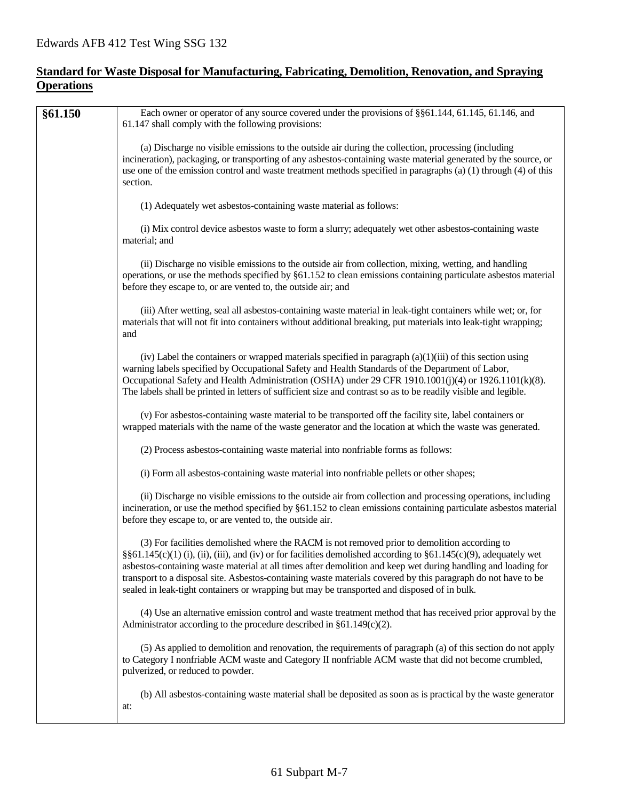### **Standard for Waste Disposal for Manufacturing, Fabricating, Demolition, Renovation, and Spraying Operations**

| §61.150 | Each owner or operator of any source covered under the provisions of §§61.144, 61.145, 61.146, and<br>61.147 shall comply with the following provisions:                                                                                                                                                                                                                                                                                                                                                                                           |
|---------|----------------------------------------------------------------------------------------------------------------------------------------------------------------------------------------------------------------------------------------------------------------------------------------------------------------------------------------------------------------------------------------------------------------------------------------------------------------------------------------------------------------------------------------------------|
|         | (a) Discharge no visible emissions to the outside air during the collection, processing (including<br>incineration), packaging, or transporting of any asbestos-containing waste material generated by the source, or<br>use one of the emission control and waste treatment methods specified in paragraphs $(a)$ (1) through $(4)$ of this<br>section.                                                                                                                                                                                           |
|         | (1) Adequately wet asbestos-containing waste material as follows:                                                                                                                                                                                                                                                                                                                                                                                                                                                                                  |
|         | (i) Mix control device asbestos waste to form a slurry; adequately wet other asbestos-containing waste<br>material; and                                                                                                                                                                                                                                                                                                                                                                                                                            |
|         | (ii) Discharge no visible emissions to the outside air from collection, mixing, wetting, and handling<br>operations, or use the methods specified by §61.152 to clean emissions containing particulate asbestos material<br>before they escape to, or are vented to, the outside air; and                                                                                                                                                                                                                                                          |
|         | (iii) After wetting, seal all asbestos-containing waste material in leak-tight containers while wet; or, for<br>materials that will not fit into containers without additional breaking, put materials into leak-tight wrapping;<br>and                                                                                                                                                                                                                                                                                                            |
|         | (iv) Label the containers or wrapped materials specified in paragraph $(a)(1)(iii)$ of this section using<br>warning labels specified by Occupational Safety and Health Standards of the Department of Labor,<br>Occupational Safety and Health Administration (OSHA) under 29 CFR 1910.1001(j)(4) or 1926.1101(k)(8).<br>The labels shall be printed in letters of sufficient size and contrast so as to be readily visible and legible.                                                                                                          |
|         | (v) For asbestos-containing waste material to be transported off the facility site, label containers or<br>wrapped materials with the name of the waste generator and the location at which the waste was generated.                                                                                                                                                                                                                                                                                                                               |
|         | (2) Process asbestos-containing waste material into nonfriable forms as follows:                                                                                                                                                                                                                                                                                                                                                                                                                                                                   |
|         | (i) Form all asbestos-containing waste material into nonfriable pellets or other shapes;                                                                                                                                                                                                                                                                                                                                                                                                                                                           |
|         | (ii) Discharge no visible emissions to the outside air from collection and processing operations, including<br>incineration, or use the method specified by §61.152 to clean emissions containing particulate asbestos material<br>before they escape to, or are vented to, the outside air.                                                                                                                                                                                                                                                       |
|         | (3) For facilities demolished where the RACM is not removed prior to demolition according to<br>§§61.145(c)(1) (i), (ii), (iii), and (iv) or for facilities demolished according to §61.145(c)(9), adequately wet<br>asbestos-containing waste material at all times after demolition and keep wet during handling and loading for<br>transport to a disposal site. Asbestos-containing waste materials covered by this paragraph do not have to be<br>sealed in leak-tight containers or wrapping but may be transported and disposed of in bulk. |
|         | (4) Use an alternative emission control and waste treatment method that has received prior approval by the<br>Administrator according to the procedure described in $\S61.149(c)(2)$ .                                                                                                                                                                                                                                                                                                                                                             |
|         | (5) As applied to demolition and renovation, the requirements of paragraph (a) of this section do not apply<br>to Category I nonfriable ACM waste and Category II nonfriable ACM waste that did not become crumbled,<br>pulverized, or reduced to powder.                                                                                                                                                                                                                                                                                          |
|         | (b) All asbestos-containing waste material shall be deposited as soon as is practical by the waste generator<br>at:                                                                                                                                                                                                                                                                                                                                                                                                                                |
|         |                                                                                                                                                                                                                                                                                                                                                                                                                                                                                                                                                    |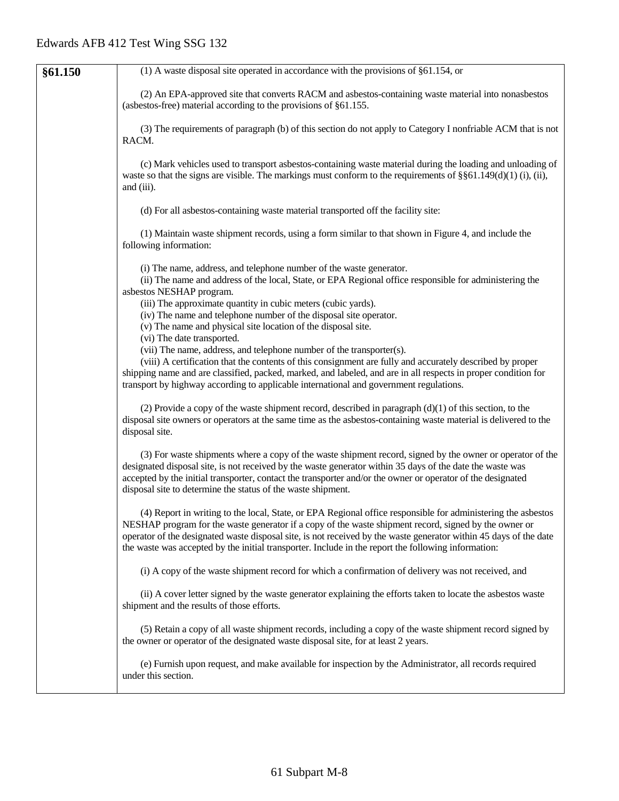| §61.150 | $(1)$ A waste disposal site operated in accordance with the provisions of §61.154, or                                                                                                                                                                                                                                                                                                                                                             |
|---------|---------------------------------------------------------------------------------------------------------------------------------------------------------------------------------------------------------------------------------------------------------------------------------------------------------------------------------------------------------------------------------------------------------------------------------------------------|
|         | (2) An EPA-approved site that converts RACM and asbestos-containing waste material into nonasbestos<br>(asbestos-free) material according to the provisions of $§61.155$ .                                                                                                                                                                                                                                                                        |
|         | (3) The requirements of paragraph (b) of this section do not apply to Category I nonfriable ACM that is not<br>RACM.                                                                                                                                                                                                                                                                                                                              |
|         | (c) Mark vehicles used to transport asbestos-containing waste material during the loading and unloading of<br>waste so that the signs are visible. The markings must conform to the requirements of $\S$ $61.149(d)(1)$ (i), (ii),<br>and (iii).                                                                                                                                                                                                  |
|         | (d) For all asbestos-containing waste material transported off the facility site:                                                                                                                                                                                                                                                                                                                                                                 |
|         | (1) Maintain waste shipment records, using a form similar to that shown in Figure 4, and include the<br>following information:                                                                                                                                                                                                                                                                                                                    |
|         | (i) The name, address, and telephone number of the waste generator.<br>(ii) The name and address of the local, State, or EPA Regional office responsible for administering the<br>asbestos NESHAP program.<br>(iii) The approximate quantity in cubic meters (cubic yards).                                                                                                                                                                       |
|         | (iv) The name and telephone number of the disposal site operator.<br>(v) The name and physical site location of the disposal site.                                                                                                                                                                                                                                                                                                                |
|         | (vi) The date transported.<br>(vii) The name, address, and telephone number of the transporter(s).                                                                                                                                                                                                                                                                                                                                                |
|         | (viii) A certification that the contents of this consignment are fully and accurately described by proper<br>shipping name and are classified, packed, marked, and labeled, and are in all respects in proper condition for<br>transport by highway according to applicable international and government regulations.                                                                                                                             |
|         | (2) Provide a copy of the waste shipment record, described in paragraph $(d)(1)$ of this section, to the<br>disposal site owners or operators at the same time as the asbestos-containing waste material is delivered to the<br>disposal site.                                                                                                                                                                                                    |
|         | (3) For waste shipments where a copy of the waste shipment record, signed by the owner or operator of the<br>designated disposal site, is not received by the waste generator within 35 days of the date the waste was<br>accepted by the initial transporter, contact the transporter and/or the owner or operator of the designated<br>disposal site to determine the status of the waste shipment.                                             |
|         | (4) Report in writing to the local, State, or EPA Regional office responsible for administering the asbestos<br>NESHAP program for the waste generator if a copy of the waste shipment record, signed by the owner or<br>operator of the designated waste disposal site, is not received by the waste generator within 45 days of the date<br>the waste was accepted by the initial transporter. Include in the report the following information: |
|         | (i) A copy of the waste shipment record for which a confirmation of delivery was not received, and                                                                                                                                                                                                                                                                                                                                                |
|         | (ii) A cover letter signed by the waste generator explaining the efforts taken to locate the asbestos waste<br>shipment and the results of those efforts.                                                                                                                                                                                                                                                                                         |
|         | (5) Retain a copy of all waste shipment records, including a copy of the waste shipment record signed by<br>the owner or operator of the designated waste disposal site, for at least 2 years.                                                                                                                                                                                                                                                    |
|         | (e) Furnish upon request, and make available for inspection by the Administrator, all records required<br>under this section.                                                                                                                                                                                                                                                                                                                     |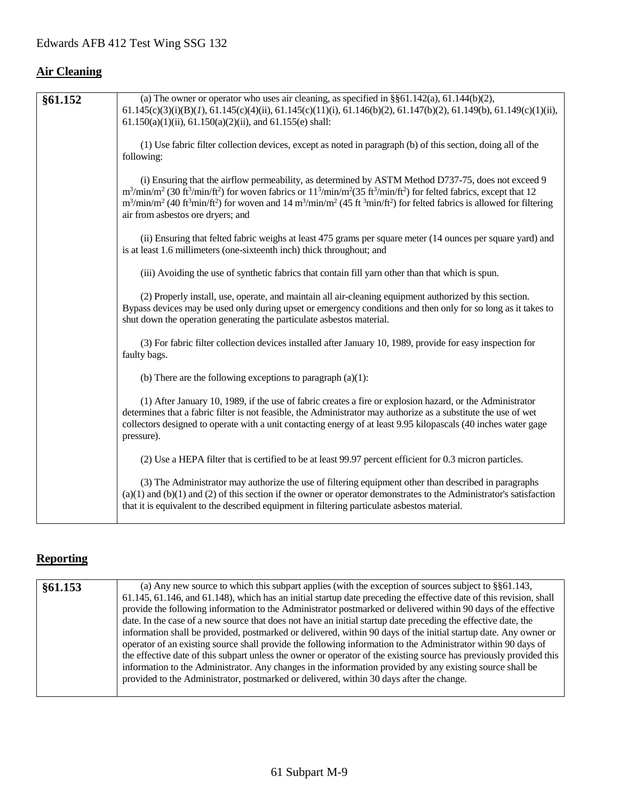# **Air Cleaning**

| §61.152 | (a) The owner or operator who uses air cleaning, as specified in $\S$ §61.142(a), 61.144(b)(2),                                                                                                                                                                                                                                                                                                                                                                                                                               |
|---------|-------------------------------------------------------------------------------------------------------------------------------------------------------------------------------------------------------------------------------------------------------------------------------------------------------------------------------------------------------------------------------------------------------------------------------------------------------------------------------------------------------------------------------|
|         | $61.145(c)(3)(i)(B)(I), 61.145(c)(4)(ii), 61.145(c)(11)(i), 61.146(b)(2), 61.147(b)(2), 61.149(b), 61.149(c)(1)(ii),$<br>$61.150(a)(1)(ii)$ , $61.150(a)(2)(ii)$ , and $61.155(e)$ shall:                                                                                                                                                                                                                                                                                                                                     |
|         | (1) Use fabric filter collection devices, except as noted in paragraph (b) of this section, doing all of the<br>following:                                                                                                                                                                                                                                                                                                                                                                                                    |
|         | (i) Ensuring that the airflow permeability, as determined by ASTM Method D737-75, does not exceed 9<br>$m^3/\min/m^2$ (30 ft <sup>3</sup> /min/ft <sup>2</sup> ) for woven fabrics or $11^3/\min/m^2$ (35 ft <sup>3</sup> /min/ft <sup>2</sup> ) for felted fabrics, except that 12<br>$m^3/min/m^2$ (40 ft <sup>3</sup> min/ft <sup>2</sup> ) for woven and 14 m <sup>3</sup> /min/m <sup>2</sup> (45 ft <sup>3</sup> min/ft <sup>2</sup> ) for felted fabrics is allowed for filtering<br>air from asbestos ore dryers; and |
|         | (ii) Ensuring that felted fabric weighs at least 475 grams per square meter (14 ounces per square yard) and<br>is at least 1.6 millimeters (one-sixteenth inch) thick throughout; and                                                                                                                                                                                                                                                                                                                                         |
|         | (iii) Avoiding the use of synthetic fabrics that contain fill yarn other than that which is spun.                                                                                                                                                                                                                                                                                                                                                                                                                             |
|         | (2) Properly install, use, operate, and maintain all air-cleaning equipment authorized by this section.<br>Bypass devices may be used only during upset or emergency conditions and then only for so long as it takes to<br>shut down the operation generating the particulate asbestos material.                                                                                                                                                                                                                             |
|         | (3) For fabric filter collection devices installed after January 10, 1989, provide for easy inspection for<br>faulty bags.                                                                                                                                                                                                                                                                                                                                                                                                    |
|         | (b) There are the following exceptions to paragraph $(a)(1)$ :                                                                                                                                                                                                                                                                                                                                                                                                                                                                |
|         | (1) After January 10, 1989, if the use of fabric creates a fire or explosion hazard, or the Administrator<br>determines that a fabric filter is not feasible, the Administrator may authorize as a substitute the use of wet<br>collectors designed to operate with a unit contacting energy of at least 9.95 kilopascals (40 inches water gage<br>pressure).                                                                                                                                                                 |
|         | (2) Use a HEPA filter that is certified to be at least 99.97 percent efficient for 0.3 micron particles.                                                                                                                                                                                                                                                                                                                                                                                                                      |
|         | (3) The Administrator may authorize the use of filtering equipment other than described in paragraphs<br>$(a)(1)$ and $(b)(1)$ and $(2)$ of this section if the owner or operator demonstrates to the Administrator's satisfaction<br>that it is equivalent to the described equipment in filtering particulate asbestos material.                                                                                                                                                                                            |

# **Reporting**

| §61.153 | (a) Any new source to which this subpart applies (with the exception of sources subject to $\S$ §61.143,            |
|---------|---------------------------------------------------------------------------------------------------------------------|
|         | 61.145, 61.146, and 61.148), which has an initial startup date preceding the effective date of this revision, shall |
|         | provide the following information to the Administrator postmarked or delivered within 90 days of the effective      |
|         | date. In the case of a new source that does not have an initial startup date preceding the effective date, the      |
|         | information shall be provided, postmarked or delivered, within 90 days of the initial startup date. Any owner or    |
|         | operator of an existing source shall provide the following information to the Administrator within 90 days of       |
|         | the effective date of this subpart unless the owner or operator of the existing source has previously provided this |
|         | information to the Administrator. Any changes in the information provided by any existing source shall be           |
|         | provided to the Administrator, postmarked or delivered, within 30 days after the change.                            |
|         |                                                                                                                     |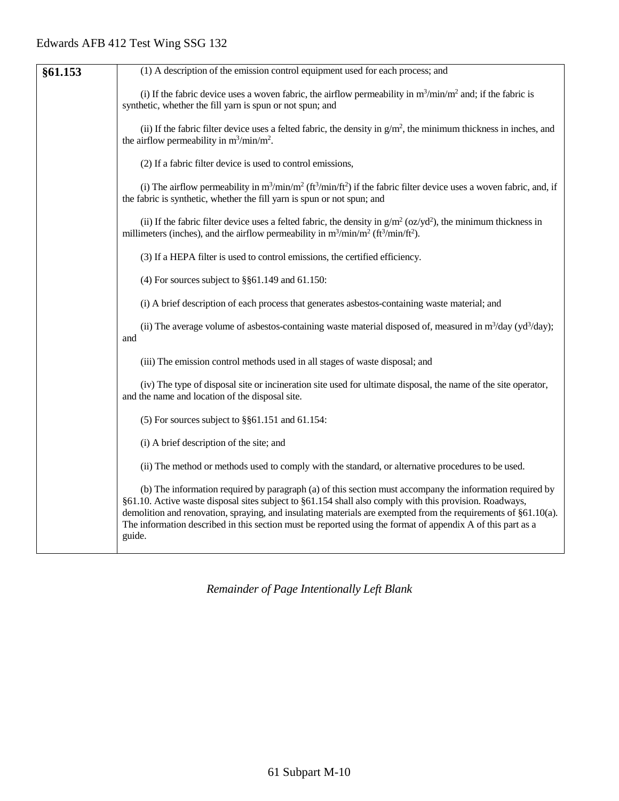| (i) If the fabric device uses a woven fabric, the airflow permeability in $m^3/\text{min}/m^2$ and; if the fabric is<br>synthetic, whether the fill yarn is spun or not spun; and                                                                                                                                                                                                                                                                              |
|----------------------------------------------------------------------------------------------------------------------------------------------------------------------------------------------------------------------------------------------------------------------------------------------------------------------------------------------------------------------------------------------------------------------------------------------------------------|
| (ii) If the fabric filter device uses a felted fabric, the density in $g/m^2$ , the minimum thickness in inches, and<br>the airflow permeability in $m^3/\text{min}/m^2$ .                                                                                                                                                                                                                                                                                     |
| (2) If a fabric filter device is used to control emissions,                                                                                                                                                                                                                                                                                                                                                                                                    |
| (i) The airflow permeability in $m^3/min/m^2$ ( $ft^3/min/ft^2$ ) if the fabric filter device uses a woven fabric, and, if<br>the fabric is synthetic, whether the fill yarn is spun or not spun; and                                                                                                                                                                                                                                                          |
| (ii) If the fabric filter device uses a felted fabric, the density in $g/m^2$ (oz/yd <sup>2</sup> ), the minimum thickness in<br>millimeters (inches), and the airflow permeability in $m^3/\text{min}/m^2$ (ft <sup>3</sup> /min/ft <sup>2</sup> ).                                                                                                                                                                                                           |
| (3) If a HEPA filter is used to control emissions, the certified efficiency.                                                                                                                                                                                                                                                                                                                                                                                   |
| (4) For sources subject to $\S$ §61.149 and 61.150:                                                                                                                                                                                                                                                                                                                                                                                                            |
| (i) A brief description of each process that generates asbestos-containing waste material; and                                                                                                                                                                                                                                                                                                                                                                 |
| (ii) The average volume of asbestos-containing waste material disposed of, measured in $m^3$ /day (yd <sup>3</sup> /day);<br>and                                                                                                                                                                                                                                                                                                                               |
| (iii) The emission control methods used in all stages of waste disposal; and                                                                                                                                                                                                                                                                                                                                                                                   |
| (iv) The type of disposal site or incineration site used for ultimate disposal, the name of the site operator,<br>and the name and location of the disposal site.                                                                                                                                                                                                                                                                                              |
| (5) For sources subject to $\S$ §61.151 and 61.154:                                                                                                                                                                                                                                                                                                                                                                                                            |
| (i) A brief description of the site; and                                                                                                                                                                                                                                                                                                                                                                                                                       |
| (ii) The method or methods used to comply with the standard, or alternative procedures to be used.                                                                                                                                                                                                                                                                                                                                                             |
| (b) The information required by paragraph (a) of this section must accompany the information required by<br>§61.10. Active waste disposal sites subject to §61.154 shall also comply with this provision. Roadways,<br>demolition and renovation, spraying, and insulating materials are exempted from the requirements of §61.10(a).<br>The information described in this section must be reported using the format of appendix A of this part as a<br>guide. |

*Remainder of Page Intentionally Left Blank*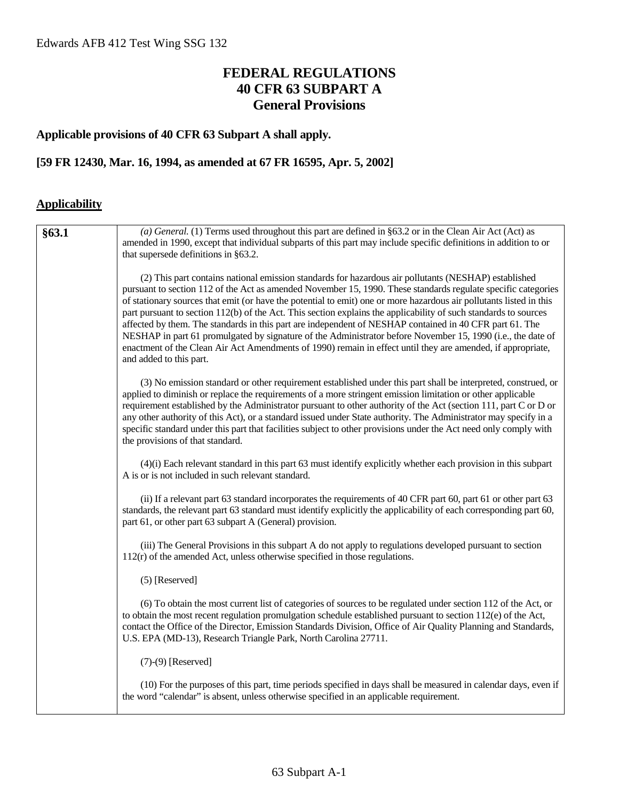### **FEDERAL REGULATIONS 40 CFR 63 SUBPART A General Provisions**

### **Applicable provisions of 40 CFR 63 Subpart A shall apply.**

### **[59 FR 12430, Mar. 16, 1994, as amended at 67 FR 16595, Apr. 5, 2002]**

### **Applicability**

| §63.1 | (a) General. (1) Terms used throughout this part are defined in §63.2 or in the Clean Air Act (Act) as<br>amended in 1990, except that individual subparts of this part may include specific definitions in addition to or<br>that supersede definitions in §63.2.                                                                                                                                                                                                                                                                                                                                                                                                                                                                                                                                                                   |
|-------|--------------------------------------------------------------------------------------------------------------------------------------------------------------------------------------------------------------------------------------------------------------------------------------------------------------------------------------------------------------------------------------------------------------------------------------------------------------------------------------------------------------------------------------------------------------------------------------------------------------------------------------------------------------------------------------------------------------------------------------------------------------------------------------------------------------------------------------|
|       | (2) This part contains national emission standards for hazardous air pollutants (NESHAP) established<br>pursuant to section 112 of the Act as amended November 15, 1990. These standards regulate specific categories<br>of stationary sources that emit (or have the potential to emit) one or more hazardous air pollutants listed in this<br>part pursuant to section 112(b) of the Act. This section explains the applicability of such standards to sources<br>affected by them. The standards in this part are independent of NESHAP contained in 40 CFR part 61. The<br>NESHAP in part 61 promulgated by signature of the Administrator before November 15, 1990 (i.e., the date of<br>enactment of the Clean Air Act Amendments of 1990) remain in effect until they are amended, if appropriate,<br>and added to this part. |
|       | (3) No emission standard or other requirement established under this part shall be interpreted, construed, or<br>applied to diminish or replace the requirements of a more stringent emission limitation or other applicable<br>requirement established by the Administrator pursuant to other authority of the Act (section 111, part C or D or<br>any other authority of this Act), or a standard issued under State authority. The Administrator may specify in a<br>specific standard under this part that facilities subject to other provisions under the Act need only comply with<br>the provisions of that standard.                                                                                                                                                                                                        |
|       | (4)(i) Each relevant standard in this part 63 must identify explicitly whether each provision in this subpart<br>A is or is not included in such relevant standard.                                                                                                                                                                                                                                                                                                                                                                                                                                                                                                                                                                                                                                                                  |
|       | (ii) If a relevant part 63 standard incorporates the requirements of 40 CFR part 60, part 61 or other part 63<br>standards, the relevant part 63 standard must identify explicitly the applicability of each corresponding part 60,<br>part 61, or other part 63 subpart A (General) provision.                                                                                                                                                                                                                                                                                                                                                                                                                                                                                                                                      |
|       | (iii) The General Provisions in this subpart A do not apply to regulations developed pursuant to section<br>$112(r)$ of the amended Act, unless otherwise specified in those regulations.                                                                                                                                                                                                                                                                                                                                                                                                                                                                                                                                                                                                                                            |
|       | $(5)$ [Reserved]                                                                                                                                                                                                                                                                                                                                                                                                                                                                                                                                                                                                                                                                                                                                                                                                                     |
|       | (6) To obtain the most current list of categories of sources to be regulated under section 112 of the Act, or<br>to obtain the most recent regulation promulgation schedule established pursuant to section $112(e)$ of the Act,<br>contact the Office of the Director, Emission Standards Division, Office of Air Quality Planning and Standards,<br>U.S. EPA (MD-13), Research Triangle Park, North Carolina 27711.                                                                                                                                                                                                                                                                                                                                                                                                                |
|       | $(7)-(9)$ [Reserved]                                                                                                                                                                                                                                                                                                                                                                                                                                                                                                                                                                                                                                                                                                                                                                                                                 |
|       | (10) For the purposes of this part, time periods specified in days shall be measured in calendar days, even if<br>the word "calendar" is absent, unless otherwise specified in an applicable requirement.                                                                                                                                                                                                                                                                                                                                                                                                                                                                                                                                                                                                                            |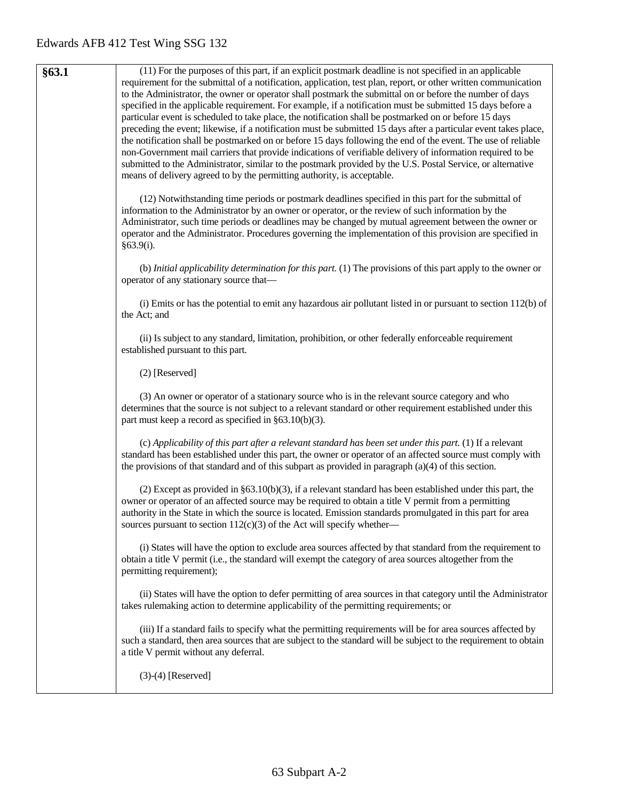**§63.1** (11) For the purposes of this part, if an explicit postmark deadline is not specified in an applicable requirement for the submittal of a notification, application, test plan, report, or other written communication to the Administrator, the owner or operator shall postmark the submittal on or before the number of days specified in the applicable requirement. For example, if a notification must be submitted 15 days before a particular event is scheduled to take place, the notification shall be postmarked on or before 15 days preceding the event; likewise, if a notification must be submitted 15 days after a particular event takes place, the notification shall be postmarked on or before 15 days following the end of the event. The use of reliable non-Government mail carriers that provide indications of verifiable delivery of information required to be submitted to the Administrator, similar to the postmark provided by the U.S. Postal Service, or alternative means of delivery agreed to by the permitting authority, is acceptable. (12) Notwithstanding time periods or postmark deadlines specified in this part for the submittal of information to the Administrator by an owner or operator, or the review of such information by the Administrator, such time periods or deadlines may be changed by mutual agreement between the owner or operator and the Administrator. Procedures governing the implementation of this provision are specified in §63.9(i). (b) *Initial applicability determination for this part.* (1) The provisions of this part apply to the owner or operator of any stationary source that— (i) Emits or has the potential to emit any hazardous air pollutant listed in or pursuant to section 112(b) of the Act; and (ii) Is subject to any standard, limitation, prohibition, or other federally enforceable requirement established pursuant to this part. (2) [Reserved] (3) An owner or operator of a stationary source who is in the relevant source category and who determines that the source is not subject to a relevant standard or other requirement established under this part must keep a record as specified in §63.10(b)(3). (c) *Applicability of this part after a relevant standard has been set under this part.* (1) If a relevant standard has been established under this part, the owner or operator of an affected source must comply with the provisions of that standard and of this subpart as provided in paragraph (a)(4) of this section. (2) Except as provided in §63.10(b)(3), if a relevant standard has been established under this part, the owner or operator of an affected source may be required to obtain a title V permit from a permitting authority in the State in which the source is located. Emission standards promulgated in this part for area sources pursuant to section  $112(c)(3)$  of the Act will specify whether— (i) States will have the option to exclude area sources affected by that standard from the requirement to obtain a title V permit (i.e., the standard will exempt the category of area sources altogether from the permitting requirement); (ii) States will have the option to defer permitting of area sources in that category until the Administrator takes rulemaking action to determine applicability of the permitting requirements; or (iii) If a standard fails to specify what the permitting requirements will be for area sources affected by such a standard, then area sources that are subject to the standard will be subject to the requirement to obtain a title V permit without any deferral. (3)-(4) [Reserved]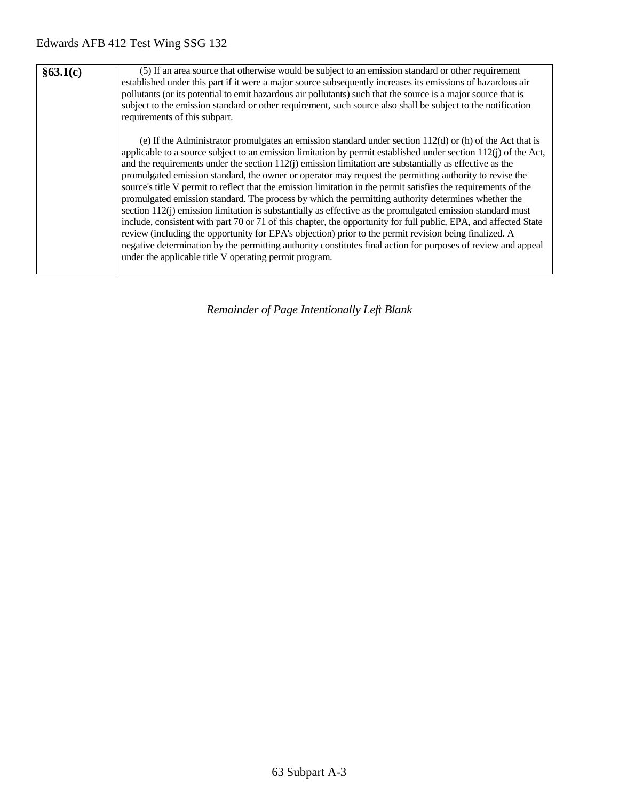| §63.1(c) | (5) If an area source that otherwise would be subject to an emission standard or other requirement<br>established under this part if it were a major source subsequently increases its emissions of hazardous air<br>pollutants (or its potential to emit hazardous air pollutants) such that the source is a major source that is<br>subject to the emission standard or other requirement, such source also shall be subject to the notification<br>requirements of this subpart.                                                                                                                                                                                                                                                                                                                                                                                                                                                                                                                                                                                                                                                                                                                        |
|----------|------------------------------------------------------------------------------------------------------------------------------------------------------------------------------------------------------------------------------------------------------------------------------------------------------------------------------------------------------------------------------------------------------------------------------------------------------------------------------------------------------------------------------------------------------------------------------------------------------------------------------------------------------------------------------------------------------------------------------------------------------------------------------------------------------------------------------------------------------------------------------------------------------------------------------------------------------------------------------------------------------------------------------------------------------------------------------------------------------------------------------------------------------------------------------------------------------------|
|          | (e) If the Administrator promulgates an emission standard under section $112(d)$ or (h) of the Act that is<br>applicable to a source subject to an emission limitation by permit established under section $112(i)$ of the Act,<br>and the requirements under the section $112(i)$ emission limitation are substantially as effective as the<br>promulgated emission standard, the owner or operator may request the permitting authority to revise the<br>source's title V permit to reflect that the emission limitation in the permit satisfies the requirements of the<br>promulgated emission standard. The process by which the permitting authority determines whether the<br>section $112(i)$ emission limitation is substantially as effective as the promulgated emission standard must<br>include, consistent with part 70 or 71 of this chapter, the opportunity for full public, EPA, and affected State<br>review (including the opportunity for EPA's objection) prior to the permit revision being finalized. A<br>negative determination by the permitting authority constitutes final action for purposes of review and appeal<br>under the applicable title V operating permit program. |

*Remainder of Page Intentionally Left Blank*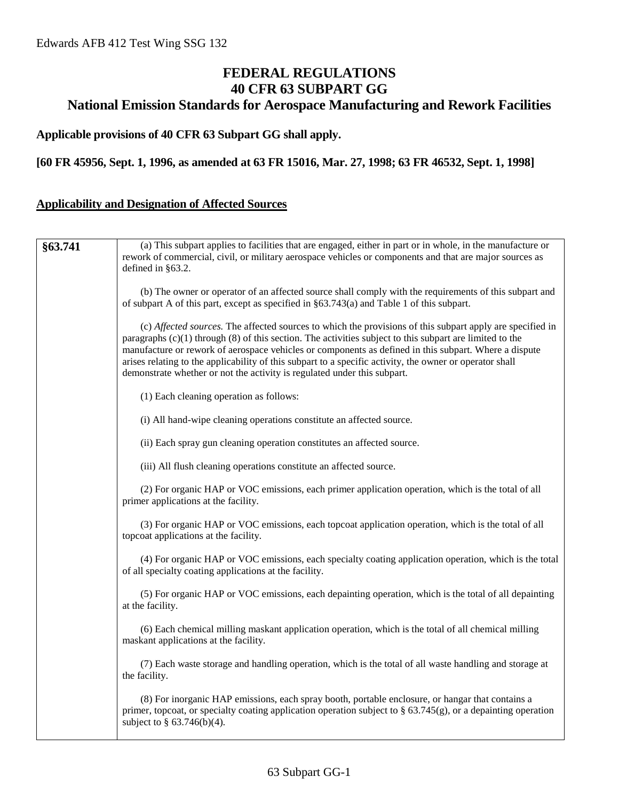### **FEDERAL REGULATIONS 40 CFR 63 SUBPART GG National Emission Standards for Aerospace Manufacturing and Rework Facilities**

### **Applicable provisions of 40 CFR 63 Subpart GG shall apply.**

### **[60 FR 45956, Sept. 1, 1996, as amended at 63 FR 15016, Mar. 27, 1998; 63 FR 46532, Sept. 1, 1998]**

### **Applicability and Designation of Affected Sources**

| §63.741 | (a) This subpart applies to facilities that are engaged, either in part or in whole, in the manufacture or<br>rework of commercial, civil, or military aerospace vehicles or components and that are major sources as<br>defined in $§63.2$ .                                                                                                                                                                                                                                                                              |
|---------|----------------------------------------------------------------------------------------------------------------------------------------------------------------------------------------------------------------------------------------------------------------------------------------------------------------------------------------------------------------------------------------------------------------------------------------------------------------------------------------------------------------------------|
|         | (b) The owner or operator of an affected source shall comply with the requirements of this subpart and<br>of subpart A of this part, except as specified in §63.743(a) and Table 1 of this subpart.                                                                                                                                                                                                                                                                                                                        |
|         | (c) Affected sources. The affected sources to which the provisions of this subpart apply are specified in<br>paragraphs $(c)(1)$ through $(8)$ of this section. The activities subject to this subpart are limited to the<br>manufacture or rework of aerospace vehicles or components as defined in this subpart. Where a dispute<br>arises relating to the applicability of this subpart to a specific activity, the owner or operator shall<br>demonstrate whether or not the activity is regulated under this subpart. |
|         | (1) Each cleaning operation as follows:                                                                                                                                                                                                                                                                                                                                                                                                                                                                                    |
|         | (i) All hand-wipe cleaning operations constitute an affected source.                                                                                                                                                                                                                                                                                                                                                                                                                                                       |
|         | (ii) Each spray gun cleaning operation constitutes an affected source.                                                                                                                                                                                                                                                                                                                                                                                                                                                     |
|         | (iii) All flush cleaning operations constitute an affected source.                                                                                                                                                                                                                                                                                                                                                                                                                                                         |
|         | (2) For organic HAP or VOC emissions, each primer application operation, which is the total of all<br>primer applications at the facility.                                                                                                                                                                                                                                                                                                                                                                                 |
|         | (3) For organic HAP or VOC emissions, each topcoat application operation, which is the total of all<br>topcoat applications at the facility.                                                                                                                                                                                                                                                                                                                                                                               |
|         | (4) For organic HAP or VOC emissions, each specialty coating application operation, which is the total<br>of all specialty coating applications at the facility.                                                                                                                                                                                                                                                                                                                                                           |
|         | (5) For organic HAP or VOC emissions, each depainting operation, which is the total of all depainting<br>at the facility.                                                                                                                                                                                                                                                                                                                                                                                                  |
|         | (6) Each chemical milling maskant application operation, which is the total of all chemical milling<br>maskant applications at the facility.                                                                                                                                                                                                                                                                                                                                                                               |
|         | (7) Each waste storage and handling operation, which is the total of all waste handling and storage at<br>the facility.                                                                                                                                                                                                                                                                                                                                                                                                    |
|         | (8) For inorganic HAP emissions, each spray booth, portable enclosure, or hangar that contains a<br>primer, topcoat, or specialty coating application operation subject to $\S$ 63.745(g), or a depainting operation<br>subject to $\S$ 63.746(b)(4).                                                                                                                                                                                                                                                                      |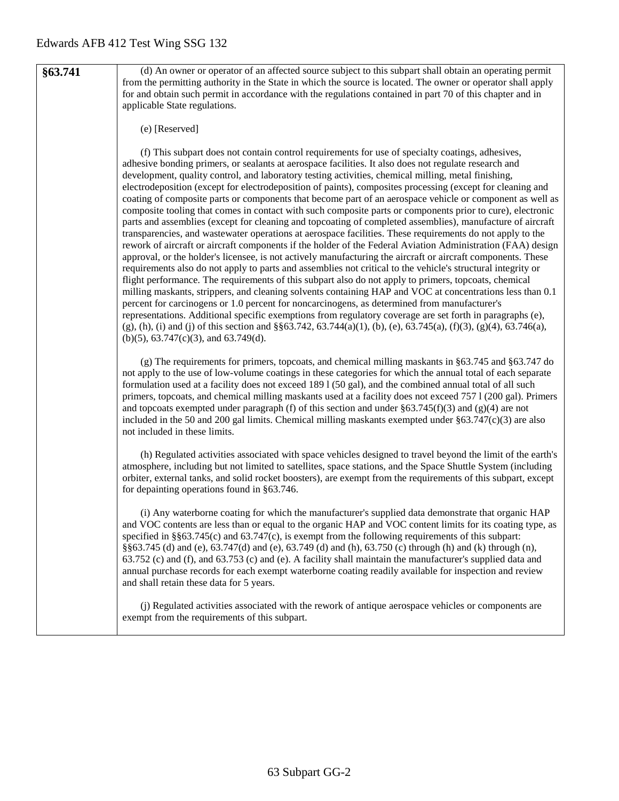**§63.741** (d) An owner or operator of an affected source subject to this subpart shall obtain an operating permit from the permitting authority in the State in which the source is located. The owner or operator shall apply for and obtain such permit in accordance with the regulations contained in part 70 of this chapter and in applicable State regulations.

#### (e) [Reserved]

(f) This subpart does not contain control requirements for use of specialty coatings, adhesives, adhesive bonding primers, or sealants at aerospace facilities. It also does not regulate research and development, quality control, and laboratory testing activities, chemical milling, metal finishing, electrodeposition (except for electrodeposition of paints), composites processing (except for cleaning and coating of composite parts or components that become part of an aerospace vehicle or component as well as composite tooling that comes in contact with such composite parts or components prior to cure), electronic parts and assemblies (except for cleaning and topcoating of completed assemblies), manufacture of aircraft transparencies, and wastewater operations at aerospace facilities. These requirements do not apply to the rework of aircraft or aircraft components if the holder of the Federal Aviation Administration (FAA) design approval, or the holder's licensee, is not actively manufacturing the aircraft or aircraft components. These requirements also do not apply to parts and assemblies not critical to the vehicle's structural integrity or flight performance. The requirements of this subpart also do not apply to primers, topcoats, chemical milling maskants, strippers, and cleaning solvents containing HAP and VOC at concentrations less than 0.1 percent for carcinogens or 1.0 percent for noncarcinogens, as determined from manufacturer's representations. Additional specific exemptions from regulatory coverage are set forth in paragraphs (e),  $(g)$ , (h), (i) and (j) of this section and §§63.742, 63.744(a)(1), (b), (e), 63.745(a), (f)(3), (g)(4), 63.746(a), (b)(5), 63.747(c)(3), and 63.749(d).

(g) The requirements for primers, topcoats, and chemical milling maskants in §63.745 and §63.747 do not apply to the use of low-volume coatings in these categories for which the annual total of each separate formulation used at a facility does not exceed 189 l (50 gal), and the combined annual total of all such primers, topcoats, and chemical milling maskants used at a facility does not exceed 757 l (200 gal). Primers and topcoats exempted under paragraph (f) of this section and under  $\S 63.745(f)(3)$  and (g)(4) are not included in the 50 and 200 gal limits. Chemical milling maskants exempted under  $\S63.747(c)(3)$  are also not included in these limits.

(h) Regulated activities associated with space vehicles designed to travel beyond the limit of the earth's atmosphere, including but not limited to satellites, space stations, and the Space Shuttle System (including orbiter, external tanks, and solid rocket boosters), are exempt from the requirements of this subpart, except for depainting operations found in §63.746.

(i) Any waterborne coating for which the manufacturer's supplied data demonstrate that organic HAP and VOC contents are less than or equal to the organic HAP and VOC content limits for its coating type, as specified in §§63.745(c) and 63.747(c), is exempt from the following requirements of this subpart: §§63.745 (d) and (e), 63.747(d) and (e), 63.749 (d) and (h), 63.750 (c) through (h) and (k) through (n), 63.752 (c) and (f), and 63.753 (c) and (e). A facility shall maintain the manufacturer's supplied data and annual purchase records for each exempt waterborne coating readily available for inspection and review and shall retain these data for 5 years.

(j) Regulated activities associated with the rework of antique aerospace vehicles or components are exempt from the requirements of this subpart.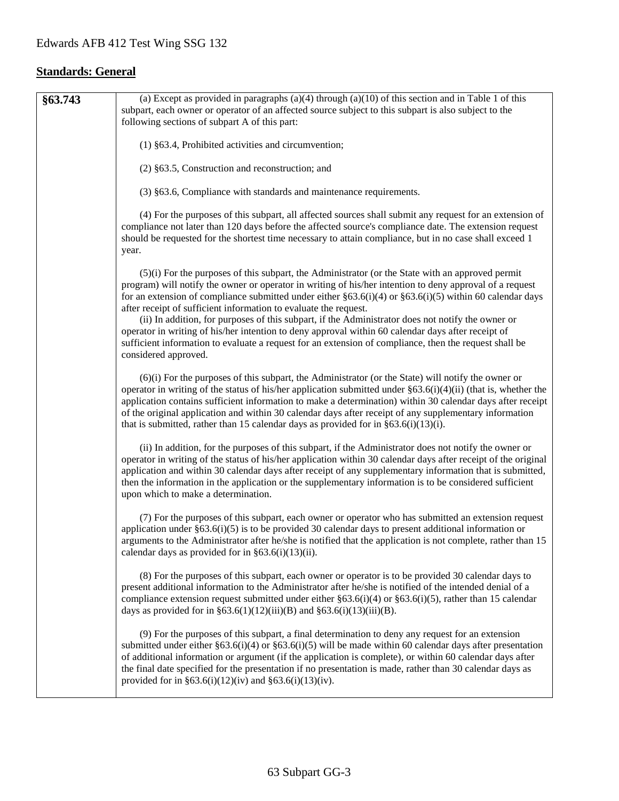### **Standards: General**

| §63.743 | (a) Except as provided in paragraphs (a)(4) through (a)(10) of this section and in Table 1 of this<br>subpart, each owner or operator of an affected source subject to this subpart is also subject to the                                                                                                                                                                                                                                                                                                                                                                                                                                                                                                                                          |
|---------|-----------------------------------------------------------------------------------------------------------------------------------------------------------------------------------------------------------------------------------------------------------------------------------------------------------------------------------------------------------------------------------------------------------------------------------------------------------------------------------------------------------------------------------------------------------------------------------------------------------------------------------------------------------------------------------------------------------------------------------------------------|
|         | following sections of subpart A of this part:                                                                                                                                                                                                                                                                                                                                                                                                                                                                                                                                                                                                                                                                                                       |
|         | (1) §63.4, Prohibited activities and circumvention;                                                                                                                                                                                                                                                                                                                                                                                                                                                                                                                                                                                                                                                                                                 |
|         | $(2)$ §63.5, Construction and reconstruction; and                                                                                                                                                                                                                                                                                                                                                                                                                                                                                                                                                                                                                                                                                                   |
|         | (3) §63.6, Compliance with standards and maintenance requirements.                                                                                                                                                                                                                                                                                                                                                                                                                                                                                                                                                                                                                                                                                  |
|         | (4) For the purposes of this subpart, all affected sources shall submit any request for an extension of<br>compliance not later than 120 days before the affected source's compliance date. The extension request<br>should be requested for the shortest time necessary to attain compliance, but in no case shall exceed 1<br>year.                                                                                                                                                                                                                                                                                                                                                                                                               |
|         | $(5)(i)$ For the purposes of this subpart, the Administrator (or the State with an approved permit<br>program) will notify the owner or operator in writing of his/her intention to deny approval of a request<br>for an extension of compliance submitted under either $\S 63.6(i)(4)$ or $\S 63.6(i)(5)$ within 60 calendar days<br>after receipt of sufficient information to evaluate the request.<br>(ii) In addition, for purposes of this subpart, if the Administrator does not notify the owner or<br>operator in writing of his/her intention to deny approval within 60 calendar days after receipt of<br>sufficient information to evaluate a request for an extension of compliance, then the request shall be<br>considered approved. |
|         | (6)(i) For the purposes of this subpart, the Administrator (or the State) will notify the owner or<br>operator in writing of the status of his/her application submitted under $\S 63.6(i)(4)(ii)$ (that is, whether the<br>application contains sufficient information to make a determination) within 30 calendar days after receipt<br>of the original application and within 30 calendar days after receipt of any supplementary information<br>that is submitted, rather than 15 calendar days as provided for in $\S 63.6(i)(13)(i)$ .                                                                                                                                                                                                        |
|         | (ii) In addition, for the purposes of this subpart, if the Administrator does not notify the owner or<br>operator in writing of the status of his/her application within 30 calendar days after receipt of the original<br>application and within 30 calendar days after receipt of any supplementary information that is submitted,<br>then the information in the application or the supplementary information is to be considered sufficient<br>upon which to make a determination.                                                                                                                                                                                                                                                              |
|         | (7) For the purposes of this subpart, each owner or operator who has submitted an extension request<br>application under $\S 63.6(i)(5)$ is to be provided 30 calendar days to present additional information or<br>arguments to the Administrator after he/she is notified that the application is not complete, rather than 15<br>calendar days as provided for in $\S 63.6(i)(13)(ii)$ .                                                                                                                                                                                                                                                                                                                                                         |
|         | (8) For the purposes of this subpart, each owner or operator is to be provided 30 calendar days to<br>present additional information to the Administrator after he/she is notified of the intended denial of a<br>compliance extension request submitted under either $\S 63.6(i)(4)$ or $\S 63.6(i)(5)$ , rather than 15 calendar<br>days as provided for in $\S 63.6(1)(12)(iii)(B)$ and $\S 63.6(i)(13)(iii)(B)$ .                                                                                                                                                                                                                                                                                                                               |
|         | (9) For the purposes of this subpart, a final determination to deny any request for an extension<br>submitted under either $\S 63.6(i)(4)$ or $\S 63.6(i)(5)$ will be made within 60 calendar days after presentation<br>of additional information or argument (if the application is complete), or within 60 calendar days after<br>the final date specified for the presentation if no presentation is made, rather than 30 calendar days as<br>provided for in §63.6(i)(12)(iv) and §63.6(i)(13)(iv).                                                                                                                                                                                                                                            |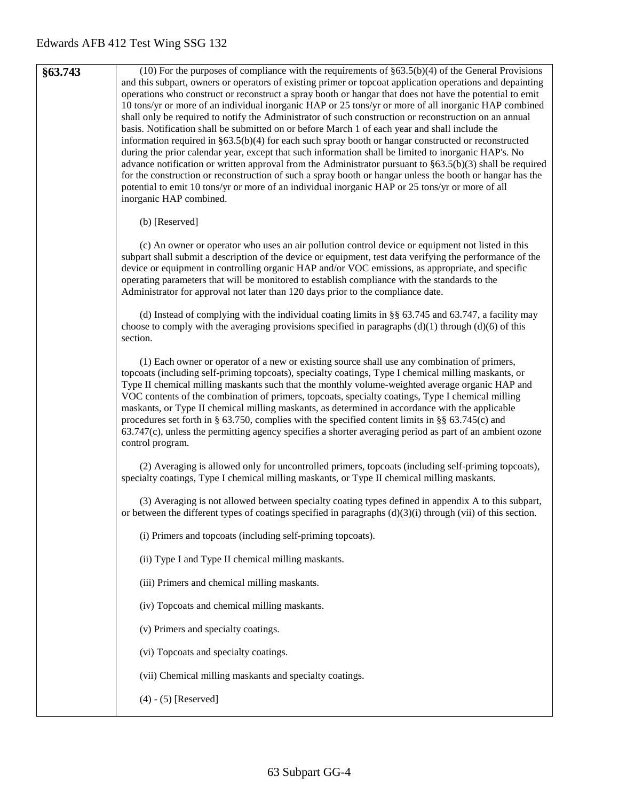| §63.743 | (10) For the purposes of compliance with the requirements of $\S 63.5(b)(4)$ of the General Provisions<br>and this subpart, owners or operators of existing primer or topcoat application operations and depainting<br>operations who construct or reconstruct a spray booth or hangar that does not have the potential to emit<br>10 tons/yr or more of an individual inorganic HAP or 25 tons/yr or more of all inorganic HAP combined<br>shall only be required to notify the Administrator of such construction or reconstruction on an annual<br>basis. Notification shall be submitted on or before March 1 of each year and shall include the<br>information required in $\S 63.5(b)(4)$ for each such spray booth or hangar constructed or reconstructed<br>during the prior calendar year, except that such information shall be limited to inorganic HAP's. No<br>advance notification or written approval from the Administrator pursuant to $\S 63.5(b)(3)$ shall be required<br>for the construction or reconstruction of such a spray booth or hangar unless the booth or hangar has the<br>potential to emit 10 tons/yr or more of an individual inorganic HAP or 25 tons/yr or more of all<br>inorganic HAP combined. |
|---------|---------------------------------------------------------------------------------------------------------------------------------------------------------------------------------------------------------------------------------------------------------------------------------------------------------------------------------------------------------------------------------------------------------------------------------------------------------------------------------------------------------------------------------------------------------------------------------------------------------------------------------------------------------------------------------------------------------------------------------------------------------------------------------------------------------------------------------------------------------------------------------------------------------------------------------------------------------------------------------------------------------------------------------------------------------------------------------------------------------------------------------------------------------------------------------------------------------------------------------------|
|         | (b) [Reserved]                                                                                                                                                                                                                                                                                                                                                                                                                                                                                                                                                                                                                                                                                                                                                                                                                                                                                                                                                                                                                                                                                                                                                                                                                        |
|         | (c) An owner or operator who uses an air pollution control device or equipment not listed in this<br>subpart shall submit a description of the device or equipment, test data verifying the performance of the<br>device or equipment in controlling organic HAP and/or VOC emissions, as appropriate, and specific<br>operating parameters that will be monitored to establish compliance with the standards to the<br>Administrator for approval not later than 120 days prior to the compliance date.                                                                                                                                                                                                                                                                                                                                                                                                                                                                                                                                                                                                                                                                                                                              |
|         | (d) Instead of complying with the individual coating limits in $\S$ 63.745 and 63.747, a facility may<br>choose to comply with the averaging provisions specified in paragraphs $(d)(1)$ through $(d)(6)$ of this<br>section.                                                                                                                                                                                                                                                                                                                                                                                                                                                                                                                                                                                                                                                                                                                                                                                                                                                                                                                                                                                                         |
|         | (1) Each owner or operator of a new or existing source shall use any combination of primers,<br>topcoats (including self-priming topcoats), specialty coatings, Type I chemical milling maskants, or<br>Type II chemical milling maskants such that the monthly volume-weighted average organic HAP and<br>VOC contents of the combination of primers, topcoats, specialty coatings, Type I chemical milling<br>maskants, or Type II chemical milling maskants, as determined in accordance with the applicable<br>procedures set forth in § 63.750, complies with the specified content limits in §§ 63.745(c) and<br>63.747(c), unless the permitting agency specifies a shorter averaging period as part of an ambient ozone<br>control program.                                                                                                                                                                                                                                                                                                                                                                                                                                                                                   |
|         | (2) Averaging is allowed only for uncontrolled primers, topcoats (including self-priming topcoats),<br>specialty coatings, Type I chemical milling maskants, or Type II chemical milling maskants.                                                                                                                                                                                                                                                                                                                                                                                                                                                                                                                                                                                                                                                                                                                                                                                                                                                                                                                                                                                                                                    |
|         | (3) Averaging is not allowed between specialty coating types defined in appendix A to this subpart,<br>or between the different types of coatings specified in paragraphs $(d)(3)(i)$ through (vii) of this section.                                                                                                                                                                                                                                                                                                                                                                                                                                                                                                                                                                                                                                                                                                                                                                                                                                                                                                                                                                                                                  |
|         | (i) Primers and topcoats (including self-priming topcoats).                                                                                                                                                                                                                                                                                                                                                                                                                                                                                                                                                                                                                                                                                                                                                                                                                                                                                                                                                                                                                                                                                                                                                                           |
|         | (ii) Type I and Type II chemical milling maskants.                                                                                                                                                                                                                                                                                                                                                                                                                                                                                                                                                                                                                                                                                                                                                                                                                                                                                                                                                                                                                                                                                                                                                                                    |
|         | (iii) Primers and chemical milling maskants.                                                                                                                                                                                                                                                                                                                                                                                                                                                                                                                                                                                                                                                                                                                                                                                                                                                                                                                                                                                                                                                                                                                                                                                          |
|         | (iv) Topcoats and chemical milling maskants.                                                                                                                                                                                                                                                                                                                                                                                                                                                                                                                                                                                                                                                                                                                                                                                                                                                                                                                                                                                                                                                                                                                                                                                          |
|         | (v) Primers and specialty coatings.                                                                                                                                                                                                                                                                                                                                                                                                                                                                                                                                                                                                                                                                                                                                                                                                                                                                                                                                                                                                                                                                                                                                                                                                   |
|         | (vi) Topcoats and specialty coatings.                                                                                                                                                                                                                                                                                                                                                                                                                                                                                                                                                                                                                                                                                                                                                                                                                                                                                                                                                                                                                                                                                                                                                                                                 |
|         | (vii) Chemical milling maskants and specialty coatings.                                                                                                                                                                                                                                                                                                                                                                                                                                                                                                                                                                                                                                                                                                                                                                                                                                                                                                                                                                                                                                                                                                                                                                               |
|         | $(4) - (5)$ [Reserved]                                                                                                                                                                                                                                                                                                                                                                                                                                                                                                                                                                                                                                                                                                                                                                                                                                                                                                                                                                                                                                                                                                                                                                                                                |
|         |                                                                                                                                                                                                                                                                                                                                                                                                                                                                                                                                                                                                                                                                                                                                                                                                                                                                                                                                                                                                                                                                                                                                                                                                                                       |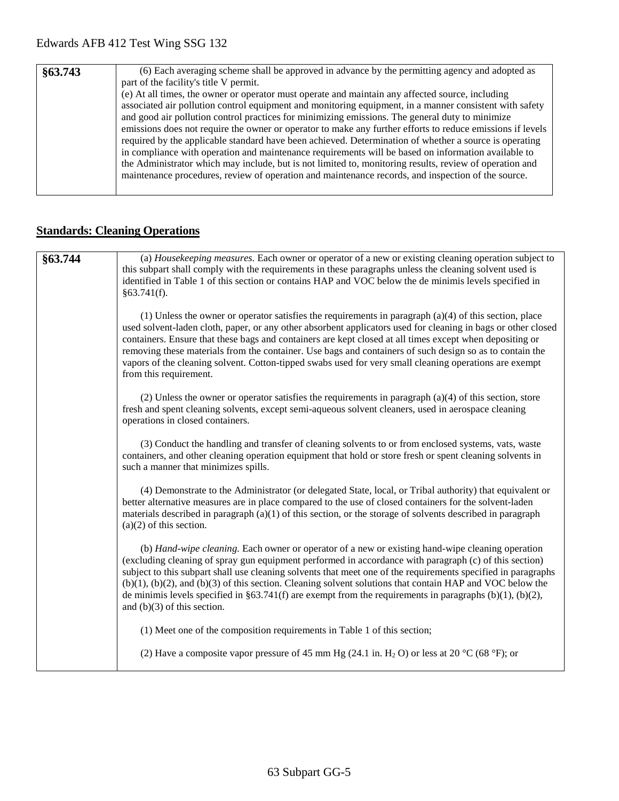| §63.743 | (6) Each averaging scheme shall be approved in advance by the permitting agency and adopted as             |
|---------|------------------------------------------------------------------------------------------------------------|
|         | part of the facility's title V permit.                                                                     |
|         | (e) At all times, the owner or operator must operate and maintain any affected source, including           |
|         | associated air pollution control equipment and monitoring equipment, in a manner consistent with safety    |
|         | and good air pollution control practices for minimizing emissions. The general duty to minimize            |
|         | emissions does not require the owner or operator to make any further efforts to reduce emissions if levels |
|         | required by the applicable standard have been achieved. Determination of whether a source is operating     |
|         | in compliance with operation and maintenance requirements will be based on information available to        |
|         | the Administrator which may include, but is not limited to, monitoring results, review of operation and    |
|         | maintenance procedures, review of operation and maintenance records, and inspection of the source.         |
|         |                                                                                                            |

# **Standards: Cleaning Operations**

| §63.744 | (a) Housekeeping measures. Each owner or operator of a new or existing cleaning operation subject to<br>this subpart shall comply with the requirements in these paragraphs unless the cleaning solvent used is<br>identified in Table 1 of this section or contains HAP and VOC below the de minimis levels specified in<br>§63.741(f).                                                                                                                                                                                                                                                            |
|---------|-----------------------------------------------------------------------------------------------------------------------------------------------------------------------------------------------------------------------------------------------------------------------------------------------------------------------------------------------------------------------------------------------------------------------------------------------------------------------------------------------------------------------------------------------------------------------------------------------------|
|         | (1) Unless the owner or operator satisfies the requirements in paragraph $(a)(4)$ of this section, place<br>used solvent-laden cloth, paper, or any other absorbent applicators used for cleaning in bags or other closed<br>containers. Ensure that these bags and containers are kept closed at all times except when depositing or<br>removing these materials from the container. Use bags and containers of such design so as to contain the<br>vapors of the cleaning solvent. Cotton-tipped swabs used for very small cleaning operations are exempt<br>from this requirement.               |
|         | (2) Unless the owner or operator satisfies the requirements in paragraph $(a)(4)$ of this section, store<br>fresh and spent cleaning solvents, except semi-aqueous solvent cleaners, used in aerospace cleaning<br>operations in closed containers.                                                                                                                                                                                                                                                                                                                                                 |
|         | (3) Conduct the handling and transfer of cleaning solvents to or from enclosed systems, vats, waste<br>containers, and other cleaning operation equipment that hold or store fresh or spent cleaning solvents in<br>such a manner that minimizes spills.                                                                                                                                                                                                                                                                                                                                            |
|         | (4) Demonstrate to the Administrator (or delegated State, local, or Tribal authority) that equivalent or<br>better alternative measures are in place compared to the use of closed containers for the solvent-laden<br>materials described in paragraph $(a)(1)$ of this section, or the storage of solvents described in paragraph<br>$(a)(2)$ of this section.                                                                                                                                                                                                                                    |
|         | (b) Hand-wipe cleaning. Each owner or operator of a new or existing hand-wipe cleaning operation<br>(excluding cleaning of spray gun equipment performed in accordance with paragraph (c) of this section)<br>subject to this subpart shall use cleaning solvents that meet one of the requirements specified in paragraphs<br>$(b)(1)$ , $(b)(2)$ , and $(b)(3)$ of this section. Cleaning solvent solutions that contain HAP and VOC below the<br>de minimis levels specified in §63.741(f) are exempt from the requirements in paragraphs $(b)(1)$ , $(b)(2)$ ,<br>and $(b)(3)$ of this section. |
|         | (1) Meet one of the composition requirements in Table 1 of this section;                                                                                                                                                                                                                                                                                                                                                                                                                                                                                                                            |
|         | (2) Have a composite vapor pressure of 45 mm Hg (24.1 in. H <sub>2</sub> O) or less at 20 °C (68 °F); or                                                                                                                                                                                                                                                                                                                                                                                                                                                                                            |
|         |                                                                                                                                                                                                                                                                                                                                                                                                                                                                                                                                                                                                     |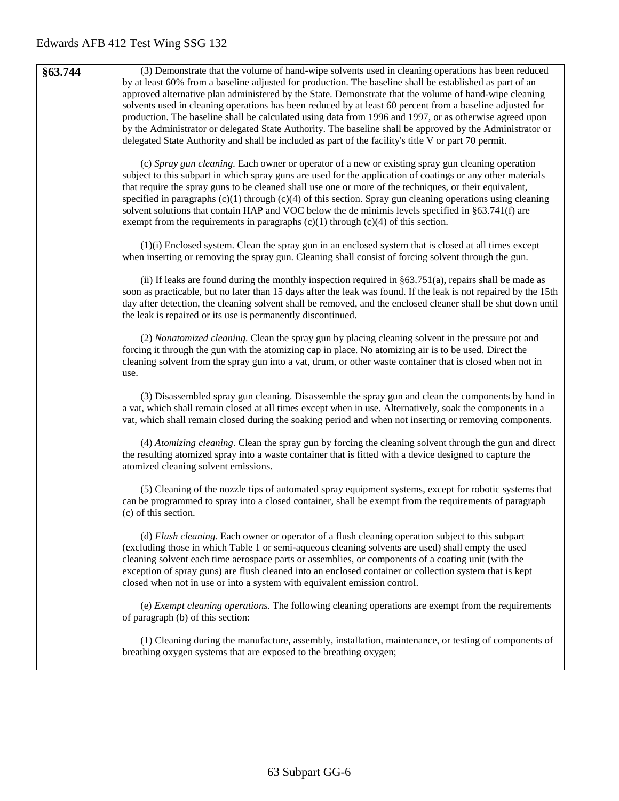| §63.744 | (3) Demonstrate that the volume of hand-wipe solvents used in cleaning operations has been reduced<br>by at least 60% from a baseline adjusted for production. The baseline shall be established as part of an<br>approved alternative plan administered by the State. Demonstrate that the volume of hand-wipe cleaning                                                                                                                                                                                                                                                                                                                     |
|---------|----------------------------------------------------------------------------------------------------------------------------------------------------------------------------------------------------------------------------------------------------------------------------------------------------------------------------------------------------------------------------------------------------------------------------------------------------------------------------------------------------------------------------------------------------------------------------------------------------------------------------------------------|
|         | solvents used in cleaning operations has been reduced by at least 60 percent from a baseline adjusted for<br>production. The baseline shall be calculated using data from 1996 and 1997, or as otherwise agreed upon<br>by the Administrator or delegated State Authority. The baseline shall be approved by the Administrator or<br>delegated State Authority and shall be included as part of the facility's title V or part 70 permit.                                                                                                                                                                                                    |
|         | (c) Spray gun cleaning. Each owner or operator of a new or existing spray gun cleaning operation<br>subject to this subpart in which spray guns are used for the application of coatings or any other materials<br>that require the spray guns to be cleaned shall use one or more of the techniques, or their equivalent,<br>specified in paragraphs $(c)(1)$ through $(c)(4)$ of this section. Spray gun cleaning operations using cleaning<br>solvent solutions that contain HAP and VOC below the de minimis levels specified in §63.741(f) are<br>exempt from the requirements in paragraphs $(c)(1)$ through $(c)(4)$ of this section. |
|         | $(1)(i)$ Enclosed system. Clean the spray gun in an enclosed system that is closed at all times except<br>when inserting or removing the spray gun. Cleaning shall consist of forcing solvent through the gun.                                                                                                                                                                                                                                                                                                                                                                                                                               |
|         | (ii) If leaks are found during the monthly inspection required in §63.751(a), repairs shall be made as<br>soon as practicable, but no later than 15 days after the leak was found. If the leak is not repaired by the 15th<br>day after detection, the cleaning solvent shall be removed, and the enclosed cleaner shall be shut down until<br>the leak is repaired or its use is permanently discontinued.                                                                                                                                                                                                                                  |
|         | (2) Nonatomized cleaning. Clean the spray gun by placing cleaning solvent in the pressure pot and<br>forcing it through the gun with the atomizing cap in place. No atomizing air is to be used. Direct the<br>cleaning solvent from the spray gun into a vat, drum, or other waste container that is closed when not in<br>use.                                                                                                                                                                                                                                                                                                             |
|         | (3) Disassembled spray gun cleaning. Disassemble the spray gun and clean the components by hand in<br>a vat, which shall remain closed at all times except when in use. Alternatively, soak the components in a<br>vat, which shall remain closed during the soaking period and when not inserting or removing components.                                                                                                                                                                                                                                                                                                                   |
|         | (4) Atomizing cleaning. Clean the spray gun by forcing the cleaning solvent through the gun and direct<br>the resulting atomized spray into a waste container that is fitted with a device designed to capture the<br>atomized cleaning solvent emissions.                                                                                                                                                                                                                                                                                                                                                                                   |
|         | (5) Cleaning of the nozzle tips of automated spray equipment systems, except for robotic systems that<br>can be programmed to spray into a closed container, shall be exempt from the requirements of paragraph<br>(c) of this section.                                                                                                                                                                                                                                                                                                                                                                                                      |
|         | (d) Flush cleaning. Each owner or operator of a flush cleaning operation subject to this subpart<br>(excluding those in which Table 1 or semi-aqueous cleaning solvents are used) shall empty the used<br>cleaning solvent each time aerospace parts or assemblies, or components of a coating unit (with the<br>exception of spray guns) are flush cleaned into an enclosed container or collection system that is kept<br>closed when not in use or into a system with equivalent emission control.                                                                                                                                        |
|         | (e) <i>Exempt cleaning operations</i> . The following cleaning operations are exempt from the requirements<br>of paragraph (b) of this section:                                                                                                                                                                                                                                                                                                                                                                                                                                                                                              |
|         | (1) Cleaning during the manufacture, assembly, installation, maintenance, or testing of components of<br>breathing oxygen systems that are exposed to the breathing oxygen;                                                                                                                                                                                                                                                                                                                                                                                                                                                                  |
|         |                                                                                                                                                                                                                                                                                                                                                                                                                                                                                                                                                                                                                                              |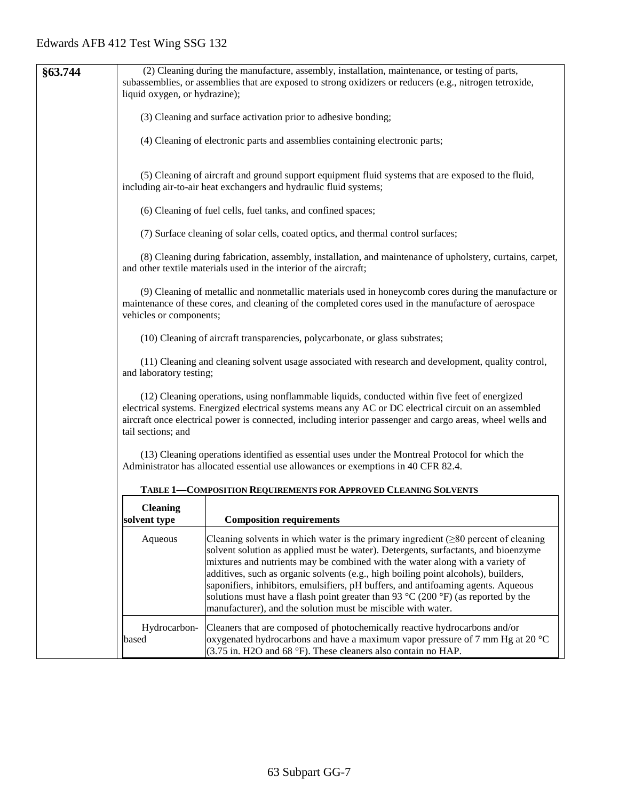|         |                                                                                                                                                                                                                                                                                                                                                                                                                                                                                                                                                                                                                                                                                  | (2) Cleaning during the manufacture, assembly, installation, maintenance, or testing of parts,                                                                                                                                         |  |  |  |
|---------|----------------------------------------------------------------------------------------------------------------------------------------------------------------------------------------------------------------------------------------------------------------------------------------------------------------------------------------------------------------------------------------------------------------------------------------------------------------------------------------------------------------------------------------------------------------------------------------------------------------------------------------------------------------------------------|----------------------------------------------------------------------------------------------------------------------------------------------------------------------------------------------------------------------------------------|--|--|--|
| §63.744 |                                                                                                                                                                                                                                                                                                                                                                                                                                                                                                                                                                                                                                                                                  | subassemblies, or assemblies that are exposed to strong oxidizers or reducers (e.g., nitrogen tetroxide,                                                                                                                               |  |  |  |
|         | liquid oxygen, or hydrazine);                                                                                                                                                                                                                                                                                                                                                                                                                                                                                                                                                                                                                                                    |                                                                                                                                                                                                                                        |  |  |  |
|         |                                                                                                                                                                                                                                                                                                                                                                                                                                                                                                                                                                                                                                                                                  |                                                                                                                                                                                                                                        |  |  |  |
|         |                                                                                                                                                                                                                                                                                                                                                                                                                                                                                                                                                                                                                                                                                  | (3) Cleaning and surface activation prior to adhesive bonding;                                                                                                                                                                         |  |  |  |
|         | (4) Cleaning of electronic parts and assemblies containing electronic parts;<br>(5) Cleaning of aircraft and ground support equipment fluid systems that are exposed to the fluid,<br>including air-to-air heat exchangers and hydraulic fluid systems;                                                                                                                                                                                                                                                                                                                                                                                                                          |                                                                                                                                                                                                                                        |  |  |  |
|         |                                                                                                                                                                                                                                                                                                                                                                                                                                                                                                                                                                                                                                                                                  |                                                                                                                                                                                                                                        |  |  |  |
|         |                                                                                                                                                                                                                                                                                                                                                                                                                                                                                                                                                                                                                                                                                  | (6) Cleaning of fuel cells, fuel tanks, and confined spaces;                                                                                                                                                                           |  |  |  |
|         |                                                                                                                                                                                                                                                                                                                                                                                                                                                                                                                                                                                                                                                                                  | (7) Surface cleaning of solar cells, coated optics, and thermal control surfaces;                                                                                                                                                      |  |  |  |
|         |                                                                                                                                                                                                                                                                                                                                                                                                                                                                                                                                                                                                                                                                                  | (8) Cleaning during fabrication, assembly, installation, and maintenance of upholstery, curtains, carpet,<br>and other textile materials used in the interior of the aircraft;                                                         |  |  |  |
|         | (9) Cleaning of metallic and nonmetallic materials used in honeycomb cores during the manufacture or<br>maintenance of these cores, and cleaning of the completed cores used in the manufacture of aerospace<br>vehicles or components;                                                                                                                                                                                                                                                                                                                                                                                                                                          |                                                                                                                                                                                                                                        |  |  |  |
|         | (10) Cleaning of aircraft transparencies, polycarbonate, or glass substrates;                                                                                                                                                                                                                                                                                                                                                                                                                                                                                                                                                                                                    |                                                                                                                                                                                                                                        |  |  |  |
|         | (11) Cleaning and cleaning solvent usage associated with research and development, quality control,<br>and laboratory testing;                                                                                                                                                                                                                                                                                                                                                                                                                                                                                                                                                   |                                                                                                                                                                                                                                        |  |  |  |
|         | (12) Cleaning operations, using nonflammable liquids, conducted within five feet of energized<br>electrical systems. Energized electrical systems means any AC or DC electrical circuit on an assembled<br>aircraft once electrical power is connected, including interior passenger and cargo areas, wheel wells and<br>tail sections; and                                                                                                                                                                                                                                                                                                                                      |                                                                                                                                                                                                                                        |  |  |  |
|         | (13) Cleaning operations identified as essential uses under the Montreal Protocol for which the<br>Administrator has allocated essential use allowances or exemptions in 40 CFR 82.4.                                                                                                                                                                                                                                                                                                                                                                                                                                                                                            |                                                                                                                                                                                                                                        |  |  |  |
|         |                                                                                                                                                                                                                                                                                                                                                                                                                                                                                                                                                                                                                                                                                  | TABLE 1-COMPOSITION REQUIREMENTS FOR APPROVED CLEANING SOLVENTS                                                                                                                                                                        |  |  |  |
|         | <b>Cleaning</b>                                                                                                                                                                                                                                                                                                                                                                                                                                                                                                                                                                                                                                                                  |                                                                                                                                                                                                                                        |  |  |  |
|         | <b>Composition requirements</b><br>solvent type<br>Cleaning solvents in which water is the primary ingredient $(\geq 80$ percent of cleaning<br>Aqueous<br>solvent solution as applied must be water). Detergents, surfactants, and bioenzyme<br>mixtures and nutrients may be combined with the water along with a variety of<br>additives, such as organic solvents (e.g., high boiling point alcohols), builders,<br>saponifiers, inhibitors, emulsifiers, pH buffers, and antifoaming agents. Aqueous<br>solutions must have a flash point greater than 93 $\degree$ C (200 $\degree$ F) (as reported by the<br>manufacturer), and the solution must be miscible with water. |                                                                                                                                                                                                                                        |  |  |  |
|         |                                                                                                                                                                                                                                                                                                                                                                                                                                                                                                                                                                                                                                                                                  |                                                                                                                                                                                                                                        |  |  |  |
|         |                                                                                                                                                                                                                                                                                                                                                                                                                                                                                                                                                                                                                                                                                  |                                                                                                                                                                                                                                        |  |  |  |
|         | Hydrocarbon-<br>based                                                                                                                                                                                                                                                                                                                                                                                                                                                                                                                                                                                                                                                            | Cleaners that are composed of photochemically reactive hydrocarbons and/or<br>oxygenated hydrocarbons and have a maximum vapor pressure of 7 mm Hg at 20 $^{\circ}$ C<br>(3.75 in. H2O and 68 °F). These cleaners also contain no HAP. |  |  |  |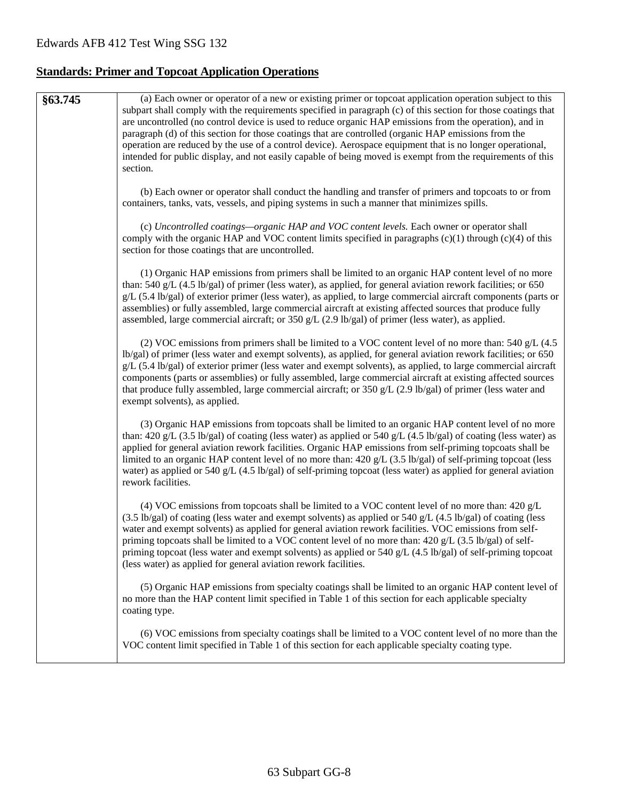### **Standards: Primer and Topcoat Application Operations**

| §63.745 | (a) Each owner or operator of a new or existing primer or topcoat application operation subject to this<br>subpart shall comply with the requirements specified in paragraph (c) of this section for those coatings that<br>are uncontrolled (no control device is used to reduce organic HAP emissions from the operation), and in<br>paragraph (d) of this section for those coatings that are controlled (organic HAP emissions from the<br>operation are reduced by the use of a control device). Aerospace equipment that is no longer operational,<br>intended for public display, and not easily capable of being moved is exempt from the requirements of this<br>section. |
|---------|------------------------------------------------------------------------------------------------------------------------------------------------------------------------------------------------------------------------------------------------------------------------------------------------------------------------------------------------------------------------------------------------------------------------------------------------------------------------------------------------------------------------------------------------------------------------------------------------------------------------------------------------------------------------------------|
|         | (b) Each owner or operator shall conduct the handling and transfer of primers and topcoats to or from<br>containers, tanks, vats, vessels, and piping systems in such a manner that minimizes spills.                                                                                                                                                                                                                                                                                                                                                                                                                                                                              |
|         | (c) Uncontrolled coatings—organic HAP and VOC content levels. Each owner or operator shall<br>comply with the organic HAP and VOC content limits specified in paragraphs $(c)(1)$ through $(c)(4)$ of this<br>section for those coatings that are uncontrolled.                                                                                                                                                                                                                                                                                                                                                                                                                    |
|         | (1) Organic HAP emissions from primers shall be limited to an organic HAP content level of no more<br>than: 540 g/L (4.5 lb/gal) of primer (less water), as applied, for general aviation rework facilities; or 650<br>$g/L$ (5.4 lb/gal) of exterior primer (less water), as applied, to large commercial aircraft components (parts or<br>assemblies) or fully assembled, large commercial aircraft at existing affected sources that produce fully<br>assembled, large commercial aircraft; or 350 g/L $(2.9 \text{ lb/gal})$ of primer (less water), as applied.                                                                                                               |
|         | (2) VOC emissions from primers shall be limited to a VOC content level of no more than: 540 $g/L$ (4.5)<br>lb/gal) of primer (less water and exempt solvents), as applied, for general aviation rework facilities; or 650<br>$g/L$ (5.4 lb/gal) of exterior primer (less water and exempt solvents), as applied, to large commercial aircraft<br>components (parts or assemblies) or fully assembled, large commercial aircraft at existing affected sources<br>that produce fully assembled, large commercial aircraft; or $350 g/L$ (2.9 lb/gal) of primer (less water and<br>exempt solvents), as applied.                                                                      |
|         | (3) Organic HAP emissions from topcoats shall be limited to an organic HAP content level of no more<br>than: 420 g/L (3.5 lb/gal) of coating (less water) as applied or 540 g/L (4.5 lb/gal) of coating (less water) as<br>applied for general aviation rework facilities. Organic HAP emissions from self-priming topcoats shall be<br>limited to an organic HAP content level of no more than: $420 g/L$ (3.5 lb/gal) of self-priming topcoat (less<br>water) as applied or 540 g/L (4.5 lb/gal) of self-priming topcoat (less water) as applied for general aviation<br>rework facilities.                                                                                      |
|         | (4) VOC emissions from topcoats shall be limited to a VOC content level of no more than: $420 g/L$<br>$(3.5 \text{ lb/gal})$ of coating (less water and exempt solvents) as applied or 540 g/L (4.5 lb/gal) of coating (less<br>water and exempt solvents) as applied for general aviation rework facilities. VOC emissions from self-<br>priming topcoats shall be limited to a VOC content level of no more than: 420 g/L (3.5 lb/gal) of self-<br>priming topcoat (less water and exempt solvents) as applied or 540 g/L $(4.5 \text{ lb/gal})$ of self-priming topcoat<br>(less water) as applied for general aviation rework facilities.                                      |
|         | (5) Organic HAP emissions from specialty coatings shall be limited to an organic HAP content level of<br>no more than the HAP content limit specified in Table 1 of this section for each applicable specialty<br>coating type.                                                                                                                                                                                                                                                                                                                                                                                                                                                    |
|         | (6) VOC emissions from specialty coatings shall be limited to a VOC content level of no more than the<br>VOC content limit specified in Table 1 of this section for each applicable specialty coating type.                                                                                                                                                                                                                                                                                                                                                                                                                                                                        |
|         |                                                                                                                                                                                                                                                                                                                                                                                                                                                                                                                                                                                                                                                                                    |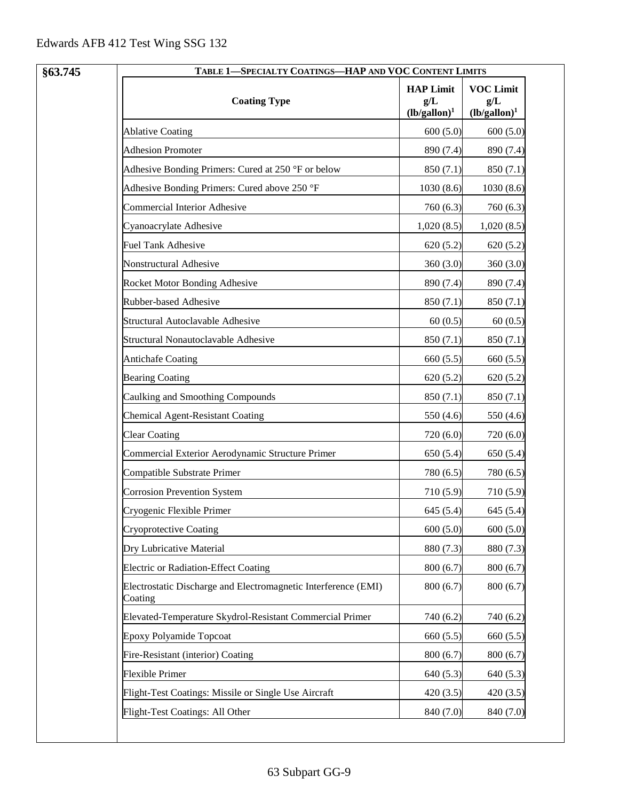| <b>HAP Limit</b><br><b>VOC Limit</b><br><b>Coating Type</b><br>g/L<br>g/L<br>$(lb/gallon)^1$<br>$(lb/gallon)^1$<br><b>Ablative Coating</b><br>600(5.0)<br>600(5.0)<br><b>Adhesion Promoter</b><br>890 (7.4)<br>890 (7.4)<br>Adhesive Bonding Primers: Cured at 250 °F or below<br>850 (7.1)<br>850(7.1)<br>Adhesive Bonding Primers: Cured above 250 °F<br>1030(8.6)<br>1030(8.6)<br>Commercial Interior Adhesive<br>760 (6.3)<br>760(6.3)<br>Cyanoacrylate Adhesive<br>1,020(8.5)<br>1,020(8.5)<br><b>Fuel Tank Adhesive</b><br>620(5.2)<br>620(5.2)<br>Nonstructural Adhesive<br>360(3.0)<br>360(3.0)<br>Rocket Motor Bonding Adhesive<br>890 (7.4)<br>890 (7.4)<br>Rubber-based Adhesive<br>850(7.1)<br>850(7.1)<br>Structural Autoclavable Adhesive<br>60(0.5)<br>60(0.5)<br>Structural Nonautoclavable Adhesive<br>850 (7.1)<br>850 (7.1)<br><b>Antichafe Coating</b><br>660 (5.5)<br>660 (5.5)<br><b>Bearing Coating</b><br>620(5.2)<br>620(5.2)<br>Caulking and Smoothing Compounds<br>850 (7.1)<br>850 (7.1)<br><b>Chemical Agent-Resistant Coating</b><br>550 (4.6)<br>550 (4.6)<br><b>Clear Coating</b><br>720 (6.0)<br>720 (6.0)<br>Commercial Exterior Aerodynamic Structure Primer<br>650 (5.4)<br>650 (5.4)<br>Compatible Substrate Primer<br>780 (6.5)<br>780 (6.5)<br><b>Corrosion Prevention System</b><br>710 (5.9)<br>710(5.9)<br>Cryogenic Flexible Primer<br>645 (5.4)<br>645 (5.4)<br>600(5.0)<br>600(5.0)<br>Cryoprotective Coating<br>Dry Lubricative Material<br>880 (7.3)<br>880 (7.3)<br>Electric or Radiation-Effect Coating<br>800(6.7)<br>800(6.7)<br>Electrostatic Discharge and Electromagnetic Interference (EMI)<br>800(6.7)<br>800(6.7)<br>Coating<br>Elevated-Temperature Skydrol-Resistant Commercial Primer<br>740 (6.2)<br>740 (6.2)<br><b>Epoxy Polyamide Topcoat</b><br>660 (5.5)<br>660(5.5)<br>Fire-Resistant (interior) Coating<br>800(6.7)<br>800 (6.7)<br><b>Flexible Primer</b><br>640(5.3)<br>640 (5.3)<br>Flight-Test Coatings: Missile or Single Use Aircraft<br>420(3.5)<br>420(3.5) | §63.745 | TABLE 1-SPECIALTY COATINGS-HAP AND VOC CONTENT LIMITS |           |           |  |
|-----------------------------------------------------------------------------------------------------------------------------------------------------------------------------------------------------------------------------------------------------------------------------------------------------------------------------------------------------------------------------------------------------------------------------------------------------------------------------------------------------------------------------------------------------------------------------------------------------------------------------------------------------------------------------------------------------------------------------------------------------------------------------------------------------------------------------------------------------------------------------------------------------------------------------------------------------------------------------------------------------------------------------------------------------------------------------------------------------------------------------------------------------------------------------------------------------------------------------------------------------------------------------------------------------------------------------------------------------------------------------------------------------------------------------------------------------------------------------------------------------------------------------------------------------------------------------------------------------------------------------------------------------------------------------------------------------------------------------------------------------------------------------------------------------------------------------------------------------------------------------------------------------------------------------------------------------------------------------------------------------------------------------------------|---------|-------------------------------------------------------|-----------|-----------|--|
|                                                                                                                                                                                                                                                                                                                                                                                                                                                                                                                                                                                                                                                                                                                                                                                                                                                                                                                                                                                                                                                                                                                                                                                                                                                                                                                                                                                                                                                                                                                                                                                                                                                                                                                                                                                                                                                                                                                                                                                                                                         |         |                                                       |           |           |  |
|                                                                                                                                                                                                                                                                                                                                                                                                                                                                                                                                                                                                                                                                                                                                                                                                                                                                                                                                                                                                                                                                                                                                                                                                                                                                                                                                                                                                                                                                                                                                                                                                                                                                                                                                                                                                                                                                                                                                                                                                                                         |         |                                                       |           |           |  |
|                                                                                                                                                                                                                                                                                                                                                                                                                                                                                                                                                                                                                                                                                                                                                                                                                                                                                                                                                                                                                                                                                                                                                                                                                                                                                                                                                                                                                                                                                                                                                                                                                                                                                                                                                                                                                                                                                                                                                                                                                                         |         |                                                       |           |           |  |
|                                                                                                                                                                                                                                                                                                                                                                                                                                                                                                                                                                                                                                                                                                                                                                                                                                                                                                                                                                                                                                                                                                                                                                                                                                                                                                                                                                                                                                                                                                                                                                                                                                                                                                                                                                                                                                                                                                                                                                                                                                         |         |                                                       |           |           |  |
|                                                                                                                                                                                                                                                                                                                                                                                                                                                                                                                                                                                                                                                                                                                                                                                                                                                                                                                                                                                                                                                                                                                                                                                                                                                                                                                                                                                                                                                                                                                                                                                                                                                                                                                                                                                                                                                                                                                                                                                                                                         |         |                                                       |           |           |  |
|                                                                                                                                                                                                                                                                                                                                                                                                                                                                                                                                                                                                                                                                                                                                                                                                                                                                                                                                                                                                                                                                                                                                                                                                                                                                                                                                                                                                                                                                                                                                                                                                                                                                                                                                                                                                                                                                                                                                                                                                                                         |         |                                                       |           |           |  |
|                                                                                                                                                                                                                                                                                                                                                                                                                                                                                                                                                                                                                                                                                                                                                                                                                                                                                                                                                                                                                                                                                                                                                                                                                                                                                                                                                                                                                                                                                                                                                                                                                                                                                                                                                                                                                                                                                                                                                                                                                                         |         |                                                       |           |           |  |
|                                                                                                                                                                                                                                                                                                                                                                                                                                                                                                                                                                                                                                                                                                                                                                                                                                                                                                                                                                                                                                                                                                                                                                                                                                                                                                                                                                                                                                                                                                                                                                                                                                                                                                                                                                                                                                                                                                                                                                                                                                         |         |                                                       |           |           |  |
|                                                                                                                                                                                                                                                                                                                                                                                                                                                                                                                                                                                                                                                                                                                                                                                                                                                                                                                                                                                                                                                                                                                                                                                                                                                                                                                                                                                                                                                                                                                                                                                                                                                                                                                                                                                                                                                                                                                                                                                                                                         |         |                                                       |           |           |  |
|                                                                                                                                                                                                                                                                                                                                                                                                                                                                                                                                                                                                                                                                                                                                                                                                                                                                                                                                                                                                                                                                                                                                                                                                                                                                                                                                                                                                                                                                                                                                                                                                                                                                                                                                                                                                                                                                                                                                                                                                                                         |         |                                                       |           |           |  |
|                                                                                                                                                                                                                                                                                                                                                                                                                                                                                                                                                                                                                                                                                                                                                                                                                                                                                                                                                                                                                                                                                                                                                                                                                                                                                                                                                                                                                                                                                                                                                                                                                                                                                                                                                                                                                                                                                                                                                                                                                                         |         |                                                       |           |           |  |
|                                                                                                                                                                                                                                                                                                                                                                                                                                                                                                                                                                                                                                                                                                                                                                                                                                                                                                                                                                                                                                                                                                                                                                                                                                                                                                                                                                                                                                                                                                                                                                                                                                                                                                                                                                                                                                                                                                                                                                                                                                         |         |                                                       |           |           |  |
|                                                                                                                                                                                                                                                                                                                                                                                                                                                                                                                                                                                                                                                                                                                                                                                                                                                                                                                                                                                                                                                                                                                                                                                                                                                                                                                                                                                                                                                                                                                                                                                                                                                                                                                                                                                                                                                                                                                                                                                                                                         |         |                                                       |           |           |  |
|                                                                                                                                                                                                                                                                                                                                                                                                                                                                                                                                                                                                                                                                                                                                                                                                                                                                                                                                                                                                                                                                                                                                                                                                                                                                                                                                                                                                                                                                                                                                                                                                                                                                                                                                                                                                                                                                                                                                                                                                                                         |         |                                                       |           |           |  |
|                                                                                                                                                                                                                                                                                                                                                                                                                                                                                                                                                                                                                                                                                                                                                                                                                                                                                                                                                                                                                                                                                                                                                                                                                                                                                                                                                                                                                                                                                                                                                                                                                                                                                                                                                                                                                                                                                                                                                                                                                                         |         |                                                       |           |           |  |
|                                                                                                                                                                                                                                                                                                                                                                                                                                                                                                                                                                                                                                                                                                                                                                                                                                                                                                                                                                                                                                                                                                                                                                                                                                                                                                                                                                                                                                                                                                                                                                                                                                                                                                                                                                                                                                                                                                                                                                                                                                         |         |                                                       |           |           |  |
|                                                                                                                                                                                                                                                                                                                                                                                                                                                                                                                                                                                                                                                                                                                                                                                                                                                                                                                                                                                                                                                                                                                                                                                                                                                                                                                                                                                                                                                                                                                                                                                                                                                                                                                                                                                                                                                                                                                                                                                                                                         |         |                                                       |           |           |  |
|                                                                                                                                                                                                                                                                                                                                                                                                                                                                                                                                                                                                                                                                                                                                                                                                                                                                                                                                                                                                                                                                                                                                                                                                                                                                                                                                                                                                                                                                                                                                                                                                                                                                                                                                                                                                                                                                                                                                                                                                                                         |         |                                                       |           |           |  |
|                                                                                                                                                                                                                                                                                                                                                                                                                                                                                                                                                                                                                                                                                                                                                                                                                                                                                                                                                                                                                                                                                                                                                                                                                                                                                                                                                                                                                                                                                                                                                                                                                                                                                                                                                                                                                                                                                                                                                                                                                                         |         |                                                       |           |           |  |
|                                                                                                                                                                                                                                                                                                                                                                                                                                                                                                                                                                                                                                                                                                                                                                                                                                                                                                                                                                                                                                                                                                                                                                                                                                                                                                                                                                                                                                                                                                                                                                                                                                                                                                                                                                                                                                                                                                                                                                                                                                         |         |                                                       |           |           |  |
|                                                                                                                                                                                                                                                                                                                                                                                                                                                                                                                                                                                                                                                                                                                                                                                                                                                                                                                                                                                                                                                                                                                                                                                                                                                                                                                                                                                                                                                                                                                                                                                                                                                                                                                                                                                                                                                                                                                                                                                                                                         |         |                                                       |           |           |  |
|                                                                                                                                                                                                                                                                                                                                                                                                                                                                                                                                                                                                                                                                                                                                                                                                                                                                                                                                                                                                                                                                                                                                                                                                                                                                                                                                                                                                                                                                                                                                                                                                                                                                                                                                                                                                                                                                                                                                                                                                                                         |         |                                                       |           |           |  |
|                                                                                                                                                                                                                                                                                                                                                                                                                                                                                                                                                                                                                                                                                                                                                                                                                                                                                                                                                                                                                                                                                                                                                                                                                                                                                                                                                                                                                                                                                                                                                                                                                                                                                                                                                                                                                                                                                                                                                                                                                                         |         |                                                       |           |           |  |
|                                                                                                                                                                                                                                                                                                                                                                                                                                                                                                                                                                                                                                                                                                                                                                                                                                                                                                                                                                                                                                                                                                                                                                                                                                                                                                                                                                                                                                                                                                                                                                                                                                                                                                                                                                                                                                                                                                                                                                                                                                         |         |                                                       |           |           |  |
|                                                                                                                                                                                                                                                                                                                                                                                                                                                                                                                                                                                                                                                                                                                                                                                                                                                                                                                                                                                                                                                                                                                                                                                                                                                                                                                                                                                                                                                                                                                                                                                                                                                                                                                                                                                                                                                                                                                                                                                                                                         |         |                                                       |           |           |  |
|                                                                                                                                                                                                                                                                                                                                                                                                                                                                                                                                                                                                                                                                                                                                                                                                                                                                                                                                                                                                                                                                                                                                                                                                                                                                                                                                                                                                                                                                                                                                                                                                                                                                                                                                                                                                                                                                                                                                                                                                                                         |         |                                                       |           |           |  |
|                                                                                                                                                                                                                                                                                                                                                                                                                                                                                                                                                                                                                                                                                                                                                                                                                                                                                                                                                                                                                                                                                                                                                                                                                                                                                                                                                                                                                                                                                                                                                                                                                                                                                                                                                                                                                                                                                                                                                                                                                                         |         |                                                       |           |           |  |
|                                                                                                                                                                                                                                                                                                                                                                                                                                                                                                                                                                                                                                                                                                                                                                                                                                                                                                                                                                                                                                                                                                                                                                                                                                                                                                                                                                                                                                                                                                                                                                                                                                                                                                                                                                                                                                                                                                                                                                                                                                         |         |                                                       |           |           |  |
|                                                                                                                                                                                                                                                                                                                                                                                                                                                                                                                                                                                                                                                                                                                                                                                                                                                                                                                                                                                                                                                                                                                                                                                                                                                                                                                                                                                                                                                                                                                                                                                                                                                                                                                                                                                                                                                                                                                                                                                                                                         |         |                                                       |           |           |  |
|                                                                                                                                                                                                                                                                                                                                                                                                                                                                                                                                                                                                                                                                                                                                                                                                                                                                                                                                                                                                                                                                                                                                                                                                                                                                                                                                                                                                                                                                                                                                                                                                                                                                                                                                                                                                                                                                                                                                                                                                                                         |         |                                                       |           |           |  |
|                                                                                                                                                                                                                                                                                                                                                                                                                                                                                                                                                                                                                                                                                                                                                                                                                                                                                                                                                                                                                                                                                                                                                                                                                                                                                                                                                                                                                                                                                                                                                                                                                                                                                                                                                                                                                                                                                                                                                                                                                                         |         |                                                       |           |           |  |
|                                                                                                                                                                                                                                                                                                                                                                                                                                                                                                                                                                                                                                                                                                                                                                                                                                                                                                                                                                                                                                                                                                                                                                                                                                                                                                                                                                                                                                                                                                                                                                                                                                                                                                                                                                                                                                                                                                                                                                                                                                         |         | Flight-Test Coatings: All Other                       | 840 (7.0) | 840 (7.0) |  |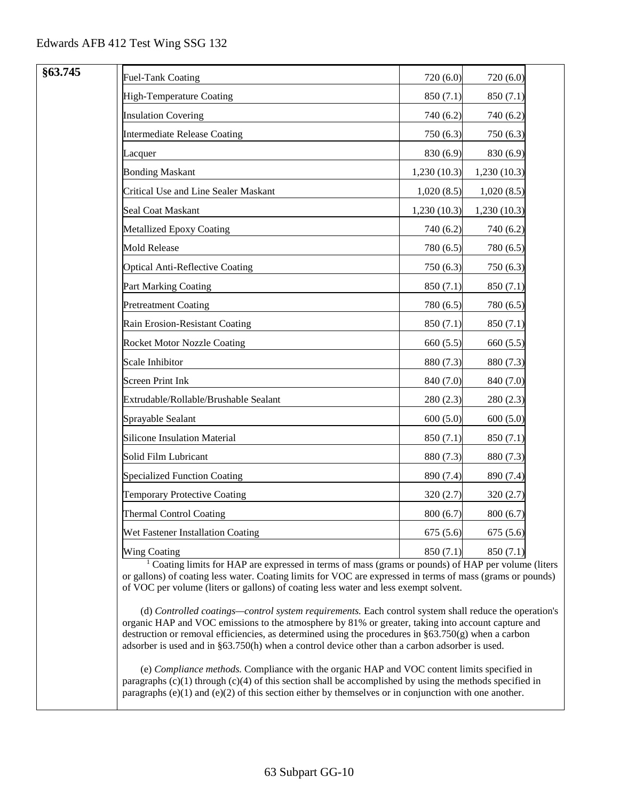| §63.745 | <b>Fuel-Tank Coating</b>                                                                                                             | 720 (6.0)   | 720 (6.0)   |
|---------|--------------------------------------------------------------------------------------------------------------------------------------|-------------|-------------|
|         | <b>High-Temperature Coating</b>                                                                                                      | 850 (7.1)   | 850 (7.1)   |
|         | <b>Insulation Covering</b>                                                                                                           | 740 (6.2)   | 740 (6.2)   |
|         | <b>Intermediate Release Coating</b>                                                                                                  | 750 (6.3)   | 750 (6.3)   |
|         | Lacquer                                                                                                                              | 830 (6.9)   | 830 (6.9)   |
|         | <b>Bonding Maskant</b>                                                                                                               | 1,230(10.3) | 1,230(10.3) |
|         | Critical Use and Line Sealer Maskant                                                                                                 | 1,020(8.5)  | 1,020(8.5)  |
|         | Seal Coat Maskant                                                                                                                    | 1,230(10.3) | 1,230(10.3) |
|         | Metallized Epoxy Coating                                                                                                             | 740 (6.2)   | 740 (6.2)   |
|         | <b>Mold Release</b>                                                                                                                  | 780 (6.5)   | 780 (6.5)   |
|         | <b>Optical Anti-Reflective Coating</b>                                                                                               | 750 (6.3)   | 750 (6.3)   |
|         | Part Marking Coating                                                                                                                 | 850(7.1)    | 850(7.1)    |
|         | <b>Pretreatment Coating</b>                                                                                                          | 780 (6.5)   | 780 (6.5)   |
|         | Rain Erosion-Resistant Coating                                                                                                       | 850 (7.1)   | 850(7.1)    |
|         | <b>Rocket Motor Nozzle Coating</b>                                                                                                   | 660 (5.5)   | 660 (5.5)   |
|         | <b>Scale Inhibitor</b>                                                                                                               | 880 (7.3)   | 880 (7.3)   |
|         | <b>Screen Print Ink</b>                                                                                                              | 840 (7.0)   | 840 (7.0)   |
|         | Extrudable/Rollable/Brushable Sealant                                                                                                | 280(2.3)    | 280 (2.3)   |
|         | Sprayable Sealant                                                                                                                    | 600(5.0)    | 600(5.0)    |
|         | <b>Silicone Insulation Material</b>                                                                                                  | 850(7.1)    | 850 (7.1)   |
|         | Solid Film Lubricant                                                                                                                 | 880 (7.3)   | 880 (7.3)   |
|         | <b>Specialized Function Coating</b>                                                                                                  | 890 (7.4)   | 890 (7.4)   |
|         | <b>Temporary Protective Coating</b>                                                                                                  | 320(2.7)    | 320(2.7)    |
|         | <b>Thermal Control Coating</b>                                                                                                       | 800(6.7)    | 800(6.7)    |
|         | Wet Fastener Installation Coating                                                                                                    | 675(5.6)    | 675(5.6)    |
|         | Wing Coating<br>$\mathbf{a}$ $\mathbf{b}$ $\mathbf{c}$ $\mathbf{c}$ $\mathbf{c}$ $\mathbf{c}$ $\mathbf{c}$ $\mathbf{c}$ $\mathbf{c}$ | 850 (7.1)   | 850 (7.1)   |

<sup>1</sup> Coating limits for HAP are expressed in terms of mass (grams or pounds) of HAP per volume (liters or gallons) of coating less water. Coating limits for VOC are expressed in terms of mass (grams or pounds) of VOC per volume (liters or gallons) of coating less water and less exempt solvent.

(d) *Controlled coatings—control system requirements.* Each control system shall reduce the operation's organic HAP and VOC emissions to the atmosphere by 81% or greater, taking into account capture and destruction or removal efficiencies, as determined using the procedures in §63.750(g) when a carbon adsorber is used and in §63.750(h) when a control device other than a carbon adsorber is used.

(e) *Compliance methods.* Compliance with the organic HAP and VOC content limits specified in paragraphs  $(c)(1)$  through  $(c)(4)$  of this section shall be accomplished by using the methods specified in paragraphs  $(e)(1)$  and  $(e)(2)$  of this section either by themselves or in conjunction with one another.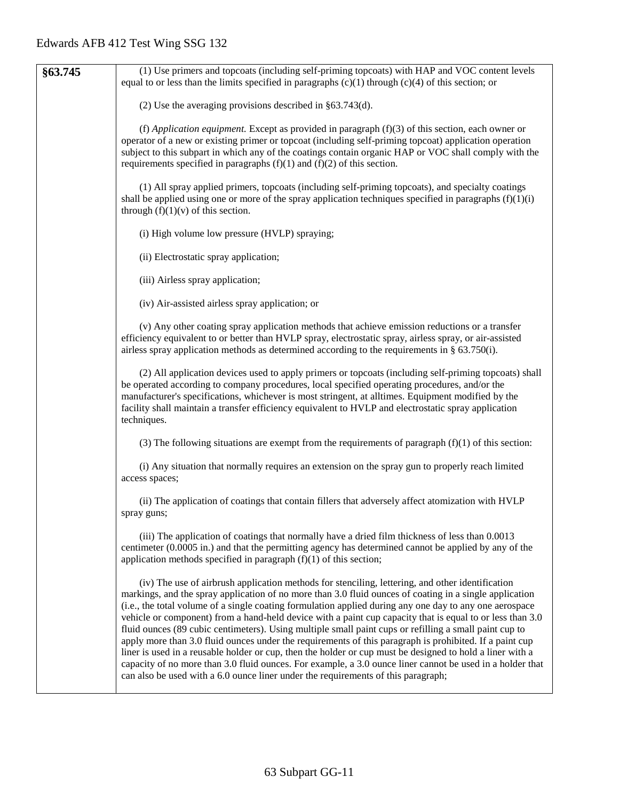| §63.745 | (1) Use primers and topcoats (including self-priming topcoats) with HAP and VOC content levels<br>equal to or less than the limits specified in paragraphs $(c)(1)$ through $(c)(4)$ of this section; or                                                                                                                                                                                                                                                                                                                                                                                                                                                                                                                                                                                                                                                                                                                                                                |
|---------|-------------------------------------------------------------------------------------------------------------------------------------------------------------------------------------------------------------------------------------------------------------------------------------------------------------------------------------------------------------------------------------------------------------------------------------------------------------------------------------------------------------------------------------------------------------------------------------------------------------------------------------------------------------------------------------------------------------------------------------------------------------------------------------------------------------------------------------------------------------------------------------------------------------------------------------------------------------------------|
|         | (2) Use the averaging provisions described in $§$ 63.743(d).                                                                                                                                                                                                                                                                                                                                                                                                                                                                                                                                                                                                                                                                                                                                                                                                                                                                                                            |
|         |                                                                                                                                                                                                                                                                                                                                                                                                                                                                                                                                                                                                                                                                                                                                                                                                                                                                                                                                                                         |
|         | (f) Application equipment. Except as provided in paragraph $(f)(3)$ of this section, each owner or<br>operator of a new or existing primer or topcoat (including self-priming topcoat) application operation<br>subject to this subpart in which any of the coatings contain organic HAP or VOC shall comply with the<br>requirements specified in paragraphs $(f)(1)$ and $(f)(2)$ of this section.                                                                                                                                                                                                                                                                                                                                                                                                                                                                                                                                                                    |
|         | (1) All spray applied primers, topcoats (including self-priming topcoats), and specialty coatings<br>shall be applied using one or more of the spray application techniques specified in paragraphs $(f)(1)(i)$<br>through $(f)(1)(v)$ of this section.                                                                                                                                                                                                                                                                                                                                                                                                                                                                                                                                                                                                                                                                                                                 |
|         | (i) High volume low pressure (HVLP) spraying;                                                                                                                                                                                                                                                                                                                                                                                                                                                                                                                                                                                                                                                                                                                                                                                                                                                                                                                           |
|         | (ii) Electrostatic spray application;                                                                                                                                                                                                                                                                                                                                                                                                                                                                                                                                                                                                                                                                                                                                                                                                                                                                                                                                   |
|         | (iii) Airless spray application;                                                                                                                                                                                                                                                                                                                                                                                                                                                                                                                                                                                                                                                                                                                                                                                                                                                                                                                                        |
|         | (iv) Air-assisted airless spray application; or                                                                                                                                                                                                                                                                                                                                                                                                                                                                                                                                                                                                                                                                                                                                                                                                                                                                                                                         |
|         | (v) Any other coating spray application methods that achieve emission reductions or a transfer<br>efficiency equivalent to or better than HVLP spray, electrostatic spray, airless spray, or air-assisted<br>airless spray application methods as determined according to the requirements in $\S$ 63.750(i).                                                                                                                                                                                                                                                                                                                                                                                                                                                                                                                                                                                                                                                           |
|         | (2) All application devices used to apply primers or topcoats (including self-priming topcoats) shall<br>be operated according to company procedures, local specified operating procedures, and/or the<br>manufacturer's specifications, whichever is most stringent, at all times. Equipment modified by the<br>facility shall maintain a transfer efficiency equivalent to HVLP and electrostatic spray application<br>techniques.                                                                                                                                                                                                                                                                                                                                                                                                                                                                                                                                    |
|         | (3) The following situations are exempt from the requirements of paragraph $(f)(1)$ of this section:                                                                                                                                                                                                                                                                                                                                                                                                                                                                                                                                                                                                                                                                                                                                                                                                                                                                    |
|         | (i) Any situation that normally requires an extension on the spray gun to properly reach limited<br>access spaces;                                                                                                                                                                                                                                                                                                                                                                                                                                                                                                                                                                                                                                                                                                                                                                                                                                                      |
|         | (ii) The application of coatings that contain fillers that adversely affect atomization with HVLP<br>spray guns;                                                                                                                                                                                                                                                                                                                                                                                                                                                                                                                                                                                                                                                                                                                                                                                                                                                        |
|         | (iii) The application of coatings that normally have a dried film thickness of less than 0.0013<br>centimeter (0.0005 in.) and that the permitting agency has determined cannot be applied by any of the<br>application methods specified in paragraph $(f)(1)$ of this section;                                                                                                                                                                                                                                                                                                                                                                                                                                                                                                                                                                                                                                                                                        |
|         | (iv) The use of airbrush application methods for stenciling, lettering, and other identification<br>markings, and the spray application of no more than 3.0 fluid ounces of coating in a single application<br>(i.e., the total volume of a single coating formulation applied during any one day to any one aerospace<br>vehicle or component) from a hand-held device with a paint cup capacity that is equal to or less than 3.0<br>fluid ounces (89 cubic centimeters). Using multiple small paint cups or refilling a small paint cup to<br>apply more than 3.0 fluid ounces under the requirements of this paragraph is prohibited. If a paint cup<br>liner is used in a reusable holder or cup, then the holder or cup must be designed to hold a liner with a<br>capacity of no more than 3.0 fluid ounces. For example, a 3.0 ounce liner cannot be used in a holder that<br>can also be used with a 6.0 ounce liner under the requirements of this paragraph; |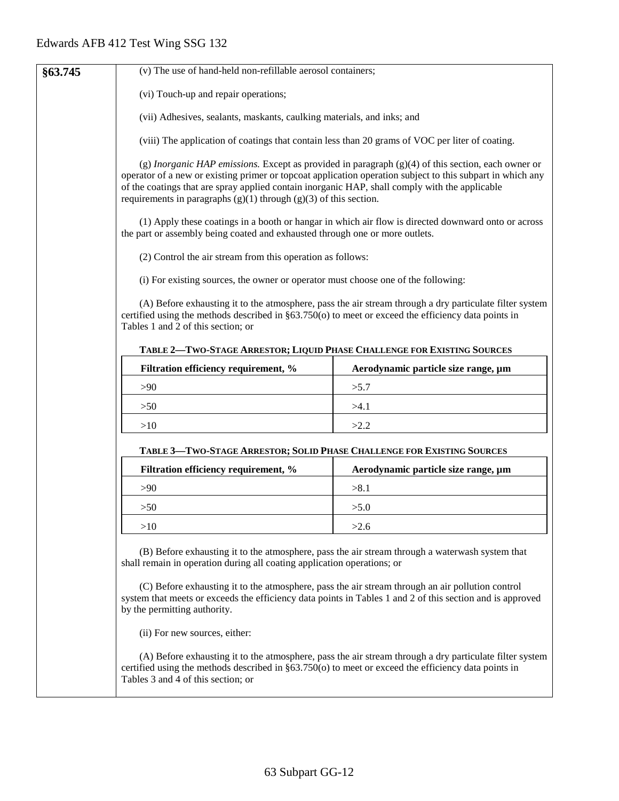| §63.745 | (v) The use of hand-held non-refillable aerosol containers;                                                                                                                                                                                                                                                                                                                                 |                                                                                                         |
|---------|---------------------------------------------------------------------------------------------------------------------------------------------------------------------------------------------------------------------------------------------------------------------------------------------------------------------------------------------------------------------------------------------|---------------------------------------------------------------------------------------------------------|
|         | (vi) Touch-up and repair operations;                                                                                                                                                                                                                                                                                                                                                        |                                                                                                         |
|         | (vii) Adhesives, sealants, maskants, caulking materials, and inks; and<br>(viii) The application of coatings that contain less than 20 grams of VOC per liter of coating.                                                                                                                                                                                                                   |                                                                                                         |
|         |                                                                                                                                                                                                                                                                                                                                                                                             |                                                                                                         |
|         | operator of a new or existing primer or topcoat application operation subject to this subpart in which any<br>of the coatings that are spray applied contain inorganic HAP, shall comply with the applicable<br>requirements in paragraphs $(g)(1)$ through $(g)(3)$ of this section.                                                                                                       | (g) Inorganic HAP emissions. Except as provided in paragraph $(g)(4)$ of this section, each owner or    |
|         | the part or assembly being coated and exhausted through one or more outlets.                                                                                                                                                                                                                                                                                                                | (1) Apply these coatings in a booth or hangar in which air flow is directed downward onto or across     |
|         | (2) Control the air stream from this operation as follows:                                                                                                                                                                                                                                                                                                                                  |                                                                                                         |
|         | (i) For existing sources, the owner or operator must choose one of the following:                                                                                                                                                                                                                                                                                                           |                                                                                                         |
|         | certified using the methods described in §63.750(o) to meet or exceed the efficiency data points in<br>Tables 1 and 2 of this section; or                                                                                                                                                                                                                                                   | (A) Before exhausting it to the atmosphere, pass the air stream through a dry particulate filter system |
|         | TABLE 2-TWO-STAGE ARRESTOR; LIQUID PHASE CHALLENGE FOR EXISTING SOURCES                                                                                                                                                                                                                                                                                                                     |                                                                                                         |
|         | Filtration efficiency requirement, %                                                                                                                                                                                                                                                                                                                                                        | Aerodynamic particle size range, µm                                                                     |
|         | >90                                                                                                                                                                                                                                                                                                                                                                                         | >5.7                                                                                                    |
|         | >50                                                                                                                                                                                                                                                                                                                                                                                         | >4.1                                                                                                    |
|         | >10                                                                                                                                                                                                                                                                                                                                                                                         | >2.2                                                                                                    |
|         | TABLE 3-TWO-STAGE ARRESTOR; SOLID PHASE CHALLENGE FOR EXISTING SOURCES                                                                                                                                                                                                                                                                                                                      |                                                                                                         |
|         | Filtration efficiency requirement, %                                                                                                                                                                                                                                                                                                                                                        | Aerodynamic particle size range, µm                                                                     |
|         | >90                                                                                                                                                                                                                                                                                                                                                                                         | >8.1                                                                                                    |
|         | >50                                                                                                                                                                                                                                                                                                                                                                                         | >5.0                                                                                                    |
|         | >10                                                                                                                                                                                                                                                                                                                                                                                         | >2.6                                                                                                    |
|         | (B) Before exhausting it to the atmosphere, pass the air stream through a waterwash system that<br>shall remain in operation during all coating application operations; or<br>(C) Before exhausting it to the atmosphere, pass the air stream through an air pollution control<br>system that meets or exceeds the efficiency data points in Tables 1 and 2 of this section and is approved |                                                                                                         |
|         | by the permitting authority.                                                                                                                                                                                                                                                                                                                                                                |                                                                                                         |
|         | (ii) For new sources, either:                                                                                                                                                                                                                                                                                                                                                               |                                                                                                         |
|         | certified using the methods described in $\S 63.750(o)$ to meet or exceed the efficiency data points in<br>Tables 3 and 4 of this section; or                                                                                                                                                                                                                                               | (A) Before exhausting it to the atmosphere, pass the air stream through a dry particulate filter system |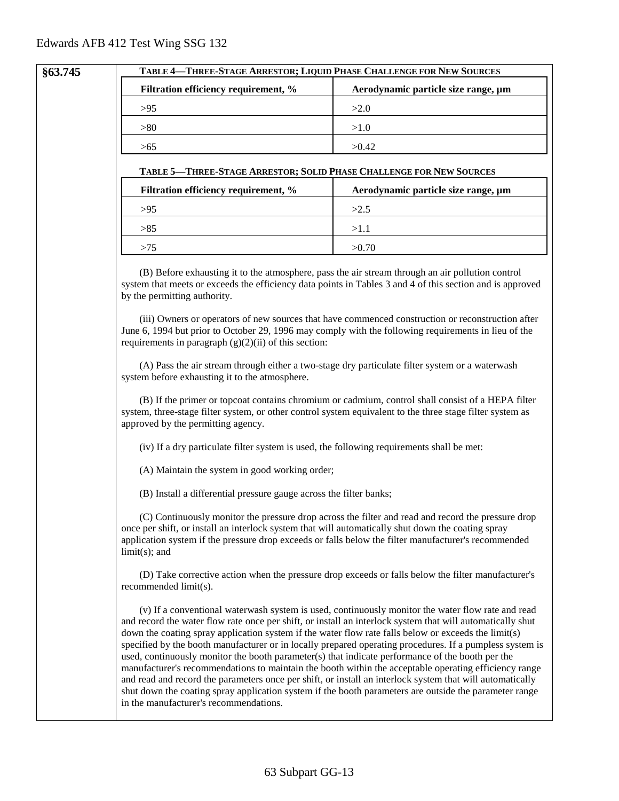### **§63.745 TABLE 4—THREE-STAGE ARRESTOR; LIQUID PHASE CHALLENGE FOR NEW SOURCES**

| Filtration efficiency requirement, % | Aerodynamic particle size range, µm |
|--------------------------------------|-------------------------------------|
| >95                                  | >2.0                                |
| > 80                                 | >1.0                                |
| >65                                  | >0.42                               |

#### **TABLE 5—THREE-STAGE ARRESTOR; SOLID PHASE CHALLENGE FOR NEW SOURCES**

| Filtration efficiency requirement, % | Aerodynamic particle size range, µm |
|--------------------------------------|-------------------------------------|
| >95                                  | >2.5                                |
| >85                                  | >1.1                                |
| >7ร                                  | >0.70                               |

(B) Before exhausting it to the atmosphere, pass the air stream through an air pollution control system that meets or exceeds the efficiency data points in Tables 3 and 4 of this section and is approved by the permitting authority.

(iii) Owners or operators of new sources that have commenced construction or reconstruction after June 6, 1994 but prior to October 29, 1996 may comply with the following requirements in lieu of the requirements in paragraph  $(g)(2)(ii)$  of this section:

(A) Pass the air stream through either a two-stage dry particulate filter system or a waterwash system before exhausting it to the atmosphere.

(B) If the primer or topcoat contains chromium or cadmium, control shall consist of a HEPA filter system, three-stage filter system, or other control system equivalent to the three stage filter system as approved by the permitting agency.

(iv) If a dry particulate filter system is used, the following requirements shall be met:

(A) Maintain the system in good working order;

(B) Install a differential pressure gauge across the filter banks;

(C) Continuously monitor the pressure drop across the filter and read and record the pressure drop once per shift, or install an interlock system that will automatically shut down the coating spray application system if the pressure drop exceeds or falls below the filter manufacturer's recommended limit(s); and

(D) Take corrective action when the pressure drop exceeds or falls below the filter manufacturer's recommended limit(s).

(v) If a conventional waterwash system is used, continuously monitor the water flow rate and read and record the water flow rate once per shift, or install an interlock system that will automatically shut down the coating spray application system if the water flow rate falls below or exceeds the limit(s) specified by the booth manufacturer or in locally prepared operating procedures. If a pumpless system is used, continuously monitor the booth parameter(s) that indicate performance of the booth per the manufacturer's recommendations to maintain the booth within the acceptable operating efficiency range and read and record the parameters once per shift, or install an interlock system that will automatically shut down the coating spray application system if the booth parameters are outside the parameter range in the manufacturer's recommendations.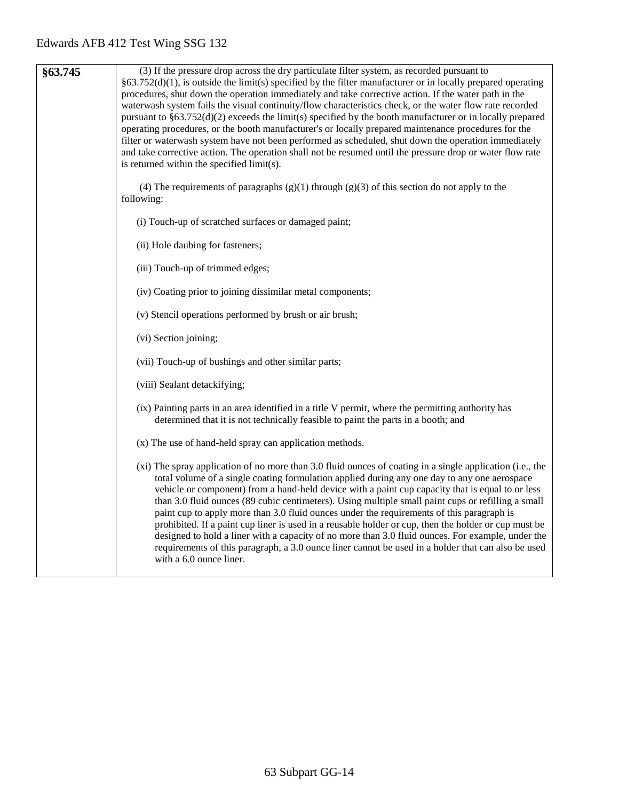| §63.745 | (3) If the pressure drop across the dry particulate filter system, as recorded pursuant to<br>$§63.752(d)(1)$ , is outside the limit(s) specified by the filter manufacturer or in locally prepared operating<br>procedures, shut down the operation immediately and take corrective action. If the water path in the<br>waterwash system fails the visual continuity/flow characteristics check, or the water flow rate recorded<br>pursuant to $$63.752(d)(2)$ exceeds the limit(s) specified by the booth manufacturer or in locally prepared<br>operating procedures, or the booth manufacturer's or locally prepared maintenance procedures for the<br>filter or waterwash system have not been performed as scheduled, shut down the operation immediately<br>and take corrective action. The operation shall not be resumed until the pressure drop or water flow rate<br>is returned within the specified limit(s). |
|---------|-----------------------------------------------------------------------------------------------------------------------------------------------------------------------------------------------------------------------------------------------------------------------------------------------------------------------------------------------------------------------------------------------------------------------------------------------------------------------------------------------------------------------------------------------------------------------------------------------------------------------------------------------------------------------------------------------------------------------------------------------------------------------------------------------------------------------------------------------------------------------------------------------------------------------------|
|         | (4) The requirements of paragraphs $(g)(1)$ through $(g)(3)$ of this section do not apply to the<br>following:                                                                                                                                                                                                                                                                                                                                                                                                                                                                                                                                                                                                                                                                                                                                                                                                              |
|         | (i) Touch-up of scratched surfaces or damaged paint;                                                                                                                                                                                                                                                                                                                                                                                                                                                                                                                                                                                                                                                                                                                                                                                                                                                                        |
|         | (ii) Hole daubing for fasteners;                                                                                                                                                                                                                                                                                                                                                                                                                                                                                                                                                                                                                                                                                                                                                                                                                                                                                            |
|         | (iii) Touch-up of trimmed edges;                                                                                                                                                                                                                                                                                                                                                                                                                                                                                                                                                                                                                                                                                                                                                                                                                                                                                            |
|         | (iv) Coating prior to joining dissimilar metal components;                                                                                                                                                                                                                                                                                                                                                                                                                                                                                                                                                                                                                                                                                                                                                                                                                                                                  |
|         | (v) Stencil operations performed by brush or air brush;                                                                                                                                                                                                                                                                                                                                                                                                                                                                                                                                                                                                                                                                                                                                                                                                                                                                     |
|         | (vi) Section joining;                                                                                                                                                                                                                                                                                                                                                                                                                                                                                                                                                                                                                                                                                                                                                                                                                                                                                                       |
|         | (vii) Touch-up of bushings and other similar parts;                                                                                                                                                                                                                                                                                                                                                                                                                                                                                                                                                                                                                                                                                                                                                                                                                                                                         |
|         | (viii) Sealant detackifying;                                                                                                                                                                                                                                                                                                                                                                                                                                                                                                                                                                                                                                                                                                                                                                                                                                                                                                |
|         | (ix) Painting parts in an area identified in a title V permit, where the permitting authority has<br>determined that it is not technically feasible to paint the parts in a booth; and                                                                                                                                                                                                                                                                                                                                                                                                                                                                                                                                                                                                                                                                                                                                      |
|         | (x) The use of hand-held spray can application methods.                                                                                                                                                                                                                                                                                                                                                                                                                                                                                                                                                                                                                                                                                                                                                                                                                                                                     |
|         | (xi) The spray application of no more than 3.0 fluid ounces of coating in a single application (i.e., the<br>total volume of a single coating formulation applied during any one day to any one aerospace<br>vehicle or component) from a hand-held device with a paint cup capacity that is equal to or less<br>than 3.0 fluid ounces (89 cubic centimeters). Using multiple small paint cups or refilling a small<br>paint cup to apply more than 3.0 fluid ounces under the requirements of this paragraph is<br>prohibited. If a paint cup liner is used in a reusable holder or cup, then the holder or cup must be<br>designed to hold a liner with a capacity of no more than 3.0 fluid ounces. For example, under the<br>requirements of this paragraph, a 3.0 ounce liner cannot be used in a holder that can also be used<br>with a 6.0 ounce liner.                                                              |
|         |                                                                                                                                                                                                                                                                                                                                                                                                                                                                                                                                                                                                                                                                                                                                                                                                                                                                                                                             |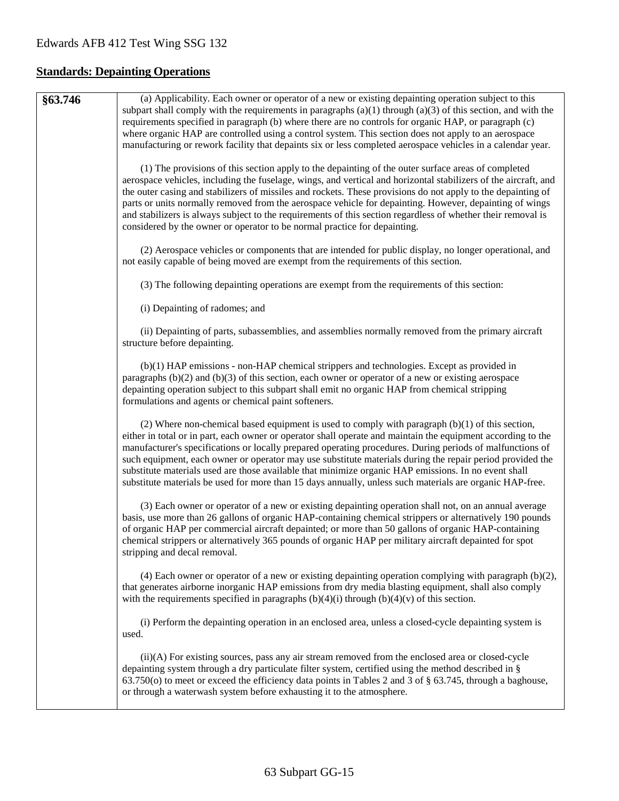## **Standards: Depainting Operations**

| §63.746 | (a) Applicability. Each owner or operator of a new or existing depainting operation subject to this<br>subpart shall comply with the requirements in paragraphs $(a)(1)$ through $(a)(3)$ of this section, and with the<br>requirements specified in paragraph (b) where there are no controls for organic HAP, or paragraph (c)<br>where organic HAP are controlled using a control system. This section does not apply to an aerospace<br>manufacturing or rework facility that depaints six or less completed aerospace vehicles in a calendar year.                                                                                                         |
|---------|-----------------------------------------------------------------------------------------------------------------------------------------------------------------------------------------------------------------------------------------------------------------------------------------------------------------------------------------------------------------------------------------------------------------------------------------------------------------------------------------------------------------------------------------------------------------------------------------------------------------------------------------------------------------|
|         | (1) The provisions of this section apply to the depainting of the outer surface areas of completed<br>aerospace vehicles, including the fuselage, wings, and vertical and horizontal stabilizers of the aircraft, and<br>the outer casing and stabilizers of missiles and rockets. These provisions do not apply to the depainting of<br>parts or units normally removed from the aerospace vehicle for depainting. However, depainting of wings<br>and stabilizers is always subject to the requirements of this section regardless of whether their removal is<br>considered by the owner or operator to be normal practice for depainting.                   |
|         | (2) Aerospace vehicles or components that are intended for public display, no longer operational, and<br>not easily capable of being moved are exempt from the requirements of this section.                                                                                                                                                                                                                                                                                                                                                                                                                                                                    |
|         | (3) The following depainting operations are exempt from the requirements of this section:                                                                                                                                                                                                                                                                                                                                                                                                                                                                                                                                                                       |
|         | (i) Depainting of radomes; and                                                                                                                                                                                                                                                                                                                                                                                                                                                                                                                                                                                                                                  |
|         | (ii) Depainting of parts, subassemblies, and assemblies normally removed from the primary aircraft<br>structure before depainting.                                                                                                                                                                                                                                                                                                                                                                                                                                                                                                                              |
|         | (b)(1) HAP emissions - non-HAP chemical strippers and technologies. Except as provided in<br>paragraphs $(b)(2)$ and $(b)(3)$ of this section, each owner or operator of a new or existing aerospace<br>depainting operation subject to this subpart shall emit no organic HAP from chemical stripping<br>formulations and agents or chemical paint softeners.                                                                                                                                                                                                                                                                                                  |
|         | (2) Where non-chemical based equipment is used to comply with paragraph $(b)(1)$ of this section,<br>either in total or in part, each owner or operator shall operate and maintain the equipment according to the<br>manufacturer's specifications or locally prepared operating procedures. During periods of malfunctions of<br>such equipment, each owner or operator may use substitute materials during the repair period provided the<br>substitute materials used are those available that minimize organic HAP emissions. In no event shall<br>substitute materials be used for more than 15 days annually, unless such materials are organic HAP-free. |
|         | (3) Each owner or operator of a new or existing depainting operation shall not, on an annual average<br>basis, use more than 26 gallons of organic HAP-containing chemical strippers or alternatively 190 pounds<br>of organic HAP per commercial aircraft depainted; or more than 50 gallons of organic HAP-containing<br>chemical strippers or alternatively 365 pounds of organic HAP per military aircraft depainted for spot<br>stripping and decal removal.                                                                                                                                                                                               |
|         | $(4)$ Each owner or operator of a new or existing depainting operation complying with paragraph $(b)(2)$ ,<br>that generates airborne inorganic HAP emissions from dry media blasting equipment, shall also comply<br>with the requirements specified in paragraphs $(b)(4)(i)$ through $(b)(4)(v)$ of this section.                                                                                                                                                                                                                                                                                                                                            |
|         | (i) Perform the depainting operation in an enclosed area, unless a closed-cycle depainting system is<br>used.                                                                                                                                                                                                                                                                                                                                                                                                                                                                                                                                                   |
|         | (ii)(A) For existing sources, pass any air stream removed from the enclosed area or closed-cycle<br>depainting system through a dry particulate filter system, certified using the method described in §<br>63.750(o) to meet or exceed the efficiency data points in Tables 2 and 3 of § 63.745, through a baghouse,<br>or through a waterwash system before exhausting it to the atmosphere.                                                                                                                                                                                                                                                                  |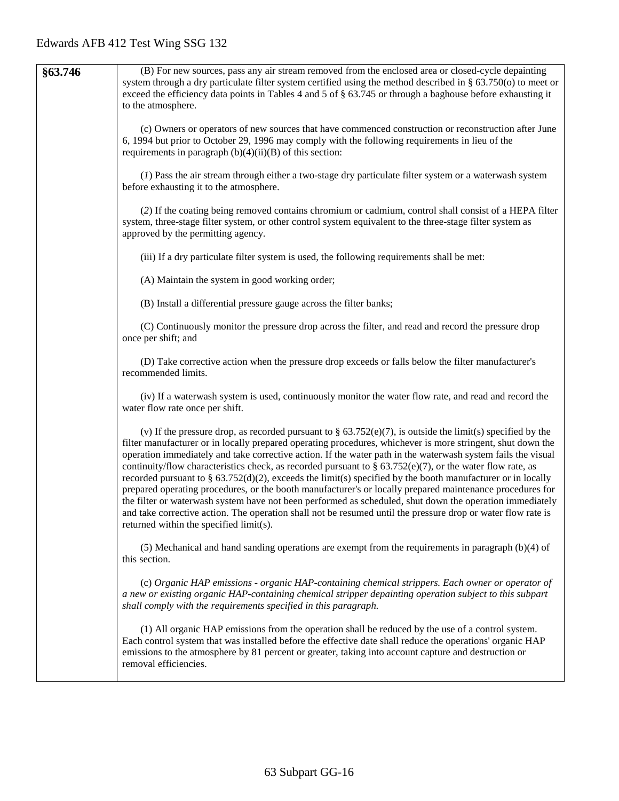| §63.746 | (B) For new sources, pass any air stream removed from the enclosed area or closed-cycle depainting<br>system through a dry particulate filter system certified using the method described in § 63.750(o) to meet or<br>exceed the efficiency data points in Tables 4 and 5 of $\S$ 63.745 or through a baghouse before exhausting it<br>to the atmosphere.                                                                                                                                                                                                                                                                                                                                                                                                                                                                                                                                                                                                       |
|---------|------------------------------------------------------------------------------------------------------------------------------------------------------------------------------------------------------------------------------------------------------------------------------------------------------------------------------------------------------------------------------------------------------------------------------------------------------------------------------------------------------------------------------------------------------------------------------------------------------------------------------------------------------------------------------------------------------------------------------------------------------------------------------------------------------------------------------------------------------------------------------------------------------------------------------------------------------------------|
|         | (c) Owners or operators of new sources that have commenced construction or reconstruction after June<br>6, 1994 but prior to October 29, 1996 may comply with the following requirements in lieu of the<br>requirements in paragraph $(b)(4)(ii)(B)$ of this section:                                                                                                                                                                                                                                                                                                                                                                                                                                                                                                                                                                                                                                                                                            |
|         | (1) Pass the air stream through either a two-stage dry particulate filter system or a waterwash system<br>before exhausting it to the atmosphere.                                                                                                                                                                                                                                                                                                                                                                                                                                                                                                                                                                                                                                                                                                                                                                                                                |
|         | (2) If the coating being removed contains chromium or cadmium, control shall consist of a HEPA filter<br>system, three-stage filter system, or other control system equivalent to the three-stage filter system as<br>approved by the permitting agency.                                                                                                                                                                                                                                                                                                                                                                                                                                                                                                                                                                                                                                                                                                         |
|         | (iii) If a dry particulate filter system is used, the following requirements shall be met:                                                                                                                                                                                                                                                                                                                                                                                                                                                                                                                                                                                                                                                                                                                                                                                                                                                                       |
|         | (A) Maintain the system in good working order;                                                                                                                                                                                                                                                                                                                                                                                                                                                                                                                                                                                                                                                                                                                                                                                                                                                                                                                   |
|         | (B) Install a differential pressure gauge across the filter banks;                                                                                                                                                                                                                                                                                                                                                                                                                                                                                                                                                                                                                                                                                                                                                                                                                                                                                               |
|         | (C) Continuously monitor the pressure drop across the filter, and read and record the pressure drop<br>once per shift; and                                                                                                                                                                                                                                                                                                                                                                                                                                                                                                                                                                                                                                                                                                                                                                                                                                       |
|         | (D) Take corrective action when the pressure drop exceeds or falls below the filter manufacturer's<br>recommended limits.                                                                                                                                                                                                                                                                                                                                                                                                                                                                                                                                                                                                                                                                                                                                                                                                                                        |
|         | (iv) If a waterwash system is used, continuously monitor the water flow rate, and read and record the<br>water flow rate once per shift.                                                                                                                                                                                                                                                                                                                                                                                                                                                                                                                                                                                                                                                                                                                                                                                                                         |
|         | (v) If the pressure drop, as recorded pursuant to $\S 63.752(e)(7)$ , is outside the limit(s) specified by the<br>filter manufacturer or in locally prepared operating procedures, whichever is more stringent, shut down the<br>operation immediately and take corrective action. If the water path in the waterwash system fails the visual<br>continuity/flow characteristics check, as recorded pursuant to § 63.752(e)(7), or the water flow rate, as<br>recorded pursuant to $\S$ 63.752(d)(2), exceeds the limit(s) specified by the booth manufacturer or in locally<br>prepared operating procedures, or the booth manufacturer's or locally prepared maintenance procedures for<br>the filter or waterwash system have not been performed as scheduled, shut down the operation immediately<br>and take corrective action. The operation shall not be resumed until the pressure drop or water flow rate is<br>returned within the specified limit(s). |
|         | $(5)$ Mechanical and hand sanding operations are exempt from the requirements in paragraph $(b)(4)$ of<br>this section.                                                                                                                                                                                                                                                                                                                                                                                                                                                                                                                                                                                                                                                                                                                                                                                                                                          |
|         | (c) Organic HAP emissions - organic HAP-containing chemical strippers. Each owner or operator of<br>a new or existing organic HAP-containing chemical stripper depainting operation subject to this subpart<br>shall comply with the requirements specified in this paragraph.                                                                                                                                                                                                                                                                                                                                                                                                                                                                                                                                                                                                                                                                                   |
|         | (1) All organic HAP emissions from the operation shall be reduced by the use of a control system.<br>Each control system that was installed before the effective date shall reduce the operations' organic HAP<br>emissions to the atmosphere by 81 percent or greater, taking into account capture and destruction or<br>removal efficiencies.                                                                                                                                                                                                                                                                                                                                                                                                                                                                                                                                                                                                                  |
|         |                                                                                                                                                                                                                                                                                                                                                                                                                                                                                                                                                                                                                                                                                                                                                                                                                                                                                                                                                                  |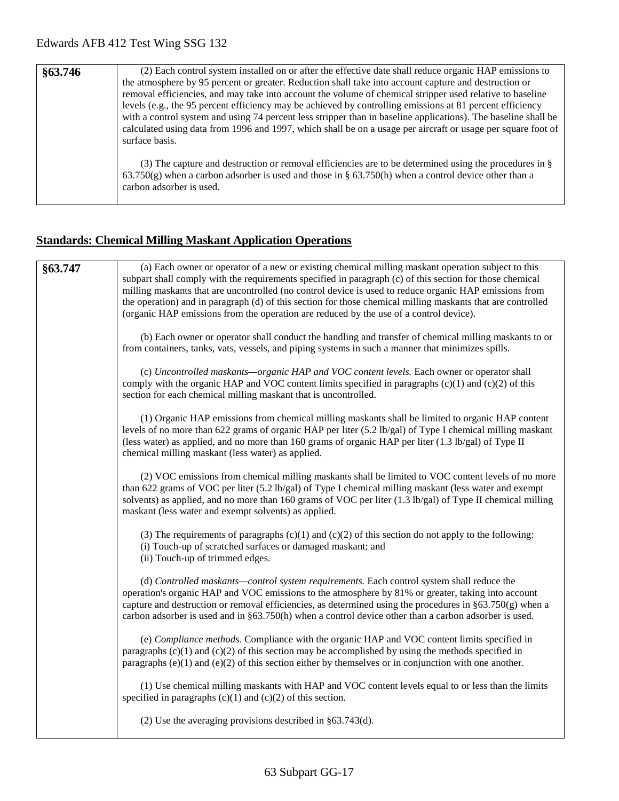| §63.746 | (2) Each control system installed on or after the effective date shall reduce organic HAP emissions to<br>the atmosphere by 95 percent or greater. Reduction shall take into account capture and destruction or<br>removal efficiencies, and may take into account the volume of chemical stripper used relative to baseline<br>levels (e.g., the 95 percent efficiency may be achieved by controlling emissions at 81 percent efficiency<br>with a control system and using 74 percent less stripper than in baseline applications). The baseline shall be<br>calculated using data from 1996 and 1997, which shall be on a usage per aircraft or usage per square foot of<br>surface basis. |
|---------|-----------------------------------------------------------------------------------------------------------------------------------------------------------------------------------------------------------------------------------------------------------------------------------------------------------------------------------------------------------------------------------------------------------------------------------------------------------------------------------------------------------------------------------------------------------------------------------------------------------------------------------------------------------------------------------------------|
|         | (3) The capture and destruction or removal efficiencies are to be determined using the procedures in $\S$<br>$63.750(g)$ when a carbon adsorber is used and those in § 63.750(h) when a control device other than a<br>carbon adsorber is used.                                                                                                                                                                                                                                                                                                                                                                                                                                               |

### **Standards: Chemical Milling Maskant Application Operations**

| §63.747 | (a) Each owner or operator of a new or existing chemical milling maskant operation subject to this<br>subpart shall comply with the requirements specified in paragraph (c) of this section for those chemical<br>milling maskants that are uncontrolled (no control device is used to reduce organic HAP emissions from<br>the operation) and in paragraph (d) of this section for those chemical milling maskants that are controlled<br>(organic HAP emissions from the operation are reduced by the use of a control device). |
|---------|-----------------------------------------------------------------------------------------------------------------------------------------------------------------------------------------------------------------------------------------------------------------------------------------------------------------------------------------------------------------------------------------------------------------------------------------------------------------------------------------------------------------------------------|
|         | (b) Each owner or operator shall conduct the handling and transfer of chemical milling maskants to or<br>from containers, tanks, vats, vessels, and piping systems in such a manner that minimizes spills.                                                                                                                                                                                                                                                                                                                        |
|         | (c) Uncontrolled maskants-organic HAP and VOC content levels. Each owner or operator shall<br>comply with the organic HAP and VOC content limits specified in paragraphs $(c)(1)$ and $(c)(2)$ of this<br>section for each chemical milling maskant that is uncontrolled.                                                                                                                                                                                                                                                         |
|         | (1) Organic HAP emissions from chemical milling maskants shall be limited to organic HAP content<br>levels of no more than 622 grams of organic HAP per liter (5.2 lb/gal) of Type I chemical milling maskant<br>(less water) as applied, and no more than 160 grams of organic HAP per liter (1.3 lb/gal) of Type II<br>chemical milling maskant (less water) as applied.                                                                                                                                                        |
|         | (2) VOC emissions from chemical milling maskants shall be limited to VOC content levels of no more<br>than 622 grams of VOC per liter (5.2 lb/gal) of Type I chemical milling maskant (less water and exempt<br>solvents) as applied, and no more than 160 grams of VOC per liter $(1.3 \text{ lb/gal})$ of Type II chemical milling<br>maskant (less water and exempt solvents) as applied.                                                                                                                                      |
|         | (3) The requirements of paragraphs $(c)(1)$ and $(c)(2)$ of this section do not apply to the following:<br>(i) Touch-up of scratched surfaces or damaged maskant; and<br>(ii) Touch-up of trimmed edges.                                                                                                                                                                                                                                                                                                                          |
|         | (d) Controlled maskants—control system requirements. Each control system shall reduce the<br>operation's organic HAP and VOC emissions to the atmosphere by 81% or greater, taking into account<br>capture and destruction or removal efficiencies, as determined using the procedures in $\S 63.750(g)$ when a<br>carbon adsorber is used and in $\S 63.750(h)$ when a control device other than a carbon adsorber is used.                                                                                                      |
|         | (e) Compliance methods. Compliance with the organic HAP and VOC content limits specified in<br>paragraphs $(c)(1)$ and $(c)(2)$ of this section may be accomplished by using the methods specified in<br>paragraphs $(e)(1)$ and $(e)(2)$ of this section either by themselves or in conjunction with one another.                                                                                                                                                                                                                |
|         | (1) Use chemical milling maskants with HAP and VOC content levels equal to or less than the limits<br>specified in paragraphs $(c)(1)$ and $(c)(2)$ of this section.                                                                                                                                                                                                                                                                                                                                                              |
|         | (2) Use the averaging provisions described in $§$ 63.743(d).                                                                                                                                                                                                                                                                                                                                                                                                                                                                      |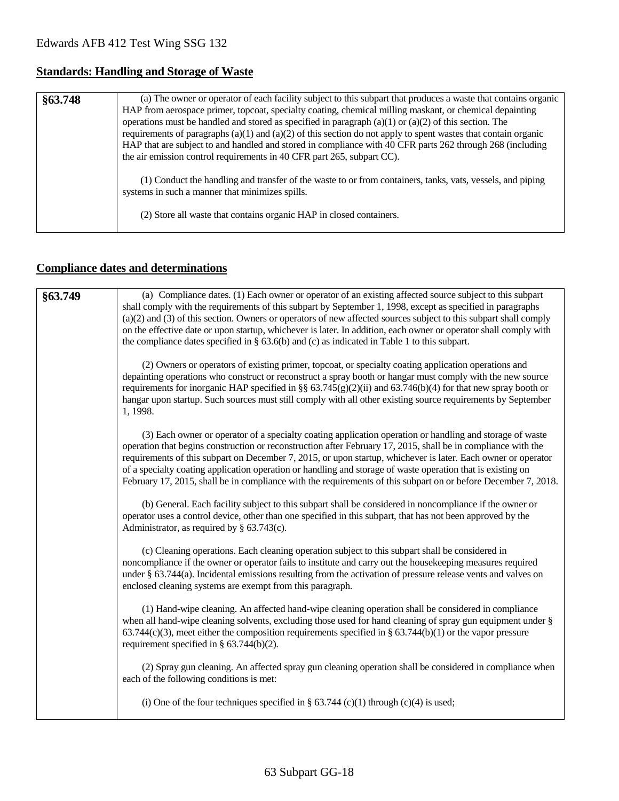### **Standards: Handling and Storage of Waste**

| §63.748 | (a) The owner or operator of each facility subject to this subpart that produces a waste that contains organic<br>HAP from aerospace primer, topcoat, specialty coating, chemical milling maskant, or chemical depainting<br>operations must be handled and stored as specified in paragraph (a)(1) or (a)(2) of this section. The<br>requirements of paragraphs $(a)(1)$ and $(a)(2)$ of this section do not apply to spent wastes that contain organic<br>HAP that are subject to and handled and stored in compliance with 40 CFR parts 262 through 268 (including<br>the air emission control requirements in 40 CFR part 265, subpart CC). |
|---------|-------------------------------------------------------------------------------------------------------------------------------------------------------------------------------------------------------------------------------------------------------------------------------------------------------------------------------------------------------------------------------------------------------------------------------------------------------------------------------------------------------------------------------------------------------------------------------------------------------------------------------------------------|
|         | (1) Conduct the handling and transfer of the waste to or from containers, tanks, vats, vessels, and piping<br>systems in such a manner that minimizes spills.<br>(2) Store all waste that contains organic HAP in closed containers.                                                                                                                                                                                                                                                                                                                                                                                                            |

### **Compliance dates and determinations**

| §63.749 | (a) Compliance dates. (1) Each owner or operator of an existing affected source subject to this subpart<br>shall comply with the requirements of this subpart by September 1, 1998, except as specified in paragraphs<br>$(a)(2)$ and $(3)$ of this section. Owners or operators of new affected sources subject to this subpart shall comply<br>on the effective date or upon startup, whichever is later. In addition, each owner or operator shall comply with<br>the compliance dates specified in $\S$ 63.6(b) and (c) as indicated in Table 1 to this subpart.        |
|---------|-----------------------------------------------------------------------------------------------------------------------------------------------------------------------------------------------------------------------------------------------------------------------------------------------------------------------------------------------------------------------------------------------------------------------------------------------------------------------------------------------------------------------------------------------------------------------------|
|         | (2) Owners or operators of existing primer, topcoat, or specialty coating application operations and<br>depainting operations who construct or reconstruct a spray booth or hangar must comply with the new source<br>requirements for inorganic HAP specified in §§ 63.745(g)(2)(ii) and 63.746(b)(4) for that new spray booth or<br>hangar upon startup. Such sources must still comply with all other existing source requirements by September<br>1, 1998.                                                                                                              |
|         | (3) Each owner or operator of a specialty coating application operation or handling and storage of waste<br>operation that begins construction or reconstruction after February 17, 2015, shall be in compliance with the<br>requirements of this subpart on December 7, 2015, or upon startup, whichever is later. Each owner or operator<br>of a specialty coating application operation or handling and storage of waste operation that is existing on<br>February 17, 2015, shall be in compliance with the requirements of this subpart on or before December 7, 2018. |
|         | (b) General. Each facility subject to this subpart shall be considered in noncompliance if the owner or<br>operator uses a control device, other than one specified in this subpart, that has not been approved by the<br>Administrator, as required by $\S$ 63.743(c).                                                                                                                                                                                                                                                                                                     |
|         | (c) Cleaning operations. Each cleaning operation subject to this subpart shall be considered in<br>noncompliance if the owner or operator fails to institute and carry out the housekeeping measures required<br>under § 63.744(a). Incidental emissions resulting from the activation of pressure release vents and valves on<br>enclosed cleaning systems are exempt from this paragraph.                                                                                                                                                                                 |
|         | (1) Hand-wipe cleaning. An affected hand-wipe cleaning operation shall be considered in compliance<br>when all hand-wipe cleaning solvents, excluding those used for hand cleaning of spray gun equipment under §<br>$63.744(c)(3)$ , meet either the composition requirements specified in § 63.744(b)(1) or the vapor pressure<br>requirement specified in $\S$ 63.744(b)(2).                                                                                                                                                                                             |
|         | (2) Spray gun cleaning. An affected spray gun cleaning operation shall be considered in compliance when<br>each of the following conditions is met:                                                                                                                                                                                                                                                                                                                                                                                                                         |
|         | (i) One of the four techniques specified in § 63.744 (c)(1) through (c)(4) is used;                                                                                                                                                                                                                                                                                                                                                                                                                                                                                         |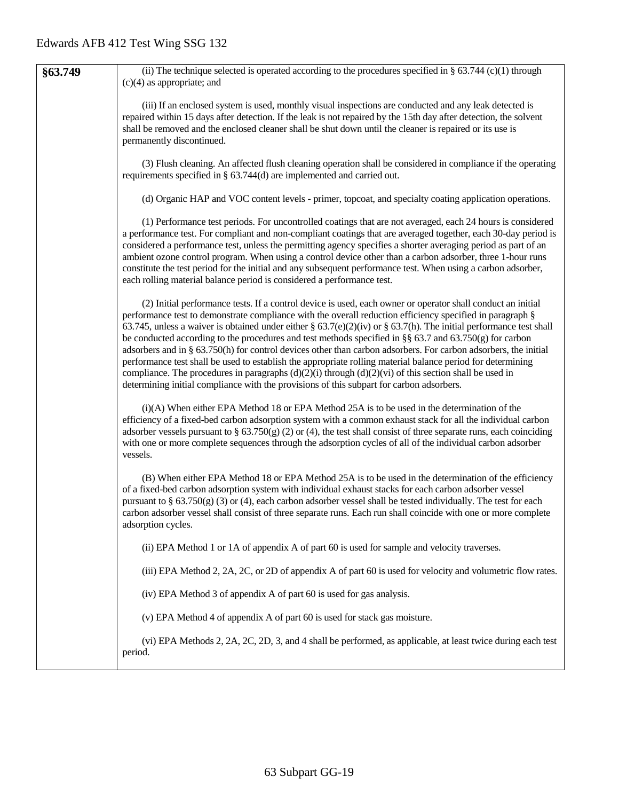| §63.749 | (ii) The technique selected is operated according to the procedures specified in § 63.744 (c)(1) through<br>$(c)(4)$ as appropriate; and                                                                                                                                                                                                                                                                                                                                                                                                                                                                                                                                                                                                                                                                                                                                                              |
|---------|-------------------------------------------------------------------------------------------------------------------------------------------------------------------------------------------------------------------------------------------------------------------------------------------------------------------------------------------------------------------------------------------------------------------------------------------------------------------------------------------------------------------------------------------------------------------------------------------------------------------------------------------------------------------------------------------------------------------------------------------------------------------------------------------------------------------------------------------------------------------------------------------------------|
|         | (iii) If an enclosed system is used, monthly visual inspections are conducted and any leak detected is<br>repaired within 15 days after detection. If the leak is not repaired by the 15th day after detection, the solvent<br>shall be removed and the enclosed cleaner shall be shut down until the cleaner is repaired or its use is<br>permanently discontinued.                                                                                                                                                                                                                                                                                                                                                                                                                                                                                                                                  |
|         | (3) Flush cleaning. An affected flush cleaning operation shall be considered in compliance if the operating<br>requirements specified in $\S$ 63.744(d) are implemented and carried out.                                                                                                                                                                                                                                                                                                                                                                                                                                                                                                                                                                                                                                                                                                              |
|         | (d) Organic HAP and VOC content levels - primer, topcoat, and specialty coating application operations.                                                                                                                                                                                                                                                                                                                                                                                                                                                                                                                                                                                                                                                                                                                                                                                               |
|         | (1) Performance test periods. For uncontrolled coatings that are not averaged, each 24 hours is considered<br>a performance test. For compliant and non-compliant coatings that are averaged together, each 30-day period is<br>considered a performance test, unless the permitting agency specifies a shorter averaging period as part of an<br>ambient ozone control program. When using a control device other than a carbon adsorber, three 1-hour runs<br>constitute the test period for the initial and any subsequent performance test. When using a carbon adsorber,<br>each rolling material balance period is considered a performance test.                                                                                                                                                                                                                                               |
|         | (2) Initial performance tests. If a control device is used, each owner or operator shall conduct an initial<br>performance test to demonstrate compliance with the overall reduction efficiency specified in paragraph §<br>63.745, unless a waiver is obtained under either § 63.7(e)(2)(iv) or § 63.7(h). The initial performance test shall<br>be conducted according to the procedures and test methods specified in §§ 63.7 and 63.750(g) for carbon<br>adsorbers and in § 63.750(h) for control devices other than carbon adsorbers. For carbon adsorbers, the initial<br>performance test shall be used to establish the appropriate rolling material balance period for determining<br>compliance. The procedures in paragraphs $(d)(2)(i)$ through $(d)(2)(vi)$ of this section shall be used in<br>determining initial compliance with the provisions of this subpart for carbon adsorbers. |
|         | (i)(A) When either EPA Method 18 or EPA Method 25A is to be used in the determination of the<br>efficiency of a fixed-bed carbon adsorption system with a common exhaust stack for all the individual carbon<br>adsorber vessels pursuant to § $63.750(g)$ (2) or (4), the test shall consist of three separate runs, each coinciding<br>with one or more complete sequences through the adsorption cycles of all of the individual carbon adsorber<br>vessels.                                                                                                                                                                                                                                                                                                                                                                                                                                       |
|         | (B) When either EPA Method 18 or EPA Method 25A is to be used in the determination of the efficiency<br>of a fixed-bed carbon adsorption system with individual exhaust stacks for each carbon adsorber vessel<br>pursuant to $\S$ 63.750(g) (3) or (4), each carbon adsorber vessel shall be tested individually. The test for each<br>carbon adsorber vessel shall consist of three separate runs. Each run shall coincide with one or more complete<br>adsorption cycles.                                                                                                                                                                                                                                                                                                                                                                                                                          |
|         | (ii) EPA Method 1 or 1A of appendix A of part 60 is used for sample and velocity traverses.                                                                                                                                                                                                                                                                                                                                                                                                                                                                                                                                                                                                                                                                                                                                                                                                           |
|         | (iii) EPA Method 2, 2A, 2C, or 2D of appendix A of part 60 is used for velocity and volumetric flow rates.                                                                                                                                                                                                                                                                                                                                                                                                                                                                                                                                                                                                                                                                                                                                                                                            |
|         | (iv) EPA Method 3 of appendix A of part 60 is used for gas analysis.                                                                                                                                                                                                                                                                                                                                                                                                                                                                                                                                                                                                                                                                                                                                                                                                                                  |
|         | (v) EPA Method 4 of appendix A of part 60 is used for stack gas moisture.                                                                                                                                                                                                                                                                                                                                                                                                                                                                                                                                                                                                                                                                                                                                                                                                                             |
|         | (vi) EPA Methods 2, 2A, 2C, 2D, 3, and 4 shall be performed, as applicable, at least twice during each test<br>period.                                                                                                                                                                                                                                                                                                                                                                                                                                                                                                                                                                                                                                                                                                                                                                                |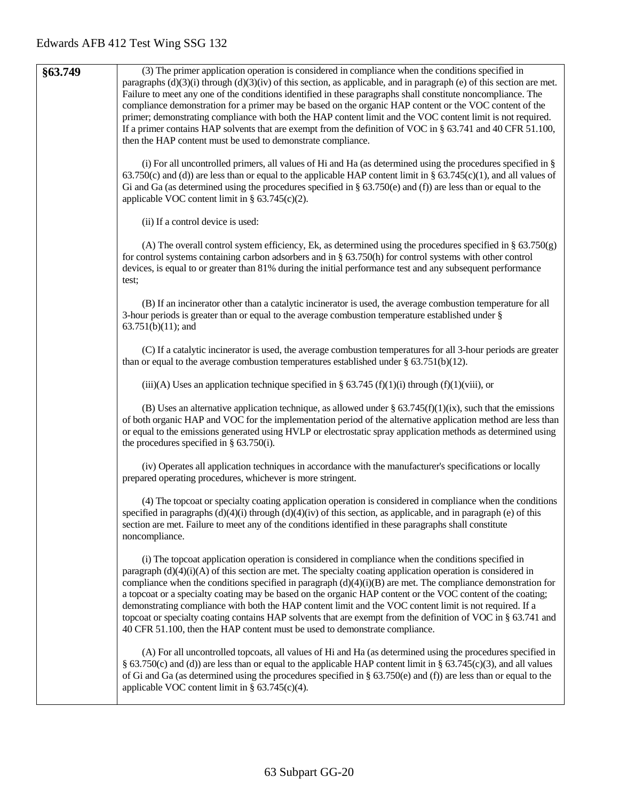| §63.749 | (3) The primer application operation is considered in compliance when the conditions specified in<br>paragraphs $(d)(3)(i)$ through $(d)(3)(iv)$ of this section, as applicable, and in paragraph (e) of this section are met.<br>Failure to meet any one of the conditions identified in these paragraphs shall constitute noncompliance. The<br>compliance demonstration for a primer may be based on the organic HAP content or the VOC content of the<br>primer; demonstrating compliance with both the HAP content limit and the VOC content limit is not required.<br>If a primer contains HAP solvents that are exempt from the definition of VOC in $\S$ 63.741 and 40 CFR 51.100,<br>then the HAP content must be used to demonstrate compliance.        |
|---------|-------------------------------------------------------------------------------------------------------------------------------------------------------------------------------------------------------------------------------------------------------------------------------------------------------------------------------------------------------------------------------------------------------------------------------------------------------------------------------------------------------------------------------------------------------------------------------------------------------------------------------------------------------------------------------------------------------------------------------------------------------------------|
|         | (i) For all uncontrolled primers, all values of Hi and Ha (as determined using the procedures specified in $\S$<br>63.750(c) and (d)) are less than or equal to the applicable HAP content limit in § 63.745(c)(1), and all values of<br>Gi and Ga (as determined using the procedures specified in $\S$ 63.750(e) and (f)) are less than or equal to the<br>applicable VOC content limit in $\S$ 63.745(c)(2).                                                                                                                                                                                                                                                                                                                                                   |
|         | (ii) If a control device is used:                                                                                                                                                                                                                                                                                                                                                                                                                                                                                                                                                                                                                                                                                                                                 |
|         | (A) The overall control system efficiency, Ek, as determined using the procedures specified in $\S$ 63.750(g)<br>for control systems containing carbon adsorbers and in $\S$ 63.750(h) for control systems with other control<br>devices, is equal to or greater than 81% during the initial performance test and any subsequent performance<br>test;                                                                                                                                                                                                                                                                                                                                                                                                             |
|         | (B) If an incinerator other than a catalytic incinerator is used, the average combustion temperature for all<br>3-hour periods is greater than or equal to the average combustion temperature established under $\S$<br>$63.751(b)(11)$ ; and                                                                                                                                                                                                                                                                                                                                                                                                                                                                                                                     |
|         | (C) If a catalytic incinerator is used, the average combustion temperatures for all 3-hour periods are greater<br>than or equal to the average combustion temperatures established under $\S$ 63.751(b)(12).                                                                                                                                                                                                                                                                                                                                                                                                                                                                                                                                                      |
|         | (iii)(A) Uses an application technique specified in § 63.745 (f)(1)(i) through (f)(1)(viii), or                                                                                                                                                                                                                                                                                                                                                                                                                                                                                                                                                                                                                                                                   |
|         | (B) Uses an alternative application technique, as allowed under $\S 63.745(f)(1)(ix)$ , such that the emissions<br>of both organic HAP and VOC for the implementation period of the alternative application method are less than<br>or equal to the emissions generated using HVLP or electrostatic spray application methods as determined using<br>the procedures specified in $\S$ 63.750(i).                                                                                                                                                                                                                                                                                                                                                                  |
|         | (iv) Operates all application techniques in accordance with the manufacturer's specifications or locally<br>prepared operating procedures, whichever is more stringent.                                                                                                                                                                                                                                                                                                                                                                                                                                                                                                                                                                                           |
|         | (4) The topcoat or specialty coating application operation is considered in compliance when the conditions<br>specified in paragraphs $(d)(4)(i)$ through $(d)(4)(iv)$ of this section, as applicable, and in paragraph (e) of this<br>section are met. Failure to meet any of the conditions identified in these paragraphs shall constitute<br>noncompliance.                                                                                                                                                                                                                                                                                                                                                                                                   |
|         | (i) The topcoat application operation is considered in compliance when the conditions specified in<br>paragraph $(d)(4)(i)(A)$ of this section are met. The specialty coating application operation is considered in<br>compliance when the conditions specified in paragraph $(d)(4)(i)(B)$ are met. The compliance demonstration for<br>a topcoat or a specialty coating may be based on the organic HAP content or the VOC content of the coating;<br>demonstrating compliance with both the HAP content limit and the VOC content limit is not required. If a<br>topcoat or specialty coating contains HAP solvents that are exempt from the definition of VOC in § 63.741 and<br>40 CFR 51.100, then the HAP content must be used to demonstrate compliance. |
|         | (A) For all uncontrolled topcoats, all values of Hi and Ha (as determined using the procedures specified in<br>§ 63.750(c) and (d)) are less than or equal to the applicable HAP content limit in § 63.745(c)(3), and all values<br>of Gi and Ga (as determined using the procedures specified in $\S$ 63.750(e) and (f)) are less than or equal to the<br>applicable VOC content limit in $\S$ 63.745(c)(4).                                                                                                                                                                                                                                                                                                                                                     |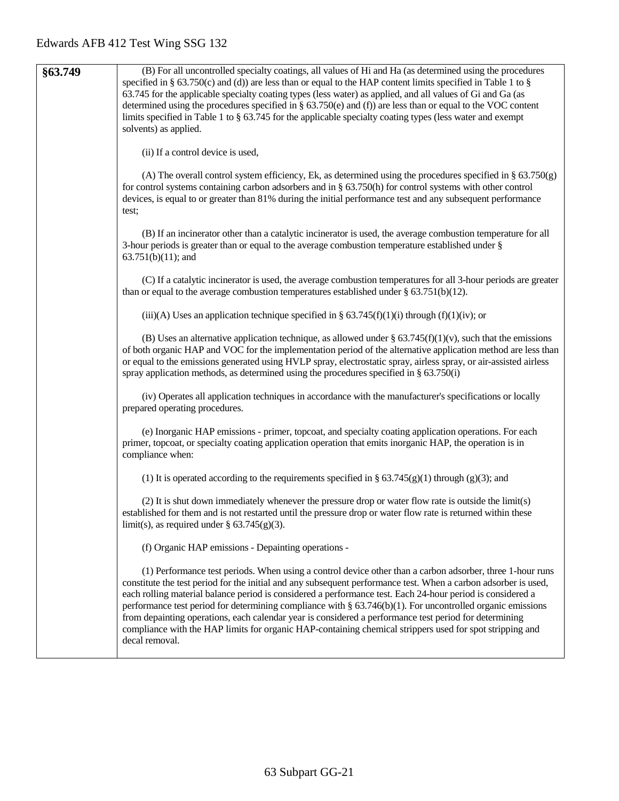| §63.749 | (B) For all uncontrolled specialty coatings, all values of Hi and Ha (as determined using the procedures                                                                                                                                                                                                                                                                                                                                                                                                                                                                                                                                                                                             |
|---------|------------------------------------------------------------------------------------------------------------------------------------------------------------------------------------------------------------------------------------------------------------------------------------------------------------------------------------------------------------------------------------------------------------------------------------------------------------------------------------------------------------------------------------------------------------------------------------------------------------------------------------------------------------------------------------------------------|
|         | specified in § 63.750(c) and (d)) are less than or equal to the HAP content limits specified in Table 1 to §                                                                                                                                                                                                                                                                                                                                                                                                                                                                                                                                                                                         |
|         | 63.745 for the applicable specialty coating types (less water) as applied, and all values of Gi and Ga (as                                                                                                                                                                                                                                                                                                                                                                                                                                                                                                                                                                                           |
|         | determined using the procedures specified in § 63.750(e) and (f)) are less than or equal to the VOC content                                                                                                                                                                                                                                                                                                                                                                                                                                                                                                                                                                                          |
|         | limits specified in Table 1 to § 63.745 for the applicable specialty coating types (less water and exempt                                                                                                                                                                                                                                                                                                                                                                                                                                                                                                                                                                                            |
|         | solvents) as applied.                                                                                                                                                                                                                                                                                                                                                                                                                                                                                                                                                                                                                                                                                |
|         |                                                                                                                                                                                                                                                                                                                                                                                                                                                                                                                                                                                                                                                                                                      |
|         | (ii) If a control device is used,                                                                                                                                                                                                                                                                                                                                                                                                                                                                                                                                                                                                                                                                    |
|         | (A) The overall control system efficiency, Ek, as determined using the procedures specified in $\S$ 63.750(g)<br>for control systems containing carbon adsorbers and in $\S$ 63.750(h) for control systems with other control<br>devices, is equal to or greater than 81% during the initial performance test and any subsequent performance<br>test;                                                                                                                                                                                                                                                                                                                                                |
|         | (B) If an incinerator other than a catalytic incinerator is used, the average combustion temperature for all<br>3-hour periods is greater than or equal to the average combustion temperature established under $\S$<br>$63.751(b)(11)$ ; and                                                                                                                                                                                                                                                                                                                                                                                                                                                        |
|         | (C) If a catalytic incinerator is used, the average combustion temperatures for all 3-hour periods are greater<br>than or equal to the average combustion temperatures established under $\S$ 63.751(b)(12).                                                                                                                                                                                                                                                                                                                                                                                                                                                                                         |
|         | (iii)(A) Uses an application technique specified in § 63.745(f)(1)(i) through (f)(1)(iv); or                                                                                                                                                                                                                                                                                                                                                                                                                                                                                                                                                                                                         |
|         | (B) Uses an alternative application technique, as allowed under § $63.745(f)(1)(v)$ , such that the emissions<br>of both organic HAP and VOC for the implementation period of the alternative application method are less than<br>or equal to the emissions generated using HVLP spray, electrostatic spray, airless spray, or air-assisted airless<br>spray application methods, as determined using the procedures specified in $\S$ 63.750(i)                                                                                                                                                                                                                                                     |
|         | (iv) Operates all application techniques in accordance with the manufacturer's specifications or locally<br>prepared operating procedures.                                                                                                                                                                                                                                                                                                                                                                                                                                                                                                                                                           |
|         | (e) Inorganic HAP emissions - primer, topcoat, and specialty coating application operations. For each<br>primer, topcoat, or specialty coating application operation that emits inorganic HAP, the operation is in<br>compliance when:                                                                                                                                                                                                                                                                                                                                                                                                                                                               |
|         | (1) It is operated according to the requirements specified in § 63.745(g)(1) through (g)(3); and                                                                                                                                                                                                                                                                                                                                                                                                                                                                                                                                                                                                     |
|         | (2) It is shut down immediately whenever the pressure drop or water flow rate is outside the limit(s)<br>established for them and is not restarted until the pressure drop or water flow rate is returned within these<br>limit(s), as required under $\S$ 63.745(g)(3).                                                                                                                                                                                                                                                                                                                                                                                                                             |
|         | (f) Organic HAP emissions - Depainting operations -                                                                                                                                                                                                                                                                                                                                                                                                                                                                                                                                                                                                                                                  |
|         | (1) Performance test periods. When using a control device other than a carbon adsorber, three 1-hour runs<br>constitute the test period for the initial and any subsequent performance test. When a carbon adsorber is used,<br>each rolling material balance period is considered a performance test. Each 24-hour period is considered a<br>performance test period for determining compliance with $\S 63.746(b)(1)$ . For uncontrolled organic emissions<br>from depainting operations, each calendar year is considered a performance test period for determining<br>compliance with the HAP limits for organic HAP-containing chemical strippers used for spot stripping and<br>decal removal. |
|         |                                                                                                                                                                                                                                                                                                                                                                                                                                                                                                                                                                                                                                                                                                      |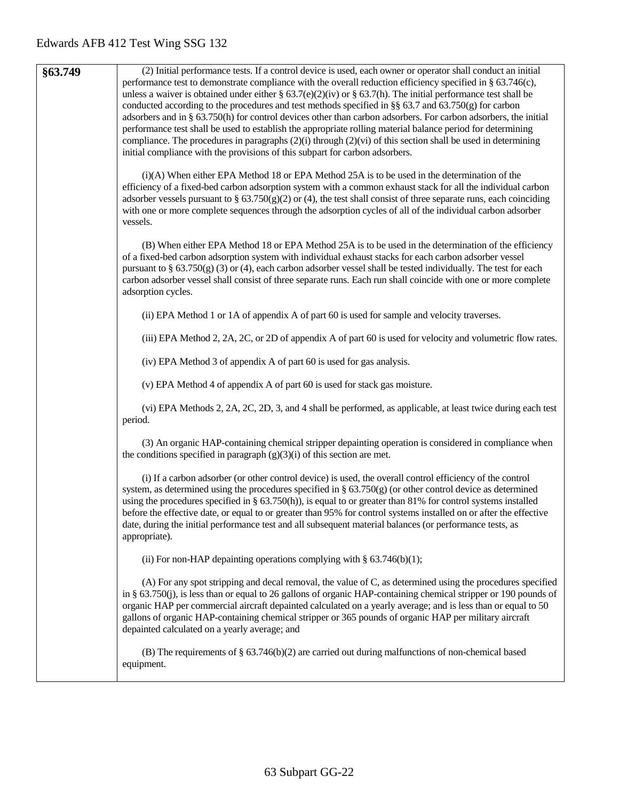| §63.749 | (2) Initial performance tests. If a control device is used, each owner or operator shall conduct an initial                                                                                                                                                                                                                                                                                                                                                                                                                                                                                      |
|---------|--------------------------------------------------------------------------------------------------------------------------------------------------------------------------------------------------------------------------------------------------------------------------------------------------------------------------------------------------------------------------------------------------------------------------------------------------------------------------------------------------------------------------------------------------------------------------------------------------|
|         | performance test to demonstrate compliance with the overall reduction efficiency specified in § 63.746(c),<br>unless a waiver is obtained under either § 63.7(e)(2)(iv) or § 63.7(h). The initial performance test shall be                                                                                                                                                                                                                                                                                                                                                                      |
|         | conducted according to the procedures and test methods specified in §§ 63.7 and 63.750(g) for carbon                                                                                                                                                                                                                                                                                                                                                                                                                                                                                             |
|         | adsorbers and in § 63.750(h) for control devices other than carbon adsorbers. For carbon adsorbers, the initial                                                                                                                                                                                                                                                                                                                                                                                                                                                                                  |
|         | performance test shall be used to establish the appropriate rolling material balance period for determining<br>compliance. The procedures in paragraphs $(2)(i)$ through $(2)(vi)$ of this section shall be used in determining                                                                                                                                                                                                                                                                                                                                                                  |
|         | initial compliance with the provisions of this subpart for carbon adsorbers.                                                                                                                                                                                                                                                                                                                                                                                                                                                                                                                     |
|         | (i)(A) When either EPA Method 18 or EPA Method 25A is to be used in the determination of the<br>efficiency of a fixed-bed carbon adsorption system with a common exhaust stack for all the individual carbon<br>adsorber vessels pursuant to § 63.750(g)(2) or (4), the test shall consist of three separate runs, each coinciding<br>with one or more complete sequences through the adsorption cycles of all of the individual carbon adsorber<br>vessels.                                                                                                                                     |
|         | (B) When either EPA Method 18 or EPA Method 25A is to be used in the determination of the efficiency<br>of a fixed-bed carbon adsorption system with individual exhaust stacks for each carbon adsorber vessel<br>pursuant to $\S$ 63.750(g) (3) or (4), each carbon adsorber vessel shall be tested individually. The test for each<br>carbon adsorber vessel shall consist of three separate runs. Each run shall coincide with one or more complete<br>adsorption cycles.                                                                                                                     |
|         | (ii) EPA Method 1 or 1A of appendix A of part 60 is used for sample and velocity traverses.                                                                                                                                                                                                                                                                                                                                                                                                                                                                                                      |
|         |                                                                                                                                                                                                                                                                                                                                                                                                                                                                                                                                                                                                  |
|         | (iii) EPA Method 2, 2A, 2C, or 2D of appendix A of part 60 is used for velocity and volumetric flow rates.                                                                                                                                                                                                                                                                                                                                                                                                                                                                                       |
|         | (iv) EPA Method 3 of appendix A of part 60 is used for gas analysis.                                                                                                                                                                                                                                                                                                                                                                                                                                                                                                                             |
|         | (v) EPA Method 4 of appendix A of part 60 is used for stack gas moisture.                                                                                                                                                                                                                                                                                                                                                                                                                                                                                                                        |
|         | (vi) EPA Methods 2, 2A, 2C, 2D, 3, and 4 shall be performed, as applicable, at least twice during each test<br>period.                                                                                                                                                                                                                                                                                                                                                                                                                                                                           |
|         | (3) An organic HAP-containing chemical stripper depainting operation is considered in compliance when<br>the conditions specified in paragraph $(g)(3)(i)$ of this section are met.                                                                                                                                                                                                                                                                                                                                                                                                              |
|         | (i) If a carbon adsorber (or other control device) is used, the overall control efficiency of the control<br>system, as determined using the procedures specified in $\S$ 63.750(g) (or other control device as determined<br>using the procedures specified in § $63.750(h)$ , is equal to or greater than 81% for control systems installed<br>before the effective date, or equal to or greater than 95% for control systems installed on or after the effective<br>date, during the initial performance test and all subsequent material balances (or performance tests, as<br>appropriate). |
|         | (ii) For non-HAP depainting operations complying with $\S$ 63.746(b)(1);                                                                                                                                                                                                                                                                                                                                                                                                                                                                                                                         |
|         | (A) For any spot stripping and decal removal, the value of C, as determined using the procedures specified<br>in § $63.750(j)$ , is less than or equal to 26 gallons of organic HAP-containing chemical stripper or 190 pounds of<br>organic HAP per commercial aircraft depainted calculated on a yearly average; and is less than or equal to 50<br>gallons of organic HAP-containing chemical stripper or 365 pounds of organic HAP per military aircraft<br>depainted calculated on a yearly average; and                                                                                    |
|         | (B) The requirements of $\S$ 63.746(b)(2) are carried out during malfunctions of non-chemical based<br>equipment.                                                                                                                                                                                                                                                                                                                                                                                                                                                                                |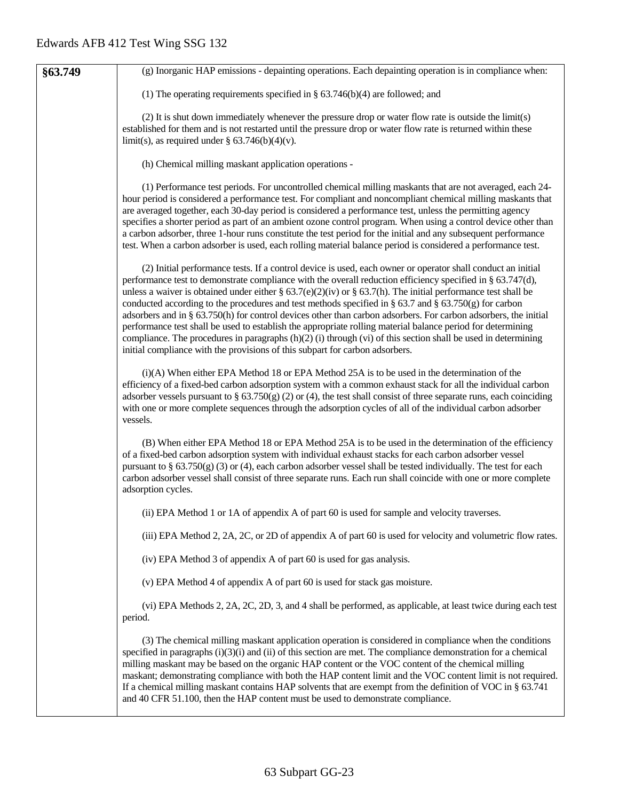| §63.749 | (g) Inorganic HAP emissions - depainting operations. Each depainting operation is in compliance when:                                                                                                                                                                                                                                                                                                                                                                                                                                                                                                                                                                                                                                                                                                                                                                                    |
|---------|------------------------------------------------------------------------------------------------------------------------------------------------------------------------------------------------------------------------------------------------------------------------------------------------------------------------------------------------------------------------------------------------------------------------------------------------------------------------------------------------------------------------------------------------------------------------------------------------------------------------------------------------------------------------------------------------------------------------------------------------------------------------------------------------------------------------------------------------------------------------------------------|
|         | (1) The operating requirements specified in $\S$ 63.746(b)(4) are followed; and                                                                                                                                                                                                                                                                                                                                                                                                                                                                                                                                                                                                                                                                                                                                                                                                          |
|         | (2) It is shut down immediately whenever the pressure drop or water flow rate is outside the limit(s)<br>established for them and is not restarted until the pressure drop or water flow rate is returned within these<br>limit(s), as required under $\S$ 63.746(b)(4)(v).                                                                                                                                                                                                                                                                                                                                                                                                                                                                                                                                                                                                              |
|         | (h) Chemical milling maskant application operations -                                                                                                                                                                                                                                                                                                                                                                                                                                                                                                                                                                                                                                                                                                                                                                                                                                    |
|         | (1) Performance test periods. For uncontrolled chemical milling maskants that are not averaged, each 24-<br>hour period is considered a performance test. For compliant and noncompliant chemical milling maskants that<br>are averaged together, each 30-day period is considered a performance test, unless the permitting agency<br>specifies a shorter period as part of an ambient ozone control program. When using a control device other than<br>a carbon adsorber, three 1-hour runs constitute the test period for the initial and any subsequent performance<br>test. When a carbon adsorber is used, each rolling material balance period is considered a performance test.                                                                                                                                                                                                  |
|         | (2) Initial performance tests. If a control device is used, each owner or operator shall conduct an initial<br>performance test to demonstrate compliance with the overall reduction efficiency specified in § 63.747(d),<br>unless a waiver is obtained under either § 63.7(e)(2)(iv) or § 63.7(h). The initial performance test shall be<br>conducted according to the procedures and test methods specified in § 63.7 and § 63.750(g) for carbon<br>adsorbers and in § 63.750(h) for control devices other than carbon adsorbers. For carbon adsorbers, the initial<br>performance test shall be used to establish the appropriate rolling material balance period for determining<br>compliance. The procedures in paragraphs $(h)(2)$ (i) through (vi) of this section shall be used in determining<br>initial compliance with the provisions of this subpart for carbon adsorbers. |
|         | (i)(A) When either EPA Method 18 or EPA Method 25A is to be used in the determination of the<br>efficiency of a fixed-bed carbon adsorption system with a common exhaust stack for all the individual carbon<br>adsorber vessels pursuant to § $63.750(g)$ (2) or (4), the test shall consist of three separate runs, each coinciding<br>with one or more complete sequences through the adsorption cycles of all of the individual carbon adsorber<br>vessels.                                                                                                                                                                                                                                                                                                                                                                                                                          |
|         | (B) When either EPA Method 18 or EPA Method 25A is to be used in the determination of the efficiency<br>of a fixed-bed carbon adsorption system with individual exhaust stacks for each carbon adsorber vessel<br>pursuant to $\S$ 63.750(g) (3) or (4), each carbon adsorber vessel shall be tested individually. The test for each<br>carbon adsorber vessel shall consist of three separate runs. Each run shall coincide with one or more complete<br>adsorption cycles.                                                                                                                                                                                                                                                                                                                                                                                                             |
|         | (ii) EPA Method 1 or 1A of appendix A of part 60 is used for sample and velocity traverses.                                                                                                                                                                                                                                                                                                                                                                                                                                                                                                                                                                                                                                                                                                                                                                                              |
|         | (iii) EPA Method 2, 2A, 2C, or 2D of appendix A of part 60 is used for velocity and volumetric flow rates.                                                                                                                                                                                                                                                                                                                                                                                                                                                                                                                                                                                                                                                                                                                                                                               |
|         | (iv) EPA Method 3 of appendix A of part 60 is used for gas analysis.                                                                                                                                                                                                                                                                                                                                                                                                                                                                                                                                                                                                                                                                                                                                                                                                                     |
|         | (v) EPA Method 4 of appendix A of part 60 is used for stack gas moisture.                                                                                                                                                                                                                                                                                                                                                                                                                                                                                                                                                                                                                                                                                                                                                                                                                |
|         | (vi) EPA Methods 2, 2A, 2C, 2D, 3, and 4 shall be performed, as applicable, at least twice during each test<br>period.                                                                                                                                                                                                                                                                                                                                                                                                                                                                                                                                                                                                                                                                                                                                                                   |
|         | (3) The chemical milling maskant application operation is considered in compliance when the conditions<br>specified in paragraphs $(i)(3)(i)$ and $(ii)$ of this section are met. The compliance demonstration for a chemical<br>milling maskant may be based on the organic HAP content or the VOC content of the chemical milling<br>maskant; demonstrating compliance with both the HAP content limit and the VOC content limit is not required.<br>If a chemical milling maskant contains HAP solvents that are exempt from the definition of VOC in § 63.741<br>and 40 CFR 51.100, then the HAP content must be used to demonstrate compliance.                                                                                                                                                                                                                                     |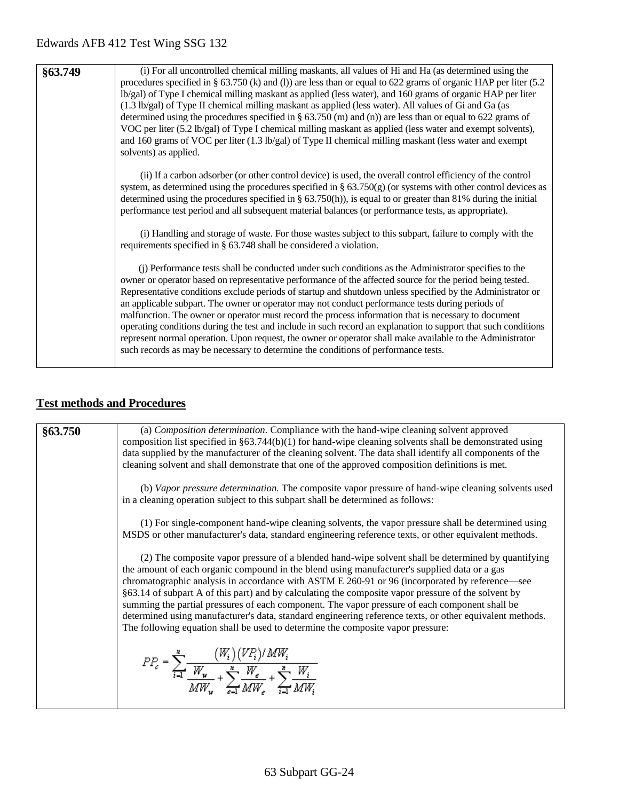| §63.749 | (i) For all uncontrolled chemical milling maskants, all values of Hi and Ha (as determined using the<br>procedures specified in § 63.750 (k) and (l)) are less than or equal to 622 grams of organic HAP per liter (5.2<br>lb/gal) of Type I chemical milling maskant as applied (less water), and 160 grams of organic HAP per liter<br>(1.3 lb/gal) of Type II chemical milling maskant as applied (less water). All values of Gi and Ga (as<br>determined using the procedures specified in $\S$ 63.750 (m) and (n)) are less than or equal to 622 grams of<br>VOC per liter (5.2 lb/gal) of Type I chemical milling maskant as applied (less water and exempt solvents),<br>and 160 grams of VOC per liter (1.3 lb/gal) of Type II chemical milling maskant (less water and exempt<br>solvents) as applied.                                                  |
|---------|------------------------------------------------------------------------------------------------------------------------------------------------------------------------------------------------------------------------------------------------------------------------------------------------------------------------------------------------------------------------------------------------------------------------------------------------------------------------------------------------------------------------------------------------------------------------------------------------------------------------------------------------------------------------------------------------------------------------------------------------------------------------------------------------------------------------------------------------------------------|
|         | (ii) If a carbon adsorber (or other control device) is used, the overall control efficiency of the control<br>system, as determined using the procedures specified in $\S$ 63.750(g) (or systems with other control devices as<br>determined using the procedures specified in § $63.750(h)$ , is equal to or greater than 81% during the initial<br>performance test period and all subsequent material balances (or performance tests, as appropriate).                                                                                                                                                                                                                                                                                                                                                                                                        |
|         | (i) Handling and storage of waste. For those wastes subject to this subpart, failure to comply with the<br>requirements specified in § 63.748 shall be considered a violation.                                                                                                                                                                                                                                                                                                                                                                                                                                                                                                                                                                                                                                                                                   |
|         | (j) Performance tests shall be conducted under such conditions as the Administrator specifies to the<br>owner or operator based on representative performance of the affected source for the period being tested.<br>Representative conditions exclude periods of startup and shutdown unless specified by the Administrator or<br>an applicable subpart. The owner or operator may not conduct performance tests during periods of<br>malfunction. The owner or operator must record the process information that is necessary to document<br>operating conditions during the test and include in such record an explanation to support that such conditions<br>represent normal operation. Upon request, the owner or operator shall make available to the Administrator<br>such records as may be necessary to determine the conditions of performance tests. |

# **Test methods and Procedures**

| §63.750 | (a) Composition determination. Compliance with the hand-wipe cleaning solvent approved<br>composition list specified in $\S 63.744(b)(1)$ for hand-wipe cleaning solvents shall be demonstrated using<br>data supplied by the manufacturer of the cleaning solvent. The data shall identify all components of the<br>cleaning solvent and shall demonstrate that one of the approved composition definitions is met.                                                                                                                                                                                                                                                                                         |
|---------|--------------------------------------------------------------------------------------------------------------------------------------------------------------------------------------------------------------------------------------------------------------------------------------------------------------------------------------------------------------------------------------------------------------------------------------------------------------------------------------------------------------------------------------------------------------------------------------------------------------------------------------------------------------------------------------------------------------|
|         | (b) Vapor pressure determination. The composite vapor pressure of hand-wipe cleaning solvents used<br>in a cleaning operation subject to this subpart shall be determined as follows:                                                                                                                                                                                                                                                                                                                                                                                                                                                                                                                        |
|         | (1) For single-component hand-wipe cleaning solvents, the vapor pressure shall be determined using<br>MSDS or other manufacturer's data, standard engineering reference texts, or other equivalent methods.                                                                                                                                                                                                                                                                                                                                                                                                                                                                                                  |
|         | (2) The composite vapor pressure of a blended hand-wipe solvent shall be determined by quantifying<br>the amount of each organic compound in the blend using manufacturer's supplied data or a gas<br>chromatographic analysis in accordance with ASTM E 260-91 or 96 (incorporated by reference—see<br>§63.14 of subpart A of this part) and by calculating the composite vapor pressure of the solvent by<br>summing the partial pressures of each component. The vapor pressure of each component shall be<br>determined using manufacturer's data, standard engineering reference texts, or other equivalent methods.<br>The following equation shall be used to determine the composite vapor pressure: |
|         | $PP_e = \sum_{i=1}^n \frac{\left(W_i\right)\left(VF_i\right)/MW_i}{W_W} + \sum_{i=1}^n \frac{W_e}{MW_i} + \sum_{i=1}^n \frac{W_i}{MW_i}$                                                                                                                                                                                                                                                                                                                                                                                                                                                                                                                                                                     |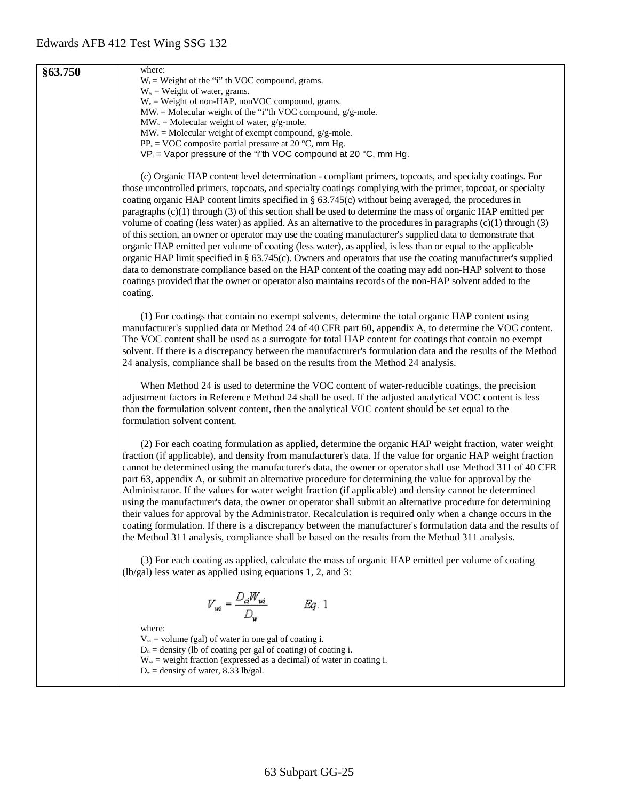| §63.750 | where:<br>$W_i$ = Weight of the "i" th VOC compound, grams.                                                                                                                                                                                                                                                                                                                                                                                                                                                                                                                                                                                                                                                                                                                                                                                                                                                                                                                                                                                                                                                                                                |
|---------|------------------------------------------------------------------------------------------------------------------------------------------------------------------------------------------------------------------------------------------------------------------------------------------------------------------------------------------------------------------------------------------------------------------------------------------------------------------------------------------------------------------------------------------------------------------------------------------------------------------------------------------------------------------------------------------------------------------------------------------------------------------------------------------------------------------------------------------------------------------------------------------------------------------------------------------------------------------------------------------------------------------------------------------------------------------------------------------------------------------------------------------------------------|
|         | $W_{w}$ = Weight of water, grams.                                                                                                                                                                                                                                                                                                                                                                                                                                                                                                                                                                                                                                                                                                                                                                                                                                                                                                                                                                                                                                                                                                                          |
|         | $W_e$ = Weight of non-HAP, nonVOC compound, grams.                                                                                                                                                                                                                                                                                                                                                                                                                                                                                                                                                                                                                                                                                                                                                                                                                                                                                                                                                                                                                                                                                                         |
|         | $MW_i = Molecular weight of the "i"th VOC compound, g/g-mole.$<br>$MWw = Molecular weight of water, g/g-mole.$                                                                                                                                                                                                                                                                                                                                                                                                                                                                                                                                                                                                                                                                                                                                                                                                                                                                                                                                                                                                                                             |
|         | $MW_{e}$ = Molecular weight of exempt compound, g/g-mole.                                                                                                                                                                                                                                                                                                                                                                                                                                                                                                                                                                                                                                                                                                                                                                                                                                                                                                                                                                                                                                                                                                  |
|         | $PP_c = VOC$ composite partial pressure at 20 °C, mm Hg.                                                                                                                                                                                                                                                                                                                                                                                                                                                                                                                                                                                                                                                                                                                                                                                                                                                                                                                                                                                                                                                                                                   |
|         | $VP_i$ = Vapor pressure of the "i"th VOC compound at 20 °C, mm Hg.                                                                                                                                                                                                                                                                                                                                                                                                                                                                                                                                                                                                                                                                                                                                                                                                                                                                                                                                                                                                                                                                                         |
|         | (c) Organic HAP content level determination - compliant primers, topcoats, and specialty coatings. For<br>those uncontrolled primers, topcoats, and specialty coatings complying with the primer, topcoat, or specialty<br>coating organic HAP content limits specified in $\S$ 63.745(c) without being averaged, the procedures in<br>paragraphs $(c)(1)$ through $(3)$ of this section shall be used to determine the mass of organic HAP emitted per<br>volume of coating (less water) as applied. As an alternative to the procedures in paragraphs (c)(1) through (3)<br>of this section, an owner or operator may use the coating manufacturer's supplied data to demonstrate that<br>organic HAP emitted per volume of coating (less water), as applied, is less than or equal to the applicable<br>organic HAP limit specified in § 63.745(c). Owners and operators that use the coating manufacturer's supplied<br>data to demonstrate compliance based on the HAP content of the coating may add non-HAP solvent to those<br>coatings provided that the owner or operator also maintains records of the non-HAP solvent added to the<br>coating. |
|         | (1) For coatings that contain no exempt solvents, determine the total organic HAP content using<br>manufacturer's supplied data or Method 24 of 40 CFR part 60, appendix A, to determine the VOC content.<br>The VOC content shall be used as a surrogate for total HAP content for coatings that contain no exempt<br>solvent. If there is a discrepancy between the manufacturer's formulation data and the results of the Method<br>24 analysis, compliance shall be based on the results from the Method 24 analysis.                                                                                                                                                                                                                                                                                                                                                                                                                                                                                                                                                                                                                                  |
|         | When Method 24 is used to determine the VOC content of water-reducible coatings, the precision<br>adjustment factors in Reference Method 24 shall be used. If the adjusted analytical VOC content is less<br>than the formulation solvent content, then the analytical VOC content should be set equal to the<br>formulation solvent content.                                                                                                                                                                                                                                                                                                                                                                                                                                                                                                                                                                                                                                                                                                                                                                                                              |
|         | (2) For each coating formulation as applied, determine the organic HAP weight fraction, water weight<br>fraction (if applicable), and density from manufacturer's data. If the value for organic HAP weight fraction<br>cannot be determined using the manufacturer's data, the owner or operator shall use Method 311 of 40 CFR<br>part 63, appendix A, or submit an alternative procedure for determining the value for approval by the<br>Administrator. If the values for water weight fraction (if applicable) and density cannot be determined<br>using the manufacturer's data, the owner or operator shall submit an alternative procedure for determining<br>their values for approval by the Administrator. Recalculation is required only when a change occurs in the<br>coating formulation. If there is a discrepancy between the manufacturer's formulation data and the results of<br>the Method 311 analysis, compliance shall be based on the results from the Method 311 analysis.                                                                                                                                                       |
|         | (3) For each coating as applied, calculate the mass of organic HAP emitted per volume of coating<br>$(lb/gal)$ less water as applied using equations 1, 2, and 3:                                                                                                                                                                                                                                                                                                                                                                                                                                                                                                                                                                                                                                                                                                                                                                                                                                                                                                                                                                                          |
|         | $V_{wi} = \frac{D_d W_{wi}}{D_w}$<br>Eq. 1                                                                                                                                                                                                                                                                                                                                                                                                                                                                                                                                                                                                                                                                                                                                                                                                                                                                                                                                                                                                                                                                                                                 |
|         | where:<br>$V_{wi}$ = volume (gal) of water in one gal of coating i.<br>$D_{\alpha}$ = density (lb of coating per gal of coating) of coating i.<br>$W_{wi}$ = weight fraction (expressed as a decimal) of water in coating i.<br>$D_w$ = density of water, 8.33 lb/gal.                                                                                                                                                                                                                                                                                                                                                                                                                                                                                                                                                                                                                                                                                                                                                                                                                                                                                     |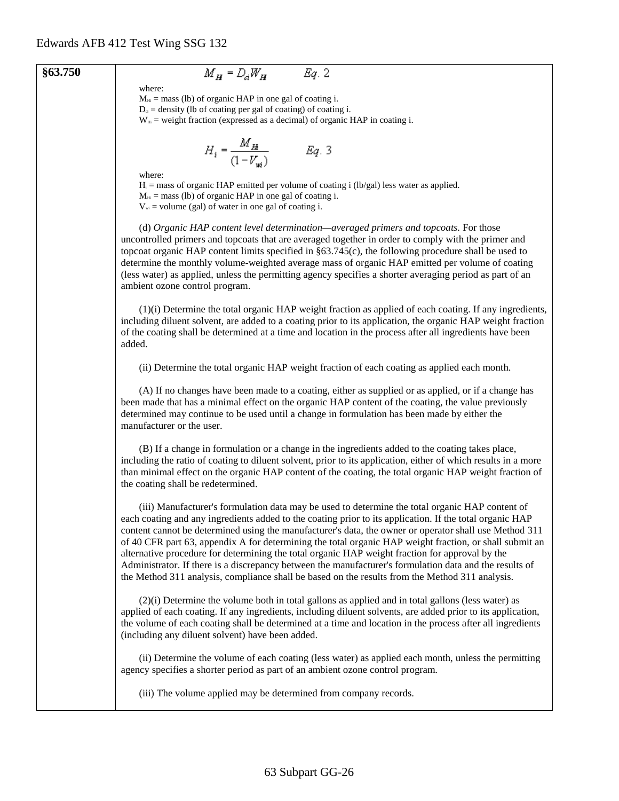#### **§63.750**

$$
M_H = D_a W_H \qquad Eq. 2
$$

where:

 $M_{Hi}$  = mass (lb) of organic HAP in one gal of coating i.  $D_{\alpha}$  = density (lb of coating per gal of coating) of coating i.

 $W_{Hi}$  = weight fraction (expressed as a decimal) of organic HAP in coating i.

$$
H_i = \frac{M_{H_i}}{(1 - V_{wi})}
$$
  $Eq. 3$ 

where:

 $H_i$  = mass of organic HAP emitted per volume of coating i (lb/gal) less water as applied.

 $M<sub>Hi</sub> = mass$  (lb) of organic HAP in one gal of coating i.

 $V_{\text{wi}}$  = volume (gal) of water in one gal of coating i.

(d) *Organic HAP content level determination—averaged primers and topcoats.* For those uncontrolled primers and topcoats that are averaged together in order to comply with the primer and topcoat organic HAP content limits specified in §63.745(c), the following procedure shall be used to determine the monthly volume-weighted average mass of organic HAP emitted per volume of coating (less water) as applied, unless the permitting agency specifies a shorter averaging period as part of an ambient ozone control program.

(1)(i) Determine the total organic HAP weight fraction as applied of each coating. If any ingredients, including diluent solvent, are added to a coating prior to its application, the organic HAP weight fraction of the coating shall be determined at a time and location in the process after all ingredients have been added.

(ii) Determine the total organic HAP weight fraction of each coating as applied each month.

(A) If no changes have been made to a coating, either as supplied or as applied, or if a change has been made that has a minimal effect on the organic HAP content of the coating, the value previously determined may continue to be used until a change in formulation has been made by either the manufacturer or the user.

(B) If a change in formulation or a change in the ingredients added to the coating takes place, including the ratio of coating to diluent solvent, prior to its application, either of which results in a more than minimal effect on the organic HAP content of the coating, the total organic HAP weight fraction of the coating shall be redetermined.

(iii) Manufacturer's formulation data may be used to determine the total organic HAP content of each coating and any ingredients added to the coating prior to its application. If the total organic HAP content cannot be determined using the manufacturer's data, the owner or operator shall use Method 311 of 40 CFR part 63, appendix A for determining the total organic HAP weight fraction, or shall submit an alternative procedure for determining the total organic HAP weight fraction for approval by the Administrator. If there is a discrepancy between the manufacturer's formulation data and the results of the Method 311 analysis, compliance shall be based on the results from the Method 311 analysis.

(2)(i) Determine the volume both in total gallons as applied and in total gallons (less water) as applied of each coating. If any ingredients, including diluent solvents, are added prior to its application, the volume of each coating shall be determined at a time and location in the process after all ingredients (including any diluent solvent) have been added.

(ii) Determine the volume of each coating (less water) as applied each month, unless the permitting agency specifies a shorter period as part of an ambient ozone control program.

(iii) The volume applied may be determined from company records.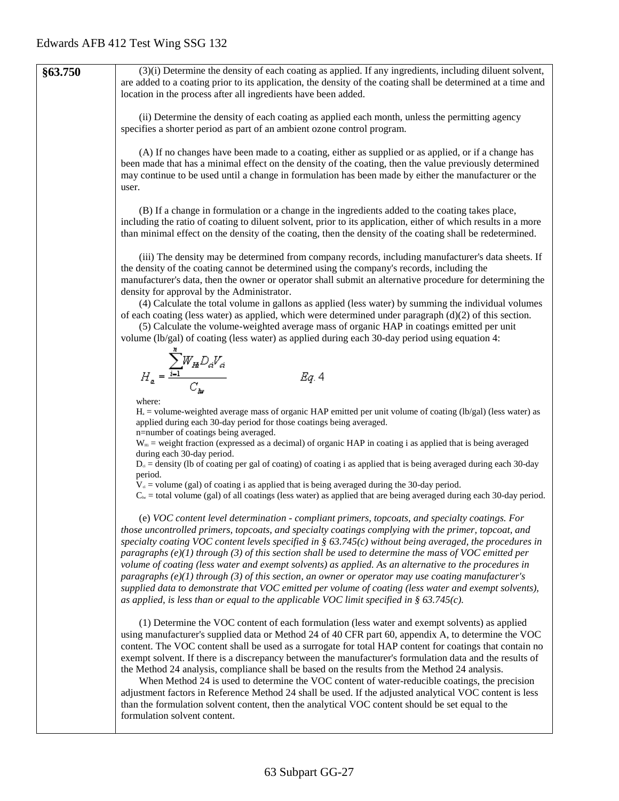**§63.750** (3)(i) Determine the density of each coating as applied. If any ingredients, including diluent solvent, are added to a coating prior to its application, the density of the coating shall be determined at a time and location in the process after all ingredients have been added. (ii) Determine the density of each coating as applied each month, unless the permitting agency specifies a shorter period as part of an ambient ozone control program. (A) If no changes have been made to a coating, either as supplied or as applied, or if a change has been made that has a minimal effect on the density of the coating, then the value previously determined may continue to be used until a change in formulation has been made by either the manufacturer or the user. (B) If a change in formulation or a change in the ingredients added to the coating takes place, including the ratio of coating to diluent solvent, prior to its application, either of which results in a more than minimal effect on the density of the coating, then the density of the coating shall be redetermined. (iii) The density may be determined from company records, including manufacturer's data sheets. If the density of the coating cannot be determined using the company's records, including the manufacturer's data, then the owner or operator shall submit an alternative procedure for determining the density for approval by the Administrator. (4) Calculate the total volume in gallons as applied (less water) by summing the individual volumes of each coating (less water) as applied, which were determined under paragraph  $(d)(2)$  of this section. (5) Calculate the volume-weighted average mass of organic HAP in coatings emitted per unit volume (lb/gal) of coating (less water) as applied during each 30-day period using equation 4:  $H_a = \frac{\sum_{i=1}^{n} W_{H_i} D_{ci} V_{ci}}{C_{in}}$  $Eq. 4$ where:  $H<sub>a</sub>$  = volume-weighted average mass of organic HAP emitted per unit volume of coating (lb/gal) (less water) as applied during each 30-day period for those coatings being averaged. n=number of coatings being averaged.  $W_{\text{Hi}}$  = weight fraction (expressed as a decimal) of organic HAP in coating i as applied that is being averaged during each 30-day period.  $D_{\alpha}$  = density (Ib of coating per gal of coating) of coating i as applied that is being averaged during each 30-day period.  $V_{ci}$  = volume (gal) of coating i as applied that is being averaged during the 30-day period.  $C_{\text{lw}}$  = total volume (gal) of all coatings (less water) as applied that are being averaged during each 30-day period. (e) *VOC content level determination - compliant primers, topcoats, and specialty coatings. For those uncontrolled primers, topcoats, and specialty coatings complying with the primer, topcoat, and specialty coating VOC content levels specified in § 63.745(c) without being averaged, the procedures in paragraphs (e)(1) through (3) of this section shall be used to determine the mass of VOC emitted per volume of coating (less water and exempt solvents) as applied. As an alternative to the procedures in paragraphs (e)(1) through (3) of this section, an owner or operator may use coating manufacturer's supplied data to demonstrate that VOC emitted per volume of coating (less water and exempt solvents), as applied, is less than or equal to the applicable VOC limit specified in § 63.745(c).* (1) Determine the VOC content of each formulation (less water and exempt solvents) as applied using manufacturer's supplied data or Method 24 of 40 CFR part 60, appendix A, to determine the VOC content. The VOC content shall be used as a surrogate for total HAP content for coatings that contain no exempt solvent. If there is a discrepancy between the manufacturer's formulation data and the results of the Method 24 analysis, compliance shall be based on the results from the Method 24 analysis. When Method 24 is used to determine the VOC content of water-reducible coatings, the precision adjustment factors in Reference Method 24 shall be used. If the adjusted analytical VOC content is less than the formulation solvent content, then the analytical VOC content should be set equal to the formulation solvent content.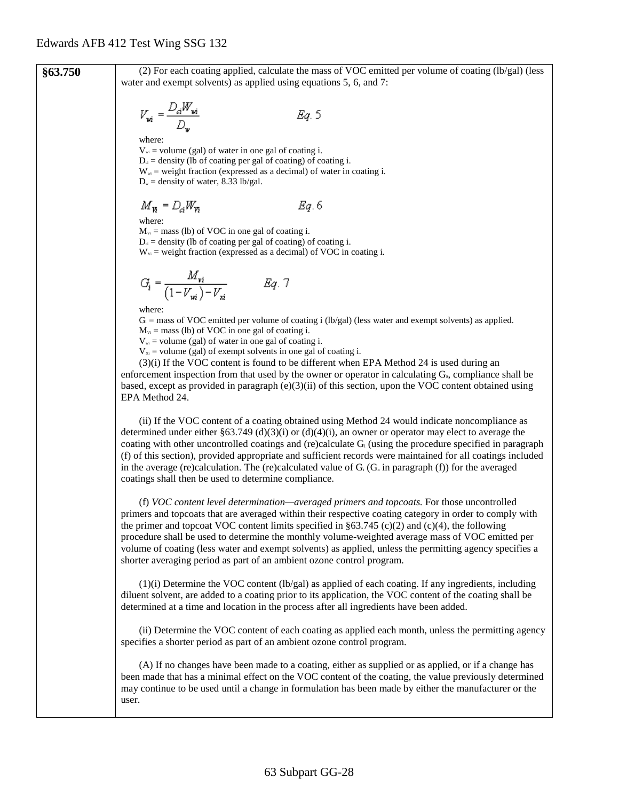**§63.750** (2) For each coating applied, calculate the mass of VOC emitted per volume of coating (lb/gal) (less water and exempt solvents) as applied using equations 5, 6, and 7:  $V_{wi} = \frac{D_d W_{wi}}{D_w}$ Eg. 5 where:  $V_{wi}$  = volume (gal) of water in one gal of coating i.  $D_{ci}$  = density (lb of coating per gal of coating) of coating i.  $W_{wi}$  = weight fraction (expressed as a decimal) of water in coating i.  $D_w$  = density of water, 8.33 lb/gal.  $M_{\nu} = D_{\alpha} W_{\nu}$ Eg. 6 where:  $M_{\text{Vi}}$  = mass (lb) of VOC in one gal of coating i.  $D_{ci}$  = density (lb of coating per gal of coating) of coating i.  $W_{\text{vi}}$  = weight fraction (expressed as a decimal) of VOC in coating i.  $G_i = \frac{M_{vi}}{(1 - V_{wi}) - V_{xi}}$  Eq. 7 where:  $G_i$  = mass of VOC emitted per volume of coating i (lb/gal) (less water and exempt solvents) as applied.  $M_{\rm vi}$  = mass (lb) of VOC in one gal of coating i.  $V_{w_i}$  = volume (gal) of water in one gal of coating i.  $V_{x}$  = volume (gal) of exempt solvents in one gal of coating i. (3)(i) If the VOC content is found to be different when EPA Method 24 is used during an enforcement inspection from that used by the owner or operator in calculating  $G_a$ , compliance shall be based, except as provided in paragraph  $(e)(3)(ii)$  of this section, upon the VOC content obtained using EPA Method 24. (ii) If the VOC content of a coating obtained using Method 24 would indicate noncompliance as determined under either §63.749 (d)(3)(i) or (d)(4)(i), an owner or operator may elect to average the coating with other uncontrolled coatings and (re)calculate Gi (using the procedure specified in paragraph (f) of this section), provided appropriate and sufficient records were maintained for all coatings included in the average (re)calculation. The (re)calculated value of  $G_i$  ( $G_i$  in paragraph (f)) for the averaged coatings shall then be used to determine compliance. (f) *VOC content level determination—averaged primers and topcoats.* For those uncontrolled primers and topcoats that are averaged within their respective coating category in order to comply with the primer and topcoat VOC content limits specified in  $\S 63.745$  (c)(2) and (c)(4), the following procedure shall be used to determine the monthly volume-weighted average mass of VOC emitted per volume of coating (less water and exempt solvents) as applied, unless the permitting agency specifies a shorter averaging period as part of an ambient ozone control program.  $(1)(i)$  Determine the VOC content  $(lb/gal)$  as applied of each coating. If any ingredients, including diluent solvent, are added to a coating prior to its application, the VOC content of the coating shall be determined at a time and location in the process after all ingredients have been added. (ii) Determine the VOC content of each coating as applied each month, unless the permitting agency specifies a shorter period as part of an ambient ozone control program.

> (A) If no changes have been made to a coating, either as supplied or as applied, or if a change has been made that has a minimal effect on the VOC content of the coating, the value previously determined may continue to be used until a change in formulation has been made by either the manufacturer or the user.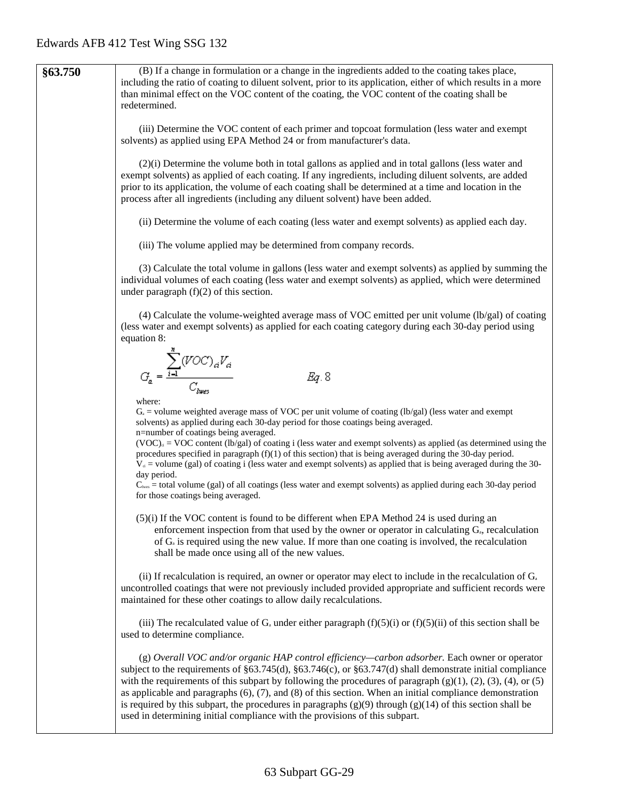| §63.750 | (B) If a change in formulation or a change in the ingredients added to the coating takes place,<br>including the ratio of coating to diluent solvent, prior to its application, either of which results in a more<br>than minimal effect on the VOC content of the coating, the VOC content of the coating shall be<br>redetermined.                                                                                                                                                                                                                                                                                                                                    |
|---------|-------------------------------------------------------------------------------------------------------------------------------------------------------------------------------------------------------------------------------------------------------------------------------------------------------------------------------------------------------------------------------------------------------------------------------------------------------------------------------------------------------------------------------------------------------------------------------------------------------------------------------------------------------------------------|
|         | (iii) Determine the VOC content of each primer and topcoat formulation (less water and exempt<br>solvents) as applied using EPA Method 24 or from manufacturer's data.                                                                                                                                                                                                                                                                                                                                                                                                                                                                                                  |
|         | $(2)(i)$ Determine the volume both in total gallons as applied and in total gallons (less water and<br>exempt solvents) as applied of each coating. If any ingredients, including diluent solvents, are added<br>prior to its application, the volume of each coating shall be determined at a time and location in the<br>process after all ingredients (including any diluent solvent) have been added.                                                                                                                                                                                                                                                               |
|         | (ii) Determine the volume of each coating (less water and exempt solvents) as applied each day.                                                                                                                                                                                                                                                                                                                                                                                                                                                                                                                                                                         |
|         | (iii) The volume applied may be determined from company records.                                                                                                                                                                                                                                                                                                                                                                                                                                                                                                                                                                                                        |
|         | (3) Calculate the total volume in gallons (less water and exempt solvents) as applied by summing the<br>individual volumes of each coating (less water and exempt solvents) as applied, which were determined<br>under paragraph $(f)(2)$ of this section.                                                                                                                                                                                                                                                                                                                                                                                                              |
|         | $(4)$ Calculate the volume-weighted average mass of VOC emitted per unit volume (lb/gal) of coating<br>(less water and exempt solvents) as applied for each coating category during each 30-day period using<br>equation 8:                                                                                                                                                                                                                                                                                                                                                                                                                                             |
|         |                                                                                                                                                                                                                                                                                                                                                                                                                                                                                                                                                                                                                                                                         |
|         | $G_a = \frac{\displaystyle\sum_{i=1}^n (VOC)_{ai} V_{ai}}{C}$<br>Eg. 8                                                                                                                                                                                                                                                                                                                                                                                                                                                                                                                                                                                                  |
|         | where:<br>$G_a$ = volume weighted average mass of VOC per unit volume of coating (lb/gal) (less water and exempt<br>solvents) as applied during each 30-day period for those coatings being averaged.<br>n=number of coatings being averaged.                                                                                                                                                                                                                                                                                                                                                                                                                           |
|         | $(VOC)_{\alpha} = VOC$ content (lb/gal) of coating i (less water and exempt solvents) as applied (as determined using the<br>procedures specified in paragraph $(f)(1)$ of this section) that is being averaged during the 30-day period.<br>$V_{d}$ = volume (gal) of coating i (less water and exempt solvents) as applied that is being averaged during the 30-<br>day period.                                                                                                                                                                                                                                                                                       |
|         | $C_{\text{loss}}$ = total volume (gal) of all coatings (less water and exempt solvents) as applied during each 30-day period<br>for those coatings being averaged.                                                                                                                                                                                                                                                                                                                                                                                                                                                                                                      |
|         | (5)(i) If the VOC content is found to be different when EPA Method 24 is used during an<br>enforcement inspection from that used by the owner or operator in calculating G <sub>a</sub> , recalculation<br>of $G_a$ is required using the new value. If more than one coating is involved, the recalculation<br>shall be made once using all of the new values.                                                                                                                                                                                                                                                                                                         |
|         | (ii) If recalculation is required, an owner or operator may elect to include in the recalculation of $G_a$<br>uncontrolled coatings that were not previously included provided appropriate and sufficient records were<br>maintained for these other coatings to allow daily recalculations.                                                                                                                                                                                                                                                                                                                                                                            |
|         | (iii) The recalculated value of $G_a$ under either paragraph $(f)(5)(i)$ or $(f)(5)(ii)$ of this section shall be<br>used to determine compliance.                                                                                                                                                                                                                                                                                                                                                                                                                                                                                                                      |
|         | (g) Overall VOC and/or organic HAP control efficiency—carbon adsorber. Each owner or operator<br>subject to the requirements of $\S63.745(d)$ , $\S63.746(c)$ , or $\S63.747(d)$ shall demonstrate initial compliance<br>with the requirements of this subpart by following the procedures of paragraph $(g)(1)$ , $(2)$ , $(3)$ , $(4)$ , or $(5)$<br>as applicable and paragraphs $(6)$ , $(7)$ , and $(8)$ of this section. When an initial compliance demonstration<br>is required by this subpart, the procedures in paragraphs $(g)(9)$ through $(g)(14)$ of this section shall be<br>used in determining initial compliance with the provisions of this subpart. |
|         |                                                                                                                                                                                                                                                                                                                                                                                                                                                                                                                                                                                                                                                                         |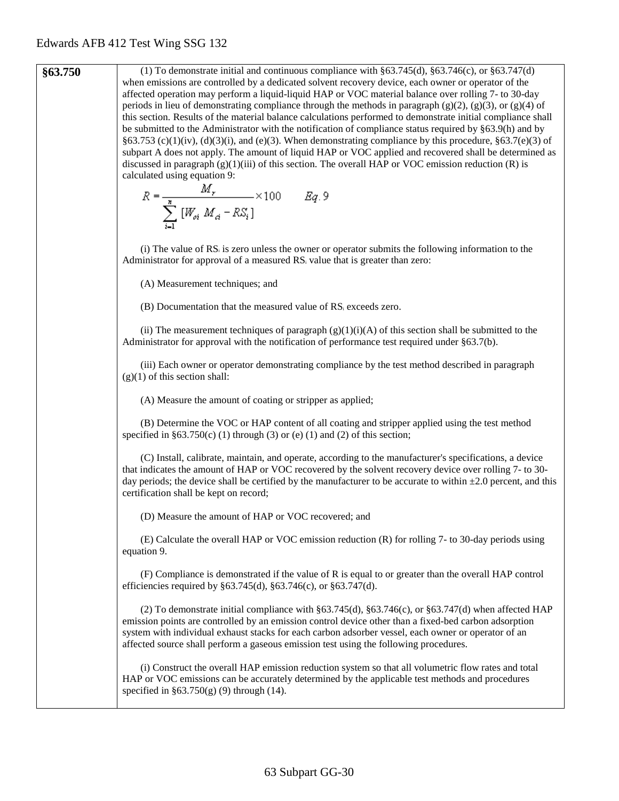**§63.750** (1) To demonstrate initial and continuous compliance with §63.745(d), §63.746(c), or §63.747(d) when emissions are controlled by a dedicated solvent recovery device, each owner or operator of the affected operation may perform a liquid-liquid HAP or VOC material balance over rolling 7- to 30-day periods in lieu of demonstrating compliance through the methods in paragraph  $(g)(2)$ ,  $(g)(3)$ , or  $(g)(4)$  of this section. Results of the material balance calculations performed to demonstrate initial compliance shall be submitted to the Administrator with the notification of compliance status required by §63.9(h) and by §63.753 (c)(1)(iv), (d)(3)(i), and (e)(3). When demonstrating compliance by this procedure, §63.7(e)(3) of subpart A does not apply. The amount of liquid HAP or VOC applied and recovered shall be determined as discussed in paragraph  $(g)(1)(iii)$  of this section. The overall HAP or VOC emission reduction  $(R)$  is calculated using equation 9:<br>  $R = \frac{M_r}{\sum_{i=1}^{N} [W_{oi} M_{ci} - RS_i]} \times 100$   $Eq. 9$ (i) The value of RSi is zero unless the owner or operator submits the following information to the Administrator for approval of a measured RS<sub>i</sub> value that is greater than zero: (A) Measurement techniques; and (B) Documentation that the measured value of RSi exceeds zero. (ii) The measurement techniques of paragraph  $(g)(1)(i)(A)$  of this section shall be submitted to the Administrator for approval with the notification of performance test required under §63.7(b). (iii) Each owner or operator demonstrating compliance by the test method described in paragraph  $(g)(1)$  of this section shall: (A) Measure the amount of coating or stripper as applied; (B) Determine the VOC or HAP content of all coating and stripper applied using the test method specified in  $§63.750(c)$  (1) through (3) or (e) (1) and (2) of this section; (C) Install, calibrate, maintain, and operate, according to the manufacturer's specifications, a device that indicates the amount of HAP or VOC recovered by the solvent recovery device over rolling 7- to 30 day periods; the device shall be certified by the manufacturer to be accurate to within  $\pm 2.0$  percent, and this certification shall be kept on record; (D) Measure the amount of HAP or VOC recovered; and (E) Calculate the overall HAP or VOC emission reduction (R) for rolling 7- to 30-day periods using equation 9. (F) Compliance is demonstrated if the value of R is equal to or greater than the overall HAP control efficiencies required by §63.745(d), §63.746(c), or §63.747(d). (2) To demonstrate initial compliance with  $\S 63.745(d)$ ,  $\S 63.746(c)$ , or  $\S 63.747(d)$  when affected HAP emission points are controlled by an emission control device other than a fixed-bed carbon adsorption system with individual exhaust stacks for each carbon adsorber vessel, each owner or operator of an affected source shall perform a gaseous emission test using the following procedures. (i) Construct the overall HAP emission reduction system so that all volumetric flow rates and total HAP or VOC emissions can be accurately determined by the applicable test methods and procedures specified in  $§63.750(g)$  (9) through (14).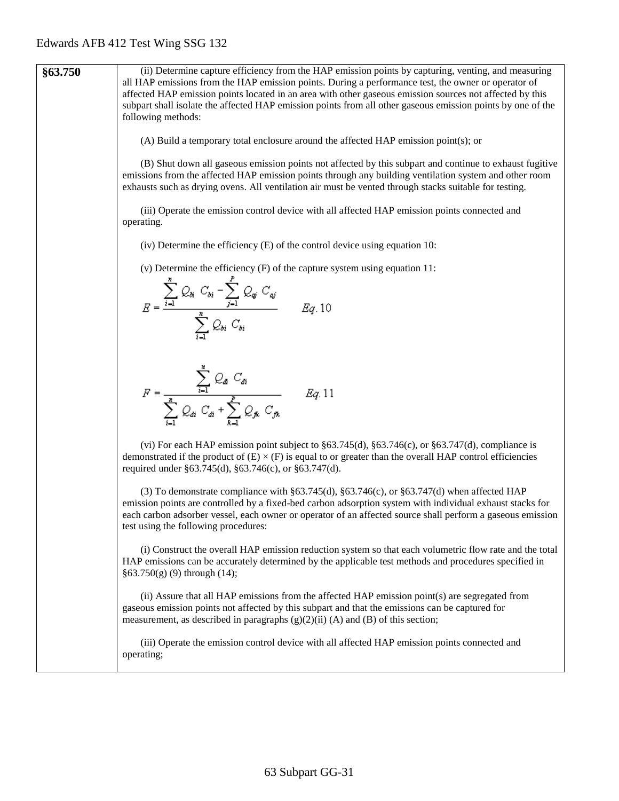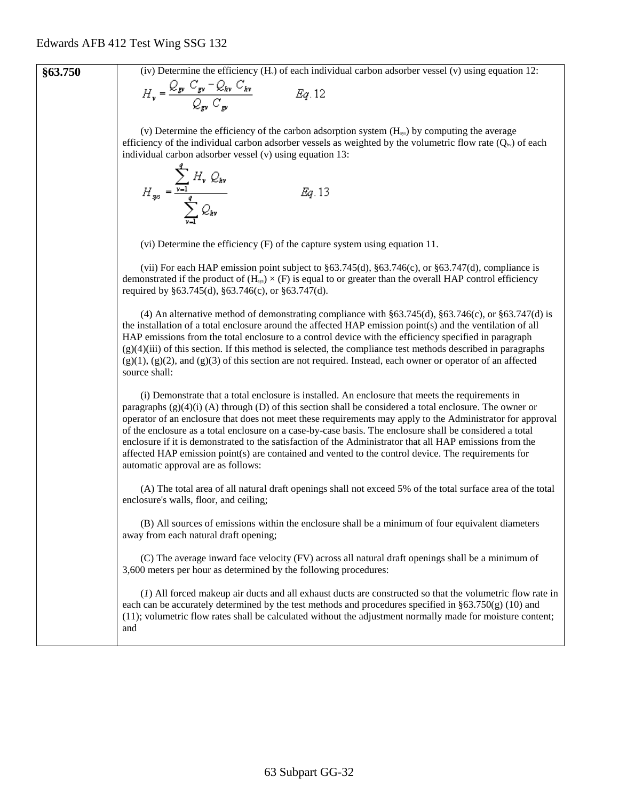**§63.750** (iv) Determine the efficiency (H<sub>v</sub>) of each individual carbon adsorber vessel (v) using equation 12:

$$
H_v = \frac{\sum_{\mathbf{g}v} \sum_{\mathbf{g}v} \sum_{kv} \sum_{kv}}{\mathcal{Q}_{\mathbf{g}v} \mathcal{C}_{\mathbf{g}v}} \qquad \qquad Eq. 12
$$

(v) Determine the efficiency of the carbon adsorption system  $(H_{ss})$  by computing the average efficiency of the individual carbon adsorber vessels as weighted by the volumetric flow rate  $(Q_w)$  of each individual carbon adsorber vessel (v) using equation 13: a

$$
H_{\rm sys} = \frac{\sum_{\mathbf{v} = 1} H_{\mathbf{v}} Q_{\rm sky}}{\sum_{\mathbf{v} = 1}^{q} Q_{\rm sky}} \qquad \qquad Eq. 13
$$

(vi) Determine the efficiency (F) of the capture system using equation 11.

(vii) For each HAP emission point subject to §63.745(d), §63.746(c), or §63.747(d), compliance is demonstrated if the product of  $(H_{sys}) \times (F)$  is equal to or greater than the overall HAP control efficiency required by §63.745(d), §63.746(c), or §63.747(d).

(4) An alternative method of demonstrating compliance with  $\S 63.745(d)$ ,  $\S 63.746(c)$ , or  $\S 63.747(d)$  is the installation of a total enclosure around the affected HAP emission point(s) and the ventilation of all HAP emissions from the total enclosure to a control device with the efficiency specified in paragraph  $(g)(4)(iii)$  of this section. If this method is selected, the compliance test methods described in paragraphs  $(g)(1)$ ,  $(g)(2)$ , and  $(g)(3)$  of this section are not required. Instead, each owner or operator of an affected source shall:

(i) Demonstrate that a total enclosure is installed. An enclosure that meets the requirements in paragraphs  $(g)(4)(i)$  (A) through (D) of this section shall be considered a total enclosure. The owner or operator of an enclosure that does not meet these requirements may apply to the Administrator for approval of the enclosure as a total enclosure on a case-by-case basis. The enclosure shall be considered a total enclosure if it is demonstrated to the satisfaction of the Administrator that all HAP emissions from the affected HAP emission point(s) are contained and vented to the control device. The requirements for automatic approval are as follows:

(A) The total area of all natural draft openings shall not exceed 5% of the total surface area of the total enclosure's walls, floor, and ceiling;

(B) All sources of emissions within the enclosure shall be a minimum of four equivalent diameters away from each natural draft opening;

(C) The average inward face velocity (FV) across all natural draft openings shall be a minimum of 3,600 meters per hour as determined by the following procedures:

(*1*) All forced makeup air ducts and all exhaust ducts are constructed so that the volumetric flow rate in each can be accurately determined by the test methods and procedures specified in  $\S63.750(g)$  (10) and (11); volumetric flow rates shall be calculated without the adjustment normally made for moisture content; and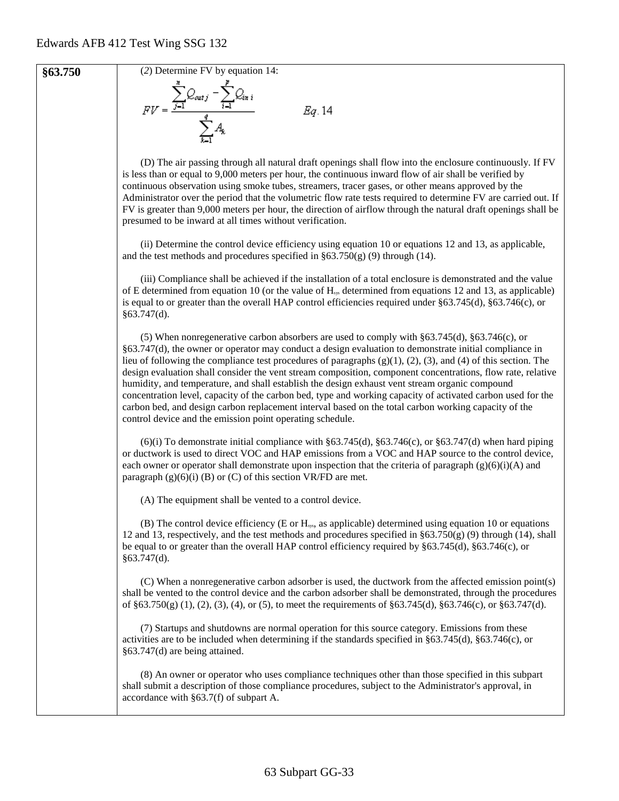

**§63.750** (2) Determine FV by equation 14:<br> $FV = \frac{\sum_{j=1}^{n} Q_{outj} - \sum_{i=1}^{p} Q_{ini}}{\sum_{i=1}^{q} A_{k}}$ 

Eq. 14

(D) The air passing through all natural draft openings shall flow into the enclosure continuously. If FV is less than or equal to 9,000 meters per hour, the continuous inward flow of air shall be verified by continuous observation using smoke tubes, streamers, tracer gases, or other means approved by the Administrator over the period that the volumetric flow rate tests required to determine FV are carried out. If FV is greater than 9,000 meters per hour, the direction of airflow through the natural draft openings shall be presumed to be inward at all times without verification.

(ii) Determine the control device efficiency using equation 10 or equations 12 and 13, as applicable, and the test methods and procedures specified in  $\S 63.750(g)$  (9) through (14).

(iii) Compliance shall be achieved if the installation of a total enclosure is demonstrated and the value of E determined from equation 10 (or the value of  $H_{\text{ss}}$  determined from equations 12 and 13, as applicable) is equal to or greater than the overall HAP control efficiencies required under §63.745(d), §63.746(c), or  $§63.747(d).$ 

(5) When nonregenerative carbon absorbers are used to comply with §63.745(d), §63.746(c), or §63.747(d), the owner or operator may conduct a design evaluation to demonstrate initial compliance in lieu of following the compliance test procedures of paragraphs (g)(1), (2), (3), and (4) of this section. The design evaluation shall consider the vent stream composition, component concentrations, flow rate, relative humidity, and temperature, and shall establish the design exhaust vent stream organic compound concentration level, capacity of the carbon bed, type and working capacity of activated carbon used for the carbon bed, and design carbon replacement interval based on the total carbon working capacity of the control device and the emission point operating schedule.

 $(6)(i)$  To demonstrate initial compliance with §63.745(d), §63.746(c), or §63.747(d) when hard piping or ductwork is used to direct VOC and HAP emissions from a VOC and HAP source to the control device, each owner or operator shall demonstrate upon inspection that the criteria of paragraph  $(g)(6)(i)$ (A) and paragraph  $(g)(6)(i)$  (B) or (C) of this section VR/FD are met.

(A) The equipment shall be vented to a control device.

(B) The control device efficiency (E or  $H<sub>sys</sub>$ , as applicable) determined using equation 10 or equations 12 and 13, respectively, and the test methods and procedures specified in §63.750(g) (9) through (14), shall be equal to or greater than the overall HAP control efficiency required by §63.745(d), §63.746(c), or §63.747(d).

(C) When a nonregenerative carbon adsorber is used, the ductwork from the affected emission point(s) shall be vented to the control device and the carbon adsorber shall be demonstrated, through the procedures of §63.750(g) (1), (2), (3), (4), or (5), to meet the requirements of §63.745(d), §63.746(c), or §63.747(d).

(7) Startups and shutdowns are normal operation for this source category. Emissions from these activities are to be included when determining if the standards specified in §63.745(d), §63.746(c), or §63.747(d) are being attained.

(8) An owner or operator who uses compliance techniques other than those specified in this subpart shall submit a description of those compliance procedures, subject to the Administrator's approval, in accordance with §63.7(f) of subpart A.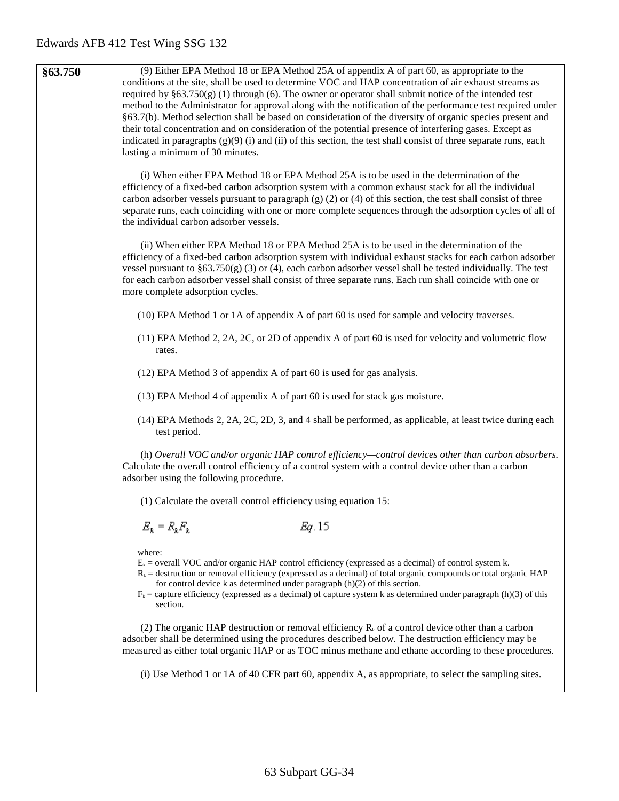| §63.750 | (9) Either EPA Method 18 or EPA Method 25A of appendix A of part 60, as appropriate to the<br>conditions at the site, shall be used to determine VOC and HAP concentration of air exhaust streams as                                                                                                                                                                                                                                                                           |
|---------|--------------------------------------------------------------------------------------------------------------------------------------------------------------------------------------------------------------------------------------------------------------------------------------------------------------------------------------------------------------------------------------------------------------------------------------------------------------------------------|
|         | required by $\S63.750(g)$ (1) through (6). The owner or operator shall submit notice of the intended test                                                                                                                                                                                                                                                                                                                                                                      |
|         | method to the Administrator for approval along with the notification of the performance test required under<br>§63.7(b). Method selection shall be based on consideration of the diversity of organic species present and                                                                                                                                                                                                                                                      |
|         | their total concentration and on consideration of the potential presence of interfering gases. Except as                                                                                                                                                                                                                                                                                                                                                                       |
|         | indicated in paragraphs $(g)(9)$ (i) and (ii) of this section, the test shall consist of three separate runs, each                                                                                                                                                                                                                                                                                                                                                             |
|         | lasting a minimum of 30 minutes.                                                                                                                                                                                                                                                                                                                                                                                                                                               |
|         | (i) When either EPA Method 18 or EPA Method 25A is to be used in the determination of the<br>efficiency of a fixed-bed carbon adsorption system with a common exhaust stack for all the individual<br>carbon adsorber vessels pursuant to paragraph $(g)$ (2) or (4) of this section, the test shall consist of three<br>separate runs, each coinciding with one or more complete sequences through the adsorption cycles of all of<br>the individual carbon adsorber vessels. |
|         | (ii) When either EPA Method 18 or EPA Method 25A is to be used in the determination of the                                                                                                                                                                                                                                                                                                                                                                                     |
|         | efficiency of a fixed-bed carbon adsorption system with individual exhaust stacks for each carbon adsorber                                                                                                                                                                                                                                                                                                                                                                     |
|         | vessel pursuant to $\S 63.750(g)$ (3) or (4), each carbon adsorber vessel shall be tested individually. The test<br>for each carbon adsorber vessel shall consist of three separate runs. Each run shall coincide with one or                                                                                                                                                                                                                                                  |
|         | more complete adsorption cycles.                                                                                                                                                                                                                                                                                                                                                                                                                                               |
|         | (10) EPA Method 1 or 1A of appendix A of part 60 is used for sample and velocity traverses.                                                                                                                                                                                                                                                                                                                                                                                    |
|         | (11) EPA Method 2, 2A, 2C, or 2D of appendix A of part 60 is used for velocity and volumetric flow<br>rates.                                                                                                                                                                                                                                                                                                                                                                   |
|         | (12) EPA Method 3 of appendix A of part 60 is used for gas analysis.                                                                                                                                                                                                                                                                                                                                                                                                           |
|         | (13) EPA Method 4 of appendix A of part 60 is used for stack gas moisture.                                                                                                                                                                                                                                                                                                                                                                                                     |
|         | (14) EPA Methods 2, 2A, 2C, 2D, 3, and 4 shall be performed, as applicable, at least twice during each<br>test period.                                                                                                                                                                                                                                                                                                                                                         |
|         | (h) Overall VOC and/or organic HAP control efficiency—control devices other than carbon absorbers.<br>Calculate the overall control efficiency of a control system with a control device other than a carbon<br>adsorber using the following procedure.                                                                                                                                                                                                                        |
|         | (1) Calculate the overall control efficiency using equation 15:                                                                                                                                                                                                                                                                                                                                                                                                                |
|         | $E_k = R_k F_k$<br>Eg. 15                                                                                                                                                                                                                                                                                                                                                                                                                                                      |
|         | where:<br>$Ek$ = overall VOC and/or organic HAP control efficiency (expressed as a decimal) of control system k.<br>$Rk$ = destruction or removal efficiency (expressed as a decimal) of total organic compounds or total organic HAP<br>for control device $k$ as determined under paragraph $(h)(2)$ of this section.<br>$F_k$ = capture efficiency (expressed as a decimal) of capture system k as determined under paragraph (h)(3) of this<br>section.                    |
|         | (2) The organic HAP destruction or removal efficiency $R_k$ of a control device other than a carbon<br>adsorber shall be determined using the procedures described below. The destruction efficiency may be<br>measured as either total organic HAP or as TOC minus methane and ethane according to these procedures.                                                                                                                                                          |

(i) Use Method 1 or 1A of 40 CFR part 60, appendix A, as appropriate, to select the sampling sites.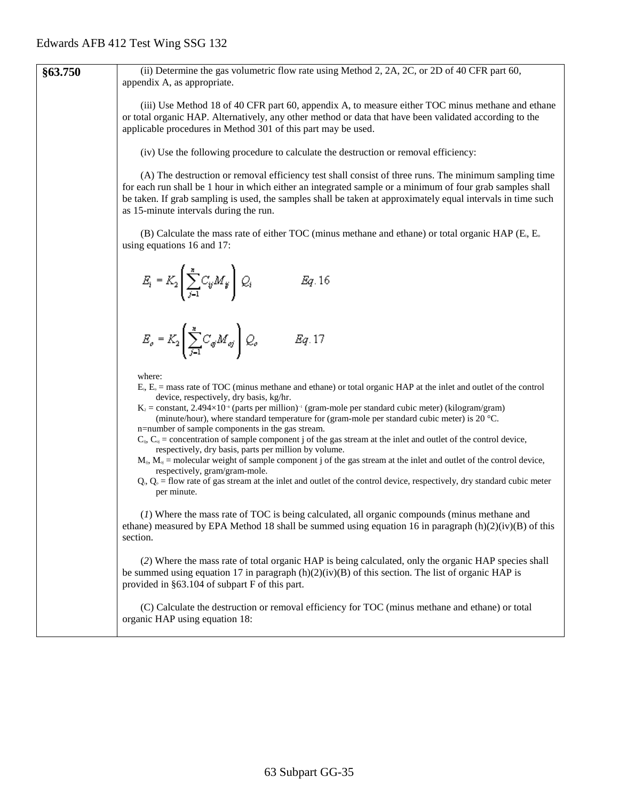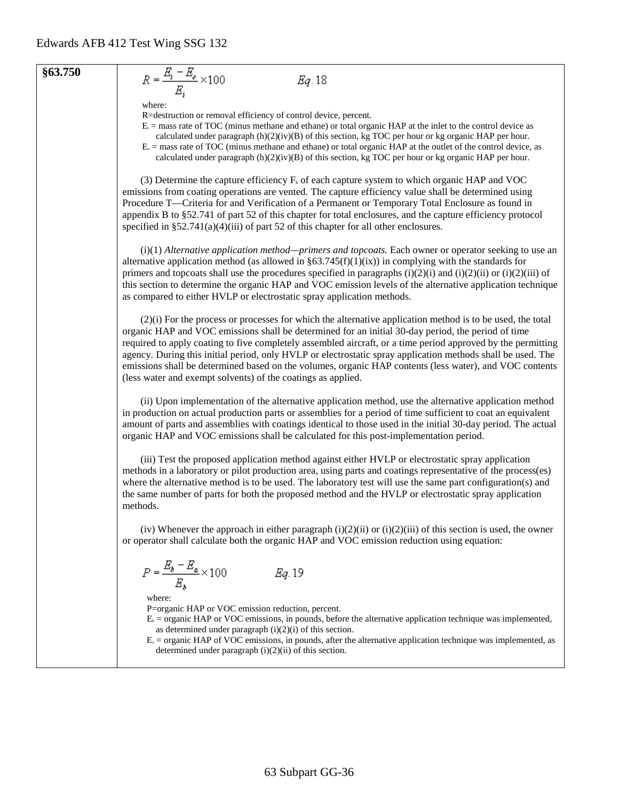#### **§63.750**

$$
Eq.
$$

where:

 $R = \frac{E_i - E_o}{E_i} \times 100$ 

R=destruction or removal efficiency of control device, percent.

- $E_i$  = mass rate of TOC (minus methane and ethane) or total organic HAP at the inlet to the control device as
- calculated under paragraph  $(h)(2)(iv)(B)$  of this section, kg TOC per hour or kg organic HAP per hour.

18

 $E<sub>o</sub>$  = mass rate of TOC (minus methane and ethane) or total organic HAP at the outlet of the control device, as calculated under paragraph  $(h)(2)(iv)(B)$  of this section, kg TOC per hour or kg organic HAP per hour.

(3) Determine the capture efficiency  $F_k$  of each capture system to which organic HAP and VOC emissions from coating operations are vented. The capture efficiency value shall be determined using Procedure T—Criteria for and Verification of a Permanent or Temporary Total Enclosure as found in appendix B to §52.741 of part 52 of this chapter for total enclosures, and the capture efficiency protocol specified in §52.741(a)(4)(iii) of part 52 of this chapter for all other enclosures.

(i)(1) *Alternative application method—primers and topcoats.* Each owner or operator seeking to use an alternative application method (as allowed in  $\S63.745(f)(1)(ix)$ ) in complying with the standards for primers and topcoats shall use the procedures specified in paragraphs  $(i)(2)(i)$  and  $(i)(2)(ii)$  or  $(i)(2)(iii)$  of this section to determine the organic HAP and VOC emission levels of the alternative application technique as compared to either HVLP or electrostatic spray application methods.

(2)(i) For the process or processes for which the alternative application method is to be used, the total organic HAP and VOC emissions shall be determined for an initial 30-day period, the period of time required to apply coating to five completely assembled aircraft, or a time period approved by the permitting agency. During this initial period, only HVLP or electrostatic spray application methods shall be used. The emissions shall be determined based on the volumes, organic HAP contents (less water), and VOC contents (less water and exempt solvents) of the coatings as applied.

(ii) Upon implementation of the alternative application method, use the alternative application method in production on actual production parts or assemblies for a period of time sufficient to coat an equivalent amount of parts and assemblies with coatings identical to those used in the initial 30-day period. The actual organic HAP and VOC emissions shall be calculated for this post-implementation period.

(iii) Test the proposed application method against either HVLP or electrostatic spray application methods in a laboratory or pilot production area, using parts and coatings representative of the process(es) where the alternative method is to be used. The laboratory test will use the same part configuration(s) and the same number of parts for both the proposed method and the HVLP or electrostatic spray application methods.

(iv) Whenever the approach in either paragraph  $(i)(2)(ii)$  or  $(i)(2)(iii)$  of this section is used, the owner or operator shall calculate both the organic HAP and VOC emission reduction using equation:

$$
P = \frac{E_b - E_a}{E_b} \times 100 \hspace{1cm} Eq. 19
$$

where:

P=organic HAP or VOC emission reduction, percent.

- $E<sub>b</sub>$  = organic HAP or VOC emissions, in pounds, before the alternative application technique was implemented, as determined under paragraph  $(i)(2)(i)$  of this section.
- $E_a$  = organic HAP of VOC emissions, in pounds, after the alternative application technique was implemented, as determined under paragraph (i)(2)(ii) of this section.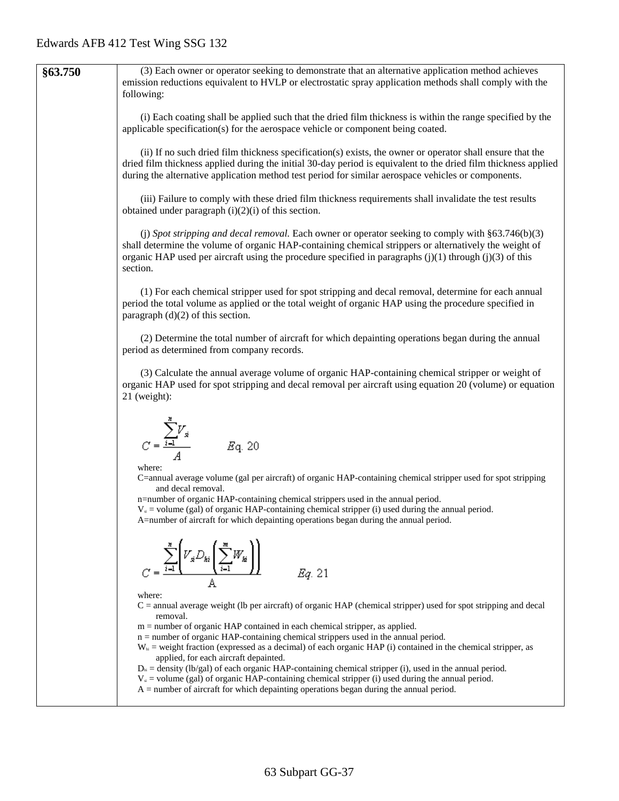| §63.750 | (3) Each owner or operator seeking to demonstrate that an alternative application method achieves<br>emission reductions equivalent to HVLP or electrostatic spray application methods shall comply with the<br>following:                                                                                                                 |
|---------|--------------------------------------------------------------------------------------------------------------------------------------------------------------------------------------------------------------------------------------------------------------------------------------------------------------------------------------------|
|         | (i) Each coating shall be applied such that the dried film thickness is within the range specified by the<br>applicable specification(s) for the aerospace vehicle or component being coated.                                                                                                                                              |
|         | (ii) If no such dried film thickness specification(s) exists, the owner or operator shall ensure that the<br>dried film thickness applied during the initial 30-day period is equivalent to the dried film thickness applied<br>during the alternative application method test period for similar aerospace vehicles or components.        |
|         | (iii) Failure to comply with these dried film thickness requirements shall invalidate the test results<br>obtained under paragraph $(i)(2)(i)$ of this section.                                                                                                                                                                            |
|         | (j) Spot stripping and decal removal. Each owner or operator seeking to comply with $\S 63.746(b)(3)$<br>shall determine the volume of organic HAP-containing chemical strippers or alternatively the weight of<br>organic HAP used per aircraft using the procedure specified in paragraphs $(j)(1)$ through $(j)(3)$ of this<br>section. |
|         | (1) For each chemical stripper used for spot stripping and decal removal, determine for each annual<br>period the total volume as applied or the total weight of organic HAP using the procedure specified in<br>paragraph $(d)(2)$ of this section.                                                                                       |
|         | (2) Determine the total number of aircraft for which depainting operations began during the annual<br>period as determined from company records.                                                                                                                                                                                           |
|         | (3) Calculate the annual average volume of organic HAP-containing chemical stripper or weight of<br>organic HAP used for spot stripping and decal removal per aircraft using equation 20 (volume) or equation<br>$21$ (weight):                                                                                                            |
|         | $C = \frac{\sum_{i=1}^{n} V_{si}}{A}$ $Eq. 20$<br>where:                                                                                                                                                                                                                                                                                   |
|         | C=annual average volume (gal per aircraft) of organic HAP-containing chemical stripper used for spot stripping<br>and decal removal.                                                                                                                                                                                                       |
|         | n=number of organic HAP-containing chemical strippers used in the annual period.<br>$Vs$ = volume (gal) of organic HAP-containing chemical stripper (i) used during the annual period.<br>A=number of aircraft for which depainting operations began during the annual period.                                                             |
|         | $V_s D_{ki} \sum_{i=1}^{N} W_i$<br>Eg. 21                                                                                                                                                                                                                                                                                                  |
|         | where:<br>$C =$ annual average weight (lb per aircraft) of organic HAP (chemical stripper) used for spot stripping and decal<br>removal.                                                                                                                                                                                                   |
|         | m = number of organic HAP contained in each chemical stripper, as applied.<br>$n =$ number of organic HAP-containing chemical strippers used in the annual period.                                                                                                                                                                         |
|         | $W_{hi}$ = weight fraction (expressed as a decimal) of each organic HAP (i) contained in the chemical stripper, as<br>applied, for each aircraft depainted.                                                                                                                                                                                |
|         | $D_{\rm ii}$ = density (lb/gal) of each organic HAP-containing chemical stripper (i), used in the annual period.<br>$Vs$ = volume (gal) of organic HAP-containing chemical stripper (i) used during the annual period.<br>$A =$ number of aircraft for which depainting operations began during the annual period.                         |
|         |                                                                                                                                                                                                                                                                                                                                            |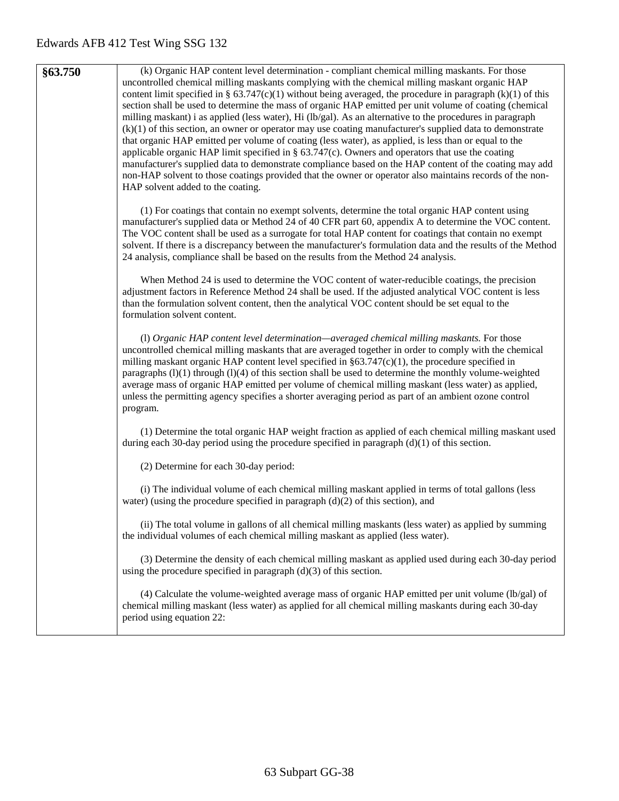| §63.750 | (k) Organic HAP content level determination - compliant chemical milling maskants. For those<br>uncontrolled chemical milling maskants complying with the chemical milling maskant organic HAP<br>content limit specified in § 63.747(c)(1) without being averaged, the procedure in paragraph (k)(1) of this<br>section shall be used to determine the mass of organic HAP emitted per unit volume of coating (chemical<br>milling maskant) i as applied (less water), Hi (lb/gal). As an alternative to the procedures in paragraph<br>$(k)(1)$ of this section, an owner or operator may use coating manufacturer's supplied data to demonstrate<br>that organic HAP emitted per volume of coating (less water), as applied, is less than or equal to the<br>applicable organic HAP limit specified in $\S$ 63.747(c). Owners and operators that use the coating<br>manufacturer's supplied data to demonstrate compliance based on the HAP content of the coating may add<br>non-HAP solvent to those coatings provided that the owner or operator also maintains records of the non-<br>HAP solvent added to the coating. |
|---------|--------------------------------------------------------------------------------------------------------------------------------------------------------------------------------------------------------------------------------------------------------------------------------------------------------------------------------------------------------------------------------------------------------------------------------------------------------------------------------------------------------------------------------------------------------------------------------------------------------------------------------------------------------------------------------------------------------------------------------------------------------------------------------------------------------------------------------------------------------------------------------------------------------------------------------------------------------------------------------------------------------------------------------------------------------------------------------------------------------------------------------|
|         | (1) For coatings that contain no exempt solvents, determine the total organic HAP content using<br>manufacturer's supplied data or Method 24 of 40 CFR part 60, appendix A to determine the VOC content.<br>The VOC content shall be used as a surrogate for total HAP content for coatings that contain no exempt<br>solvent. If there is a discrepancy between the manufacturer's formulation data and the results of the Method<br>24 analysis, compliance shall be based on the results from the Method 24 analysis.                                                                                                                                                                                                                                                                                                                                                                                                                                                                                                                                                                                                       |
|         | When Method 24 is used to determine the VOC content of water-reducible coatings, the precision<br>adjustment factors in Reference Method 24 shall be used. If the adjusted analytical VOC content is less<br>than the formulation solvent content, then the analytical VOC content should be set equal to the<br>formulation solvent content.                                                                                                                                                                                                                                                                                                                                                                                                                                                                                                                                                                                                                                                                                                                                                                                  |
|         | (1) Organic HAP content level determination—averaged chemical milling maskants. For those<br>uncontrolled chemical milling maskants that are averaged together in order to comply with the chemical<br>milling maskant organic HAP content level specified in $\S 63.747(c)(1)$ , the procedure specified in<br>paragraphs (1)(1) through (1)(4) of this section shall be used to determine the monthly volume-weighted<br>average mass of organic HAP emitted per volume of chemical milling maskant (less water) as applied,<br>unless the permitting agency specifies a shorter averaging period as part of an ambient ozone control<br>program.                                                                                                                                                                                                                                                                                                                                                                                                                                                                            |
|         | (1) Determine the total organic HAP weight fraction as applied of each chemical milling maskant used<br>during each 30-day period using the procedure specified in paragraph $(d)(1)$ of this section.                                                                                                                                                                                                                                                                                                                                                                                                                                                                                                                                                                                                                                                                                                                                                                                                                                                                                                                         |
|         | (2) Determine for each 30-day period:                                                                                                                                                                                                                                                                                                                                                                                                                                                                                                                                                                                                                                                                                                                                                                                                                                                                                                                                                                                                                                                                                          |
|         | (i) The individual volume of each chemical milling maskant applied in terms of total gallons (less<br>water) (using the procedure specified in paragraph $(d)(2)$ of this section), and                                                                                                                                                                                                                                                                                                                                                                                                                                                                                                                                                                                                                                                                                                                                                                                                                                                                                                                                        |
|         | (ii) The total volume in gallons of all chemical milling maskants (less water) as applied by summing<br>the individual volumes of each chemical milling maskant as applied (less water).                                                                                                                                                                                                                                                                                                                                                                                                                                                                                                                                                                                                                                                                                                                                                                                                                                                                                                                                       |
|         | (3) Determine the density of each chemical milling maskant as applied used during each 30-day period<br>using the procedure specified in paragraph $(d)(3)$ of this section.                                                                                                                                                                                                                                                                                                                                                                                                                                                                                                                                                                                                                                                                                                                                                                                                                                                                                                                                                   |
|         | (4) Calculate the volume-weighted average mass of organic HAP emitted per unit volume (lb/gal) of<br>chemical milling maskant (less water) as applied for all chemical milling maskants during each 30-day<br>period using equation 22:                                                                                                                                                                                                                                                                                                                                                                                                                                                                                                                                                                                                                                                                                                                                                                                                                                                                                        |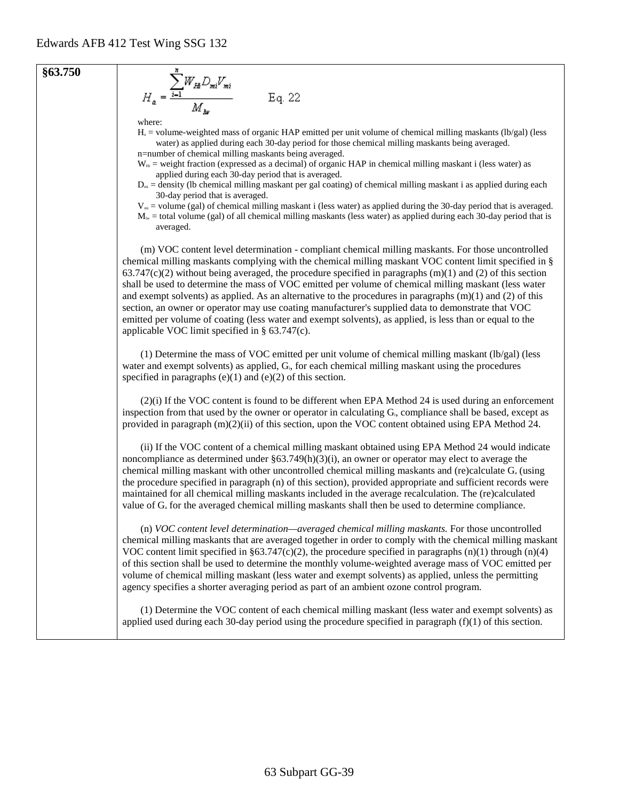**§63.750**  

$$
H_a = \frac{\sum_{i=1}^{n} W_{Hi} D_{mi} V_{mi}}{M_{av}}
$$
 Eq. 22

averaged.

where:

Ha = volume-weighted mass of organic HAP emitted per unit volume of chemical milling maskants (lb/gal) (less water) as applied during each 30-day period for those chemical milling maskants being averaged. n=number of chemical milling maskants being averaged.

 $W_{\text{Hi}}$  = weight fraction (expressed as a decimal) of organic HAP in chemical milling maskant i (less water) as applied during each 30-day period that is averaged.

 $D<sub>mi</sub> =$  density (Ib chemical milling maskant per gal coating) of chemical milling maskant i as applied during each 30-day period that is averaged.

 $V_m$  = volume (gal) of chemical milling maskant i (less water) as applied during the 30-day period that is averaged.  $M_{\text{lw}}$  = total volume (gal) of all chemical milling maskants (less water) as applied during each 30-day period that is

(m) VOC content level determination - compliant chemical milling maskants. For those uncontrolled chemical milling maskants complying with the chemical milling maskant VOC content limit specified in §  $63.747(c)(2)$  without being averaged, the procedure specified in paragraphs (m)(1) and (2) of this section shall be used to determine the mass of VOC emitted per volume of chemical milling maskant (less water and exempt solvents) as applied. As an alternative to the procedures in paragraphs  $(m)(1)$  and (2) of this section, an owner or operator may use coating manufacturer's supplied data to demonstrate that VOC emitted per volume of coating (less water and exempt solvents), as applied, is less than or equal to the applicable VOC limit specified in § 63.747(c).

(1) Determine the mass of VOC emitted per unit volume of chemical milling maskant (lb/gal) (less water and exempt solvents) as applied, G<sub>i</sub>, for each chemical milling maskant using the procedures specified in paragraphs  $(e)(1)$  and  $(e)(2)$  of this section.

(2)(i) If the VOC content is found to be different when EPA Method 24 is used during an enforcement inspection from that used by the owner or operator in calculating Gi, compliance shall be based, except as provided in paragraph (m)(2)(ii) of this section, upon the VOC content obtained using EPA Method 24.

(ii) If the VOC content of a chemical milling maskant obtained using EPA Method 24 would indicate noncompliance as determined under  $\S 63.749(h)(3)(i)$ , an owner or operator may elect to average the chemical milling maskant with other uncontrolled chemical milling maskants and (re)calculate  $G_a$  (using the procedure specified in paragraph (n) of this section), provided appropriate and sufficient records were maintained for all chemical milling maskants included in the average recalculation. The (re)calculated value of G<sub>a</sub> for the averaged chemical milling maskants shall then be used to determine compliance.

(n) *VOC content level determination—averaged chemical milling maskants.* For those uncontrolled chemical milling maskants that are averaged together in order to comply with the chemical milling maskant VOC content limit specified in §63.747(c)(2), the procedure specified in paragraphs  $(n)(1)$  through  $(n)(4)$ of this section shall be used to determine the monthly volume-weighted average mass of VOC emitted per volume of chemical milling maskant (less water and exempt solvents) as applied, unless the permitting agency specifies a shorter averaging period as part of an ambient ozone control program.

(1) Determine the VOC content of each chemical milling maskant (less water and exempt solvents) as applied used during each 30-day period using the procedure specified in paragraph  $(f)(1)$  of this section.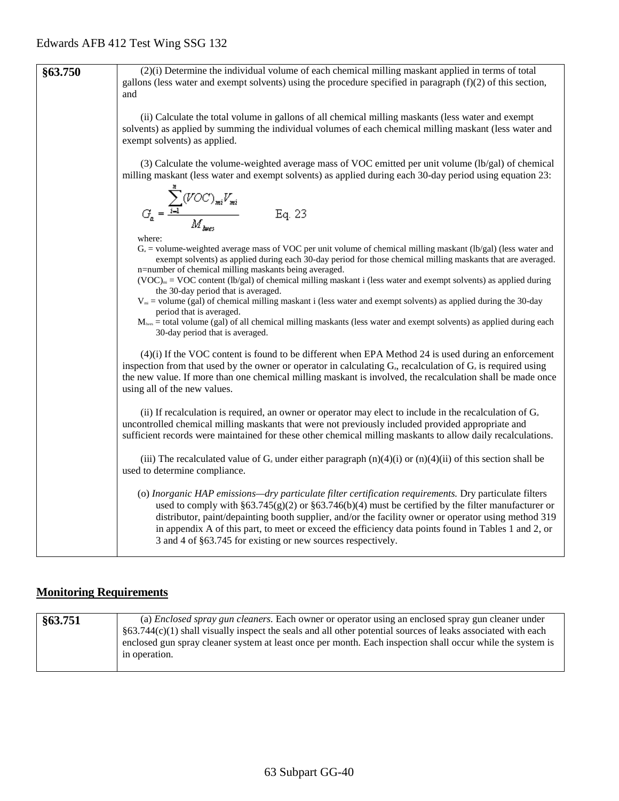| §63.750 | (2)(i) Determine the individual volume of each chemical milling maskant applied in terms of total<br>gallons (less water and exempt solvents) using the procedure specified in paragraph $(f)(2)$ of this section,<br>and                                                                                                                                                                                                                                                                                                                                                                 |
|---------|-------------------------------------------------------------------------------------------------------------------------------------------------------------------------------------------------------------------------------------------------------------------------------------------------------------------------------------------------------------------------------------------------------------------------------------------------------------------------------------------------------------------------------------------------------------------------------------------|
|         | (ii) Calculate the total volume in gallons of all chemical milling maskants (less water and exempt<br>solvents) as applied by summing the individual volumes of each chemical milling maskant (less water and<br>exempt solvents) as applied.                                                                                                                                                                                                                                                                                                                                             |
|         | (3) Calculate the volume-weighted average mass of VOC emitted per unit volume (lb/gal) of chemical<br>milling maskant (less water and exempt solvents) as applied during each 30-day period using equation 23:                                                                                                                                                                                                                                                                                                                                                                            |
|         | $G_{a} = \frac{\displaystyle\sum_{i=1}^{a}(VOC)_{mi}V_{mi}}{M_{\text{hues}}}$<br>Eq. 23                                                                                                                                                                                                                                                                                                                                                                                                                                                                                                   |
|         | where:<br>$G_a$ = volume-weighted average mass of VOC per unit volume of chemical milling maskant (lb/gal) (less water and<br>exempt solvents) as applied during each 30-day period for those chemical milling maskants that are averaged.<br>n=number of chemical milling maskants being averaged.<br>$(VOC)_{mi} = VOC$ content (lb/gal) of chemical milling maskant i (less water and exempt solvents) as applied during<br>the 30-day period that is averaged.<br>$V_{mi}$ = volume (gal) of chemical milling maskant i (less water and exempt solvents) as applied during the 30-day |
|         | period that is averaged.<br>$M_{\text{lws}}$ = total volume (gal) of all chemical milling maskants (less water and exempt solvents) as applied during each<br>30-day period that is averaged.                                                                                                                                                                                                                                                                                                                                                                                             |
|         | $(4)(i)$ If the VOC content is found to be different when EPA Method 24 is used during an enforcement<br>inspection from that used by the owner or operator in calculating $G_a$ , recalculation of $G_a$ is required using<br>the new value. If more than one chemical milling maskant is involved, the recalculation shall be made once<br>using all of the new values.                                                                                                                                                                                                                 |
|         | (ii) If recalculation is required, an owner or operator may elect to include in the recalculation of $G_a$<br>uncontrolled chemical milling maskants that were not previously included provided appropriate and<br>sufficient records were maintained for these other chemical milling maskants to allow daily recalculations.                                                                                                                                                                                                                                                            |
|         | (iii) The recalculated value of $G_a$ under either paragraph (n)(4)(i) or (n)(4)(ii) of this section shall be<br>used to determine compliance.                                                                                                                                                                                                                                                                                                                                                                                                                                            |
|         | (o) Inorganic HAP emissions—dry particulate filter certification requirements. Dry particulate filters<br>used to comply with $\S 63.745(g)(2)$ or $\S 63.746(b)(4)$ must be certified by the filter manufacturer or<br>distributor, paint/depainting booth supplier, and/or the facility owner or operator using method 319<br>in appendix A of this part, to meet or exceed the efficiency data points found in Tables 1 and 2, or<br>3 and 4 of §63.745 for existing or new sources respectively.                                                                                      |

# **Monitoring Requirements**

| §63.751 | (a) <i>Enclosed spray gun cleaners</i> . Each owner or operator using an enclosed spray gun cleaner under        |
|---------|------------------------------------------------------------------------------------------------------------------|
|         | $\S$ 63.744(c)(1) shall visually inspect the seals and all other potential sources of leaks associated with each |
|         | enclosed gun spray cleaner system at least once per month. Each inspection shall occur while the system is       |
|         | in operation.                                                                                                    |
|         |                                                                                                                  |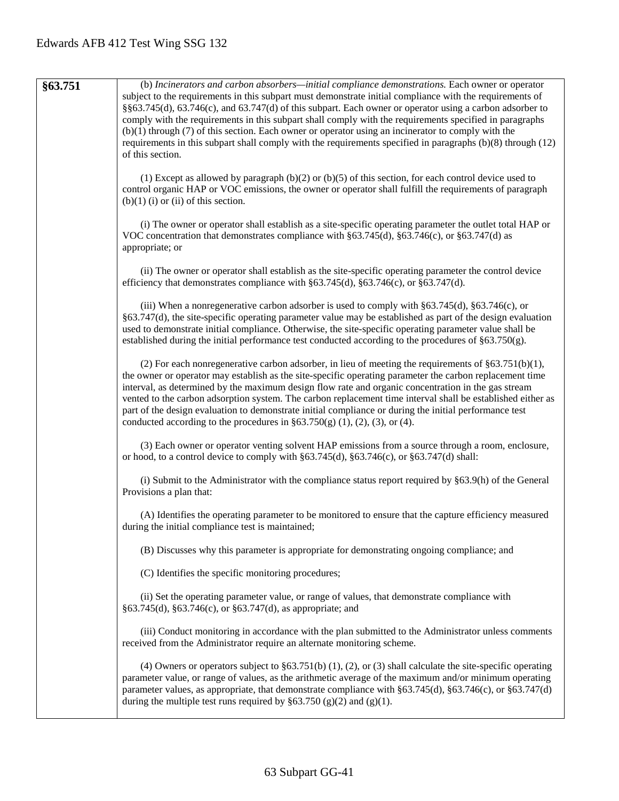**§63.751** (b) *Incinerators and carbon absorbers—initial compliance demonstrations.* Each owner or operator subject to the requirements in this subpart must demonstrate initial compliance with the requirements of §§63.745(d), 63.746(c), and 63.747(d) of this subpart. Each owner or operator using a carbon adsorber to comply with the requirements in this subpart shall comply with the requirements specified in paragraphs (b)(1) through (7) of this section. Each owner or operator using an incinerator to comply with the requirements in this subpart shall comply with the requirements specified in paragraphs (b)(8) through (12) of this section. (1) Except as allowed by paragraph (b)(2) or (b)(5) of this section, for each control device used to control organic HAP or VOC emissions, the owner or operator shall fulfill the requirements of paragraph  $(b)(1)$  (i) or (ii) of this section. (i) The owner or operator shall establish as a site-specific operating parameter the outlet total HAP or VOC concentration that demonstrates compliance with §63.745(d), §63.746(c), or §63.747(d) as appropriate; or (ii) The owner or operator shall establish as the site-specific operating parameter the control device efficiency that demonstrates compliance with §63.745(d), §63.746(c), or §63.747(d). (iii) When a nonregenerative carbon adsorber is used to comply with §63.745(d), §63.746(c), or §63.747(d), the site-specific operating parameter value may be established as part of the design evaluation used to demonstrate initial compliance. Otherwise, the site-specific operating parameter value shall be established during the initial performance test conducted according to the procedures of §63.750(g). (2) For each nonregenerative carbon adsorber, in lieu of meeting the requirements of  $§63.751(b)(1)$ , the owner or operator may establish as the site-specific operating parameter the carbon replacement time interval, as determined by the maximum design flow rate and organic concentration in the gas stream vented to the carbon adsorption system. The carbon replacement time interval shall be established either as part of the design evaluation to demonstrate initial compliance or during the initial performance test conducted according to the procedures in  $\S 63.750(g)$  (1), (2), (3), or (4). (3) Each owner or operator venting solvent HAP emissions from a source through a room, enclosure, or hood, to a control device to comply with §63.745(d), §63.746(c), or §63.747(d) shall: (i) Submit to the Administrator with the compliance status report required by §63.9(h) of the General Provisions a plan that: (A) Identifies the operating parameter to be monitored to ensure that the capture efficiency measured during the initial compliance test is maintained; (B) Discusses why this parameter is appropriate for demonstrating ongoing compliance; and (C) Identifies the specific monitoring procedures; (ii) Set the operating parameter value, or range of values, that demonstrate compliance with §63.745(d), §63.746(c), or §63.747(d), as appropriate; and (iii) Conduct monitoring in accordance with the plan submitted to the Administrator unless comments received from the Administrator require an alternate monitoring scheme. (4) Owners or operators subject to §63.751(b) (1), (2), or (3) shall calculate the site-specific operating parameter value, or range of values, as the arithmetic average of the maximum and/or minimum operating parameter values, as appropriate, that demonstrate compliance with §63.745(d), §63.746(c), or §63.747(d) during the multiple test runs required by  $\S 63.750 (g)(2)$  and  $(g)(1)$ .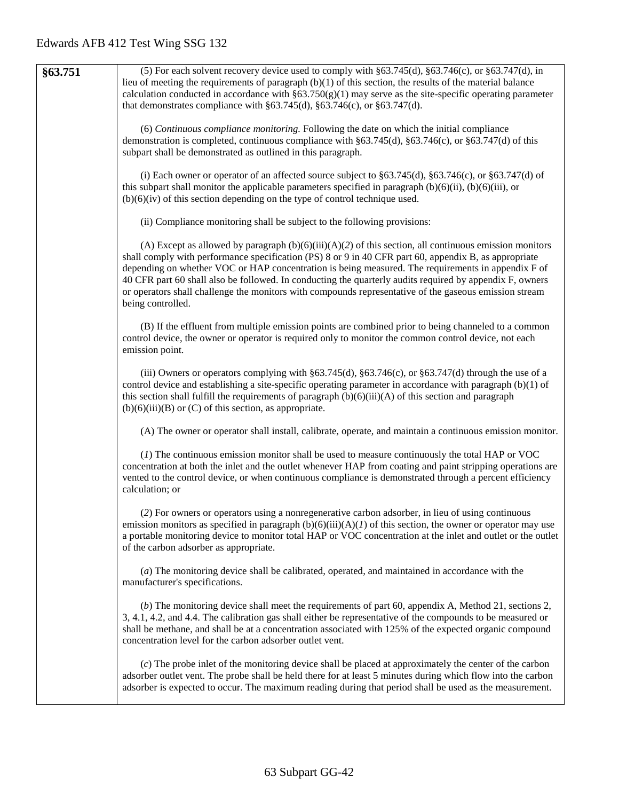| §63.751 | (5) For each solvent recovery device used to comply with $\S 63.745(d)$ , $\S 63.746(c)$ , or $\S 63.747(d)$ , in<br>lieu of meeting the requirements of paragraph $(b)(1)$ of this section, the results of the material balance<br>calculation conducted in accordance with $\S 63.750(g)(1)$ may serve as the site-specific operating parameter<br>that demonstrates compliance with $\S 63.745(d)$ , $\S 63.746(c)$ , or $\S 63.747(d)$ .                                                                                                                       |
|---------|--------------------------------------------------------------------------------------------------------------------------------------------------------------------------------------------------------------------------------------------------------------------------------------------------------------------------------------------------------------------------------------------------------------------------------------------------------------------------------------------------------------------------------------------------------------------|
|         | (6) Continuous compliance monitoring. Following the date on which the initial compliance<br>demonstration is completed, continuous compliance with §63.745(d), §63.746(c), or §63.747(d) of this<br>subpart shall be demonstrated as outlined in this paragraph.                                                                                                                                                                                                                                                                                                   |
|         | (i) Each owner or operator of an affected source subject to $\S 63.745(d)$ , $\S 63.746(c)$ , or $\S 63.747(d)$ of<br>this subpart shall monitor the applicable parameters specified in paragraph $(b)(6)(ii)$ , $(b)(6)(iii)$ , or<br>$(b)(6)(iv)$ of this section depending on the type of control technique used.                                                                                                                                                                                                                                               |
|         | (ii) Compliance monitoring shall be subject to the following provisions:                                                                                                                                                                                                                                                                                                                                                                                                                                                                                           |
|         | (A) Except as allowed by paragraph $(b)(6)(iii)(A)(2)$ of this section, all continuous emission monitors<br>shall comply with performance specification (PS) 8 or 9 in 40 CFR part 60, appendix B, as appropriate<br>depending on whether VOC or HAP concentration is being measured. The requirements in appendix F of<br>40 CFR part 60 shall also be followed. In conducting the quarterly audits required by appendix F, owners<br>or operators shall challenge the monitors with compounds representative of the gaseous emission stream<br>being controlled. |
|         | (B) If the effluent from multiple emission points are combined prior to being channeled to a common<br>control device, the owner or operator is required only to monitor the common control device, not each<br>emission point.                                                                                                                                                                                                                                                                                                                                    |
|         | (iii) Owners or operators complying with $\S 63.745(d)$ , $\S 63.746(c)$ , or $\S 63.747(d)$ through the use of a<br>control device and establishing a site-specific operating parameter in accordance with paragraph $(b)(1)$ of<br>this section shall fulfill the requirements of paragraph $(b)(6)(iii)(A)$ of this section and paragraph<br>$(b)(6)(iii)(B)$ or $(C)$ of this section, as appropriate.                                                                                                                                                         |
|         | (A) The owner or operator shall install, calibrate, operate, and maintain a continuous emission monitor.                                                                                                                                                                                                                                                                                                                                                                                                                                                           |
|         | (1) The continuous emission monitor shall be used to measure continuously the total HAP or VOC<br>concentration at both the inlet and the outlet whenever HAP from coating and paint stripping operations are<br>vented to the control device, or when continuous compliance is demonstrated through a percent efficiency<br>calculation; or                                                                                                                                                                                                                       |
|         | (2) For owners or operators using a nonregenerative carbon adsorber, in lieu of using continuous<br>emission monitors as specified in paragraph $(b)(6)(iii)(A)(I)$ of this section, the owner or operator may use<br>a portable monitoring device to monitor total HAP or VOC concentration at the inlet and outlet or the outlet<br>of the carbon adsorber as appropriate.                                                                                                                                                                                       |
|         | (a) The monitoring device shall be calibrated, operated, and maintained in accordance with the<br>manufacturer's specifications.                                                                                                                                                                                                                                                                                                                                                                                                                                   |
|         | (b) The monitoring device shall meet the requirements of part 60, appendix A, Method 21, sections 2,<br>3, 4.1, 4.2, and 4.4. The calibration gas shall either be representative of the compounds to be measured or<br>shall be methane, and shall be at a concentration associated with 125% of the expected organic compound<br>concentration level for the carbon adsorber outlet vent.                                                                                                                                                                         |
|         | (c) The probe inlet of the monitoring device shall be placed at approximately the center of the carbon<br>adsorber outlet vent. The probe shall be held there for at least 5 minutes during which flow into the carbon<br>adsorber is expected to occur. The maximum reading during that period shall be used as the measurement.                                                                                                                                                                                                                                  |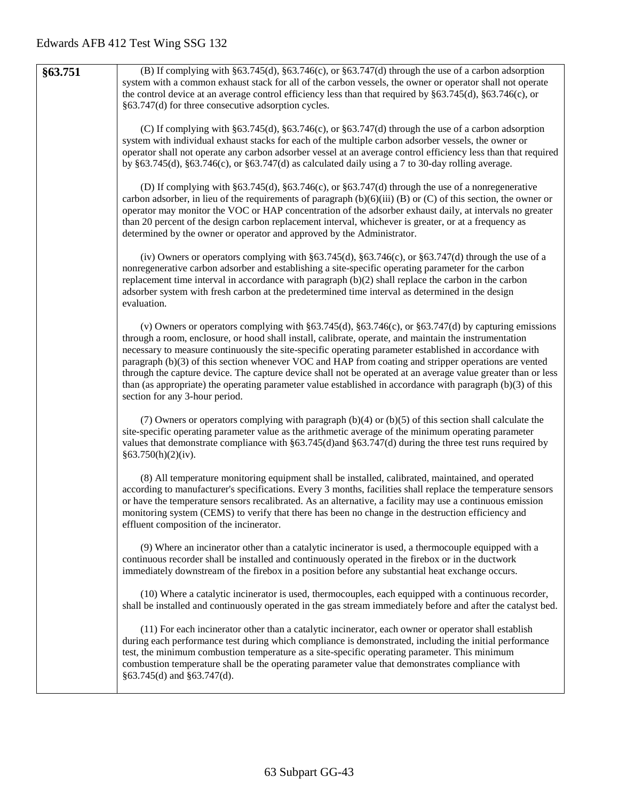| §63.751 | (B) If complying with $\S63.745(d)$ , $\S63.746(c)$ , or $\S63.747(d)$ through the use of a carbon adsorption<br>system with a common exhaust stack for all of the carbon vessels, the owner or operator shall not operate<br>the control device at an average control efficiency less than that required by $\S 63.745(d)$ , $\S 63.746(c)$ , or<br>§63.747(d) for three consecutive adsorption cycles.                                                                                                                                                                                                                                                                                                         |
|---------|------------------------------------------------------------------------------------------------------------------------------------------------------------------------------------------------------------------------------------------------------------------------------------------------------------------------------------------------------------------------------------------------------------------------------------------------------------------------------------------------------------------------------------------------------------------------------------------------------------------------------------------------------------------------------------------------------------------|
|         | (C) If complying with $\S63.745(d)$ , $\S63.746(c)$ , or $\S63.747(d)$ through the use of a carbon adsorption<br>system with individual exhaust stacks for each of the multiple carbon adsorber vessels, the owner or<br>operator shall not operate any carbon adsorber vessel at an average control efficiency less than that required<br>by $§63.745(d)$ , $§63.746(c)$ , or $§63.747(d)$ as calculated daily using a 7 to 30-day rolling average.                                                                                                                                                                                                                                                             |
|         | (D) If complying with $\S 63.745(d)$ , $\S 63.746(c)$ , or $\S 63.747(d)$ through the use of a nonregenerative<br>carbon adsorber, in lieu of the requirements of paragraph $(b)(6)(iii)$ (B) or (C) of this section, the owner or<br>operator may monitor the VOC or HAP concentration of the adsorber exhaust daily, at intervals no greater<br>than 20 percent of the design carbon replacement interval, whichever is greater, or at a frequency as<br>determined by the owner or operator and approved by the Administrator.                                                                                                                                                                                |
|         | (iv) Owners or operators complying with $\S 63.745(d)$ , $\S 63.746(c)$ , or $\S 63.747(d)$ through the use of a<br>nonregenerative carbon adsorber and establishing a site-specific operating parameter for the carbon<br>replacement time interval in accordance with paragraph $(b)(2)$ shall replace the carbon in the carbon<br>adsorber system with fresh carbon at the predetermined time interval as determined in the design<br>evaluation.                                                                                                                                                                                                                                                             |
|         | (v) Owners or operators complying with $\S 63.745(d)$ , $\S 63.746(c)$ , or $\S 63.747(d)$ by capturing emissions<br>through a room, enclosure, or hood shall install, calibrate, operate, and maintain the instrumentation<br>necessary to measure continuously the site-specific operating parameter established in accordance with<br>paragraph (b)(3) of this section whenever VOC and HAP from coating and stripper operations are vented<br>through the capture device. The capture device shall not be operated at an average value greater than or less<br>than (as appropriate) the operating parameter value established in accordance with paragraph (b)(3) of this<br>section for any 3-hour period. |
|         | (7) Owners or operators complying with paragraph $(b)(4)$ or $(b)(5)$ of this section shall calculate the<br>site-specific operating parameter value as the arithmetic average of the minimum operating parameter<br>values that demonstrate compliance with $\S 63.745(d)$ and $\S 63.747(d)$ during the three test runs required by<br>§63.750(h)(2)(iv).                                                                                                                                                                                                                                                                                                                                                      |
|         | (8) All temperature monitoring equipment shall be installed, calibrated, maintained, and operated<br>according to manufacturer's specifications. Every 3 months, facilities shall replace the temperature sensors<br>or have the temperature sensors recalibrated. As an alternative, a facility may use a continuous emission<br>monitoring system (CEMS) to verify that there has been no change in the destruction efficiency and<br>effluent composition of the incinerator.                                                                                                                                                                                                                                 |
|         | (9) Where an incinerator other than a catalytic incinerator is used, a thermocouple equipped with a<br>continuous recorder shall be installed and continuously operated in the firebox or in the ductwork<br>immediately downstream of the firebox in a position before any substantial heat exchange occurs.                                                                                                                                                                                                                                                                                                                                                                                                    |
|         | (10) Where a catalytic incinerator is used, thermocouples, each equipped with a continuous recorder,<br>shall be installed and continuously operated in the gas stream immediately before and after the catalyst bed.                                                                                                                                                                                                                                                                                                                                                                                                                                                                                            |
|         | (11) For each incinerator other than a catalytic incinerator, each owner or operator shall establish<br>during each performance test during which compliance is demonstrated, including the initial performance<br>test, the minimum combustion temperature as a site-specific operating parameter. This minimum<br>combustion temperature shall be the operating parameter value that demonstrates compliance with<br>$§63.745(d)$ and $§63.747(d)$ .                                                                                                                                                                                                                                                           |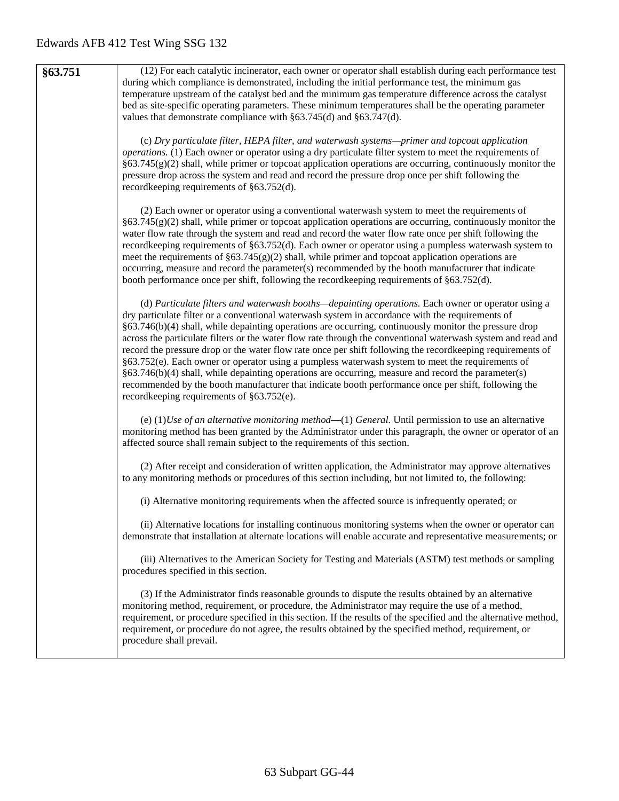| §63.751 | (12) For each catalytic incinerator, each owner or operator shall establish during each performance test<br>during which compliance is demonstrated, including the initial performance test, the minimum gas<br>temperature upstream of the catalyst bed and the minimum gas temperature difference across the catalyst<br>bed as site-specific operating parameters. These minimum temperatures shall be the operating parameter<br>values that demonstrate compliance with §63.745(d) and §63.747(d).                                                                                                                                                                                                                                                                                                                                                                                                         |
|---------|-----------------------------------------------------------------------------------------------------------------------------------------------------------------------------------------------------------------------------------------------------------------------------------------------------------------------------------------------------------------------------------------------------------------------------------------------------------------------------------------------------------------------------------------------------------------------------------------------------------------------------------------------------------------------------------------------------------------------------------------------------------------------------------------------------------------------------------------------------------------------------------------------------------------|
|         | (c) Dry particulate filter, HEPA filter, and waterwash systems—primer and topcoat application<br>operations. (1) Each owner or operator using a dry particulate filter system to meet the requirements of<br>$§63.745(g)(2)$ shall, while primer or topcoat application operations are occurring, continuously monitor the<br>pressure drop across the system and read and record the pressure drop once per shift following the<br>recordkeeping requirements of §63.752(d).                                                                                                                                                                                                                                                                                                                                                                                                                                   |
|         | (2) Each owner or operator using a conventional waterwash system to meet the requirements of<br>$§63.745(g)(2)$ shall, while primer or topcoat application operations are occurring, continuously monitor the<br>water flow rate through the system and read and record the water flow rate once per shift following the<br>recordkeeping requirements of §63.752(d). Each owner or operator using a pumpless waterwash system to<br>meet the requirements of $\S63.745(g)(2)$ shall, while primer and topcoat application operations are<br>occurring, measure and record the parameter(s) recommended by the booth manufacturer that indicate<br>booth performance once per shift, following the recordkeeping requirements of §63.752(d).                                                                                                                                                                    |
|         | (d) Particulate filters and waterwash booths—depainting operations. Each owner or operator using a<br>dry particulate filter or a conventional waterwash system in accordance with the requirements of<br>§63.746(b)(4) shall, while depainting operations are occurring, continuously monitor the pressure drop<br>across the particulate filters or the water flow rate through the conventional waterwash system and read and<br>record the pressure drop or the water flow rate once per shift following the recordkeeping requirements of<br>§63.752(e). Each owner or operator using a pumpless waterwash system to meet the requirements of<br>$§63.746(b)(4)$ shall, while depainting operations are occurring, measure and record the parameter(s)<br>recommended by the booth manufacturer that indicate booth performance once per shift, following the<br>recordkeeping requirements of §63.752(e). |
|         | (e) $(1)$ <i>Use of an alternative monitoring method</i> — $(1)$ <i>General.</i> Until permission to use an alternative<br>monitoring method has been granted by the Administrator under this paragraph, the owner or operator of an<br>affected source shall remain subject to the requirements of this section.                                                                                                                                                                                                                                                                                                                                                                                                                                                                                                                                                                                               |
|         | (2) After receipt and consideration of written application, the Administrator may approve alternatives<br>to any monitoring methods or procedures of this section including, but not limited to, the following:                                                                                                                                                                                                                                                                                                                                                                                                                                                                                                                                                                                                                                                                                                 |
|         | (i) Alternative monitoring requirements when the affected source is infrequently operated; or                                                                                                                                                                                                                                                                                                                                                                                                                                                                                                                                                                                                                                                                                                                                                                                                                   |
|         | (ii) Alternative locations for installing continuous monitoring systems when the owner or operator can<br>demonstrate that installation at alternate locations will enable accurate and representative measurements; or                                                                                                                                                                                                                                                                                                                                                                                                                                                                                                                                                                                                                                                                                         |
|         | (iii) Alternatives to the American Society for Testing and Materials (ASTM) test methods or sampling<br>procedures specified in this section.                                                                                                                                                                                                                                                                                                                                                                                                                                                                                                                                                                                                                                                                                                                                                                   |
|         | (3) If the Administrator finds reasonable grounds to dispute the results obtained by an alternative<br>monitoring method, requirement, or procedure, the Administrator may require the use of a method,<br>requirement, or procedure specified in this section. If the results of the specified and the alternative method,<br>requirement, or procedure do not agree, the results obtained by the specified method, requirement, or<br>procedure shall prevail.                                                                                                                                                                                                                                                                                                                                                                                                                                                |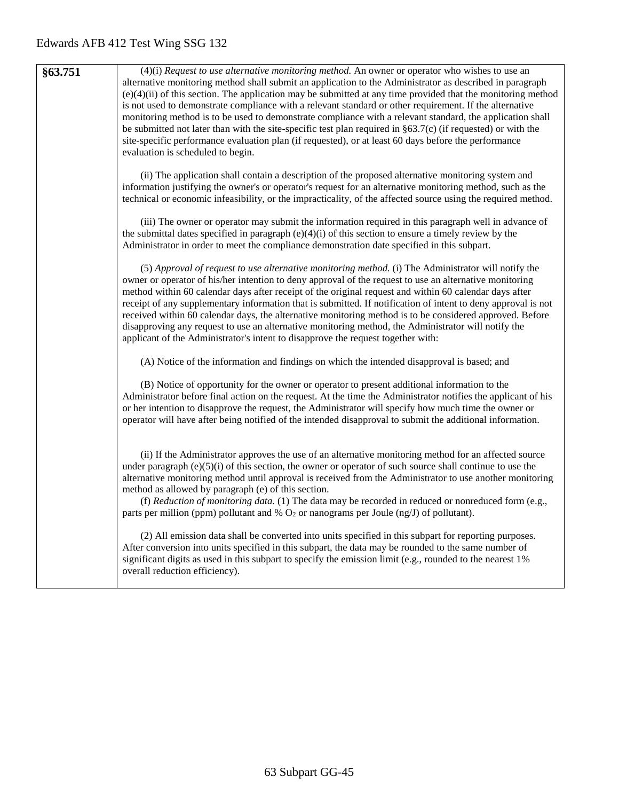| \$63.751 | $(4)(i)$ Request to use alternative monitoring method. An owner or operator who wishes to use an                 |
|----------|------------------------------------------------------------------------------------------------------------------|
|          | alternative monitoring method shall submit an application to the Administrator as described in paragraph         |
|          | $(e)(4)(ii)$ of this section. The application may be submitted at any time provided that the monitoring method   |
|          | is not used to demonstrate compliance with a relevant standard or other requirement. If the alternative          |
|          | monitoring method is to be used to demonstrate compliance with a relevant standard, the application shall        |
|          | be submitted not later than with the site-specific test plan required in $\S 63.7(c)$ (if requested) or with the |
|          | site-specific performance evaluation plan (if requested), or at least 60 days before the performance             |
|          | evaluation is scheduled to begin.                                                                                |
|          |                                                                                                                  |

(ii) The application shall contain a description of the proposed alternative monitoring system and information justifying the owner's or operator's request for an alternative monitoring method, such as the technical or economic infeasibility, or the impracticality, of the affected source using the required method.

(iii) The owner or operator may submit the information required in this paragraph well in advance of the submittal dates specified in paragraph  $(e)(4)(i)$  of this section to ensure a timely review by the Administrator in order to meet the compliance demonstration date specified in this subpart.

(5) *Approval of request to use alternative monitoring method.* (i) The Administrator will notify the owner or operator of his/her intention to deny approval of the request to use an alternative monitoring method within 60 calendar days after receipt of the original request and within 60 calendar days after receipt of any supplementary information that is submitted. If notification of intent to deny approval is not received within 60 calendar days, the alternative monitoring method is to be considered approved. Before disapproving any request to use an alternative monitoring method, the Administrator will notify the applicant of the Administrator's intent to disapprove the request together with:

(A) Notice of the information and findings on which the intended disapproval is based; and

(B) Notice of opportunity for the owner or operator to present additional information to the Administrator before final action on the request. At the time the Administrator notifies the applicant of his or her intention to disapprove the request, the Administrator will specify how much time the owner or operator will have after being notified of the intended disapproval to submit the additional information.

(ii) If the Administrator approves the use of an alternative monitoring method for an affected source under paragraph  $(e)(5)(i)$  of this section, the owner or operator of such source shall continue to use the alternative monitoring method until approval is received from the Administrator to use another monitoring method as allowed by paragraph (e) of this section.

(f) *Reduction of monitoring data.* (1) The data may be recorded in reduced or nonreduced form (e.g., parts per million (ppm) pollutant and  $%$  O<sub>2</sub> or nanograms per Joule (ng/J) of pollutant).

(2) All emission data shall be converted into units specified in this subpart for reporting purposes. After conversion into units specified in this subpart, the data may be rounded to the same number of significant digits as used in this subpart to specify the emission limit (e.g., rounded to the nearest 1%) overall reduction efficiency).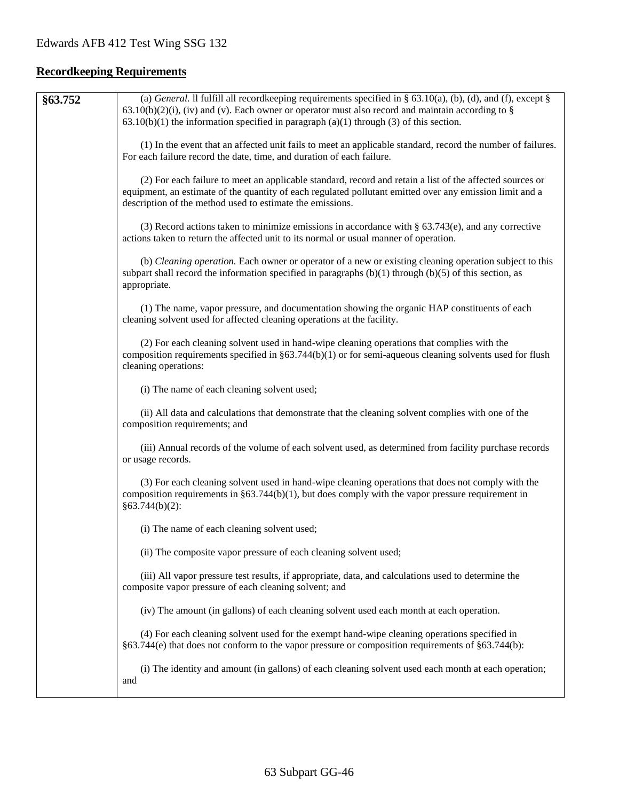# **Recordkeeping Requirements**

| §63.752 | (a) General. Il fulfill all record keeping requirements specified in § 63.10(a), (b), (d), and (f), except §<br>$63.10(b)(2)(i)$ , (iv) and (v). Each owner or operator must also record and maintain according to §                                                              |
|---------|-----------------------------------------------------------------------------------------------------------------------------------------------------------------------------------------------------------------------------------------------------------------------------------|
|         | $63.10(b)(1)$ the information specified in paragraph $(a)(1)$ through $(3)$ of this section.                                                                                                                                                                                      |
|         | (1) In the event that an affected unit fails to meet an applicable standard, record the number of failures.<br>For each failure record the date, time, and duration of each failure.                                                                                              |
|         | (2) For each failure to meet an applicable standard, record and retain a list of the affected sources or<br>equipment, an estimate of the quantity of each regulated pollutant emitted over any emission limit and a<br>description of the method used to estimate the emissions. |
|         | (3) Record actions taken to minimize emissions in accordance with $\S$ 63.743(e), and any corrective<br>actions taken to return the affected unit to its normal or usual manner of operation.                                                                                     |
|         | (b) Cleaning operation. Each owner or operator of a new or existing cleaning operation subject to this<br>subpart shall record the information specified in paragraphs $(b)(1)$ through $(b)(5)$ of this section, as<br>appropriate.                                              |
|         | (1) The name, vapor pressure, and documentation showing the organic HAP constituents of each<br>cleaning solvent used for affected cleaning operations at the facility.                                                                                                           |
|         | (2) For each cleaning solvent used in hand-wipe cleaning operations that complies with the<br>composition requirements specified in $\S 63.744(b)(1)$ or for semi-aqueous cleaning solvents used for flush<br>cleaning operations:                                                |
|         | (i) The name of each cleaning solvent used;                                                                                                                                                                                                                                       |
|         | (ii) All data and calculations that demonstrate that the cleaning solvent complies with one of the<br>composition requirements; and                                                                                                                                               |
|         | (iii) Annual records of the volume of each solvent used, as determined from facility purchase records<br>or usage records.                                                                                                                                                        |
|         | (3) For each cleaning solvent used in hand-wipe cleaning operations that does not comply with the<br>composition requirements in $\S63.744(b)(1)$ , but does comply with the vapor pressure requirement in<br>§63.744(b)(2):                                                      |
|         | (i) The name of each cleaning solvent used;                                                                                                                                                                                                                                       |
|         | (ii) The composite vapor pressure of each cleaning solvent used;                                                                                                                                                                                                                  |
|         | (iii) All vapor pressure test results, if appropriate, data, and calculations used to determine the<br>composite vapor pressure of each cleaning solvent; and                                                                                                                     |
|         | (iv) The amount (in gallons) of each cleaning solvent used each month at each operation.                                                                                                                                                                                          |
|         | (4) For each cleaning solvent used for the exempt hand-wipe cleaning operations specified in<br>$§63.744(e)$ that does not conform to the vapor pressure or composition requirements of $§63.744(b)$ :                                                                            |
|         | (i) The identity and amount (in gallons) of each cleaning solvent used each month at each operation;<br>and                                                                                                                                                                       |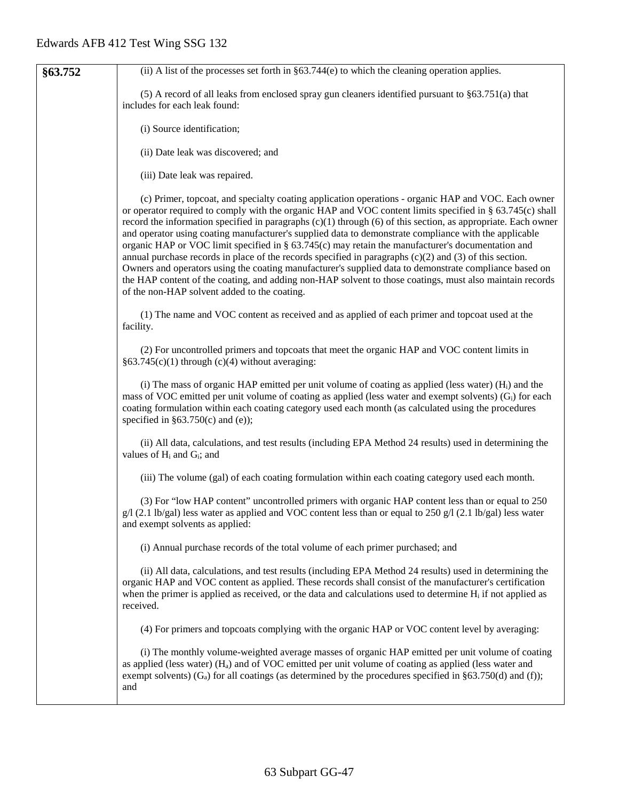| §63.752 | (ii) A list of the processes set forth in $\S63.744(e)$ to which the cleaning operation applies.                                                                                                                                                                                                                                                                                                                                                                                                                                                                                                                                                                                                                                                                                                                                                                                                                                            |
|---------|---------------------------------------------------------------------------------------------------------------------------------------------------------------------------------------------------------------------------------------------------------------------------------------------------------------------------------------------------------------------------------------------------------------------------------------------------------------------------------------------------------------------------------------------------------------------------------------------------------------------------------------------------------------------------------------------------------------------------------------------------------------------------------------------------------------------------------------------------------------------------------------------------------------------------------------------|
|         | (5) A record of all leaks from enclosed spray gun cleaners identified pursuant to §63.751(a) that<br>includes for each leak found:                                                                                                                                                                                                                                                                                                                                                                                                                                                                                                                                                                                                                                                                                                                                                                                                          |
|         | (i) Source identification;                                                                                                                                                                                                                                                                                                                                                                                                                                                                                                                                                                                                                                                                                                                                                                                                                                                                                                                  |
|         | (ii) Date leak was discovered; and                                                                                                                                                                                                                                                                                                                                                                                                                                                                                                                                                                                                                                                                                                                                                                                                                                                                                                          |
|         | (iii) Date leak was repaired.                                                                                                                                                                                                                                                                                                                                                                                                                                                                                                                                                                                                                                                                                                                                                                                                                                                                                                               |
|         | (c) Primer, topcoat, and specialty coating application operations - organic HAP and VOC. Each owner<br>or operator required to comply with the organic HAP and VOC content limits specified in § 63.745(c) shall<br>record the information specified in paragraphs $(c)(1)$ through $(6)$ of this section, as appropriate. Each owner<br>and operator using coating manufacturer's supplied data to demonstrate compliance with the applicable<br>organic HAP or VOC limit specified in $\S$ 63.745(c) may retain the manufacturer's documentation and<br>annual purchase records in place of the records specified in paragraphs $(c)(2)$ and $(3)$ of this section.<br>Owners and operators using the coating manufacturer's supplied data to demonstrate compliance based on<br>the HAP content of the coating, and adding non-HAP solvent to those coatings, must also maintain records<br>of the non-HAP solvent added to the coating. |
|         | (1) The name and VOC content as received and as applied of each primer and topcoat used at the<br>facility.                                                                                                                                                                                                                                                                                                                                                                                                                                                                                                                                                                                                                                                                                                                                                                                                                                 |
|         | (2) For uncontrolled primers and topcoats that meet the organic HAP and VOC content limits in<br>§63.745(c)(1) through (c)(4) without averaging:                                                                                                                                                                                                                                                                                                                                                                                                                                                                                                                                                                                                                                                                                                                                                                                            |
|         | (i) The mass of organic HAP emitted per unit volume of coating as applied (less water) $(Hi)$ and the<br>mass of VOC emitted per unit volume of coating as applied (less water and exempt solvents) (G <sub>i</sub> ) for each<br>coating formulation within each coating category used each month (as calculated using the procedures<br>specified in $§63.750(c)$ and (e));                                                                                                                                                                                                                                                                                                                                                                                                                                                                                                                                                               |
|         | (ii) All data, calculations, and test results (including EPA Method 24 results) used in determining the<br>values of H <sub>i</sub> and G <sub>i</sub> ; and                                                                                                                                                                                                                                                                                                                                                                                                                                                                                                                                                                                                                                                                                                                                                                                |
|         | (iii) The volume (gal) of each coating formulation within each coating category used each month.                                                                                                                                                                                                                                                                                                                                                                                                                                                                                                                                                                                                                                                                                                                                                                                                                                            |
|         | (3) For "low HAP content" uncontrolled primers with organic HAP content less than or equal to 250<br>g/l (2.1 lb/gal) less water as applied and VOC content less than or equal to 250 g/l (2.1 lb/gal) less water<br>and exempt solvents as applied:                                                                                                                                                                                                                                                                                                                                                                                                                                                                                                                                                                                                                                                                                        |
|         | (i) Annual purchase records of the total volume of each primer purchased; and                                                                                                                                                                                                                                                                                                                                                                                                                                                                                                                                                                                                                                                                                                                                                                                                                                                               |
|         | (ii) All data, calculations, and test results (including EPA Method 24 results) used in determining the<br>organic HAP and VOC content as applied. These records shall consist of the manufacturer's certification<br>when the primer is applied as received, or the data and calculations used to determine $H_i$ if not applied as<br>received.                                                                                                                                                                                                                                                                                                                                                                                                                                                                                                                                                                                           |
|         | (4) For primers and topcoats complying with the organic HAP or VOC content level by averaging:                                                                                                                                                                                                                                                                                                                                                                                                                                                                                                                                                                                                                                                                                                                                                                                                                                              |
|         | (i) The monthly volume-weighted average masses of organic HAP emitted per unit volume of coating<br>as applied (less water) $(H_a)$ and of VOC emitted per unit volume of coating as applied (less water and<br>exempt solvents) (G <sub>a</sub> ) for all coatings (as determined by the procedures specified in §63.750(d) and (f));<br>and                                                                                                                                                                                                                                                                                                                                                                                                                                                                                                                                                                                               |
|         |                                                                                                                                                                                                                                                                                                                                                                                                                                                                                                                                                                                                                                                                                                                                                                                                                                                                                                                                             |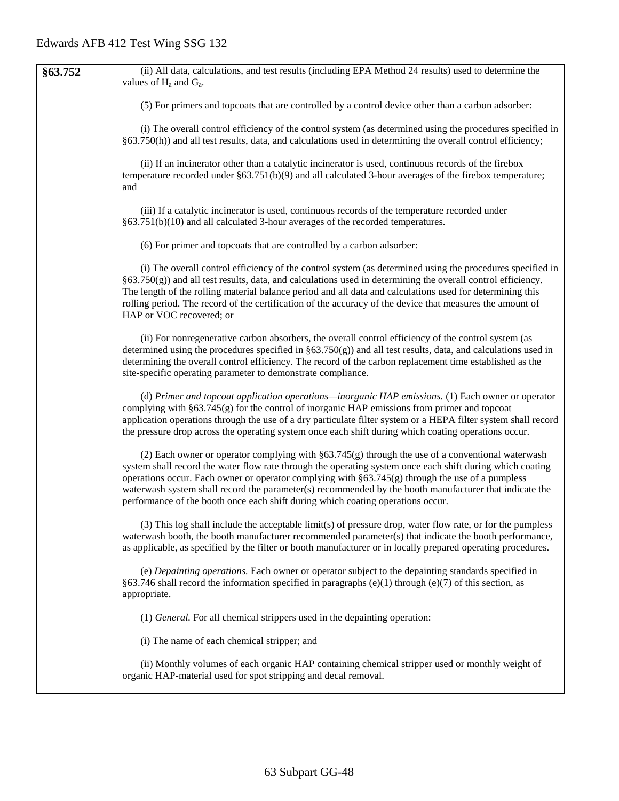| §63.752 | (ii) All data, calculations, and test results (including EPA Method 24 results) used to determine the<br>values of H <sub>a</sub> and G <sub>a</sub> .                                                                                                                                                                                                                                                                                                                                                            |
|---------|-------------------------------------------------------------------------------------------------------------------------------------------------------------------------------------------------------------------------------------------------------------------------------------------------------------------------------------------------------------------------------------------------------------------------------------------------------------------------------------------------------------------|
|         | (5) For primers and topcoats that are controlled by a control device other than a carbon adsorber:                                                                                                                                                                                                                                                                                                                                                                                                                |
|         | (i) The overall control efficiency of the control system (as determined using the procedures specified in<br>§63.750(h)) and all test results, data, and calculations used in determining the overall control efficiency;                                                                                                                                                                                                                                                                                         |
|         | (ii) If an incinerator other than a catalytic incinerator is used, continuous records of the firebox<br>temperature recorded under $\S 63.751(b)(9)$ and all calculated 3-hour averages of the firebox temperature;<br>and                                                                                                                                                                                                                                                                                        |
|         | (iii) If a catalytic incinerator is used, continuous records of the temperature recorded under<br>§63.751(b)(10) and all calculated 3-hour averages of the recorded temperatures.                                                                                                                                                                                                                                                                                                                                 |
|         | (6) For primer and topcoats that are controlled by a carbon adsorber:                                                                                                                                                                                                                                                                                                                                                                                                                                             |
|         | (i) The overall control efficiency of the control system (as determined using the procedures specified in<br>$§$ 63.750 $(g)$ ) and all test results, data, and calculations used in determining the overall control efficiency.<br>The length of the rolling material balance period and all data and calculations used for determining this<br>rolling period. The record of the certification of the accuracy of the device that measures the amount of<br>HAP or VOC recovered; or                            |
|         | (ii) For nonregenerative carbon absorbers, the overall control efficiency of the control system (as<br>determined using the procedures specified in $\S 63.750(g)$ and all test results, data, and calculations used in<br>determining the overall control efficiency. The record of the carbon replacement time established as the<br>site-specific operating parameter to demonstrate compliance.                                                                                                               |
|         | (d) Primer and topcoat application operations—inorganic HAP emissions. (1) Each owner or operator<br>complying with §63.745(g) for the control of inorganic HAP emissions from primer and topcoat<br>application operations through the use of a dry particulate filter system or a HEPA filter system shall record<br>the pressure drop across the operating system once each shift during which coating operations occur.                                                                                       |
|         | (2) Each owner or operator complying with $\S63.745(g)$ through the use of a conventional waterwash<br>system shall record the water flow rate through the operating system once each shift during which coating<br>operations occur. Each owner or operator complying with §63.745(g) through the use of a pumpless<br>waterwash system shall record the parameter(s) recommended by the booth manufacturer that indicate the<br>performance of the booth once each shift during which coating operations occur. |
|         | (3) This log shall include the acceptable limit(s) of pressure drop, water flow rate, or for the pumpless<br>waterwash booth, the booth manufacturer recommended parameter(s) that indicate the booth performance,<br>as applicable, as specified by the filter or booth manufacturer or in locally prepared operating procedures.                                                                                                                                                                                |
|         | (e) Depainting operations. Each owner or operator subject to the depainting standards specified in<br>§63.746 shall record the information specified in paragraphs (e)(1) through (e)(7) of this section, as<br>appropriate.                                                                                                                                                                                                                                                                                      |
|         | (1) General. For all chemical strippers used in the depainting operation:                                                                                                                                                                                                                                                                                                                                                                                                                                         |
|         | (i) The name of each chemical stripper; and                                                                                                                                                                                                                                                                                                                                                                                                                                                                       |
|         | (ii) Monthly volumes of each organic HAP containing chemical stripper used or monthly weight of<br>organic HAP-material used for spot stripping and decal removal.                                                                                                                                                                                                                                                                                                                                                |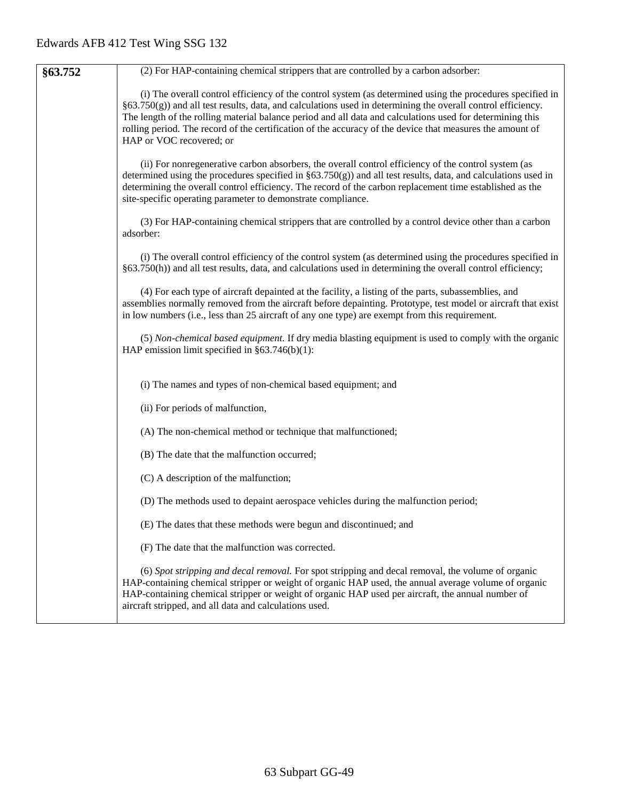| §63.752 | (2) For HAP-containing chemical strippers that are controlled by a carbon adsorber:                                                                                                                                                                                                                                                                                                                                                                                              |
|---------|----------------------------------------------------------------------------------------------------------------------------------------------------------------------------------------------------------------------------------------------------------------------------------------------------------------------------------------------------------------------------------------------------------------------------------------------------------------------------------|
|         | (i) The overall control efficiency of the control system (as determined using the procedures specified in<br>$§63.750(g)$ and all test results, data, and calculations used in determining the overall control efficiency.<br>The length of the rolling material balance period and all data and calculations used for determining this<br>rolling period. The record of the certification of the accuracy of the device that measures the amount of<br>HAP or VOC recovered; or |
|         | (ii) For nonregenerative carbon absorbers, the overall control efficiency of the control system (as<br>determined using the procedures specified in $\S 63.750(g)$ and all test results, data, and calculations used in<br>determining the overall control efficiency. The record of the carbon replacement time established as the<br>site-specific operating parameter to demonstrate compliance.                                                                              |
|         | (3) For HAP-containing chemical strippers that are controlled by a control device other than a carbon<br>adsorber:                                                                                                                                                                                                                                                                                                                                                               |
|         | (i) The overall control efficiency of the control system (as determined using the procedures specified in<br>§63.750(h)) and all test results, data, and calculations used in determining the overall control efficiency;                                                                                                                                                                                                                                                        |
|         | (4) For each type of aircraft depainted at the facility, a listing of the parts, subassemblies, and<br>assemblies normally removed from the aircraft before depainting. Prototype, test model or aircraft that exist<br>in low numbers (i.e., less than 25 aircraft of any one type) are exempt from this requirement.                                                                                                                                                           |
|         | (5) Non-chemical based equipment. If dry media blasting equipment is used to comply with the organic<br>HAP emission limit specified in $\S 63.746(b)(1)$ :                                                                                                                                                                                                                                                                                                                      |
|         | (i) The names and types of non-chemical based equipment; and                                                                                                                                                                                                                                                                                                                                                                                                                     |
|         | (ii) For periods of malfunction,                                                                                                                                                                                                                                                                                                                                                                                                                                                 |
|         | (A) The non-chemical method or technique that malfunctioned;                                                                                                                                                                                                                                                                                                                                                                                                                     |
|         | (B) The date that the malfunction occurred;                                                                                                                                                                                                                                                                                                                                                                                                                                      |
|         | (C) A description of the malfunction;                                                                                                                                                                                                                                                                                                                                                                                                                                            |
|         | (D) The methods used to depaint aerospace vehicles during the malfunction period;                                                                                                                                                                                                                                                                                                                                                                                                |
|         | (E) The dates that these methods were begun and discontinued; and                                                                                                                                                                                                                                                                                                                                                                                                                |
|         | (F) The date that the malfunction was corrected.                                                                                                                                                                                                                                                                                                                                                                                                                                 |
|         | (6) Spot stripping and decal removal. For spot stripping and decal removal, the volume of organic<br>HAP-containing chemical stripper or weight of organic HAP used, the annual average volume of organic<br>HAP-containing chemical stripper or weight of organic HAP used per aircraft, the annual number of<br>aircraft stripped, and all data and calculations used.                                                                                                         |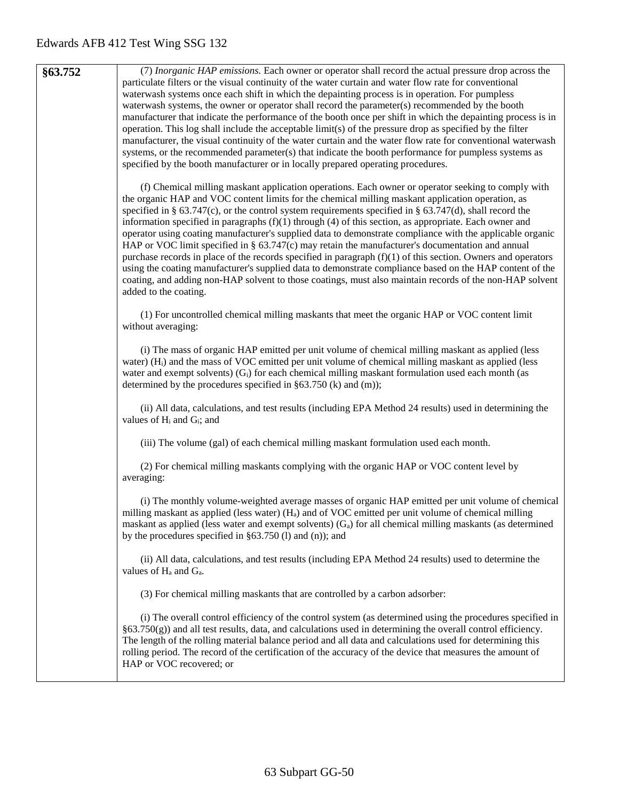**§63.752** (7) *Inorganic HAP emissions.* Each owner or operator shall record the actual pressure drop across the particulate filters or the visual continuity of the water curtain and water flow rate for conventional waterwash systems once each shift in which the depainting process is in operation. For pumpless waterwash systems, the owner or operator shall record the parameter(s) recommended by the booth manufacturer that indicate the performance of the booth once per shift in which the depainting process is in operation. This log shall include the acceptable limit(s) of the pressure drop as specified by the filter manufacturer, the visual continuity of the water curtain and the water flow rate for conventional waterwash systems, or the recommended parameter(s) that indicate the booth performance for pumpless systems as specified by the booth manufacturer or in locally prepared operating procedures.

> (f) Chemical milling maskant application operations. Each owner or operator seeking to comply with the organic HAP and VOC content limits for the chemical milling maskant application operation, as specified in § 63.747(c), or the control system requirements specified in § 63.747(d), shall record the information specified in paragraphs  $(f)(1)$  through  $(4)$  of this section, as appropriate. Each owner and operator using coating manufacturer's supplied data to demonstrate compliance with the applicable organic HAP or VOC limit specified in § 63.747(c) may retain the manufacturer's documentation and annual purchase records in place of the records specified in paragraph  $(f)(1)$  of this section. Owners and operators using the coating manufacturer's supplied data to demonstrate compliance based on the HAP content of the coating, and adding non-HAP solvent to those coatings, must also maintain records of the non-HAP solvent added to the coating.

(1) For uncontrolled chemical milling maskants that meet the organic HAP or VOC content limit without averaging:

(i) The mass of organic HAP emitted per unit volume of chemical milling maskant as applied (less water) (Hi) and the mass of VOC emitted per unit volume of chemical milling maskant as applied (less water and exempt solvents)  $(G_i)$  for each chemical milling maskant formulation used each month (as determined by the procedures specified in §63.750 (k) and (m));

(ii) All data, calculations, and test results (including EPA Method 24 results) used in determining the values of  $H_i$  and  $G_i$ ; and

(iii) The volume (gal) of each chemical milling maskant formulation used each month.

(2) For chemical milling maskants complying with the organic HAP or VOC content level by averaging:

(i) The monthly volume-weighted average masses of organic HAP emitted per unit volume of chemical milling maskant as applied (less water)  $(H_a)$  and of VOC emitted per unit volume of chemical milling maskant as applied (less water and exempt solvents)  $(G_a)$  for all chemical milling maskants (as determined by the procedures specified in §63.750 (l) and (n)); and

(ii) All data, calculations, and test results (including EPA Method 24 results) used to determine the values of  $H_a$  and  $G_a$ .

(3) For chemical milling maskants that are controlled by a carbon adsorber:

(i) The overall control efficiency of the control system (as determined using the procedures specified in §63.750(g)) and all test results, data, and calculations used in determining the overall control efficiency. The length of the rolling material balance period and all data and calculations used for determining this rolling period. The record of the certification of the accuracy of the device that measures the amount of HAP or VOC recovered; or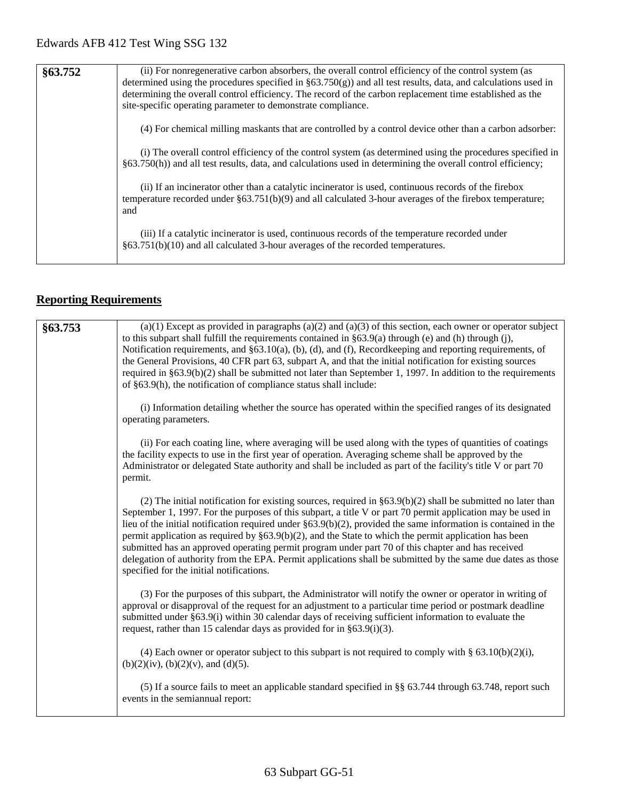| §63.752 | (ii) For nonregenerative carbon absorbers, the overall control efficiency of the control system (as<br>determined using the procedures specified in $\S 63.750(g)$ and all test results, data, and calculations used in<br>determining the overall control efficiency. The record of the carbon replacement time established as the<br>site-specific operating parameter to demonstrate compliance. |
|---------|-----------------------------------------------------------------------------------------------------------------------------------------------------------------------------------------------------------------------------------------------------------------------------------------------------------------------------------------------------------------------------------------------------|
|         | (4) For chemical milling maskants that are controlled by a control device other than a carbon adsorber:                                                                                                                                                                                                                                                                                             |
|         | (i) The overall control efficiency of the control system (as determined using the procedures specified in<br>$§63.750(h)$ and all test results, data, and calculations used in determining the overall control efficiency;                                                                                                                                                                          |
|         | (ii) If an incinerator other than a catalytic incinerator is used, continuous records of the firebox<br>temperature recorded under $\S 63.751(b)(9)$ and all calculated 3-hour averages of the firebox temperature;<br>and                                                                                                                                                                          |
|         | (iii) If a catalytic incinerator is used, continuous records of the temperature recorded under<br>$§63.751(b)(10)$ and all calculated 3-hour averages of the recorded temperatures.                                                                                                                                                                                                                 |

# **Reporting Requirements**

| §63.753 | $(a)(1)$ Except as provided in paragraphs $(a)(2)$ and $(a)(3)$ of this section, each owner or operator subject<br>to this subpart shall fulfill the requirements contained in $\S 63.9(a)$ through (e) and (h) through (j),<br>Notification requirements, and §63.10(a), (b), (d), and (f), Recordkeeping and reporting requirements, of<br>the General Provisions, 40 CFR part 63, subpart A, and that the initial notification for existing sources<br>required in $\S 63.9(b)(2)$ shall be submitted not later than September 1, 1997. In addition to the requirements<br>of §63.9(h), the notification of compliance status shall include:                                                                                     |
|---------|-------------------------------------------------------------------------------------------------------------------------------------------------------------------------------------------------------------------------------------------------------------------------------------------------------------------------------------------------------------------------------------------------------------------------------------------------------------------------------------------------------------------------------------------------------------------------------------------------------------------------------------------------------------------------------------------------------------------------------------|
|         | (i) Information detailing whether the source has operated within the specified ranges of its designated<br>operating parameters.                                                                                                                                                                                                                                                                                                                                                                                                                                                                                                                                                                                                    |
|         | (ii) For each coating line, where averaging will be used along with the types of quantities of coatings<br>the facility expects to use in the first year of operation. Averaging scheme shall be approved by the<br>Administrator or delegated State authority and shall be included as part of the facility's title V or part 70<br>permit.                                                                                                                                                                                                                                                                                                                                                                                        |
|         | (2) The initial notification for existing sources, required in $\S 63.9(b)(2)$ shall be submitted no later than<br>September 1, 1997. For the purposes of this subpart, a title V or part 70 permit application may be used in<br>lieu of the initial notification required under $\S 63.9(b)(2)$ , provided the same information is contained in the<br>permit application as required by $\S 63.9(b)(2)$ , and the State to which the permit application has been<br>submitted has an approved operating permit program under part 70 of this chapter and has received<br>delegation of authority from the EPA. Permit applications shall be submitted by the same due dates as those<br>specified for the initial notifications. |
|         | (3) For the purposes of this subpart, the Administrator will notify the owner or operator in writing of<br>approval or disapproval of the request for an adjustment to a particular time period or postmark deadline<br>submitted under §63.9(i) within 30 calendar days of receiving sufficient information to evaluate the<br>request, rather than 15 calendar days as provided for in $\S 63.9(i)(3)$ .                                                                                                                                                                                                                                                                                                                          |
|         | (4) Each owner or operator subject to this subpart is not required to comply with § $63.10(b)(2)(i)$ ,<br>$(b)(2)(iv)$ , $(b)(2)(v)$ , and $(d)(5)$ .                                                                                                                                                                                                                                                                                                                                                                                                                                                                                                                                                                               |
|         | (5) If a source fails to meet an applicable standard specified in §§ 63.744 through 63.748, report such<br>events in the semiannual report:                                                                                                                                                                                                                                                                                                                                                                                                                                                                                                                                                                                         |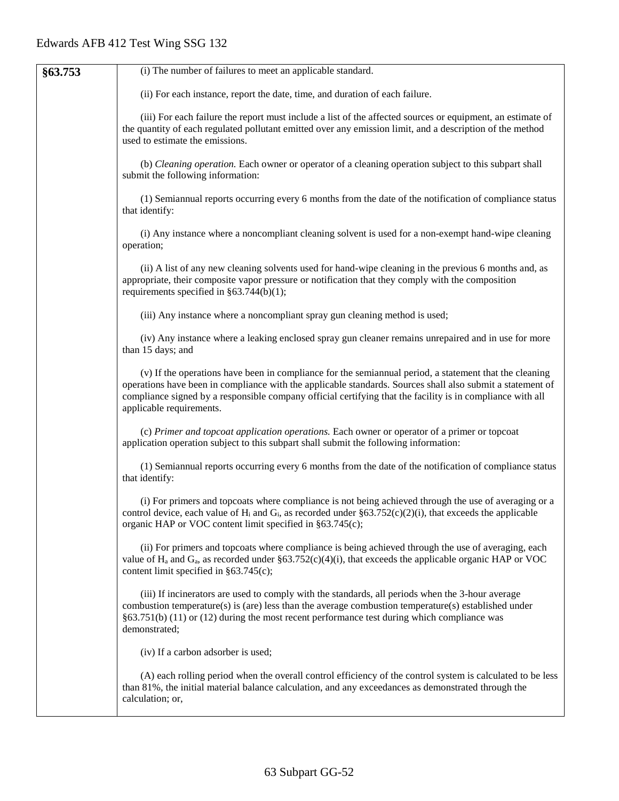| §63.753 | (i) The number of failures to meet an applicable standard.                                                                                                                                                                                                                                                                                                     |
|---------|----------------------------------------------------------------------------------------------------------------------------------------------------------------------------------------------------------------------------------------------------------------------------------------------------------------------------------------------------------------|
|         | (ii) For each instance, report the date, time, and duration of each failure.                                                                                                                                                                                                                                                                                   |
|         | (iii) For each failure the report must include a list of the affected sources or equipment, an estimate of<br>the quantity of each regulated pollutant emitted over any emission limit, and a description of the method<br>used to estimate the emissions.                                                                                                     |
|         | (b) Cleaning operation. Each owner or operator of a cleaning operation subject to this subpart shall<br>submit the following information:                                                                                                                                                                                                                      |
|         | (1) Semiannual reports occurring every 6 months from the date of the notification of compliance status<br>that identify:                                                                                                                                                                                                                                       |
|         | (i) Any instance where a noncompliant cleaning solvent is used for a non-exempt hand-wipe cleaning<br>operation;                                                                                                                                                                                                                                               |
|         | (ii) A list of any new cleaning solvents used for hand-wipe cleaning in the previous 6 months and, as<br>appropriate, their composite vapor pressure or notification that they comply with the composition<br>requirements specified in $\S 63.744(b)(1)$ ;                                                                                                    |
|         | (iii) Any instance where a noncompliant spray gun cleaning method is used;                                                                                                                                                                                                                                                                                     |
|         | (iv) Any instance where a leaking enclosed spray gun cleaner remains unrepaired and in use for more<br>than 15 days; and                                                                                                                                                                                                                                       |
|         | (v) If the operations have been in compliance for the semiannual period, a statement that the cleaning<br>operations have been in compliance with the applicable standards. Sources shall also submit a statement of<br>compliance signed by a responsible company official certifying that the facility is in compliance with all<br>applicable requirements. |
|         | (c) Primer and topcoat application operations. Each owner or operator of a primer or topcoat<br>application operation subject to this subpart shall submit the following information:                                                                                                                                                                          |
|         | (1) Semiannual reports occurring every 6 months from the date of the notification of compliance status<br>that identify:                                                                                                                                                                                                                                       |
|         | (i) For primers and topcoats where compliance is not being achieved through the use of averaging or a<br>control device, each value of $H_i$ and $G_i$ , as recorded under §63.752(c)(2)(i), that exceeds the applicable<br>organic HAP or VOC content limit specified in §63.745(c);                                                                          |
|         | (ii) For primers and topcoats where compliance is being achieved through the use of averaging, each<br>value of $H_a$ and $G_a$ , as recorded under §63.752(c)(4)(i), that exceeds the applicable organic HAP or VOC<br>content limit specified in $§63.745(c)$ ;                                                                                              |
|         | (iii) If incinerators are used to comply with the standards, all periods when the 3-hour average<br>combustion temperature(s) is (are) less than the average combustion temperature(s) established under<br>$§63.751(b)$ (11) or (12) during the most recent performance test during which compliance was<br>demonstrated;                                     |
|         | (iv) If a carbon adsorber is used;                                                                                                                                                                                                                                                                                                                             |
|         | (A) each rolling period when the overall control efficiency of the control system is calculated to be less<br>than 81%, the initial material balance calculation, and any exceedances as demonstrated through the<br>calculation; or,                                                                                                                          |
|         |                                                                                                                                                                                                                                                                                                                                                                |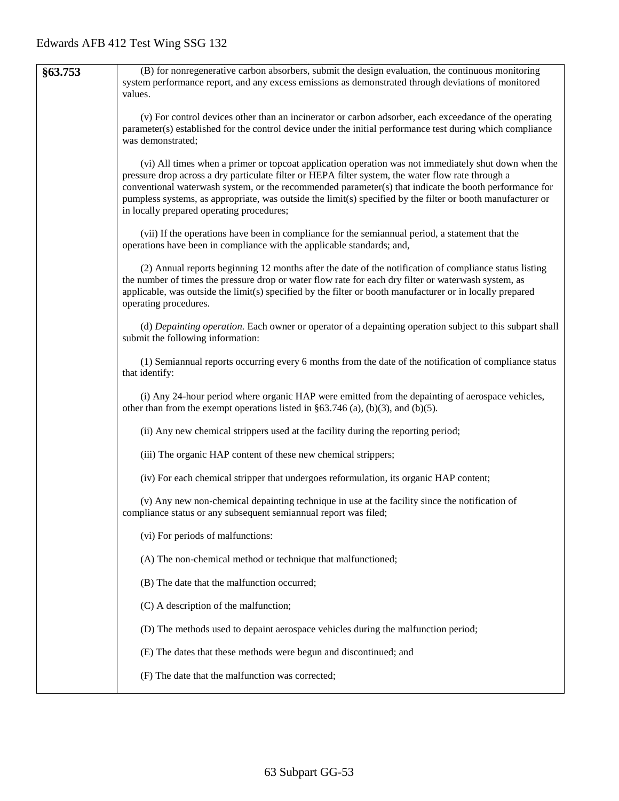| §63.753 | (B) for nonregenerative carbon absorbers, submit the design evaluation, the continuous monitoring<br>system performance report, and any excess emissions as demonstrated through deviations of monitored<br>values.                                                                                                                                                                                                                                                              |
|---------|----------------------------------------------------------------------------------------------------------------------------------------------------------------------------------------------------------------------------------------------------------------------------------------------------------------------------------------------------------------------------------------------------------------------------------------------------------------------------------|
|         | (v) For control devices other than an incinerator or carbon adsorber, each exceedance of the operating<br>parameter(s) established for the control device under the initial performance test during which compliance<br>was demonstrated;                                                                                                                                                                                                                                        |
|         | (vi) All times when a primer or topcoat application operation was not immediately shut down when the<br>pressure drop across a dry particulate filter or HEPA filter system, the water flow rate through a<br>conventional waterwash system, or the recommended parameter(s) that indicate the booth performance for<br>pumpless systems, as appropriate, was outside the limit(s) specified by the filter or booth manufacturer or<br>in locally prepared operating procedures; |
|         | (vii) If the operations have been in compliance for the semiannual period, a statement that the<br>operations have been in compliance with the applicable standards; and,                                                                                                                                                                                                                                                                                                        |
|         | (2) Annual reports beginning 12 months after the date of the notification of compliance status listing<br>the number of times the pressure drop or water flow rate for each dry filter or waterwash system, as<br>applicable, was outside the limit(s) specified by the filter or booth manufacturer or in locally prepared<br>operating procedures.                                                                                                                             |
|         | (d) Depainting operation. Each owner or operator of a depainting operation subject to this subpart shall<br>submit the following information:                                                                                                                                                                                                                                                                                                                                    |
|         | (1) Semiannual reports occurring every 6 months from the date of the notification of compliance status<br>that identify:                                                                                                                                                                                                                                                                                                                                                         |
|         | (i) Any 24-hour period where organic HAP were emitted from the depainting of aerospace vehicles,<br>other than from the exempt operations listed in $\S 63.746$ (a), (b)(3), and (b)(5).                                                                                                                                                                                                                                                                                         |
|         | (ii) Any new chemical strippers used at the facility during the reporting period;                                                                                                                                                                                                                                                                                                                                                                                                |
|         | (iii) The organic HAP content of these new chemical strippers;                                                                                                                                                                                                                                                                                                                                                                                                                   |
|         | (iv) For each chemical stripper that undergoes reformulation, its organic HAP content;                                                                                                                                                                                                                                                                                                                                                                                           |
|         | (v) Any new non-chemical depainting technique in use at the facility since the notification of<br>compliance status or any subsequent semiannual report was filed;                                                                                                                                                                                                                                                                                                               |
|         | (vi) For periods of malfunctions:                                                                                                                                                                                                                                                                                                                                                                                                                                                |
|         | (A) The non-chemical method or technique that malfunctioned;                                                                                                                                                                                                                                                                                                                                                                                                                     |
|         | (B) The date that the malfunction occurred;                                                                                                                                                                                                                                                                                                                                                                                                                                      |
|         | (C) A description of the malfunction;                                                                                                                                                                                                                                                                                                                                                                                                                                            |
|         | (D) The methods used to depaint aerospace vehicles during the malfunction period;                                                                                                                                                                                                                                                                                                                                                                                                |
|         | (E) The dates that these methods were begun and discontinued; and                                                                                                                                                                                                                                                                                                                                                                                                                |
|         | (F) The date that the malfunction was corrected;                                                                                                                                                                                                                                                                                                                                                                                                                                 |
|         |                                                                                                                                                                                                                                                                                                                                                                                                                                                                                  |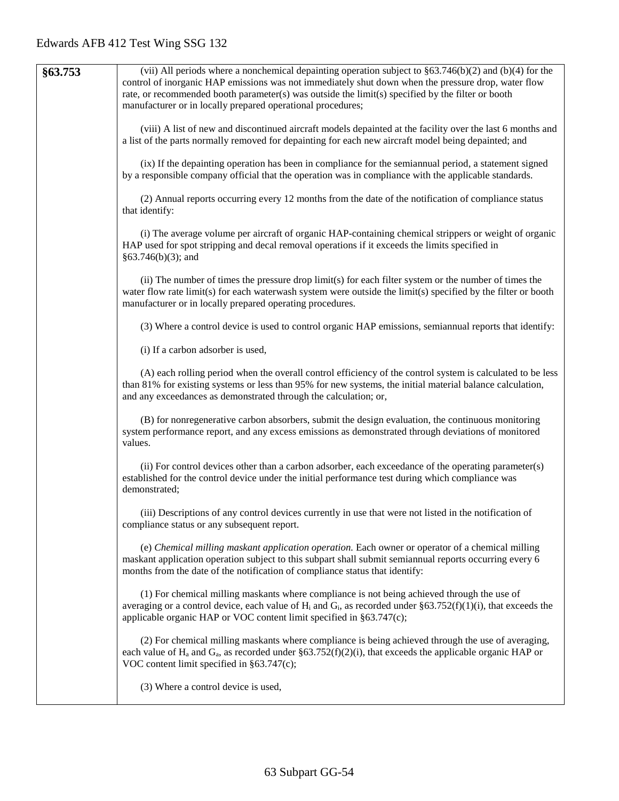| §63.753 | (vii) All periods where a nonchemical depainting operation subject to $\S 63.746(b)(2)$ and (b)(4) for the<br>control of inorganic HAP emissions was not immediately shut down when the pressure drop, water flow<br>rate, or recommended booth parameter(s) was outside the limit(s) specified by the filter or booth<br>manufacturer or in locally prepared operational procedures; |
|---------|---------------------------------------------------------------------------------------------------------------------------------------------------------------------------------------------------------------------------------------------------------------------------------------------------------------------------------------------------------------------------------------|
|         | (viii) A list of new and discontinued aircraft models depainted at the facility over the last 6 months and<br>a list of the parts normally removed for depainting for each new aircraft model being depainted; and                                                                                                                                                                    |
|         | (ix) If the depainting operation has been in compliance for the semiannual period, a statement signed<br>by a responsible company official that the operation was in compliance with the applicable standards.                                                                                                                                                                        |
|         | (2) Annual reports occurring every 12 months from the date of the notification of compliance status<br>that identify:                                                                                                                                                                                                                                                                 |
|         | (i) The average volume per aircraft of organic HAP-containing chemical strippers or weight of organic<br>HAP used for spot stripping and decal removal operations if it exceeds the limits specified in<br>$§63.746(b)(3);$ and                                                                                                                                                       |
|         | (ii) The number of times the pressure drop limit(s) for each filter system or the number of times the<br>water flow rate limit(s) for each waterwash system were outside the limit(s) specified by the filter or booth<br>manufacturer or in locally prepared operating procedures.                                                                                                   |
|         | (3) Where a control device is used to control organic HAP emissions, semiannual reports that identify:                                                                                                                                                                                                                                                                                |
|         | (i) If a carbon adsorber is used,                                                                                                                                                                                                                                                                                                                                                     |
|         | (A) each rolling period when the overall control efficiency of the control system is calculated to be less<br>than 81% for existing systems or less than 95% for new systems, the initial material balance calculation,<br>and any exceedances as demonstrated through the calculation; or,                                                                                           |
|         | (B) for nonregenerative carbon absorbers, submit the design evaluation, the continuous monitoring<br>system performance report, and any excess emissions as demonstrated through deviations of monitored<br>values.                                                                                                                                                                   |
|         | (ii) For control devices other than a carbon adsorber, each exceedance of the operating parameter(s)<br>established for the control device under the initial performance test during which compliance was<br>demonstrated;                                                                                                                                                            |
|         | (iii) Descriptions of any control devices currently in use that were not listed in the notification of<br>compliance status or any subsequent report.                                                                                                                                                                                                                                 |
|         | (e) Chemical milling maskant application operation. Each owner or operator of a chemical milling<br>maskant application operation subject to this subpart shall submit semiannual reports occurring every 6<br>months from the date of the notification of compliance status that identify:                                                                                           |
|         | (1) For chemical milling maskants where compliance is not being achieved through the use of<br>averaging or a control device, each value of $H_i$ and $G_i$ , as recorded under §63.752(f)(1)(i), that exceeds the<br>applicable organic HAP or VOC content limit specified in §63.747(c);                                                                                            |
|         | (2) For chemical milling maskants where compliance is being achieved through the use of averaging,<br>each value of $H_a$ and $G_a$ , as recorded under §63.752(f)(2)(i), that exceeds the applicable organic HAP or<br>VOC content limit specified in $§63.747(c)$ ;                                                                                                                 |
|         | (3) Where a control device is used,                                                                                                                                                                                                                                                                                                                                                   |
|         |                                                                                                                                                                                                                                                                                                                                                                                       |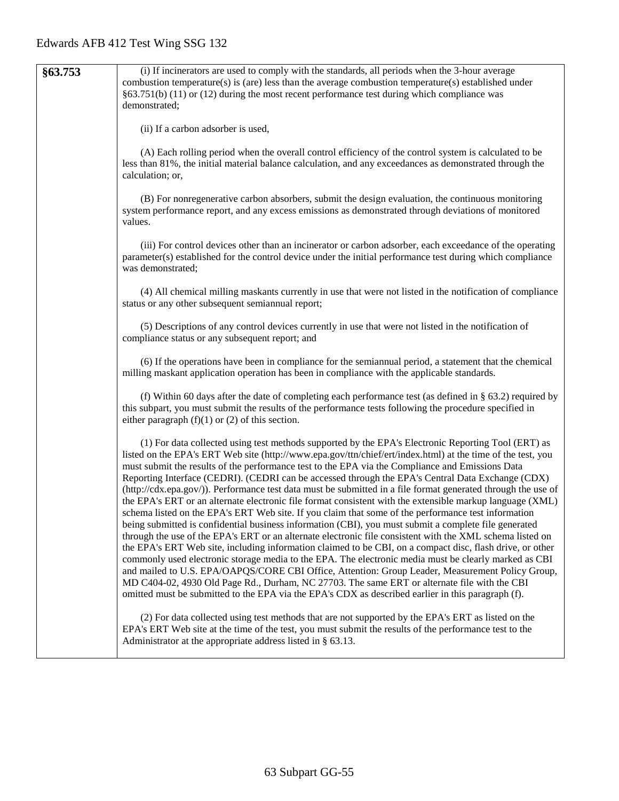| §63.753 | (i) If incinerators are used to comply with the standards, all periods when the 3-hour average<br>combustion temperature(s) is (are) less than the average combustion temperature(s) established under<br>$§63.751(b)$ (11) or (12) during the most recent performance test during which compliance was                                                                                                                                                                                                                                                                                                                                                                                                                                                                                                                                                                                                                                                                                                                                                                                                                                                                                                                                                                                                                                                                                                                                                                                                                |
|---------|------------------------------------------------------------------------------------------------------------------------------------------------------------------------------------------------------------------------------------------------------------------------------------------------------------------------------------------------------------------------------------------------------------------------------------------------------------------------------------------------------------------------------------------------------------------------------------------------------------------------------------------------------------------------------------------------------------------------------------------------------------------------------------------------------------------------------------------------------------------------------------------------------------------------------------------------------------------------------------------------------------------------------------------------------------------------------------------------------------------------------------------------------------------------------------------------------------------------------------------------------------------------------------------------------------------------------------------------------------------------------------------------------------------------------------------------------------------------------------------------------------------------|
|         | demonstrated;                                                                                                                                                                                                                                                                                                                                                                                                                                                                                                                                                                                                                                                                                                                                                                                                                                                                                                                                                                                                                                                                                                                                                                                                                                                                                                                                                                                                                                                                                                          |
|         | (ii) If a carbon adsorber is used,                                                                                                                                                                                                                                                                                                                                                                                                                                                                                                                                                                                                                                                                                                                                                                                                                                                                                                                                                                                                                                                                                                                                                                                                                                                                                                                                                                                                                                                                                     |
|         | (A) Each rolling period when the overall control efficiency of the control system is calculated to be<br>less than 81%, the initial material balance calculation, and any exceedances as demonstrated through the<br>calculation; or,                                                                                                                                                                                                                                                                                                                                                                                                                                                                                                                                                                                                                                                                                                                                                                                                                                                                                                                                                                                                                                                                                                                                                                                                                                                                                  |
|         | (B) For nonregenerative carbon absorbers, submit the design evaluation, the continuous monitoring<br>system performance report, and any excess emissions as demonstrated through deviations of monitored<br>values.                                                                                                                                                                                                                                                                                                                                                                                                                                                                                                                                                                                                                                                                                                                                                                                                                                                                                                                                                                                                                                                                                                                                                                                                                                                                                                    |
|         | (iii) For control devices other than an incinerator or carbon adsorber, each exceedance of the operating<br>parameter(s) established for the control device under the initial performance test during which compliance<br>was demonstrated;                                                                                                                                                                                                                                                                                                                                                                                                                                                                                                                                                                                                                                                                                                                                                                                                                                                                                                                                                                                                                                                                                                                                                                                                                                                                            |
|         | (4) All chemical milling maskants currently in use that were not listed in the notification of compliance<br>status or any other subsequent semiannual report;                                                                                                                                                                                                                                                                                                                                                                                                                                                                                                                                                                                                                                                                                                                                                                                                                                                                                                                                                                                                                                                                                                                                                                                                                                                                                                                                                         |
|         | (5) Descriptions of any control devices currently in use that were not listed in the notification of<br>compliance status or any subsequent report; and                                                                                                                                                                                                                                                                                                                                                                                                                                                                                                                                                                                                                                                                                                                                                                                                                                                                                                                                                                                                                                                                                                                                                                                                                                                                                                                                                                |
|         | (6) If the operations have been in compliance for the semiannual period, a statement that the chemical<br>milling maskant application operation has been in compliance with the applicable standards.                                                                                                                                                                                                                                                                                                                                                                                                                                                                                                                                                                                                                                                                                                                                                                                                                                                                                                                                                                                                                                                                                                                                                                                                                                                                                                                  |
|         | (f) Within 60 days after the date of completing each performance test (as defined in $\S$ 63.2) required by<br>this subpart, you must submit the results of the performance tests following the procedure specified in<br>either paragraph $(f)(1)$ or $(2)$ of this section.                                                                                                                                                                                                                                                                                                                                                                                                                                                                                                                                                                                                                                                                                                                                                                                                                                                                                                                                                                                                                                                                                                                                                                                                                                          |
|         | (1) For data collected using test methods supported by the EPA's Electronic Reporting Tool (ERT) as<br>listed on the EPA's ERT Web site (http://www.epa.gov/ttn/chief/ert/index.html) at the time of the test, you<br>must submit the results of the performance test to the EPA via the Compliance and Emissions Data<br>Reporting Interface (CEDRI). (CEDRI can be accessed through the EPA's Central Data Exchange (CDX)<br>(http://cdx.epa.gov/)). Performance test data must be submitted in a file format generated through the use of<br>the EPA's ERT or an alternate electronic file format consistent with the extensible markup language (XML)<br>schema listed on the EPA's ERT Web site. If you claim that some of the performance test information<br>being submitted is confidential business information (CBI), you must submit a complete file generated<br>through the use of the EPA's ERT or an alternate electronic file consistent with the XML schema listed on<br>the EPA's ERT Web site, including information claimed to be CBI, on a compact disc, flash drive, or other<br>commonly used electronic storage media to the EPA. The electronic media must be clearly marked as CBI<br>and mailed to U.S. EPA/OAPQS/CORE CBI Office, Attention: Group Leader, Measurement Policy Group,<br>MD C404-02, 4930 Old Page Rd., Durham, NC 27703. The same ERT or alternate file with the CBI<br>omitted must be submitted to the EPA via the EPA's CDX as described earlier in this paragraph (f). |
|         | (2) For data collected using test methods that are not supported by the EPA's ERT as listed on the<br>EPA's ERT Web site at the time of the test, you must submit the results of the performance test to the<br>Administrator at the appropriate address listed in § 63.13.                                                                                                                                                                                                                                                                                                                                                                                                                                                                                                                                                                                                                                                                                                                                                                                                                                                                                                                                                                                                                                                                                                                                                                                                                                            |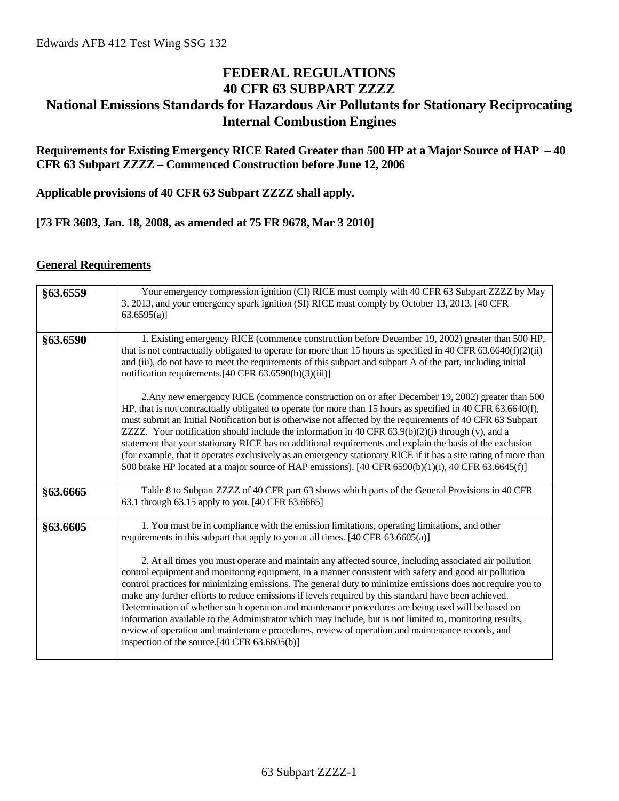### **FEDERAL REGULATIONS 40 CFR 63 SUBPART ZZZZ National Emissions Standards for Hazardous Air Pollutants for Stationary Reciprocating Internal Combustion Engines**

#### **Requirements for Existing Emergency RICE Rated Greater than 500 HP at a Major Source of HAP – 40 CFR 63 Subpart ZZZZ – Commenced Construction before June 12, 2006**

**Applicable provisions of 40 CFR 63 Subpart ZZZZ shall apply.**

#### **[73 FR 3603, Jan. 18, 2008, as amended at 75 FR 9678, Mar 3 2010]**

#### **General Requirements**

| §63.6559 | Your emergency compression ignition (CI) RICE must comply with 40 CFR 63 Subpart ZZZZ by May<br>3, 2013, and your emergency spark ignition (SI) RICE must comply by October 13, 2013. [40 CFR<br>63.6595(a)                                                                                                                                                                                                                                                                                                                                                                                                                                                                                                                                                                                                                                                                                                                                                                                                           |
|----------|-----------------------------------------------------------------------------------------------------------------------------------------------------------------------------------------------------------------------------------------------------------------------------------------------------------------------------------------------------------------------------------------------------------------------------------------------------------------------------------------------------------------------------------------------------------------------------------------------------------------------------------------------------------------------------------------------------------------------------------------------------------------------------------------------------------------------------------------------------------------------------------------------------------------------------------------------------------------------------------------------------------------------|
| §63.6590 | 1. Existing emergency RICE (commence construction before December 19, 2002) greater than 500 HP,<br>that is not contractually obligated to operate for more than 15 hours as specified in 40 CFR 63.6640(f)(2)(ii)<br>and (iii), do not have to meet the requirements of this subpart and subpart A of the part, including initial<br>notification requirements. [40 CFR 63.6590(b)(3)(iii)]                                                                                                                                                                                                                                                                                                                                                                                                                                                                                                                                                                                                                          |
|          | 2. Any new emergency RICE (commence construction on or after December 19, 2002) greater than 500<br>HP, that is not contractually obligated to operate for more than 15 hours as specified in 40 CFR 63.6640(f),<br>must submit an Initial Notification but is otherwise not affected by the requirements of 40 CFR 63 Subpart<br>ZZZZ. Your notification should include the information in 40 CFR $63.9(b)(2)(i)$ through (v), and a<br>statement that your stationary RICE has no additional requirements and explain the basis of the exclusion<br>(for example, that it operates exclusively as an emergency stationary RICE if it has a site rating of more than<br>500 brake HP located at a major source of HAP emissions). [40 CFR 6590(b)(1)(i), 40 CFR 63.6645(f)]                                                                                                                                                                                                                                          |
| §63.6665 | Table 8 to Subpart ZZZZ of 40 CFR part 63 shows which parts of the General Provisions in 40 CFR<br>63.1 through 63.15 apply to you. [40 CFR 63.6665]                                                                                                                                                                                                                                                                                                                                                                                                                                                                                                                                                                                                                                                                                                                                                                                                                                                                  |
| §63.6605 | 1. You must be in compliance with the emission limitations, operating limitations, and other<br>requirements in this subpart that apply to you at all times. $[40 \text{ CFR } 63.6605(a)]$<br>2. At all times you must operate and maintain any affected source, including associated air pollution<br>control equipment and monitoring equipment, in a manner consistent with safety and good air pollution<br>control practices for minimizing emissions. The general duty to minimize emissions does not require you to<br>make any further efforts to reduce emissions if levels required by this standard have been achieved.<br>Determination of whether such operation and maintenance procedures are being used will be based on<br>information available to the Administrator which may include, but is not limited to, monitoring results,<br>review of operation and maintenance procedures, review of operation and maintenance records, and<br>inspection of the source. $[40 \text{ CFR } 63.6605(b)]$ |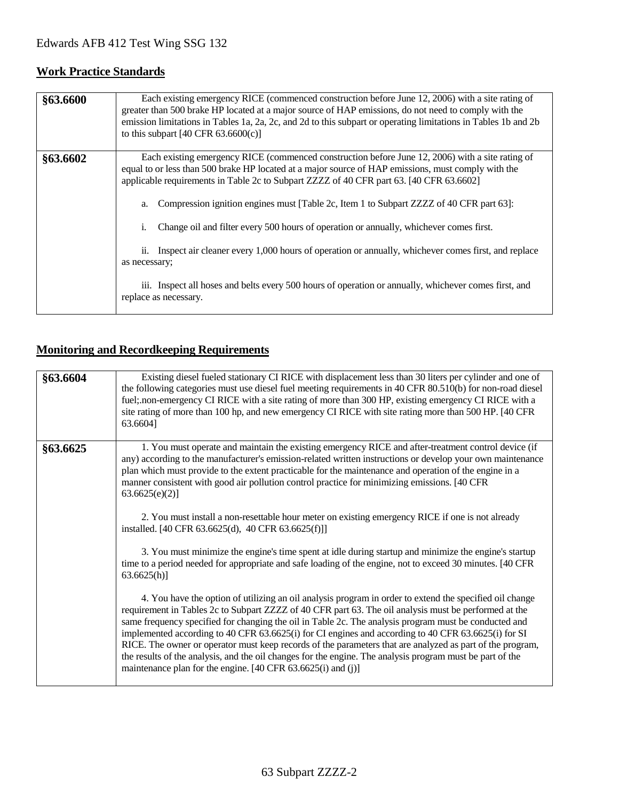### **Work Practice Standards**

| §63.6600 | Each existing emergency RICE (commenced construction before June 12, 2006) with a site rating of<br>greater than 500 brake HP located at a major source of HAP emissions, do not need to comply with the<br>emission limitations in Tables 1a, 2a, 2c, and 2d to this subpart or operating limitations in Tables 1b and 2b<br>to this subpart $[40 \text{ CFR } 63.6600(c)]$                                                                                                                                                                                                                                                                                                                                                                                     |
|----------|------------------------------------------------------------------------------------------------------------------------------------------------------------------------------------------------------------------------------------------------------------------------------------------------------------------------------------------------------------------------------------------------------------------------------------------------------------------------------------------------------------------------------------------------------------------------------------------------------------------------------------------------------------------------------------------------------------------------------------------------------------------|
| §63.6602 | Each existing emergency RICE (commenced construction before June 12, 2006) with a site rating of<br>equal to or less than 500 brake HP located at a major source of HAP emissions, must comply with the<br>applicable requirements in Table 2c to Subpart ZZZZ of 40 CFR part 63. [40 CFR 63.6602]<br>Compression ignition engines must [Table 2c, Item 1 to Subpart ZZZZ of 40 CFR part 63]:<br>a.<br>Change oil and filter every 500 hours of operation or annually, whichever comes first.<br>1.<br>ii. Inspect air cleaner every 1,000 hours of operation or annually, whichever comes first, and replace<br>as necessary;<br>iii. Inspect all hoses and belts every 500 hours of operation or annually, whichever comes first, and<br>replace as necessary. |

## **Monitoring and Recordkeeping Requirements**

| §63.6604 | Existing diesel fueled stationary CI RICE with displacement less than 30 liters per cylinder and one of<br>the following categories must use diesel fuel meeting requirements in 40 CFR 80.510(b) for non-road diesel<br>fuel; non-emergency CI RICE with a site rating of more than 300 HP, existing emergency CI RICE with a<br>site rating of more than 100 hp, and new emergency CI RICE with site rating more than 500 HP. [40 CFR<br>63.6604]                                                                                                                                                                                                                                                                                                                                                                                                                                                                                                                                                                                                                                                                                                                                                                                                                                                                                                                                                                                                                                                                                                                                       |
|----------|-------------------------------------------------------------------------------------------------------------------------------------------------------------------------------------------------------------------------------------------------------------------------------------------------------------------------------------------------------------------------------------------------------------------------------------------------------------------------------------------------------------------------------------------------------------------------------------------------------------------------------------------------------------------------------------------------------------------------------------------------------------------------------------------------------------------------------------------------------------------------------------------------------------------------------------------------------------------------------------------------------------------------------------------------------------------------------------------------------------------------------------------------------------------------------------------------------------------------------------------------------------------------------------------------------------------------------------------------------------------------------------------------------------------------------------------------------------------------------------------------------------------------------------------------------------------------------------------|
| §63.6625 | 1. You must operate and maintain the existing emergency RICE and after-treatment control device (if<br>any) according to the manufacturer's emission-related written instructions or develop your own maintenance<br>plan which must provide to the extent practicable for the maintenance and operation of the engine in a<br>manner consistent with good air pollution control practice for minimizing emissions. [40 CFR<br>63.6625(e)(2)<br>2. You must install a non-resettable hour meter on existing emergency RICE if one is not already<br>installed. [40 CFR 63.6625(d), 40 CFR 63.6625(f)]]<br>3. You must minimize the engine's time spent at idle during startup and minimize the engine's startup<br>time to a period needed for appropriate and safe loading of the engine, not to exceed 30 minutes. [40 CFR<br>$63.6625(h)$ ]<br>4. You have the option of utilizing an oil analysis program in order to extend the specified oil change<br>requirement in Tables 2c to Subpart ZZZZ of 40 CFR part 63. The oil analysis must be performed at the<br>same frequency specified for changing the oil in Table 2c. The analysis program must be conducted and<br>implemented according to 40 CFR 63.6625(i) for CI engines and according to 40 CFR 63.6625(i) for SI<br>RICE. The owner or operator must keep records of the parameters that are analyzed as part of the program,<br>the results of the analysis, and the oil changes for the engine. The analysis program must be part of the<br>maintenance plan for the engine. $[40 \text{ CFR } 63.6625(i)$ and $(i)]$ |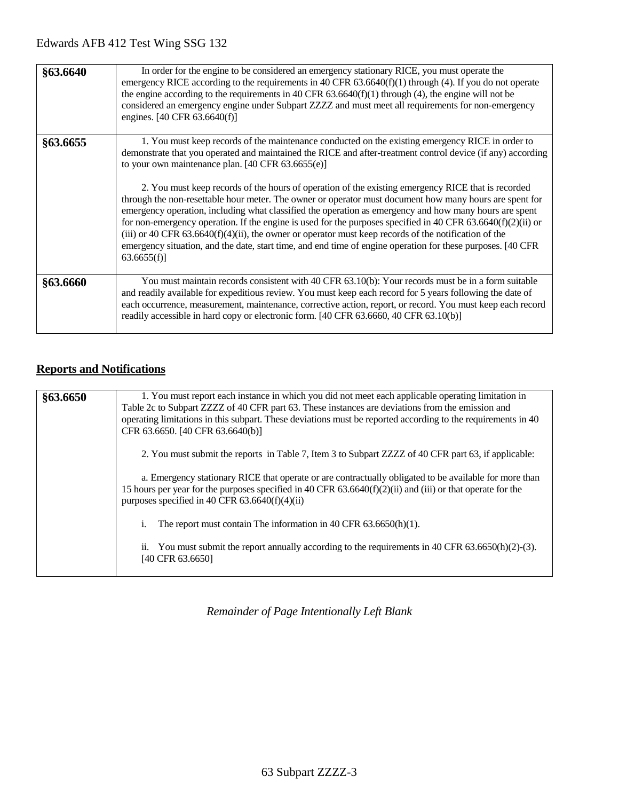| §63.6640 | In order for the engine to be considered an emergency stationary RICE, you must operate the<br>emergency RICE according to the requirements in 40 CFR $63.6640(f)(1)$ through (4). If you do not operate<br>the engine according to the requirements in 40 CFR $63.6640(f)(1)$ through (4), the engine will not be<br>considered an emergency engine under Subpart ZZZZ and must meet all requirements for non-emergency<br>engines. [40 CFR 63.6640(f)]                                                                                                                                                                                                                                                                                                                                                                                                                                                                                                 |
|----------|----------------------------------------------------------------------------------------------------------------------------------------------------------------------------------------------------------------------------------------------------------------------------------------------------------------------------------------------------------------------------------------------------------------------------------------------------------------------------------------------------------------------------------------------------------------------------------------------------------------------------------------------------------------------------------------------------------------------------------------------------------------------------------------------------------------------------------------------------------------------------------------------------------------------------------------------------------|
| §63.6655 | 1. You must keep records of the maintenance conducted on the existing emergency RICE in order to<br>demonstrate that you operated and maintained the RICE and after-treatment control device (if any) according<br>to your own maintenance plan. [40 CFR $63.6655(e)$ ]<br>2. You must keep records of the hours of operation of the existing emergency RICE that is recorded<br>through the non-resettable hour meter. The owner or operator must document how many hours are spent for<br>emergency operation, including what classified the operation as emergency and how many hours are spent<br>for non-emergency operation. If the engine is used for the purposes specified in 40 CFR 63.6640(f)(2)(ii) or<br>(iii) or 40 CFR 63.6640(f)(4)(ii), the owner or operator must keep records of the notification of the<br>emergency situation, and the date, start time, and end time of engine operation for these purposes. [40 CFR<br>63.6655(f) |
| §63.6660 | You must maintain records consistent with 40 CFR 63.10(b): Your records must be in a form suitable<br>and readily available for expeditious review. You must keep each record for 5 years following the date of<br>each occurrence, measurement, maintenance, corrective action, report, or record. You must keep each record<br>readily accessible in hard copy or electronic form. [40 CFR 63.6660, 40 CFR 63.10(b)]                                                                                                                                                                                                                                                                                                                                                                                                                                                                                                                                   |

### **Reports and Notifications**

| §63.6650 | 1. You must report each instance in which you did not meet each applicable operating limitation in<br>Table 2c to Subpart ZZZZ of 40 CFR part 63. These instances are deviations from the emission and<br>operating limitations in this subpart. These deviations must be reported according to the requirements in 40<br>CFR 63.6650. [40 CFR 63.6640(b)] |
|----------|------------------------------------------------------------------------------------------------------------------------------------------------------------------------------------------------------------------------------------------------------------------------------------------------------------------------------------------------------------|
|          | 2. You must submit the reports in Table 7, Item 3 to Subpart ZZZZ of 40 CFR part 63, if applicable:                                                                                                                                                                                                                                                        |
|          | a. Emergency stationary RICE that operate or are contractually obligated to be available for more than<br>15 hours per year for the purposes specified in 40 CFR 63.6640(f)(2)(ii) and (iii) or that operate for the<br>purposes specified in 40 CFR $63.6640(f)(4)(ii)$                                                                                   |
|          | The report must contain The information in 40 CFR $63.6650(h)(1)$ .<br>1.                                                                                                                                                                                                                                                                                  |
|          | You must submit the report annually according to the requirements in 40 CFR $63.6650(h)(2)-(3)$ .<br>11.<br>[40 CFR 63.6650]                                                                                                                                                                                                                               |

*Remainder of Page Intentionally Left Blank*